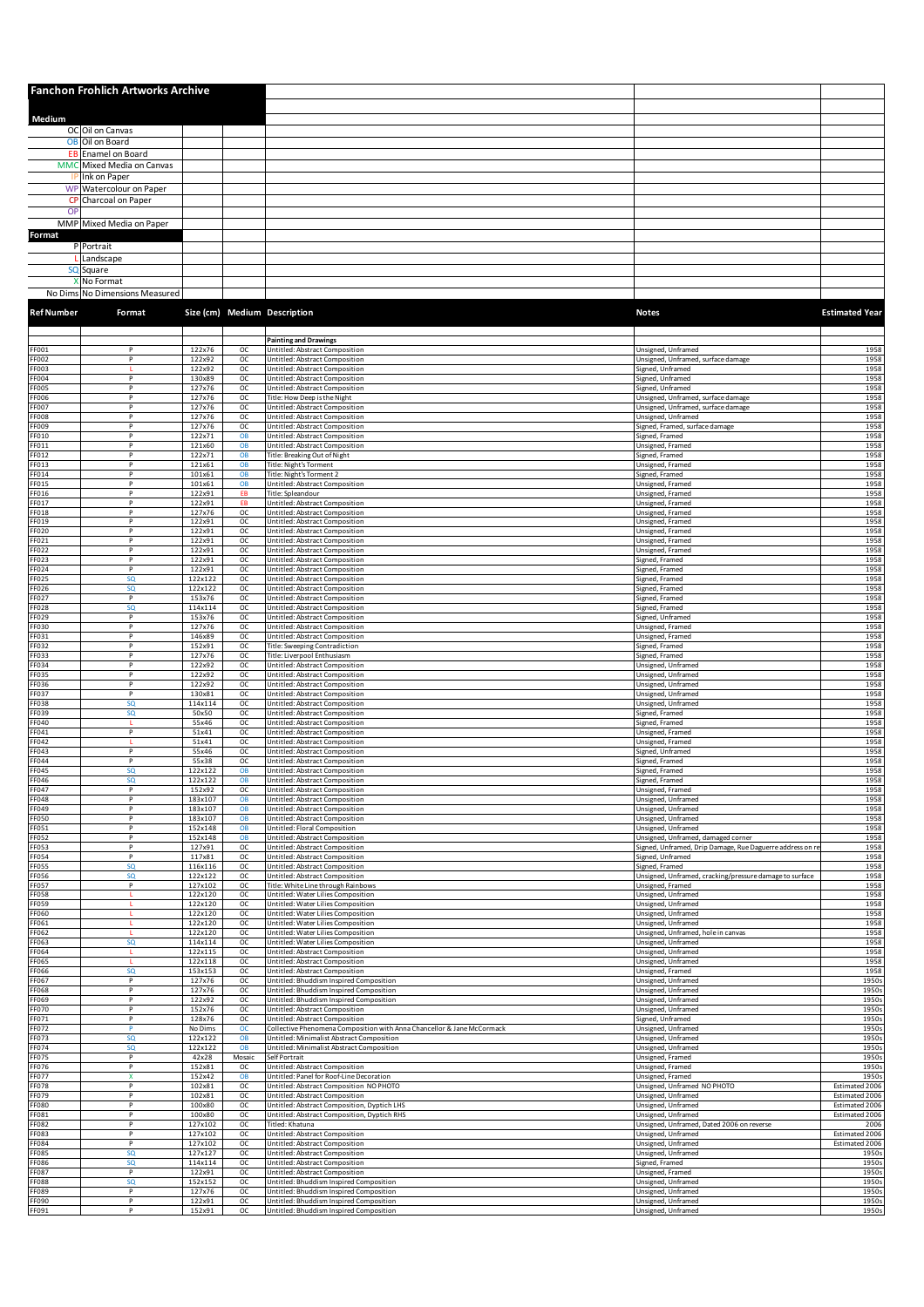|                              | <b>Fanchon Frohlich Artworks Archive</b>    |                   |           |                                                                                    |                                                           |                       |
|------------------------------|---------------------------------------------|-------------------|-----------|------------------------------------------------------------------------------------|-----------------------------------------------------------|-----------------------|
|                              |                                             |                   |           |                                                                                    |                                                           |                       |
| <b>Medium</b>                | OC Oil on Canvas                            |                   |           |                                                                                    |                                                           |                       |
| <b>OB</b>                    | Oil on Board                                |                   |           |                                                                                    |                                                           |                       |
|                              | Enamel on Board                             |                   |           |                                                                                    |                                                           |                       |
|                              | MMC Mixed Media on Canvas<br>Ink on Paper   |                   |           |                                                                                    |                                                           |                       |
| <b>WP</b>                    | Watercolour on Paper                        |                   |           |                                                                                    |                                                           |                       |
| <b>CP</b><br>OP              | Charcoal on Paper                           |                   |           |                                                                                    |                                                           |                       |
|                              | MMP Mixed Media on Paper                    |                   |           |                                                                                    |                                                           |                       |
| <b>Format</b>                |                                             |                   |           |                                                                                    |                                                           |                       |
|                              | P Portrait<br>L Landscape                   |                   |           |                                                                                    |                                                           |                       |
|                              | SQ Square                                   |                   |           |                                                                                    |                                                           |                       |
|                              | No Format<br>No Dims No Dimensions Measured |                   |           |                                                                                    |                                                           |                       |
| <b>Ref Number</b>            | Format                                      |                   |           | Size (cm) Medium Description                                                       | <b>Notes</b>                                              | <b>Estimated Year</b> |
|                              |                                             |                   |           |                                                                                    |                                                           |                       |
|                              |                                             |                   |           | <b>Painting and Drawings</b>                                                       |                                                           |                       |
| FF001                        | P                                           | 122x76            | OC        | Untitled: Abstract Composition                                                     | <b>Jnsigned</b> , Unframed                                | 1958                  |
| FF002                        | P                                           | 122x92            | oc        | Untitled: Abstract Composition                                                     | Unsigned, Unframed, surface damage                        | 1958                  |
| <b>FF003</b>                 | т.                                          | 122x92            | <b>OC</b> | Untitled: Abstract Composition                                                     | Signed, Unframed                                          | 1958                  |
| FF004                        | P                                           | 130x89            | oc        | Untitled: Abstract Composition                                                     | Signed, Unframed                                          | 1958                  |
| <b>FF005</b>                 | P                                           | 127x76            | oc        | Untitled: Abstract Composition                                                     | Signed, Unframed                                          | 1958                  |
| <b>FF006</b>                 | P                                           | 127x76            | <b>OC</b> | Title: How Deep is the Night                                                       | Unsigned, Unframed, surface damage                        | 1958                  |
| <b>FF007</b>                 | P                                           | 127x76            | <b>OC</b> | Untitled: Abstract Composition                                                     | Unsigned, Unframed, surface damage                        | 1958                  |
| <b>FF008</b>                 | P                                           | 127x76            | <b>OC</b> | Untitled: Abstract Composition                                                     | Unsigned, Unframed                                        | 1958                  |
| <b>FF009</b>                 | P                                           | 127x76            | OC        | Untitled: Abstract Composition                                                     | Signed, Framed, surface damage                            | 1958                  |
| FF010                        | P                                           | 122x71            | OB        | Untitled: Abstract Composition                                                     | Signed, Framed                                            | 1958                  |
| FF011                        | $\overline{P}$                              | 121x60            | OB        | Untitled: Abstract Composition                                                     | Unsigned, Framed                                          | 1958                  |
| FF012                        | $\overline{P}$                              | 122x71            | OB        | Title: Breaking Out of Night                                                       | Signed, Framed                                            | 1958                  |
| FF013                        | P                                           | 121x61            | OB        | Title: Night's Torment                                                             | Unsigned, Framed                                          | 1958                  |
| FF014                        | P                                           | 101x61            | OB        | Title: Night's Torment 2                                                           | Signed, Framed                                            | 1958                  |
| FF015<br>FF016               | P<br>P                                      | 101x61            | OB<br>EB  | Untitled: Abstract Composition                                                     | Unsigned, Framed<br>Unsigned, Framed                      | 1958                  |
| FF017                        | P                                           | 122x91<br>122x91  | EB        | Title: Spleandour<br>Untitled: Abstract Composition                                | Unsigned, Framed                                          | 1958<br>1958          |
| FF018                        | P                                           | 127x76            | <b>OC</b> | Untitled: Abstract Composition                                                     | Unsigned, Framed                                          | 1958                  |
| FF019                        | P                                           | 122x91            | <b>OC</b> | Untitled: Abstract Composition                                                     | Unsigned, Framed                                          | 1958                  |
| <b>FF020</b>                 | P                                           | 122x91            | OC        | Untitled: Abstract Composition                                                     | Unsigned, Framed                                          | 1958                  |
| FF021                        | P                                           | 122x91            | OC        | Untitled: Abstract Composition                                                     |                                                           | 1958                  |
| FF022                        | P                                           | 122x91            | oc        | Untitled: Abstract Composition                                                     | Unsigned, Framed<br>Unsigned, Framed                      | 1958                  |
| FF023                        | P                                           | 122x91            | oc        | Untitled: Abstract Composition                                                     | Signed, Framed                                            | 1958                  |
| FF024                        | P                                           | 122x91            | OC        | Untitled: Abstract Composition                                                     | Signed, Framed                                            | 1958                  |
| FF025                        | SQ                                          | 122x122           | OC        | Untitled: Abstract Composition                                                     | Signed, Framed                                            | 1958                  |
| FF026                        | SQ                                          | 122x122           | <b>OC</b> | Untitled: Abstract Composition                                                     | Signed, Framed                                            | 1958                  |
| <b>FF027</b>                 | P                                           | 153x76            | <b>OC</b> | Untitled: Abstract Composition                                                     | Signed, Framed                                            | 1958                  |
| <b>FF028</b>                 | SQ                                          | 114x114           | <b>OC</b> | Untitled: Abstract Composition                                                     | Signed, Framed                                            | 1958                  |
| FF029                        | P                                           | 153x76            | OC        | Untitled: Abstract Composition                                                     | Signed, Unframed                                          | 1958                  |
| <b>FF030</b>                 | $\overline{P}$                              | 127x76            | OC        | Untitled: Abstract Composition                                                     | Unsigned, Framed                                          | 1958                  |
| FF031                        | P                                           | 146x89            | oc        | Untitled: Abstract Composition                                                     | Unsigned, Framed                                          | 1958                  |
| FF032                        | P<br>P                                      | 152x91            | oc        | Title: Sweeping Contradiction                                                      | Signed, Framed                                            | 1958                  |
| FF033                        | P                                           | 127x76            | oc        | Title: Liverpool Enthusiasm                                                        | Signed, Framed                                            | 1958                  |
| FF034                        |                                             | 122x92            | oc        | Untitled: Abstract Composition                                                     | Jnsigned, Unframed                                        | 1958                  |
| <b>FF035</b>                 | P                                           | 122x92            | oc        | Untitled: Abstract Composition                                                     | Unsigned, Unframed                                        | 1958                  |
| <b>FF036</b>                 | P                                           | 122x92            | <b>OC</b> | Untitled: Abstract Composition                                                     | Unsigned, Unframed                                        | 1958                  |
| <b>FF037</b>                 | P                                           | 130×81            | OC        | Untitled: Abstract Composition                                                     | Unsigned, Unframed                                        | 1958                  |
| <b>FF038</b>                 | SQ                                          | 114x114           | OC        | Untitled: Abstract Composition                                                     | Unsigned, Unframed                                        | 1958                  |
| FF039                        | SQ                                          | 50x50             | OC        | Untitled: Abstract Composition                                                     | Signed, Framed                                            | 1958                  |
| FF040                        | л.                                          | 55x46             | oc        | Untitled: Abstract Composition                                                     | Signed, Framed                                            | 1958                  |
| FF041                        | P                                           | 51x41             | oc        | Untitled: Abstract Composition                                                     | Unsigned, Framed                                          | 1958                  |
| FF042                        | P                                           | 51x41             | oc        | Untitled: Abstract Composition                                                     | Unsigned, Framed                                          | 1958                  |
| FF043                        |                                             | 55x46             | <b>OC</b> | Untitled: Abstract Composition                                                     | Signed, Unframed                                          | 1958                  |
| FF044                        | P<br><b>SQ</b>                              | 55x38<br>122x122  | OC<br>OB  | Untitled: Abstract Composition<br>Untitled: Abstract Composition                   | Signed, Framed                                            | 1958<br>1958          |
| FF045<br>FF046               | SQ                                          | 122x122           | OB        | Untitled: Abstract Composition                                                     | Signed, Framed<br>Signed, Framed                          | 1958                  |
| FF047                        | P                                           | 152x92            | OC        | Untitled: Abstract Composition                                                     | Unsigned, Framed                                          | 1958                  |
| <b>FF048</b>                 | $\overline{P}$                              | 183x107           | OB        | Untitled: Abstract Composition                                                     | Unsigned, Unframed                                        | 1958                  |
| FF049                        | $\overline{P}$                              | 183x107           | OB        | Untitled: Abstract Composition                                                     | Unsigned, Unframed                                        | 1958                  |
| <b>FF050</b>                 | P                                           | 183x107           | OB        | Untitled: Abstract Composition                                                     | Unsigned, Unframed                                        | 1958                  |
| <b>FF051</b>                 | P                                           | 152x148           | OB        | Untitled: Floral Composition                                                       | Unsigned, Unframed                                        | 1958                  |
| FF052                        | P                                           | 152x148           | OB        | Untitled: Abstract Composition                                                     | Unsigned, Unframed, damaged corner                        | 1958                  |
| FF053                        | P                                           | 127x91            | OC        | Untitled: Abstract Composition                                                     | Signed, Unframed, Drip Damage, Rue Daguerre address on re | 1958                  |
| FF054                        | P                                           | 117x81            | OC        | Untitled: Abstract Composition                                                     | Signed, Unframed                                          | 1958                  |
| <b>FF055</b>                 | SQ                                          | 116x116           | <b>OC</b> | Untitled: Abstract Composition                                                     | Signed, Framed                                            | 1958                  |
| <b>FF056</b>                 | <b>SQ</b>                                   | 122x122           | <b>OC</b> | Untitled: Abstract Composition                                                     | Unsigned, Unframed, cracking/pressure damage to surface   | 1958                  |
| <b>FF057</b>                 | P                                           | 127x102           | OC        | Title: White Line through Rainbows                                                 | Unsigned, Framed                                          | 1958                  |
| <b>FF058</b>                 | Æ.                                          | 122x120           | OC        | Untitled: Water Lilies Composition                                                 | Unsigned, Unframed                                        | 1958                  |
| <b>FF059</b>                 | L                                           | 122x120           | oc        | Untitled: Water Lilies Composition                                                 | Unsigned, Unframed                                        | 1958                  |
| FF060                        | L                                           | 122x120           | oc        | Untitled: Water Lilies Composition                                                 | Unsigned, Unframed                                        | 1958                  |
| FF061                        |                                             | 122x120           | OC        | Untitled: Water Lilies Composition                                                 | Unsigned, Unframed                                        | 1958                  |
| FF062                        |                                             | 122x120           | oc        | Untitled: Water Lilies Composition                                                 | Unsigned, Unframed, hole in canvas                        | 1958                  |
| FF063                        | SQ                                          | 114x114           | oc        | Untitled: Water Lilies Composition                                                 | Unsigned, Unframed                                        | 1958                  |
| FF064                        |                                             | 122x115           | <b>OC</b> | Untitled: Abstract Composition                                                     | Unsigned, Unframed                                        | 1958                  |
| <b>FF065</b>                 |                                             | 122x118           | <b>OC</b> | Untitled: Abstract Composition                                                     | Unsigned, Unframed                                        | 1958                  |
| FF066                        | SQ                                          | 153x153           | OC        | Untitled: Abstract Composition                                                     | Unsigned, Framed                                          | 1958                  |
| FF067                        | $\overline{P}$                              | 127x76            | OC        | Untitled: Bhuddism Inspired Composition                                            | Unsigned, Unframed                                        | 1950                  |
| <b>FF068</b>                 | P                                           | 127x76            | oc        | Untitled: Bhuddism Inspired Composition                                            | Unsigned, Unframed                                        | 1950                  |
| <b>FF069</b>                 | P                                           | 122x92            | oc        | Untitled: Bhuddism Inspired Composition                                            | Unsigned, Unframed                                        | 1950                  |
| <b>FF070</b>                 | P                                           | 152x76            | oc        | Untitled: Abstract Composition                                                     | Unsigned, Unframed                                        | 1950                  |
| FF071                        | P                                           | 128x76            | OC        | Untitled: Abstract Composition                                                     | Signed, Unframed                                          | 1950s                 |
| FF072                        | P                                           | No Dims           | oc        | Collective Phenomena Composition with Anna Chancellor & Jane McCormack             | Unsigned, Unframed                                        | 1950s                 |
| <b>FF073</b>                 | SQ                                          | 122x122           | OB        | Untitled: Minimalist Abstract Composition                                          | Unsigned, Unframed                                        | 1950s                 |
| FF074                        | SQ                                          | 122x122           | OB        | Untitled: Minimalist Abstract Composition                                          | Unsigned, Unframed                                        | 1950s                 |
| <b>FF075</b>                 | P                                           | 42x28             | Mosaic    | <b>Self Portrait</b>                                                               | Unsigned, Framed                                          | 1950s                 |
| FF076                        | P                                           | 152x81            | oc        | Untitled: Abstract Composition                                                     | Unsigned, Framed                                          | 1950s                 |
| <b>FF077</b>                 | x                                           | 152x42            | <b>OB</b> | Untitled: Panel for Roof-Line Decoration                                           | Unsigned, Framed                                          | 1950s                 |
| <b>FF078</b>                 | P                                           | 102x81            | oc        | Untitled: Abstract Composition NO PHOTO                                            | Unsigned, Unframed NO PHOTO                               | Estimated 2006        |
| FF079                        | P                                           | 102x81            | oc        | Untitled: Abstract Composition                                                     | Unsigned, Unframed                                        | Estimated 2006        |
| <b>FF080</b>                 | P                                           | 100x80            | OC        | Untitled: Abstract Composition, Dyptich LHS                                        | Unsigned, Unframed                                        | Estimated 2006        |
| FF081                        | P                                           | 100×80            | OC        | Untitled: Abstract Composition, Dyptich RHS                                        | Unsigned, Unframed                                        | Estimated 2006        |
| <b>FF082</b>                 | P                                           | 127x102           | OC        | Titled: Khatuna                                                                    | Unsigned, Unframed, Dated 2006 on reverse                 | 2006                  |
| <b>FF083</b>                 | P                                           | 127x102           | OC        | Untitled: Abstract Composition                                                     | Unsigned, Unframed                                        | Estimated 2006        |
| <b>FF084</b>                 | P                                           | 127x102           | OC        | Untitled: Abstract Composition                                                     | Unsigned, Unframed                                        | Estimated 2006        |
| <b>FF085</b>                 | <b>SQ</b>                                   | 127x127           | OC        | Untitled: Abstract Composition                                                     | Unsigned, Unframed                                        | 1950s                 |
| <b>FF086</b>                 | <b>SQ</b>                                   | 114x114           | OC        | Untitled: Abstract Composition                                                     | Signed, Framed                                            | 1950s                 |
| <b>FF087</b><br><b>FF088</b> | P<br>SQ                                     | 122x91            | OC<br>OC  | Untitled: Abstract Composition                                                     | Unsigned, Framed                                          | 1950s<br>1950s        |
| <b>FF089</b>                 | P                                           | 152x152<br>127x76 | OC        | Untitled: Bhuddism Inspired Composition<br>Untitled: Bhuddism Inspired Composition | Unsigned, Unframed<br>Unsigned, Unframed                  | 1950s                 |
| FF090                        | P                                           | 122x91            | OC        | Untitled: Bhuddism Inspired Composition                                            | Unsigned, Unframed                                        | 1950s                 |
| FF091                        | P                                           | 152x91            | OC        | Untitled: Bhuddism Inspired Composition                                            | Unsigned, Unframed                                        | 1950s                 |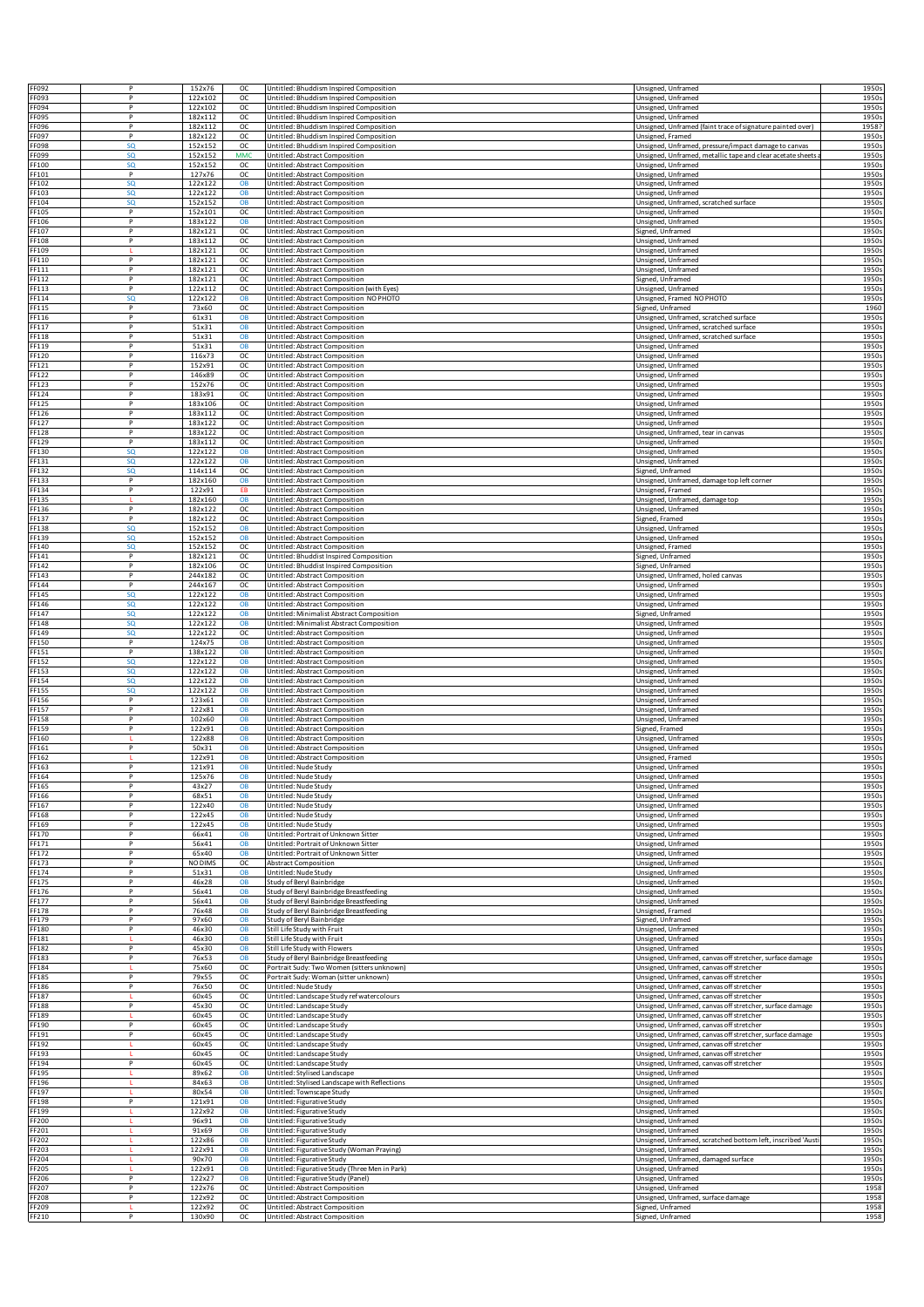| FF092                 | P                  | 152x76             | <b>OC</b>       |                                                                                    | Unsigned, Unframed                                                                   | 1950s                 |
|-----------------------|--------------------|--------------------|-----------------|------------------------------------------------------------------------------------|--------------------------------------------------------------------------------------|-----------------------|
| F093                  | P                  | 122x102            | <b>OC</b>       | Untitled: Bhuddism Inspired Composition<br>Untitled: Bhuddism Inspired Composition | <b>Jnsigned</b> , Unframed                                                           | 1950                  |
| FF094                 | P                  | 122x102            | <b>OC</b>       | Untitled: Bhuddism Inspired Composition                                            | <b>Jnsigned</b> , Unframed                                                           | 1950s                 |
| F095                  | P                  | 182x112            | <b>OC</b>       | Untitled: Bhuddism Inspired Composition                                            | Unsigned, Unframed                                                                   | 1950s                 |
| F096                  | P<br>P             | 182x112            | oc              | Untitled: Bhuddism Inspired Composition                                            | Unsigned, Unframed (faint trace of signature painted over)                           | 1958?                 |
| F097<br>F098          | SQ                 | 182x122<br>152x152 | OC<br><b>OC</b> | Untitled: Bhuddism Inspired Composition<br>Untitled: Bhuddism Inspired Composition | Unsigned, Framed<br>Unsigned, Unframed, pressure/impact damage to canvas             | 1950s<br>1950s        |
| F099                  | SQ                 | 152x152            | <b>MMC</b>      | Untitled: Abstract Composition                                                     | Unsigned, Unframed, metallic tape and clear acetate sheets                           | 1950s                 |
| F100                  | SQ                 | 152x152            | <b>OC</b>       | Untitled: Abstract Composition                                                     | Unsigned, Unframed                                                                   | 1950s                 |
| FF101                 | P                  | 127x76             | <b>OC</b>       | Untitled: Abstract Composition                                                     | Unsigned, Unframed                                                                   | 1950s                 |
| FF102<br>FF103        | SQ<br><b>SQ</b>    | 122x122<br>122x122 | OB<br>OB        | Untitled: Abstract Composition                                                     | Jnsigned, Unframed                                                                   | 1950s                 |
| FF104                 | SQ                 | 152x152            | OB              | Untitled: Abstract Composition<br>Untitled: Abstract Composition                   | Unsigned, Unframed<br>Unsigned, Unframed, scratched surface                          | 1950<br>1950          |
| FF105                 | P                  | 152x101            | $_{\rm OC}$     | Untitled: Abstract Composition                                                     | Unsigned, Unframed                                                                   | 1950                  |
| FF106                 | P                  | 183x122            | OB              | Untitled: Abstract Composition                                                     | Unsigned, Unframed                                                                   | 1950                  |
| FF107                 | P                  | 182x121            | OC              | Untitled: Abstract Composition                                                     | Signed, Unframed                                                                     | 1950                  |
| FF108                 | P                  | 183x112            | OC              | Untitled: Abstract Composition                                                     | Unsigned, Unframed                                                                   | 1950                  |
| FF109<br>FF110        | P                  | 182x121<br>182x121 | OC<br><b>OC</b> | Untitled: Abstract Composition<br>Untitled: Abstract Composition                   | Jnsigned, Unframed<br>Unsigned, Unframed                                             | 1950s<br>1950s        |
| FF111                 | P                  | 182x121            | <b>OC</b>       | Untitled: Abstract Composition                                                     | <b>Jnsigned</b> , Unframed                                                           | 1950s                 |
| FF112                 | P                  | 182x121            | OC              | Untitled: Abstract Composition                                                     | Signed, Unframed                                                                     | 1950                  |
| FF113                 | P                  | 122x112            | oc              | Untitled: Abstract Composition (with Eyes)                                         | Unsigned, Unframed                                                                   | 1950s                 |
| F114                  | SQ                 | 122x122            | OB              | Untitled: Abstract Composition NO PHOTO                                            | Unsigned, Framed NO PHOTO                                                            | 1950s                 |
| F115<br>F116          | P<br>P             | 73x60<br>61x31     | oc<br>OB        | Untitled: Abstract Composition<br>Untitled: Abstract Composition                   | Signed, Unframed<br>Unsigned, Unframed, scratched surface                            | 1960<br>1950          |
| FF117                 | P                  | 51x31              | OB              | Untitled: Abstract Composition                                                     | Unsigned, Unframed, scratched surface                                                | 1950                  |
| FF118                 | P                  | 51x31              | OB              | Untitled: Abstract Composition                                                     | Unsigned, Unframed, scratched surface                                                | 1950                  |
| FF119                 | P                  | 51x31              | <b>OB</b>       | Untitled: Abstract Composition                                                     | Unsigned, Unframed                                                                   | 1950                  |
| FF120                 | P<br>P             | 116x73             | <b>OC</b>       | Untitled: Abstract Composition                                                     | Unsigned, Unframed                                                                   | 1950                  |
| FF121<br>FF122        | $\overline{P}$     | 152x91<br>146x89   | oc<br>OC        | Untitled: Abstract Composition<br>Untitled: Abstract Composition                   | Unsigned, Unframed<br>Unsigned, Unframed                                             | 1950<br>1950          |
| FF123                 | $\overline{P}$     | 152x76             | OC              | Untitled: Abstract Composition                                                     | Unsigned, Unframed                                                                   | 1950                  |
| FF124                 | P                  | 183x91             | oc              | Untitled: Abstract Composition                                                     | Unsigned, Unframed                                                                   | 1950                  |
| FF125                 | P                  | 183x106            | oc              | Untitled: Abstract Composition                                                     | Unsigned, Unframed                                                                   | 1950                  |
| FF126                 | P                  | 183x112            | oc              | Untitled: Abstract Composition                                                     | Unsigned, Unframed                                                                   | 1950                  |
| FF127<br>FF128        | P<br>P             | 183x122<br>183x122 | oc<br><b>OC</b> | Untitled: Abstract Composition<br>Untitled: Abstract Composition                   | Jnsigned, Unframed<br>Unsigned, Unframed, tear in canvas                             | 1950<br>1950s         |
| FF129                 | P                  | 183x112            | OC              | Untitled: Abstract Composition                                                     | Unsigned, Unframed                                                                   | 1950                  |
| FF130                 | SQ                 | 122x122            | OB              | Untitled: Abstract Composition                                                     | Jnsigned, Unframed                                                                   | 1950s                 |
| FF131                 | SQ                 | 122x122            | OB              | Untitled: Abstract Composition                                                     | Unsigned, Unframed                                                                   | 1950s                 |
| FF132                 | SQ                 | 114x114            | OC              | Untitled: Abstract Composition                                                     | igned, Unframed                                                                      | 1950                  |
| F133<br>F134          | P<br>P             | 182x160<br>122x91  | OB<br>EB        | Untitled: Abstract Composition<br>Untitled: Abstract Composition                   | Unsigned, Unframed, damage top left corner<br>Unsigned, Framed                       | 1950s<br>1950s        |
| FF135                 |                    | 182x160            | OB              | Untitled: Abstract Composition                                                     | Unsigned, Unframed, damage top                                                       | 1950s                 |
| FF136                 | P                  | 182x122            | <b>OC</b>       | Untitled: Abstract Composition                                                     | Unsigned, Unframed                                                                   | 1950                  |
| FF137                 | P                  | 182x122            | <b>OC</b>       | Untitled: Abstract Composition                                                     | Signed, Framed                                                                       | 1950s                 |
| FF138                 | SQ                 | 152x152            | OB              | Untitled: Abstract Composition                                                     | Unsigned, Unframed                                                                   | 1950s                 |
| FF139<br>FF140        | SQ<br><b>SQ</b>    | 152x152<br>152x152 | <b>OB</b><br>OC | Untitled: Abstract Composition                                                     | Unsigned, Unframed                                                                   | 1950s<br>1950         |
| FF141                 | $\overline{P}$     | 182x121            | OC              | Untitled: Abstract Composition<br>Untitled: Bhuddist Inspired Composition          | Jnsigned, Framed<br>Signed, Unframed                                                 | 1950                  |
| FF142                 | P                  | 182x106            | OC              | Untitled: Bhuddist Inspired Composition                                            | Signed, Unframed                                                                     | 1950                  |
| FF143                 | P                  | 244x182            | OC              | Untitled: Abstract Composition                                                     | Unsigned, Unframed, holed canvas                                                     | 1950                  |
| FF144                 | P                  | 244x167            | OC              | Untitled: Abstract Composition                                                     | Unsigned, Unframed                                                                   | 1950                  |
| FF145<br>FF146        | SQ<br>SQ           | 122x122<br>122x122 | OB<br>OB        | Untitled: Abstract Composition                                                     | Unsigned, Unframed                                                                   | 1950<br>1950s         |
| FF147                 | SQ                 | 122x122            | OB              | Untitled: Abstract Composition<br>Untitled: Minimalist Abstract Composition        | Unsigned, Unframed<br>igned, Unframed                                                | 1950s                 |
| FF148                 | SQ                 | 122x122            | OB              | Untitled: Minimalist Abstract Composition                                          | Unsigned, Unframed                                                                   | 1950s                 |
| FF149                 | SQ                 | 122x122            | OC              | Untitled: Abstract Composition                                                     | Unsigned, Unframed                                                                   | 1950                  |
| FF150                 | P                  | 124x75             | OB              | Untitled: Abstract Composition                                                     | Unsigned, Unframed                                                                   | 1950s                 |
| F151                  | P                  | 138x122            | OB              | Untitled: Abstract Composition                                                     | Unsigned, Unframed                                                                   | 1950s                 |
| F152<br>F153          | SQ<br>SQ           | 122x122<br>122x122 | OB<br>OB        | Untitled: Abstract Composition<br>Untitled: Abstract Composition                   | Unsigned, Unframed<br>Unsigned, Unframed                                             | 1950s<br>1950         |
| FF154                 | SQ                 | 122x122            | OB              | Untitled: Abstract Composition                                                     | Unsigned, Unframed                                                                   | 1950                  |
| FF155                 | SQ                 | 122x122            | OB              | Untitled: Abstract Composition                                                     | Unsigned, Unframed                                                                   | 1950                  |
| FF156                 | P                  | 123×61             | OB              | Untitled: Abstract Composition                                                     | Unsigned, Unframed                                                                   | 1950                  |
| FF157                 | P<br>P             | 122×81             | OB              | Untitled: Abstract Composition                                                     | Unsigned, Unframed                                                                   | 1950                  |
| FF158<br>FF159        | $\overline{P}$     | 102×60<br>122x91   | OB<br>OB        | Untitled: Abstract Composition<br>Untitled: Abstract Composition                   | Unsigned, Unframed<br>Signed, Framed                                                 | 1950<br>1950          |
| FF160                 |                    | 122×88             | OB              | Untitled: Abstract Composition                                                     | Unsigned, Unframed                                                                   | 1950                  |
| F161                  | P                  | 50x31              | OB              | Untitled: Abstract Composition                                                     | Unsigned, Unframed                                                                   | 1950                  |
| FF162                 |                    | 122x91             | OB              | Untitled: Abstract Composition                                                     | Unsigned, Framed                                                                     | 1950                  |
| FF163<br>FF164        | P                  | 121x91             | OB              | Untitled: Nude Study                                                               | Unsigned, Unframed                                                                   | 1950s                 |
| FF165                 | P                  | 125X/t<br>43x27    | OB              | Untitied: Nude Stud<br>Untitled: Nude Study                                        | Jnsigned, Unframed<br>Unsigned, Unframed                                             | <b>1950S</b><br>1950s |
| FF166                 | P                  | 68x51              | OB              | Untitled: Nude Study                                                               | Unsigned, Unframed                                                                   | 1950s                 |
| FF167                 | P                  | 122x40             | OB              | Untitled: Nude Study                                                               | Unsigned, Unframed                                                                   | 1950s                 |
| <b>FF168</b>          | P                  | 122x45             | OB              | Untitled: Nude Study                                                               | Unsigned, Unframed                                                                   | 1950s                 |
| FF169<br>FF170        | P<br>P             | 122x45<br>66x41    | OB<br><b>OB</b> | Untitled: Nude Study<br>Untitled: Portrait of Unknown Sitter                       | Unsigned, Unframed<br>Unsigned, Unframed                                             | 1950s<br>1950s        |
| FF171                 | P                  | 56x41              | <b>OB</b>       | Untitled: Portrait of Unknown Sitter                                               | Unsigned, Unframed                                                                   | 1950s                 |
| FF172                 | P                  | 65x40              | OB              | Untitled: Portrait of Unknown Sitter                                               | Unsigned, Unframed                                                                   | 1950s                 |
| FF173                 | P                  | NO DIMS            | OC              | Abstract Composition                                                               | Unsigned, Unframed                                                                   | 1950s                 |
| FF174<br><b>FF175</b> | P<br>P             | 51x31<br>46x28     | <b>OB</b><br>OB | Untitled: Nude Study<br>Study of Beryl Bainbridge                                  | Unsigned, Unframed                                                                   | 1950s<br>1950s        |
| FF176                 | P                  | 56x41              | OB              | Study of Beryl Bainbridge Breastfeeding                                            | Unsigned, Unframed<br>Unsigned, Unframed                                             | 1950s                 |
| FF177                 | P                  | 56x41              | OB              | Study of Beryl Bainbridge Breastfeeding                                            | Jnsigned, Unframed                                                                   | 1950s                 |
| <b>FF178</b>          | $\overline{P}$     | 76x48              | OB              | Study of Beryl Bainbridge Breastfeeding                                            | Unsigned, Framed                                                                     | 1950s                 |
| FF179                 | $\, {\sf p}$       | 97x60              | OB              | Study of Beryl Bainbridge                                                          | Signed, Unframed                                                                     | 1950s                 |
| FF180<br>FF181        | P                  | 46x30<br>46x30     | OB<br>OB        | Still Life Study with Fruit<br>Still Life Study with Fruit                         | Unsigned, Unframed                                                                   | 1950s<br>1950s        |
| FF182                 | P                  | 45x30              | OB              | Still Life Study with Flowers                                                      | Unsigned, Unframed<br>Unsigned, Unframed                                             | 1950s                 |
| FF183                 | P                  | 76x53              | OB              | Study of Beryl Bainbridge Breastfeeding                                            | Unsigned, Unframed, canvas off stretcher, surface damage                             | 1950s                 |
| FF184                 |                    | 75x60              | <b>OC</b>       | Portrait Sudy: Two Women (sitters unknown)                                         | Unsigned, Unframed, canvas off stretcher                                             | 1950s                 |
| <b>FF185</b>          | P                  | 79x55              | <b>OC</b>       | Portrait Sudy: Woman (sitter unknown)                                              | Unsigned, Unframed, canvas off stretcher                                             | 1950s                 |
| FF186<br>FF187        | $\, {\sf p}$<br>L. | 76x50<br>60x45     | OC<br>OC        | Untitled: Nude Study<br>Untitled: Landscape Study ref watercolours                 | Unsigned, Unframed, canvas off stretcher<br>Unsigned, Unframed, canvas off stretcher | 1950s<br>1950s        |
| FF188                 | P                  | 45x30              | oc              | Untitled: Landscape Study                                                          | Unsigned, Unframed, canvas off stretcher, surface damage                             | 1950s                 |
| FF189                 |                    | 60x45              | oc              | Untitled: Landscape Study                                                          | Unsigned, Unframed, canvas off stretcher                                             | 1950s                 |
| F190                  | P                  | 60x45              | oc              | Untitled: Landscape Study                                                          | Unsigned, Unframed, canvas off stretcher                                             | 1950s                 |
| FF191                 | P                  | 60x45              | OC<br><b>OC</b> | Untitled: Landscape Study                                                          | Unsigned, Unframed, canvas off stretcher, surface damage                             | 1950s                 |
| FF192<br>FF193        |                    | 60x45<br>60x45     | <b>OC</b>       | Untitled: Landscape Study<br>Untitled: Landscape Study                             | Unsigned, Unframed, canvas off stretcher<br>Unsigned, Unframed, canvas off stretcher | 1950s<br>1950s        |
| FF194                 | P                  | 60x45              | <b>OC</b>       | Untitled: Landscape Study                                                          | Unsigned, Unframed, canvas off stretcher                                             | 1950s                 |
| FF195                 |                    | 89x62              | OB              | Untitled: Stylised Landscape                                                       | Unsigned, Unframed                                                                   | 1950s                 |
| FF196                 | т                  | 84x63              | OB              | Untitled: Stylised Landscape with Reflections                                      | Unsigned, Unframed                                                                   | 1950s                 |
| FF197                 | т<br>P             | 80x54              | OB              | Untitled: Townscape Study                                                          | Unsigned, Unframed                                                                   | 1950s                 |
| FF198<br>FF199        |                    | 121x91<br>122x92   | OB<br>OB        | Untitled: Figurative Study<br>Untitled: Figurative Study                           | Unsigned, Unframed<br>Unsigned, Unframed                                             | 1950s<br>1950s        |
| FF200                 |                    | 96x91              | OB              | Untitled: Figurative Study                                                         | Unsigned, Unframed                                                                   | 1950s                 |
| FF201                 |                    | 91x69              | OB              | Untitled: Figurative Study                                                         | Unsigned, Unframed                                                                   | 1950s                 |
| FF202                 |                    | 122x86             | OB              | Untitled: Figurative Study                                                         | Unsigned, Unframed, scratched bottom left, inscribed 'Aust                           | 1950s                 |
| FF203<br>FF204        | ш<br>L             | 122x91<br>90x70    | OB<br>OB        | Untitled: Figurative Study (Woman Praying)<br>Untitled: Figurative Study           | Unsigned, Unframed<br>Unsigned, Unframed, damaged surface                            | 1950s<br>1950s        |
| <b>FF205</b>          | L                  | 122x91             | OB              | Untitled: Figurative Study (Three Men in Park)                                     | Unsigned, Unframed                                                                   | 1950s                 |
| FF206                 | P                  | 122x27             | OB              | Untitled: Figurative Study (Panel)                                                 | Unsigned, Unframed                                                                   | 1950s                 |
| FF207                 | P                  | 122x76             | oc              | Untitled: Abstract Composition                                                     | Unsigned, Unframed                                                                   | 1958                  |
| FF208                 | P                  | 122x92             | oc              | Untitled: Abstract Composition                                                     | Unsigned, Unframed, surface damage                                                   | 1958                  |
| FF209                 |                    | 122x92             | <b>OC</b>       | Untitled: Abstract Composition                                                     | Signed, Unframed                                                                     | 1958                  |
| FF210                 | P                  | 130x90             | <b>OC</b>       | Untitled: Abstract Composition                                                     | Signed, Unframed                                                                     | 1958                  |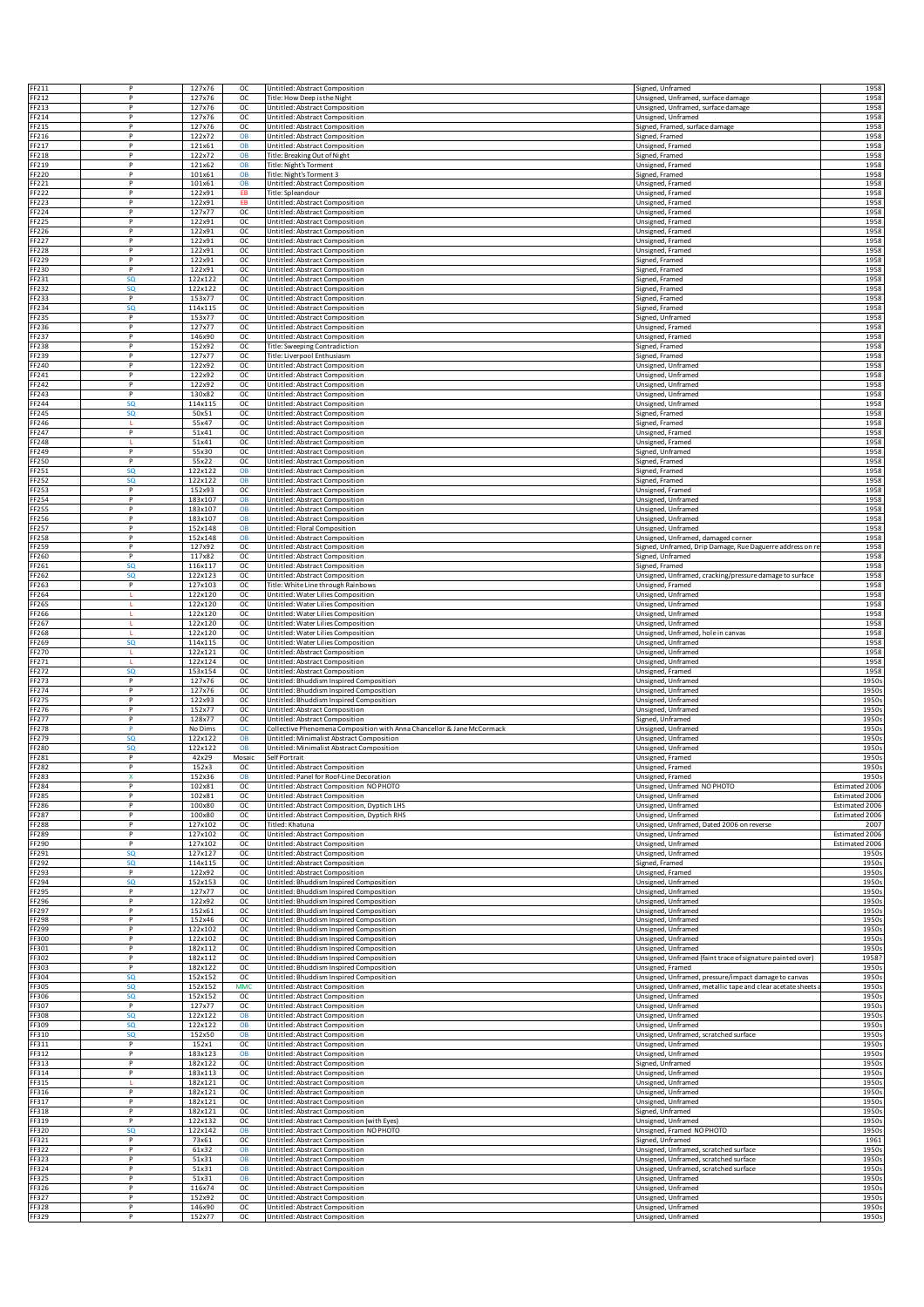| FF211                 | P                 | 127x76             | OC                     | Untitled: Abstract Composition                                                     | Signed, Unframed                                                               | 1958                   |
|-----------------------|-------------------|--------------------|------------------------|------------------------------------------------------------------------------------|--------------------------------------------------------------------------------|------------------------|
| FF212                 | P                 | 127x76             | <b>OC</b>              | Title: How Deep is the Night                                                       | Unsigned, Unframed, surface damage                                             | 1958                   |
| FF213                 | P                 | 127x76             | <b>OC</b>              | Untitled: Abstract Composition                                                     | Unsigned, Unframed, surface damage                                             | 1958                   |
| FF214                 | P                 | 127x76             | <b>OC</b>              | Untitled: Abstract Composition                                                     | Unsigned, Unframed                                                             | 1958                   |
| FF215                 | P<br>P            | 127x76             | OC                     | Untitled: Abstract Composition                                                     | Signed, Framed, surface damage                                                 | 1958                   |
| FF216<br>F217         | P                 | 122x72<br>121x61   | <b>OB</b><br>OB        | Untitled: Abstract Composition<br>Untitled: Abstract Composition                   | Signed, Framed<br>Unsigned, Framed                                             | 1958<br>1958           |
| F218                  | P                 | 122x72             | <b>OB</b>              | Title: Breaking Out of Night                                                       | Signed, Framed                                                                 | 1958                   |
| FF219                 | P                 | 121x62             | OB                     | Title: Night's Torment                                                             | Unsigned, Framed                                                               | 1958                   |
| FF220                 | P                 | 101x61             | OB                     | Title: Night's Torment 3                                                           | Signed, Framed                                                                 | 1958                   |
| FF221<br><b>FF222</b> | $\bar{P}$<br>P    | 101x61<br>122x91   | OB<br>EB               | Untitled: Abstract Composition                                                     | Unsigned, Framed                                                               | 1958                   |
| FF223                 | P                 | 122x91             | EB                     | Title: Spleandour<br>Untitled: Abstract Composition                                | Unsigned, Framed<br>Unsigned, Framed                                           | 1958<br>1958           |
| FF224                 | P                 | 127x77             | OC                     | Untitled: Abstract Composition                                                     | Unsigned, Framed                                                               | 1958                   |
| FF225                 | $\overline{P}$    | 122x91             | OC                     | Untitled: Abstract Composition                                                     | Unsigned, Framed                                                               | 1958                   |
| FF226                 | $\mathsf{P}$      | 122x91             | OC                     | Untitled: Abstract Composition                                                     | Unsigned, Framed                                                               | 1958                   |
| FF227                 | P                 | 122x91             | OC                     | Untitled: Abstract Composition                                                     | Unsigned, Framed                                                               | 1958                   |
| FF228<br>FF229        | P<br>$\mathsf{P}$ | 122x91<br>122x91   | OC<br>OC               | Untitled: Abstract Composition<br>Untitled: Abstract Composition                   | Unsigned, Framed                                                               | 1958<br>1958           |
| FF230                 | $\mathsf{P}$      | 122x91             | OC                     | Untitled: Abstract Composition                                                     | Signed, Framed<br>Signed, Framed                                               | 1958                   |
| FF231                 | SQ                | 122x122            | <b>OC</b>              | Untitled: Abstract Composition                                                     | signed, Framed                                                                 | 1958                   |
| FF232                 | SQ                | 122x122            | <b>OC</b>              | Untitled: Abstract Composition                                                     | Signed, Framed                                                                 | 1958                   |
| FF233                 | P                 | 153x77             | OC                     | Untitled: Abstract Composition                                                     | Signed, Framed                                                                 | 1958                   |
| FF234<br>FF235        | <b>SQ</b><br>P    | 114x115            | OC                     | Untitled: Abstract Composition                                                     | Signed, Framed                                                                 | 1958<br>1958           |
| FF236                 | P                 | 153x77<br>127x77   | oc<br>oc               | Untitled: Abstract Composition<br>Untitled: Abstract Composition                   | Signed, Unframed<br>Unsigned, Framed                                           | 1958                   |
| FF237                 | P                 | 146x90             | OC                     | Untitled: Abstract Composition                                                     | Unsigned, Framed                                                               | 1958                   |
| FF238                 | $\mathsf{P}$      | 152x92             | OC                     | Title: Sweeping Contradiction                                                      | Signed, Framed                                                                 | 1958                   |
| FF239                 | $\mathsf{P}$      | 127x77             | <b>OC</b>              | Title: Liverpool Enthusiasm                                                        | Signed, Framed                                                                 | 1958                   |
| FF240                 | P<br>P            | 122x92             | <b>OC</b>              | Untitled: Abstract Composition                                                     | Unsigned, Unframed                                                             | 1958                   |
| FF241<br>FF242        | P                 | 122x92<br>122x92   | <b>OC</b><br><b>OC</b> | Untitled: Abstract Composition<br>Untitled: Abstract Composition                   | Unsigned, Unframed<br>Unsigned, Unframed                                       | 1958<br>1958           |
| FF243                 | $\overline{P}$    | 130x82             | oc                     | Untitled: Abstract Composition                                                     | Unsigned, Unframed                                                             | 1958                   |
| FF244                 | SQ                | 114x115            | OC                     | Untitled: Abstract Composition                                                     | Unsigned, Unframed                                                             | 1958                   |
| F245                  | SQ                | 50x51              | oc                     | Untitled: Abstract Composition                                                     | Signed, Framed                                                                 | 1958                   |
| F246                  |                   | 55x47              | oc                     | Untitled: Abstract Composition                                                     | Signed, Framed                                                                 | 1958                   |
| F247                  | $\mathsf{P}$      | 51x41              | oc                     | Untitled: Abstract Composition                                                     | Unsigned, Framed                                                               | 1958                   |
| FF248<br>FF249        | P                 | 51x41<br>55x30     | oc<br>oc               | Untitled: Abstract Composition<br>Untitled: Abstract Composition                   | Jnsigned, Framed<br>Signed, Unframed                                           | 1958<br>1958           |
| FF250                 | P                 | 55x22              | <b>OC</b>              | Untitled: Abstract Composition                                                     | Signed, Framed                                                                 | 1958                   |
| FF251                 | SQ                | 122x122            | OB                     | Untitled: Abstract Composition                                                     | Signed, Framed                                                                 | 1958                   |
| FF252                 | SQ                | 122x122            | OB                     | Untitled: Abstract Composition                                                     | Signed, Framed                                                                 | 1958                   |
| FF253                 | P                 | 152x93             | OC                     | Untitled: Abstract Composition                                                     | Unsigned, Framed                                                               | 1958                   |
| FF254                 | P                 | 183x107            | OB                     | Untitled: Abstract Composition                                                     | Unsigned, Unframed                                                             | 1958                   |
| F255<br>FF256         | P<br>P            | 183x107<br>183x107 | OB<br>OB               | Untitled: Abstract Composition<br>Untitled: Abstract Composition                   | Unsigned, Unframed<br>Unsigned, Unframed                                       | 1958<br>1958           |
| FF257                 | P                 | 152x148            | <b>OB</b>              | Untitled: Floral Composition                                                       | Unsigned, Unframed                                                             | 1958                   |
| FF258                 | P                 | 152x148            | <b>OB</b>              | Untitled: Abstract Composition                                                     | Unsigned, Unframed, damaged corner                                             | 1958                   |
| F259                  | P                 | 127x92             | <b>OC</b>              | Untitled: Abstract Composition                                                     | Signed, Unframed, Drip Damage, Rue Daguerre address on re                      | 1958                   |
| FF260                 | P                 | 117x82             | <b>OC</b>              | Untitled: Abstract Composition                                                     | Signed, Unframed                                                               | 1958                   |
| FF261                 | <b>SQ</b>         | 116x117            | OC                     | Untitled: Abstract Composition                                                     | Signed, Framed                                                                 | 1958                   |
| FF262<br>FF263        | SQ<br>P           | 122x123<br>127x103 | OC<br>OC               | Untitled: Abstract Composition                                                     | Unsigned, Unframed, cracking/pressure damage to surface<br>Unsigned, Framed    | 1958<br>1958           |
| FF264                 |                   | 122x120            | OC                     | Title: White Line through Rainbows<br>Untitled: Water Lilies Composition           | Unsigned, Unframed                                                             | 1958                   |
| FF265                 |                   | 122x120            | oc                     | Untitled: Water Lilies Composition                                                 | Unsigned, Unframed                                                             | 1958                   |
| FF266                 |                   | 122x120            | OC                     | Untitled: Water Lilies Composition                                                 | Jnsigned, Unframed                                                             | 1958                   |
| FF267                 |                   | 122x120            | oc                     | Untitled: Water Lilies Composition                                                 | Unsigned, Unframed                                                             | 1958                   |
| FF268                 |                   | 122x120            | <b>OC</b>              | Untitled: Water Lilies Composition                                                 | Unsigned, Unframed, hole in canvas                                             | 1958                   |
| FF269<br>FF270        | SQ<br>L           | 114x115<br>122x121 | <b>OC</b><br>OC        | Untitled: Water Lilies Composition<br>Untitled: Abstract Composition               | Unsigned, Unframed<br>Unsigned, Unframed                                       | 1958<br>1958           |
| FF271                 | L.                | 122x124            | OC                     | Untitled: Abstract Composition                                                     | Unsigned, Unframed                                                             | 1958                   |
| FF272                 | SQ                | 153x154            | oc                     | Untitled: Abstract Composition                                                     | Unsigned, Framed                                                               | 1958                   |
| F273                  | P                 | 127x76             | oc                     | Untitled: Bhuddism Inspired Composition                                            | Unsigned, Unframed                                                             | 1950s                  |
| F274                  | P                 | 127x76             | oc                     | Untitled: Bhuddism Inspired Composition                                            | Unsigned, Unframed                                                             | 1950                   |
| FF275                 | P                 | 122x93             | OC                     | Untitled: Bhuddism Inspired Composition                                            | Unsigned, Unframed                                                             | 1950                   |
| FF276<br>FF277        | P<br>P            | 152x77<br>128x77   | <b>OC</b><br>OC        | Untitled: Abstract Composition<br>Untitled: Abstract Composition                   | Unsigned, Unframed<br>Signed, Unframed                                         | 1950<br>1950           |
| FF278                 | Þ                 | No Dims            | $\alpha$               | Collective Phenomena Composition with Anna Chancellor & Jane McCormack             | Unsigned, Unframed                                                             | 1950                   |
| FF279                 | SQ                | 122x122            | OB                     | Untitled: Minimalist Abstract Composition                                          | Unsigned, Unframed                                                             | 1950                   |
| FF280                 | SQ                | 122x122            | OB                     | Untitled: Minimalist Abstract Composition                                          | Unsigned, Unframed                                                             | 1950                   |
| FF281                 | $\overline{P}$    | 42x29              | Mosaic                 | <b>Self Portrait</b>                                                               | Unsigned, Framed                                                               | 1950                   |
| FF282                 | P                 | 152x3              | OC                     | Untitled: Abstract Composition                                                     | Unsigned, Framed                                                               | 1950                   |
| -20<br>FF284          | P                 | 102x81             | oc                     | Untitled: Abstract Composition NO PHOTO                                            | Unsigned, Unframed NO PHOTO                                                    | Estimated 2006         |
| FF285                 | P                 | 102×81             | OC                     | Untitled: Abstract Composition                                                     | Unsigned, Unframed                                                             | Estimated 2006         |
| FF286                 | P                 | 100×80             | OC                     | Untitled: Abstract Composition, Dyptich LHS                                        | Unsigned, Unframed                                                             | Estimated 2006         |
| FF287                 | P                 | 100×80             | <b>OC</b>              | Untitled: Abstract Composition, Dyptich RHS                                        | Unsigned, Unframed                                                             | Estimated 2006         |
| FF288                 | P                 | 127x102            | <b>OC</b>              | Titled: Khatuna                                                                    | Unsigned, Unframed, Dated 2006 on reverse                                      | 2007                   |
| FF289                 | P<br>P            | 127x102            | OC                     | Untitled: Abstract Composition                                                     | Unsigned, Unframed                                                             | Estimated 2006         |
| FF290<br>F291         | SQ                | 127x102<br>127x127 | oc<br>oc               | Untitled: Abstract Composition<br>Untitled: Abstract Composition                   | Unsigned, Unframed<br>Unsigned, Unframed                                       | Estimated 2006<br>1950 |
| FF292                 | SQ                | 114x115            | oc                     | Untitled: Abstract Composition                                                     | Signed, Framed                                                                 | 1950s                  |
| FF293                 | P                 | 122x92             | oc                     | Untitled: Abstract Composition                                                     | Unsigned, Framed                                                               | 1950s                  |
| FF294                 | SQ                | 152x153            | <b>OC</b>              | Untitled: Bhuddism Inspired Composition                                            | Unsigned, Unframed                                                             | 1950                   |
| FF295                 | P                 | 127x77             | <b>OC</b>              | Untitled: Bhuddism Inspired Composition                                            | Unsigned, Unframed                                                             | 1950                   |
| FF296<br>FF297        | P<br>P            | 122x92<br>152x61   | <b>OC</b><br><b>OC</b> | Untitled: Bhuddism Inspired Composition<br>Untitled: Bhuddism Inspired Composition | Unsigned, Unframed<br>Unsigned, Unframed                                       | 1950<br>1950           |
| FF298                 | P                 | 152x46             | OC                     | Untitled: Bhuddism Inspired Composition                                            | Unsigned, Unframed                                                             | 1950                   |
| FF299                 | $\overline{P}$    | 122x102            | OC                     | Untitled: Bhuddism Inspired Composition                                            | Unsigned, Unframed                                                             | 1950                   |
| FF300                 | P                 | 122x102            | OC                     | Untitled: Bhuddism Inspired Composition                                            | Unsigned, Unframed                                                             | 1950                   |
| FF301                 | $\mathsf{P}$      | 182x112            | oc                     | Untitled: Bhuddism Inspired Composition                                            | Unsigned, Unframed                                                             | 1950                   |
| FF302<br>FF303        | $\mathsf{P}$<br>P | 182x112<br>182x122 | OC<br>OC               | Untitled: Bhuddism Inspired Composition<br>Untitled: Bhuddism Inspired Composition | Unsigned, Unframed (faint trace of signature painted over)<br>Unsigned, Framed | 1958?<br>1950          |
| FF304                 | SQ                | 152x152            | OC                     | Untitled: Bhuddism Inspired Composition                                            | Unsigned, Unframed, pressure/impact damage to canvas                           | 1950                   |
| FF305                 | SQ                | 152x152            | <b>MMC</b>             | Untitled: Abstract Composition                                                     | Unsigned, Unframed, metallic tape and clear acetate sheets                     | 1950s                  |
| FF306                 | SQ                | 152x152            | <b>OC</b>              | Untitled: Abstract Composition                                                     | Unsigned, Unframed                                                             | 1950                   |
| FF307                 | P                 | 127x77             | OC                     | Untitled: Abstract Composition                                                     | Unsigned, Unframed                                                             | 1950                   |
| <b>FF308</b><br>FF309 | sq                | 122x122            | OB                     | Untitled: Abstract Composition                                                     | Unsigned, Unframed                                                             | 1950s<br>1950s         |
| FF310                 | SQ<br>SQ          | 122x122<br>152x50  | OB<br>OB               | Untitled: Abstract Composition<br>Untitled: Abstract Composition                   | Unsigned, Unframed<br>Unsigned, Unframed, scratched surface                    | 1950                   |
| FF311                 | P                 | 152x1              | oc                     | Untitled: Abstract Composition                                                     | Unsigned, Unframed                                                             | 1950                   |
| FF312                 | P                 | 183x123            | OB                     | Untitled: Abstract Composition                                                     | Unsigned, Unframed                                                             | 1950                   |
| FF313                 | $\mathsf{P}$      | 182x122            | <b>OC</b>              | Untitled: Abstract Composition                                                     | Signed, Unframed                                                               | 1950                   |
| FF314                 | P                 | 183x113            | <b>OC</b>              | Untitled: Abstract Composition                                                     | Unsigned, Unframed                                                             | 1950                   |
| FF315                 | P                 | 182x121            | <b>OC</b><br><b>OC</b> | Untitled: Abstract Composition                                                     | Unsigned, Unframed                                                             | 1950                   |
| FF316<br>FF317        | $\overline{P}$    | 182x121<br>182x121 | OC                     | Untitled: Abstract Composition<br>Untitled: Abstract Composition                   | Unsigned, Unframed<br>Unsigned, Unframed                                       | 1950<br>1950           |
| FF318                 | $\overline{P}$    | 182x121            | OC                     | Untitled: Abstract Composition                                                     | Signed, Unframed                                                               | 1950                   |
| FF319                 | P                 | 122x132            | oc                     | Untitled: Abstract Composition (with Eyes)                                         | Unsigned, Unframed                                                             | 1950                   |
| FF320                 | SQ                | 122x142            | OB                     | Untitled: Abstract Composition NO PHOTO                                            | Unsigned, Framed NO PHOTO                                                      | 1950                   |
| FF321                 | P                 | 73x61              | oc                     | Untitled: Abstract Composition                                                     | Signed, Unframed                                                               | 1961                   |
| FF322<br>FF323        | P<br>P            | 61x32<br>51x31     | OB                     | Untitled: Abstract Composition                                                     | Unsigned, Unframed, scratched surface<br>Unsigned, Unframed, scratched surface | 1950<br>1950s          |
| FF324                 | P                 | 51x31              | OB<br>OB               | Untitled: Abstract Composition<br>Untitled: Abstract Composition                   | Unsigned, Unframed, scratched surface                                          | 1950s                  |
| FF325                 | P                 | 51x31              | OB                     | Untitled: Abstract Composition                                                     | Unsigned, Unframed                                                             | 1950s                  |
| FF326                 | P                 | 116x74             | <b>OC</b>              | Untitled: Abstract Composition                                                     | Unsigned, Unframed                                                             | 1950s                  |
| FF327                 | $\mathsf{P}$      | 152x92             | <b>OC</b>              | Untitled: Abstract Composition                                                     | Unsigned, Unframed                                                             | 1950s                  |
| FF328                 | $\mathsf{P}$      | 146x90             | oc                     | Untitled: Abstract Composition                                                     | Unsigned, Unframed                                                             | 1950                   |
| FF329                 | P                 | 152x77             | oc                     | Untitled: Abstract Composition                                                     | Unsigned, Unframed                                                             | 1950s                  |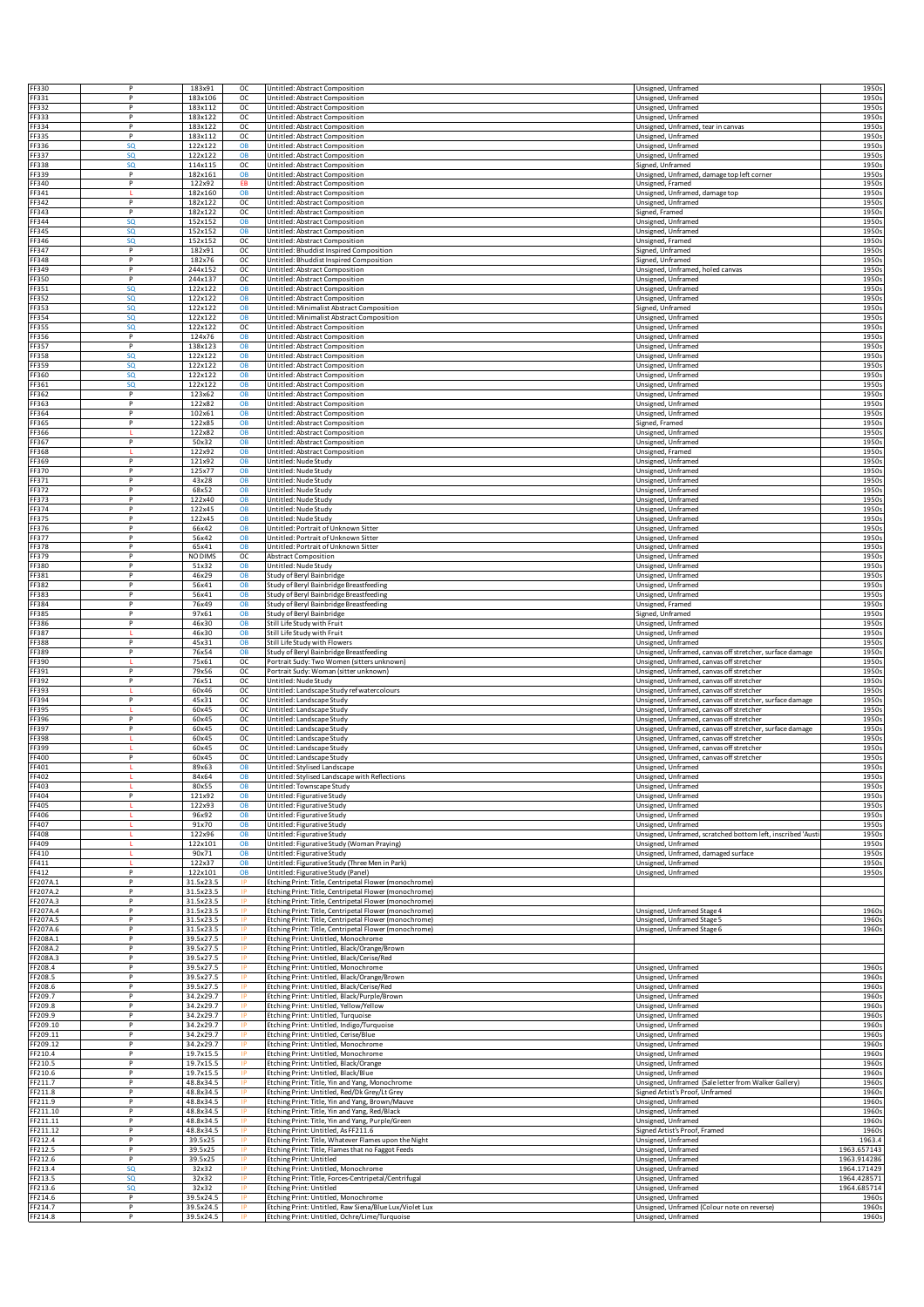| FF330                | P                                | 183x91                 | oc            | Untitled: Abstract Composition                                                                                 | Unsigned, Unframed                                         | 1950                  |
|----------------------|----------------------------------|------------------------|---------------|----------------------------------------------------------------------------------------------------------------|------------------------------------------------------------|-----------------------|
| FF331                | P                                | 183x106                | oc            | Untitled: Abstract Composition                                                                                 | Unsigned, Unframed                                         | 1950                  |
| FF332                | P                                | 183x112                | oc            | Untitled: Abstract Composition                                                                                 | Unsigned, Unframed                                         | 1950                  |
| FF333                | P                                | 183x122                | OC            | Untitled: Abstract Composition                                                                                 | Unsigned, Unframed                                         | 1950                  |
| FF334                | P                                | 183x122                | <b>OC</b>     | Untitled: Abstract Composition                                                                                 | Unsigned, Unframed, tear in canvas                         | 1950                  |
| FF335                | P                                | 183x112                | <b>OC</b>     | Untitled: Abstract Composition                                                                                 | Unsigned, Unframed                                         | 1950s                 |
| FF336                | SQ                               | 122x122                | OB            | Untitled: Abstract Composition                                                                                 | <b>Jnsigned</b> , Unframed                                 | 1950                  |
| FF337                | SQ                               | 122x122                | OB            | Untitled: Abstract Composition                                                                                 | Unsigned, Unframed                                         | 1950s                 |
| F338                 | SQ                               | 114x115                | oc            | Untitled: Abstract Composition                                                                                 | Signed, Unframed                                           | 1950s                 |
| F339                 | P                                | 182x161                | OB            | Untitled: Abstract Composition                                                                                 | Unsigned, Unframed, damage top left corner                 | 1950s                 |
| F340                 | P                                | 122x92                 | EB            | Untitled: Abstract Composition                                                                                 | Unsigned, Framed                                           | 1950s                 |
| FF341                |                                  | 182x160                | <b>OB</b>     | Untitled: Abstract Composition                                                                                 | Unsigned, Unframed, damage top                             | 1950                  |
| FF342                | P                                | 182x122                | <b>OC</b>     | Untitled: Abstract Composition                                                                                 | Unsigned, Unframed                                         | 1950s                 |
| FF343                | P                                | 182x122                | <b>OC</b>     | Untitled: Abstract Composition                                                                                 | igned, Framed                                              | 1950s                 |
| FF344                | SQ                               | 152x152                | <b>OB</b>     | Untitled: Abstract Composition                                                                                 | Unsigned, Unframed                                         | 1950s                 |
| FF345                | <b>SQ</b>                        | 152x152                | <b>OB</b>     | Untitled: Abstract Composition                                                                                 | <b>Jnsigned</b> , Unframed                                 | 1950                  |
| FF346                | <b>SQ</b>                        | 152x152                | OC            | Untitled: Abstract Composition                                                                                 | Unsigned, Framed                                           | 1950                  |
| FF347                | $\overline{P}$                   | 182x91                 | OC            | Untitled: Bhuddist Inspired Composition                                                                        | Signed, Unframed                                           | 1950                  |
| FF348                | P                                | 182x76                 | OC            | Untitled: Bhuddist Inspired Composition                                                                        | Signed, Unframed                                           | 1950                  |
| FF349                | P                                | 244x152                | OC            | Untitled: Abstract Composition                                                                                 | Unsigned, Unframed, holed canvas                           | 1950                  |
| FF350                | P                                | 244x137                | OC            | Untitled: Abstract Composition                                                                                 | Unsigned, Unframed                                         | 1950                  |
| FF351                | SQ                               | 122x122                | OB            | Untitled: Abstract Composition                                                                                 | Unsigned, Unframed                                         | 1950                  |
| FF352                | SQ                               | 122x122                | OB            | Untitled: Abstract Composition                                                                                 | Unsigned, Unframed                                         | 1950s                 |
| FF353                | SQ                               | 122x122                | OB            | Untitled: Minimalist Abstract Composition                                                                      | signed, Unframed                                           | 1950s                 |
| FF354                | SQ                               | 122x122                | OB            | Untitled: Minimalist Abstract Composition                                                                      | Jnsigned, Unframed                                         | 1950                  |
| FF355                | <b>SQ</b>                        | 122x122                | OC            | Untitled: Abstract Composition                                                                                 | Unsigned, Unframed                                         | 1950s                 |
| FF356                | P                                | 124x76                 | OB            | Untitled: Abstract Composition                                                                                 | Unsigned, Unframed                                         | 1950s                 |
| F357                 | P                                | 138x123                | OB            | Untitled: Abstract Composition                                                                                 | Unsigned, Unframed                                         | 1950s                 |
| F358                 | SQ                               | 122x122                | OB            | Untitled: Abstract Composition                                                                                 | Unsigned, Unframed                                         | 1950s                 |
| FF359                | SQ                               | 122x122                | OB            | Untitled: Abstract Composition                                                                                 | Unsigned, Unframed                                         | 1950                  |
| FF360                | SQ                               | 122x122                | OB            | Untitled: Abstract Composition                                                                                 | Unsigned, Unframed                                         | 1950                  |
| FF361                | SQ                               | 122x122                | OB            | Untitled: Abstract Composition                                                                                 | Unsigned, Unframed                                         | 1950                  |
| FF362                | P<br>P                           | 123×62                 | OB            | Untitled: Abstract Composition                                                                                 | Unsigned, Unframed                                         | 1950                  |
| FF363                | P                                | 122×82                 | OB            | Untitled: Abstract Composition                                                                                 | Unsigned, Unframed                                         | 1950                  |
| F364                 |                                  | 102×61                 | OB            | Untitled: Abstract Composition                                                                                 | Unsigned, Unframed                                         | 1950                  |
| FF365                | $\overline{P}$                   | 122×85                 | OB            | Untitled: Abstract Composition                                                                                 | iigned, Framed                                             | 1950                  |
| F366                 |                                  | 122x82                 | OB            | Untitled: Abstract Composition                                                                                 | Unsigned, Unframed                                         | 1950                  |
| F367                 | P                                | 50x32                  | OB            | Untitled: Abstract Composition                                                                                 | Unsigned, Unframed                                         | 1950                  |
| F368                 |                                  | 122x92                 | OB            | Untitled: Abstract Composition                                                                                 | Unsigned, Framed                                           | 1950                  |
| FF369                | P<br>P                           | 121x92                 | OB            | Untitled: Nude Study                                                                                           | Jnsigned, Unframed                                         | 1950                  |
| FF370                | P                                | 125x77                 | OB            | Untitled: Nude Study                                                                                           | Jnsigned, Unframed                                         | 1950                  |
| FF371                |                                  | 43x28                  | OB            | Untitled: Nude Study                                                                                           | Unsigned, Unframed                                         | 1950s                 |
| FF372                | P                                | 68x52                  | OB            | Untitled: Nude Study                                                                                           | Unsigned, Unframed                                         | 1950                  |
| FF373                | P                                | 122x40                 | OB            | Untitled: Nude Study                                                                                           | <b>Jnsigned</b> , Unframed                                 | 1950                  |
| FF374                | P                                | 122x45                 | OB            | Untitled: Nude Study                                                                                           | Unsigned, Unframed                                         | 1950s                 |
| F375                 | P                                | 122x45                 | OB            | Untitled: Nude Study                                                                                           | Unsigned, Unframed                                         | 1950s                 |
| F376                 | P                                | 66x42                  | OB            | Untitled: Portrait of Unknown Sitter                                                                           | Unsigned, Unframed                                         | 1950s                 |
| F377                 | P                                | 56x42                  | OB            | Untitled: Portrait of Unknown Sitter                                                                           | Unsigned, Unframed                                         | 1950s                 |
| FF378                | P                                | 65x41                  | OB            | Untitled: Portrait of Unknown Sitter                                                                           | Unsigned, Unframed                                         | 1950s                 |
| FF379                | P                                | NO DIMS                | oc            | Abstract Composition                                                                                           | Unsigned, Unframed                                         | 1950s                 |
| FF380                | P                                | 51x32                  | OB            | Untitled: Nude Study                                                                                           | Unsigned, Unframed                                         | 1950s                 |
| FF381                | P                                | 46x29                  | OB            | Study of Beryl Bainbridge                                                                                      | Unsigned, Unframed                                         | 1950s                 |
| FF382                | P                                | 56x41                  | <b>OB</b>     | itudy of Beryl Bainbridge Breastfeeding                                                                        | Jnsigned, Unframed                                         | 1950                  |
| FF383                | $\overline{P}$<br>$\overline{P}$ | 56x41                  | OB            | Study of Beryl Bainbridge Breastfeeding                                                                        | Unsigned, Unframed                                         | 1950                  |
| FF384                | P                                | 76x49                  | OB            | Study of Beryl Bainbridge Breastfeeding                                                                        | Unsigned, Framed                                           | 1950                  |
| FF385                |                                  | 97x61                  | OB            | Study of Beryl Bainbridge                                                                                      | Signed, Unframed                                           | 1950                  |
| FF386                | P                                | 46x30                  | OB            | Still Life Study with Fruit                                                                                    | Unsigned, Unframed                                         | 1950                  |
| FF387                |                                  | 46x30                  | OB            | Still Life Study with Fruit                                                                                    | Unsigned, Unframed                                         | 1950                  |
| FF388                | P                                | 45x31                  | OB            | Still Life Study with Flowers                                                                                  | Unsigned, Unframed                                         | 1950                  |
| FF389                | P                                | 76x54                  | OB            | Study of Beryl Bainbridge Breastfeeding                                                                        | Unsigned, Unframed, canvas off stretcher, surface damage   | 1950s                 |
| FF390                |                                  | 75x61                  | OC            | Portrait Sudy: Two Women (sitters unknown)                                                                     | Unsigned, Unframed, canvas off stretcher                   | 1950s                 |
| FF391                | P                                | 79x56                  | OC            | Portrait Sudy: Woman (sitter unknown)                                                                          | Jnsigned, Unframed, canvas off stretcher                   | 1950                  |
| FF392                | P                                | 76x51                  | OC            | Untitled: Nude Study                                                                                           | Unsigned, Unframed, canvas off stretcher                   | 1950s                 |
| FF393                | L                                | 60x46                  | oc            | Untitled: Landscape Study ref watercolours                                                                     | Unsigned, Unframed, canvas off stretcher                   | 1950s                 |
| F394                 | P                                | 45x31                  | oc            | Untitled: Landscape Study                                                                                      | Unsigned, Unframed, canvas off stretcher, surface damage   | 1950s                 |
| F395                 | P                                | 60x45                  | oc            | Untitled: Landscape Study                                                                                      | Unsigned, Unframed, canvas off stretcher                   | 1950s                 |
| FF396                |                                  | 60x45                  | OC            | Untitled: Landscape Study                                                                                      | Unsigned, Unframed, canvas off stretcher                   | 1950                  |
| FF397                | P                                | 60x45                  | oc            | Untitled: Landscape Study                                                                                      | Unsigned, Unframed, canvas off stretcher, surface damage   | 1950                  |
| FF398                |                                  | 60x45                  | <b>OC</b>     | Untitled: Landscape Study                                                                                      | Unsigned, Unframed, canvas off stretcher                   | 1950                  |
| FF399                |                                  | 60x45                  | <b>OC</b>     | Untitled: Landscape Study                                                                                      | Unsigned, Unframed, canvas off stretcher                   | 1950                  |
| FF400                | P                                | 60x45                  | <b>OC</b>     | Untitled: Landscape Study                                                                                      | Unsigned, Unframed, canvas off stretcher                   | 1950                  |
| FF401                |                                  | 89x63                  | <b>OB</b>     | Untitled: Stylised Landscape                                                                                   | Unsigned, Unframed                                         | 1950                  |
| FF403                |                                  | 84x64<br>80x55         | OB            | uith Reflections<br>I Intitled: Stylised Landsr<br>Untitled: Townscape Study                                   | Insigned Unfrar<br>Unsigned, Unframed                      | 1950<br>1950          |
| FF404                | P                                | 121x92                 | OB            | Untitled: Figurative Study                                                                                     | Unsigned, Unframed                                         | 1950                  |
| FF405                |                                  | 122x93                 | OB            | Untitled: Figurative Study                                                                                     | Unsigned, Unframed                                         | 1950                  |
| FF406                |                                  | 96x92                  | OB            | Untitled: Figurative Study                                                                                     | Unsigned, Unframed                                         | 1950                  |
| FF407                |                                  | 91x70                  | OB            | Untitled: Figurative Study                                                                                     | Unsigned, Unframed                                         | 1950                  |
| FF408                |                                  | 122x96                 | OB            | Untitled: Figurative Study                                                                                     | Unsigned, Unframed, scratched bottom left, inscribed 'Aust | 1950s                 |
| FF409                | L                                | 122x101                | OB            | Untitled: Figurative Study (Woman Praying)                                                                     | Unsigned, Unframed                                         | 1950s                 |
| FF410                | ш                                | 90x71                  | OB            | Untitled: Figurative Study                                                                                     | Unsigned, Unframed, damaged surface                        | 1950s                 |
| FF411                | ı                                | 122x37                 | OB            | Untitled: Figurative Study (Three Men in Park)                                                                 | Unsigned, Unframed                                         | 1950s                 |
| FF412                | P                                | 122x101                |               | Untitled: Figurative Study (Panel)                                                                             | Unsigned, Unframed                                         | 1950s                 |
| F207A.1              | P                                | 31.5x23.5              | OB<br>1P      | Etching Print: Title, Centripetal Flower (monochrome)                                                          |                                                            |                       |
| F207A.2<br>FF207A.3  | P<br>P                           | 31.5x23.5<br>31.5x23.5 | 1P<br>IP      | Etching Print: Title, Centripetal Flower (monochrome)<br>Etching Print: Title, Centripetal Flower (monochrome) |                                                            |                       |
| FF207A.4             | P                                | 31.5x23.5              |               | Etching Print: Title, Centripetal Flower (monochrome)                                                          | Unsigned, Unframed Stage 4                                 | 1960s                 |
| FF207A.5             | P                                | 31.5x23.5              |               | Etching Print: Title, Centripetal Flower (monochrome)                                                          | Unsigned, Unframed Stage 5                                 | 1960s                 |
| FF207A.6             | P<br>P                           | 31.5x23.5              |               | Etching Print: Title, Centripetal Flower (monochrome)                                                          | Unsigned, Unframed Stage 6                                 | 1960s                 |
| FF208A.1<br>FF208A.2 | $\overline{P}$                   | 39.5x27.5<br>39.5x27.5 | <b>IP</b>     | Etching Print: Untitled, Monochrome<br>Etching Print: Untitled, Black/Orange/Brown                             |                                                            |                       |
| FF208A.3<br>FF208.4  | $\overline{P}$<br>$\, {\sf p}$   | 39.5x27.5<br>39.5x27.5 | 1P<br>1D      | Etching Print: Untitled, Black/Cerise/Red<br>Etching Print: Untitled, Monochrome                               | Unsigned, Unframed                                         | 1960:                 |
| FF208.5              | P                                | 39.5x27.5              |               | Etching Print: Untitled, Black/Orange/Brown                                                                    | Unsigned, Unframed                                         | 1960s                 |
| FF208.6              | P                                | 39.5x27.5              |               | Etching Print: Untitled, Black/Cerise/Red                                                                      | Unsigned, Unframed                                         | 1960s                 |
| FF209.7              | P                                | 34.2x29.7              |               | Etching Print: Untitled, Black/Purple/Brown                                                                    | Unsigned, Unframed                                         | 1960s                 |
| FF209.8              | P                                | 34.2x29.7              | ΗP            | Etching Print: Untitled, Yellow/Yellow                                                                         | Unsigned, Unframed                                         | 1960s                 |
| FF209.9              | P                                | 34.2x29.7              |               | Etching Print: Untitled, Turquoise                                                                             | Unsigned, Unframed                                         | 1960s                 |
| FF209.10             | P                                | 34.2x29.7              | ΗP            | Etching Print: Untitled, Indigo/Turquoise                                                                      | Unsigned, Unframed                                         | 1960s                 |
| FF209.11             | P                                | 34.2x29.7              | <b>IP</b>     | Etching Print: Untitled, Cerise/Blue                                                                           | Unsigned, Unframed                                         | 1960s                 |
| FF209.12             | P                                | 34.2x29.7              | -IP           | Etching Print: Untitled, Monochrome                                                                            | Unsigned, Unframed                                         | 1960s                 |
| F210.4               | P                                | 19.7x15.5              | $\mathsf{I}$  | Etching Print: Untitled, Monochrome                                                                            | Unsigned, Unframed                                         | 1960s                 |
| F210.5               | P                                | 19.7x15.5              |               | Etching Print: Untitled, Black/Orange                                                                          | Unsigned, Unframed                                         | 1960s                 |
| FF210.6              | P                                | 19.7x15.5              | IP            | Etching Print: Untitled, Black/Blue                                                                            | Unsigned, Unframed                                         | 1960s                 |
| FF211.7              | P                                | 48.8x34.5              |               | Etching Print: Title, Yin and Yang, Monochrome                                                                 | Unsigned, Unframed (Sale letter from Walker Gallery)       | 1960s                 |
| FF211.8              | P                                | 48.8x34.5              |               | Etching Print: Untitled, Red/Dk Grey/Lt Grey                                                                   | Signed Artist's Proof, Unframed                            | 1960s                 |
| FF211.9              | P                                | 48.8x34.5              |               | Etching Print: Title, Yin and Yang, Brown/Mauve                                                                | Unsigned, Unframed                                         | 1960s                 |
| F211.10              | P                                | 48.8x34.5              |               | Etching Print: Title, Yin and Yang, Red/Black                                                                  | Unsigned, Unframed                                         | 1960s                 |
| F211.11              | P                                | 48.8x34.5              |               | Etching Print: Title, Yin and Yang, Purple/Green                                                               | Unsigned, Unframed                                         | 1960                  |
| FF211.12             | $\overline{P}$<br>$\mathsf{P}$   | 48.8x34.5              | <b>IP</b>     | Etching Print: Untitled, As FF211.6                                                                            | Signed Artist's Proof, Framed                              | 1960:                 |
| F212.4<br>F212.5     | P                                | 39.5x25<br>39.5x25     |               | Etching Print: Title, Whatever Flames upon the Night<br>Etching Print: Title, Flames that no Faggot Feeds      | Unsigned, Unframed<br>Unsigned, Unframed                   | 1963.4<br>1963.657143 |
| F212.6               | P                                | 39.5x25                |               | <b>Etching Print: Untitled</b>                                                                                 | Unsigned, Unframed                                         | 1963.914286           |
| FF213.4              | SQ                               | 32x32                  |               | Etching Print: Untitled, Monochrome                                                                            | Unsigned, Unframed                                         | 1964.171429           |
| FF213.5              | SQ                               | 32x32                  |               | Etching Print: Title, Forces-Centripetal/Centrifugal                                                           | Unsigned, Unframed                                         | 1964.428571           |
| FF213.6              | SQ                               | 32x32                  |               | Etching Print: Untitled                                                                                        | Unsigned, Unframed                                         | 1964.685714           |
| FF214.6              | P                                | 39.5x24.5              | ΗP            | Etching Print: Untitled, Monochrome                                                                            | Unsigned, Unframed                                         | 1960s                 |
| FF214.7              | P                                | 39.5x24.5              | ΙP            | Etching Print: Untitled, Raw Siena/Blue Lux/Violet Lux                                                         | Unsigned, Unframed (Colour note on reverse)                | 1960s                 |
| FF214.8              | P                                | 39.5x24.5              | $\mathsf{IP}$ | Etching Print: Untitled, Ochre/Lime/Turquoise                                                                  | Unsigned, Unframed                                         | 1960s                 |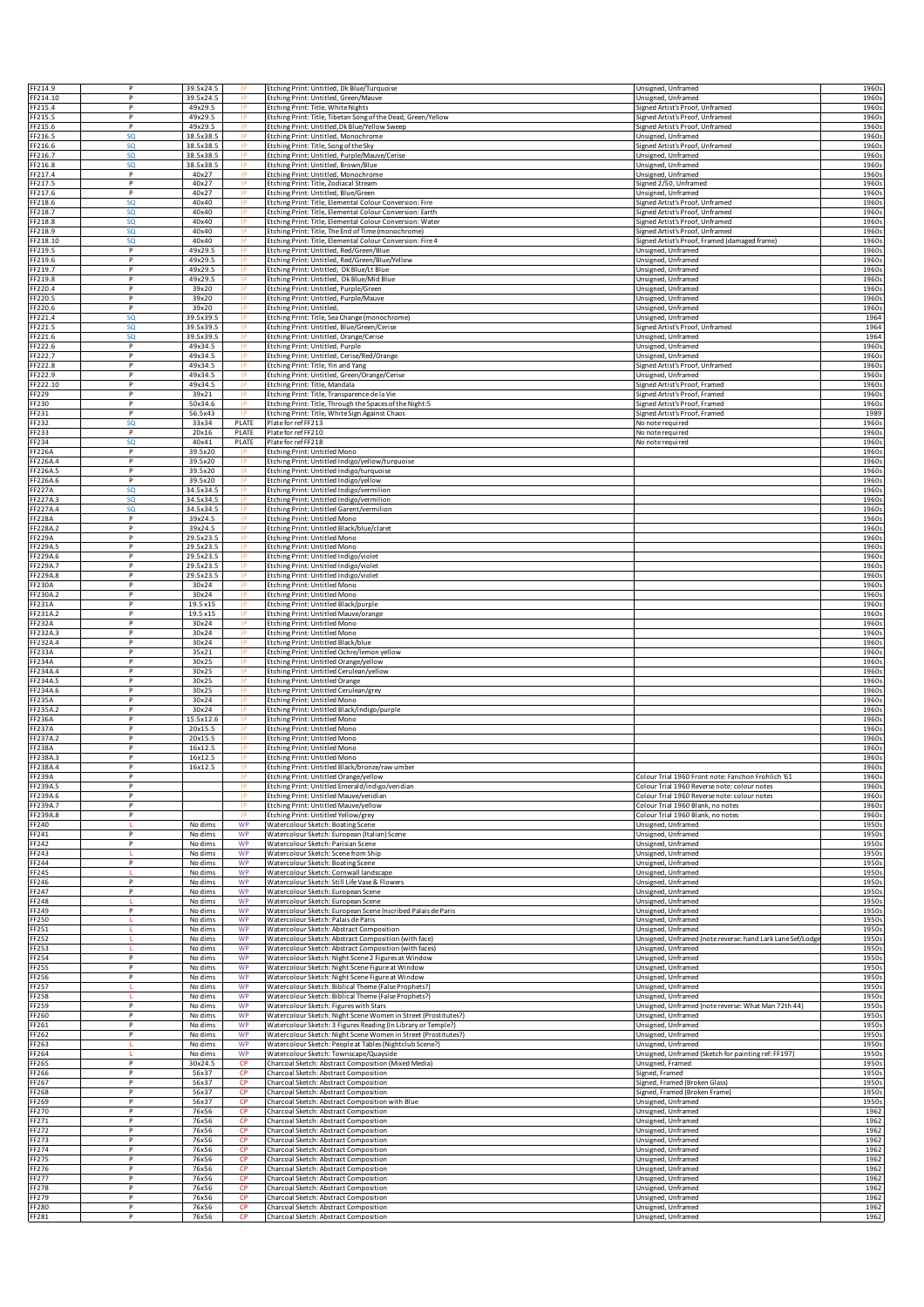| FF214.9<br>FF214.10            | P<br>P              | 39.5x24.5<br>39.5x24.5 |                        | Etching Print: Untitled, Dk Blue/Turquoise<br>Etching Print: Untitled, Green/Mauve                                              | Unsigned, Unframed<br>Unsigned, Unframed                                          | 1960s<br>1960  |
|--------------------------------|---------------------|------------------------|------------------------|---------------------------------------------------------------------------------------------------------------------------------|-----------------------------------------------------------------------------------|----------------|
| FF215.4                        | P                   | 49x29.5                |                        | Etching Print: Title, White Nights                                                                                              | Signed Artist's Proof, Unframed                                                   | 1960           |
| FF215.5<br>FF215.6             | P<br>P              | 49x29.5<br>49x29.5     |                        | Etching Print: Title, Tibetan Song of the Dead, Green/Yellow<br>Etching Print: Untitled, Dk Blue/Yellow Sweep                   | Signed Artist's Proof, Unframed<br>Signed Artist's Proof, Unframed                | 1960s<br>1960s |
| FF216.5<br>FF216.6             | SQ<br>sQ            | 38.5x38.5<br>38.5x38.5 | ΙP                     | Etching Print: Untitled, Monochrome<br>Etching Print: Title, Song of the Sky                                                    | Unsigned, Unframed<br>igned Artist's Proof, Unframed                              | 1960s<br>1960s |
| FF216.7<br>FF216.8             | SQ<br>SQ            | 38.5x38.5<br>38.5x38.5 | -IP<br><b>IP</b>       | Etching Print: Untitled, Purple/Mauve/Cerise<br>Etching Print: Untitled, Brown/Blue                                             | Unsigned, Unframed<br>Unsigned, Unframed                                          | 1960s<br>1960s |
| FF217.4                        | P                   | 40x27                  | IP                     | Etching Print: Untitled, Monochrome                                                                                             | Unsigned, Unframed                                                                | 1960s          |
| FF217.5<br>FF217.6             | P<br>P              | 40x27<br>40x27         |                        | Etching Print: Title, Zodiacal Stream<br>Etching Print: Untitled, Blue/Green                                                    | Signed 2/50, Unframed<br>Unsigned, Unframed                                       | 1960s<br>1960s |
| FF218.6<br>FF218.7             | SQ<br>SQ            | 40x40<br>40x40         |                        | Etching Print: Title, Elemental Colour Conversion: Fire<br>Etching Print: Title, Elemental Colour Conversion: Earth             | Signed Artist's Proof, Unframed<br>Signed Artist's Proof, Unframed                | 1960s<br>1960s |
| FF218.8<br>FF218.9             | SQ<br><b>SQ</b>     | 40x40<br>40x40         |                        | Etching Print: Title, Elemental Colour Conversion: Water<br>Etching Print: Title, The End of Time (monochrome)                  | Signed Artist's Proof, Unframed<br>Signed Artist's Proof, Unframed                | 1960s<br>1960s |
| FF218.10                       | <b>SQ</b><br>P      | 40x40                  | 1P<br>1P               | Etching Print: Title, Elemental Colour Conversion: Fire 4                                                                       | Signed Artist's Proof, Framed (damaged frame)                                     | 1960:          |
| FF219.5<br>FF219.6             | P                   | 49x29.5<br>49x29.5     |                        | Etching Print: Untitled, Red/Green/Blue<br>Etching Print: Untitled, Red/Green/Blue/Yellow                                       | Unsigned, Unframed<br>Unsigned, Unframed                                          | 1960:<br>1960s |
| FF219.7<br>FF219.8             | P<br>P              | 49x29.5<br>49x29.5     |                        | Etching Print: Untitled, Dk Blue/Lt Blue<br>Etching Print: Untitled, Dk Blue/Mid Blue                                           | Unsigned, Unframed<br>Unsigned, Unframed                                          | 1960:<br>1960s |
| FF220.4<br>FF220.5             | P<br>P              | 39x20<br>39x20         |                        | Etching Print: Untitled, Purple/Green<br>Etching Print: Untitled, Purple/Mauve                                                  | Unsigned, Unframed<br>Unsigned, Unframed                                          | 1960s<br>1960s |
| FF220.6<br>FF221.4             | P                   | 39x20<br>39.5x39.      |                        | Etching Print: Untitled,                                                                                                        | Unsigned, Unframed<br>Unsigned, Unframed                                          | 1960s<br>1964  |
| FF221.5                        | SQ<br><b>SQ</b>     | 39.5x39.5              | ΙP<br>ΠP               | Etching Print: Title, Sea Change (monochrome)<br>Etching Print: Untitled, Blue/Green/Cerise                                     | Signed Artist's Proof, Unframed                                                   | 1964           |
| FF221.6<br>FF222.6             | SQ<br>P             | 39.5x39.5<br>49x34.5   | ΠP<br><b>IP</b>        | Etching Print: Untitled, Orange/Cerise<br>Etching Print: Untitled, Purple                                                       | Unsigned, Unframed<br>Unsigned, Unframed                                          | 1964<br>1960s  |
| FF222.7<br>FF222.8             | P<br>P              | 49x34.5<br>49x34.5     | 1P                     | Etching Print: Untitled, Cerise/Red/Orange<br>Etching Print: Title, Yin and Yang                                                | Unsigned, Unframed<br>Signed Artist's Proof, Unframed                             | 1960s<br>1960  |
| FF222.9                        | P<br>P              | 49x34.5<br>49x34.5     | IP                     | Etching Print: Untitled, Green/Orange/Cerise                                                                                    | Unsigned, Unframed<br>Signed Artist's Proof, Framed                               | 1960<br>1960   |
| FF222.10<br>FF229              | P                   | 39x21                  |                        | Etching Print: Title, Mandala<br>Etching Print: Title, Transparence de la Vie                                                   | Signed Artist's Proof, Framed                                                     | 1960           |
| FF230<br>F231                  | P<br>P              | 50x34.6<br>56.5x43     |                        | Etching Print: Title, Through the Spaces of the Night:5<br>Etching Print: Title, White Sign Against Chaos                       | Signed Artist's Proof, Framed<br>signed Artist's Proof, Framed                    | 1960<br>1989   |
| FF232<br>F233                  | <b>SQ</b><br>P      | 33x34<br>20x16         | PLATE<br>PLATE         | Plate for ref FF213<br>Plate for ref FF210                                                                                      | No note required<br>No note required                                              | 1960<br>1960   |
| FF234                          | SQ                  | 40x41                  | PLATE                  | Plate for ref FF218                                                                                                             | No note required                                                                  | 1960           |
| <b>FF226A</b><br>FF226A.4      | P<br>P              | 39.5x20<br>39.5x20     |                        | Etching Print: Untitled Mono<br>Etching Print: Untitled Indigo/yellow/turquoise                                                 |                                                                                   | 1960<br>1960   |
| FF226A.5<br>FF226A.6           | P<br>P              | 39.5x20<br>39.5x20     |                        | Etching Print: Untitled Indigo/turquoise<br>Etching Print: Untitled Indigo/yellow                                               |                                                                                   | 1960:<br>1960s |
| <b>FF227A</b><br>FF227A.3      | SQ<br><b>SQ</b>     | 34.5x34.5<br>34.5x34.5 | ΙP                     | Etching Print: Untitled Indigo/vermilion                                                                                        |                                                                                   | 1960s<br>1960s |
| FF227A.4                       | SQ                  | 34.5x34.5              | -IP                    | Etching Print: Untitled Indigo/vermilion<br>Etching Print: Untitled Garent/vermilion                                            |                                                                                   | 1960s          |
| <b>FF228A</b><br>FF228A.2      | P<br>P              | 39x24.5<br>39x24.5     | <b>IP</b><br>ΙP        | Etching Print: Untitled Mono<br>Etching Print: Untitled Black/blue/claret                                                       |                                                                                   | 1960s<br>1960s |
| <b>FF229A</b><br>FF229A.5      | P<br>P              | 29.5x23.5<br>29.5x23.5 | ΙP<br>IP               | Etching Print: Untitled Mono<br>Etching Print: Untitled Mono                                                                    |                                                                                   | 1960s<br>1960s |
| FF229A.6                       | P                   | 29.5x23.5              | IP                     | Etching Print: Untitled Indigo/violet                                                                                           |                                                                                   | 1960s          |
| FF229A.7<br>FF229A.8           | P<br>P              | 29.5x23.5<br>29.5x23.5 |                        | Etching Print: Untitled Indigo/violet<br>Etching Print: Untitled Indigo/violet                                                  |                                                                                   | 1960s<br>1960s |
| FF230A<br>FF230A.2             | P<br>$\overline{P}$ | 30x24<br>30x24         | IP                     | <b>Etching Print: Untitled Mono</b><br>Etching Print: Untitled Mono                                                             |                                                                                   | 1960:<br>1960s |
| FF231A                         | $\overline{P}$<br>P | 19.5 x15               | IP                     | Etching Print: Untitled Black/purple                                                                                            |                                                                                   | 1960s          |
| FF231A.2<br><b>FF232A</b>      | P                   | 19.5 x15<br>30x24      |                        | Etching Print: Untitled Mauve/orange<br>Etching Print: Untitled Mono                                                            |                                                                                   | 1960:<br>1960: |
| FF232A.3<br>FF232A.4           | P<br>P              | 30x24<br>30x24         |                        | Etching Print: Untitled Mono<br>Etching Print: Untitled Black/blue                                                              |                                                                                   | 1960:<br>1960s |
| <b>FF233A</b><br><b>FF234A</b> | P<br>P              | 35x21<br>30x25         | -IP                    | Etching Print: Untitled Ochre/lemon yellow<br>Etching Print: Untitled Orange/yellow                                             |                                                                                   | 1960s<br>1960s |
| FF234A.4                       | P                   | 30x25                  | ΠP                     | Etching Print: Untitled Cerulean/yellow                                                                                         |                                                                                   | 1960s          |
| FF234A.5<br>FF234A.6           | P<br>P              | 30x25<br>30x25         | -IP<br>-IP             | Etching Print: Untitled Orange<br>Etching Print: Untitled Cerulean/grey                                                         |                                                                                   | 1960s<br>1960s |
| F235A<br>F235A.2               | P<br>P              | 30x24<br>30x24         | IP<br><b>IP</b>        | Etching Print: Untitled Mono<br>Etching Print: Untitled Black/indigo/purple                                                     |                                                                                   | 1960s<br>1960s |
| FF236A<br><b>FF237A</b>        | P<br>P              | 15.5x12.<br>20x15.5    | IP                     | Etching Print: Untitled Mono                                                                                                    |                                                                                   | 1960:<br>1960s |
| FF237A.2                       | P                   | 20x15.5                |                        | Etching Print: Untitled Mono<br>Etching Print: Untitled Mono                                                                    |                                                                                   | 1960           |
| F238A<br>F238A.3               | P<br>P              | 16x12.5<br>16x12.5     |                        | Etching Print: Untitled Mono<br>Etching Print: Untitled Mono                                                                    |                                                                                   | 1960<br>1960   |
| FF238A.4<br>239.               | P                   | 16x12.5                |                        | Etching Print: Untitled Black/bronze/raw umber<br>Ftching Drint: Untitled Orano                                                 | Colour Trial 1960 Front note: Fanchon Froblich                                    | 1960<br>1960   |
| FF239A.5<br>FF239A.6           | P<br>P              |                        |                        | Etching Print: Untitled Emerald/indigo/veridian                                                                                 | Colour Trial 1960 Reverse note: colour notes                                      | 1960s          |
| FF239A.7                       | P                   |                        |                        | Etching Print: Untitled Mauve/veridian<br>Etching Print: Untitled Mauve/yellow                                                  | Colour Trial 1960 Reverse note: colour notes<br>Colour Trial 1960 Blank, no notes | 1960:<br>1960s |
| FF239A.8<br>FF240              | P                   | No dims                | WP                     | Etching Print: Untitled Yellow/grey<br>Watercolour Sketch: Boating Scene                                                        | Colour Trial 1960 Blank, no notes<br>Unsigned, Unframed                           | 1960s<br>1950s |
| FF241<br>FF242                 | P<br>P              | No dims<br>No dims     | WP<br>WP               | Watercolour Sketch: European (Italian) Scene<br>Watercolour Sketch: Parisian Scene                                              | Unsigned, Unframed<br>Unsigned, Unframed                                          | 1950s<br>1950s |
| FF243                          |                     | No dims                | WP                     | Watercolour Sketch: Scene from Ship                                                                                             | Unsigned, Unframed                                                                | 1950s          |
| FF244<br>FF245                 | P<br>т.             | No dims<br>No dims     | WP<br>WP               | Watercolour Sketch: Boating Scene<br>Watercolour Sketch: Cornwall landscape                                                     | Unsigned, Unframed<br>Unsigned, Unframed                                          | 1950s<br>1950s |
| FF246<br>FF247                 | P<br>P              | No dims<br>No dims     | WP<br>WP               | Watercolour Sketch: Still Life Vase & Flowers<br>Watercolour Sketch: European Scene                                             | Unsigned, Unframed<br>Unsigned, Unframed                                          | 1950s<br>1950s |
| FF248<br>FF249                 | P                   | No dims<br>No dims     | WP<br>WP               | Watercolour Sketch: European Scene<br>Watercolour Sketch: European Scene Inscribed Palais de Paris                              | Unsigned, Unframed<br>Unsigned, Unframed                                          | 1950s<br>1950s |
| FF250                          |                     | No dims                | WP                     | Watercolour Sketch: Palais de Paris                                                                                             | Unsigned, Unframed                                                                | 1950s          |
| FF251<br>FF252                 |                     | No dims<br>No dims     | WP<br><b>WP</b>        | Watercolour Sketch: Abstract Composition<br>Watercolour Sketch: Abstract Composition (with face)                                | Unsigned, Unframed<br>Unsigned, Unframed (note reverse: hand Lark Lane Sef/Lodg   | 1950s<br>1950s |
| FF253<br>FF254                 | $\overline{P}$      | No dims<br>No dims     | WP<br>WP               | Watercolour Sketch: Abstract Composition (with faces)<br>Watercolour Sketch: Night Scene 2 Figures at Window                    | Unsigned, Unframed<br>Unsigned, Unframed                                          | 1950s<br>1950s |
| FF255                          | P                   | No dims                | WP                     | Watercolour Sketch: Night Scene Figure at Window                                                                                | Unsigned, Unframed                                                                | 1950s          |
| FF256<br>FF257                 | P                   | No dims<br>No dims     | WP<br>WP               | Watercolour Sketch: Night Scene Figure at Window<br>Watercolour Sketch: Biblical Theme (False Prophets?)                        | Unsigned, Unframed<br>Unsigned, Unframed                                          | 1950s<br>1950s |
| FF258<br>FF259                 | P                   | No dims<br>No dims     | WP<br>WP               | Watercolour Sketch: Biblical Theme (False Prophets?)<br>Watercolour Sketch: Figures with Stars                                  | Unsigned, Unframed<br>Unsigned, Unframed (note reverse: What Man 72th 44)         | 1950s<br>1950s |
| FF260<br>FF261                 | P<br>P              | No dims<br>No dims     | WP<br>WP               | Watercolour Sketch: Night Scene Women in Street (Prostitutes?)<br>Watercolour Sketch: 3 Figures Reading (In Library or Temple?) | Unsigned, Unframed<br>Unsigned, Unframed                                          | 1950s<br>1950s |
| FF262                          | P                   | No dims                | WP                     | Watercolour Sketch: Night Scene Women in Street (Prostitutes?)                                                                  | Unsigned, Unframed                                                                | 1950s          |
| FF263<br>FF264                 | L<br>L              | No dims<br>No dims     | WP<br>WP               | Watercolour Sketch: People at Tables (Nightclub Scene?)<br>Watercolour Sketch: Townscape/Quayside                               | Unsigned, Unframed<br>Unsigned, Unframed (Sketch for painting ref: FF197)         | 1950s<br>1950s |
| FF265<br>FF266                 | P<br>P              | 30x24.5<br>56x37       | <b>CP</b><br><b>CP</b> | Charcoal Sketch: Abstract Composition (Mixed Media)<br>Charcoal Sketch: Abstract Composition                                    | Unsigned, Framed<br>Signed, Framed                                                | 1950s<br>1950s |
| FF267                          | P<br>P              | 56x37                  | <b>CP</b><br><b>CP</b> | Charcoal Sketch: Abstract Composition                                                                                           | Signed, Framed (Broken Glass)                                                     | 1950s          |
| FF268<br>FF269                 | P                   | 56x37<br>56x37         | <b>CP</b>              | Charcoal Sketch: Abstract Composition<br>Charcoal Sketch: Abstract Composition with Blue                                        | Signed, Framed (Broken Frame)<br>Unsigned, Unframed                               | 1950<br>1950s  |
| FF270<br>FF271                 | P<br>P              | 76x56<br>76x56         | <b>CP</b><br><b>CP</b> | Charcoal Sketch: Abstract Composition<br>Charcoal Sketch: Abstract Composition                                                  | Unsigned, Unframed<br>Unsigned, Unframed                                          | 1962<br>1962   |
| FF272<br>FF273                 | $\overline{P}$<br>P | 76x56<br>76x56         | <b>CP</b><br><b>CP</b> | Charcoal Sketch: Abstract Composition<br>Charcoal Sketch: Abstract Composition                                                  | Unsigned, Unframed<br>Unsigned, Unframed                                          | 1962<br>1962   |
| FF274                          | P                   | 76x56                  | <b>CP</b>              | Charcoal Sketch: Abstract Composition                                                                                           | Unsigned, Unframed                                                                | 1962           |
| FF275<br>FF276                 | P<br>P              | 76x56<br>76x56         | <b>CP</b><br><b>CP</b> | Charcoal Sketch: Abstract Composition<br>Charcoal Sketch: Abstract Composition                                                  | Unsigned, Unframed<br>Unsigned, Unframed                                          | 1962<br>1962   |
| <b>FF277</b><br>FF278          | P<br>P              | 76x56<br>76x56         | <b>CP</b><br><b>CP</b> | Charcoal Sketch: Abstract Composition<br>Charcoal Sketch: Abstract Composition                                                  | Unsigned, Unframed<br>Unsigned, Unframed                                          | 1962<br>1962   |
| FF279                          | P                   | 76x56                  | <b>CP</b>              | Charcoal Sketch: Abstract Composition                                                                                           | Unsigned, Unframed                                                                | 1962           |
| FF280<br>FF281                 | P<br>P              | 76x56<br>76x56         | <b>CP</b><br><b>CP</b> | Charcoal Sketch: Abstract Composition<br>Charcoal Sketch: Abstract Composition                                                  | Unsigned, Unframed<br>Unsigned, Unframed                                          | 1962<br>1962   |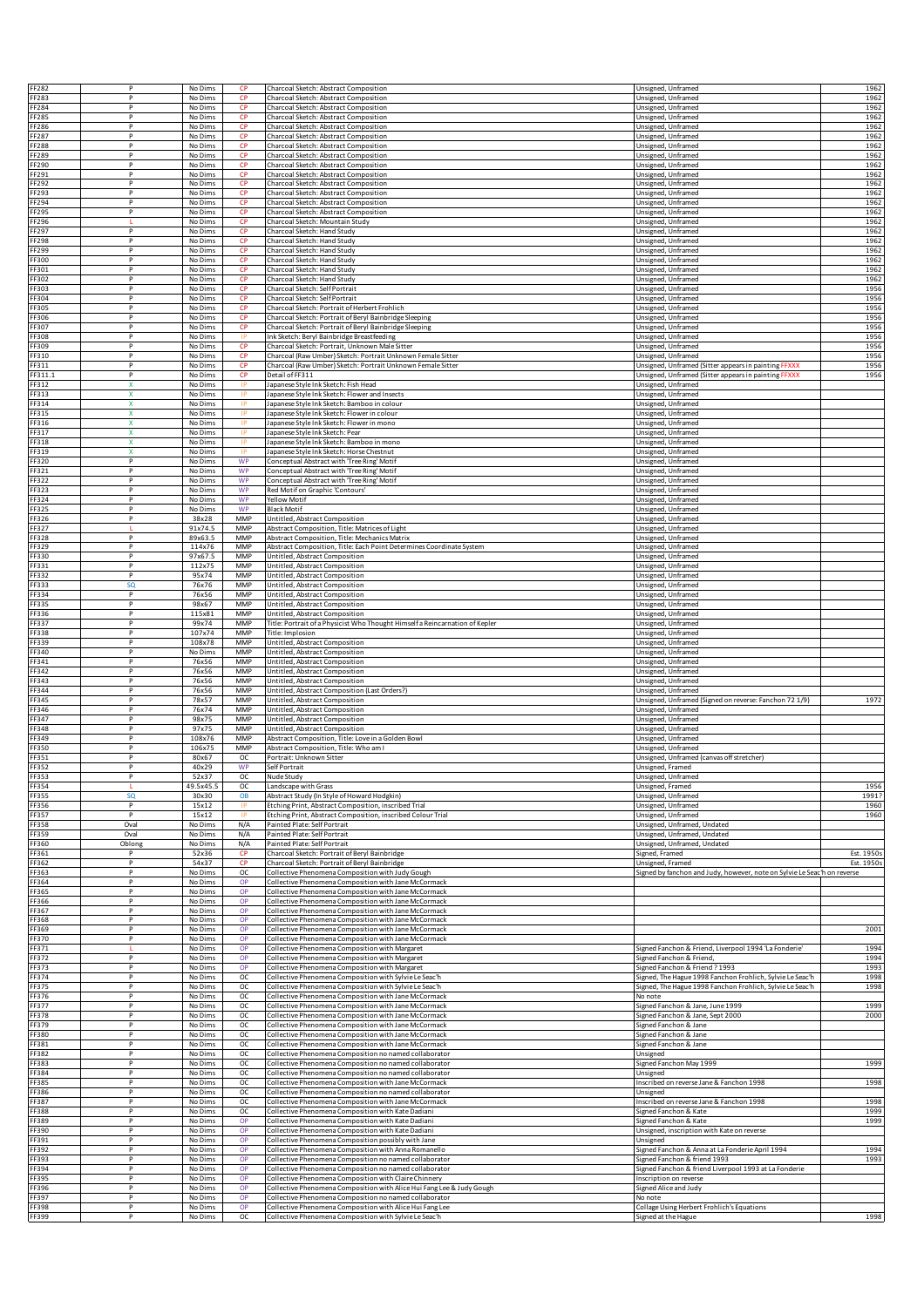| FF282                 | P                                | No Dims            | <b>CP</b>              | Charcoal Sketch: Abstract Composition                                                                            | Unsigned, Unframed                                                                                                     | 1962         |
|-----------------------|----------------------------------|--------------------|------------------------|------------------------------------------------------------------------------------------------------------------|------------------------------------------------------------------------------------------------------------------------|--------------|
| FF283<br>FF284        | P<br>P                           | No Dims<br>No Dims | <b>CP</b><br><b>CP</b> | Charcoal Sketch: Abstract Composition<br>Charcoal Sketch: Abstract Composition                                   | Unsigned, Unframed<br>Unsigned, Unframed                                                                               | 1962<br>1962 |
| FF285                 | P                                | No Dims            | <b>CP</b>              | Charcoal Sketch: Abstract Composition                                                                            | Unsigned, Unframed                                                                                                     | 1962         |
| FF286                 | P                                | No Dims            | <b>CP</b>              | Charcoal Sketch: Abstract Composition                                                                            | Unsigned, Unframed                                                                                                     | 1962         |
| <b>FF287</b>          | P                                | No Dims            | <b>CP</b>              | Charcoal Sketch: Abstract Composition                                                                            | Unsigned, Unframed                                                                                                     | 1962         |
| FF288<br>FF289        | P<br>$\overline{P}$              | No Dims            | <b>CP</b><br>CP        | Charcoal Sketch: Abstract Composition                                                                            | Jnsigned, Unframed                                                                                                     | 1962         |
| FF290                 | P                                | No Dims<br>No Dims | CP                     | Charcoal Sketch: Abstract Composition<br>Charcoal Sketch: Abstract Composition                                   | Unsigned, Unframed<br>Unsigned, Unframed                                                                               | 1962<br>1962 |
| FF291                 | P                                | No Dims            | <b>CP</b>              | Charcoal Sketch: Abstract Composition                                                                            | Unsigned, Unframed                                                                                                     | 1962         |
| FF292                 | P                                | No Dims            | <b>CP</b>              | Charcoal Sketch: Abstract Composition                                                                            | Unsigned, Unframed                                                                                                     | 1962         |
| FF293                 | P                                | No Dims            | <b>CP</b>              | Charcoal Sketch: Abstract Composition                                                                            | Unsigned, Unframed                                                                                                     | 1962         |
| <b>FF294</b>          | P                                | No Dims            | <b>CP</b>              | Charcoal Sketch: Abstract Composition                                                                            | Unsigned, Unframed                                                                                                     | 1962         |
| <b>FF295</b><br>FF296 | P<br>L                           | No Dims<br>No Dims | <b>CP</b><br><b>CP</b> | Charcoal Sketch: Abstract Composition<br>Charcoal Sketch: Mountain Study                                         | Unsigned, Unframed<br>Unsigned, Unframed                                                                               | 1962<br>1962 |
| FF297                 | P                                | No Dims            | <b>CP</b>              | Charcoal Sketch: Hand Study                                                                                      | Unsigned, Unframed                                                                                                     | 1962         |
| <b>FF298</b>          | P                                | No Dims            | <b>CP</b>              | Charcoal Sketch: Hand Study                                                                                      | Unsigned, Unframed                                                                                                     | 1962         |
| FF299                 | P                                | No Dims            | <b>CP</b>              | Charcoal Sketch: Hand Study                                                                                      | Unsigned, Unframed                                                                                                     | 1962         |
| FF300                 | P                                | No Dims            | <b>CP</b>              | Charcoal Sketch: Hand Study                                                                                      | Unsigned, Unframed                                                                                                     | 1962         |
| FF301<br>FF302        | P<br>P                           | No Dims<br>No Dims | <b>CP</b><br><b>CP</b> | Charcoal Sketch: Hand Study<br>Charcoal Sketch: Hand Study                                                       | Unsigned, Unframed<br>Unsigned, Unframed                                                                               | 1962<br>1962 |
| FF303                 | P                                | No Dims            | <b>CP</b>              | Charcoal Sketch: Self Portrait                                                                                   | Unsigned, Unframed                                                                                                     | 1956         |
| FF304                 | P                                | No Dims            | <b>CP</b>              | Charcoal Sketch: Self Portrait                                                                                   | Unsigned, Unframed                                                                                                     | 1956         |
| FF305                 | P                                | No Dims            | CP <sub>1</sub>        | Charcoal Sketch: Portrait of Herbert Frohlich                                                                    | Unsigned, Unframed                                                                                                     | 1956         |
| FF306                 | P<br>$\overline{P}$              | No Dims            | <b>CP</b><br><b>CP</b> | Charcoal Sketch: Portrait of Beryl Bainbridge Sleeping                                                           | Unsigned, Unframed                                                                                                     | 1956         |
| FF307<br>FF308        | $\overline{P}$                   | No Dims<br>No Dims |                        | Charcoal Sketch: Portrait of Beryl Bainbridge Sleeping<br>Ink Sketch: Beryl Bainbridge Breastfeeding             | Unsigned, Unframed<br>Unsigned, Unframed                                                                               | 1956<br>1956 |
| FF309                 | P                                | No Dims            | <b>CP</b>              | Charcoal Sketch: Portrait, Unknown Male Sitter                                                                   | Unsigned, Unframed                                                                                                     | 1956         |
| FF310                 | P                                | No Dims            | <b>CP</b>              | Charcoal (Raw Umber) Sketch: Portrait Unknown Female Sitter                                                      | Unsigned, Unframed                                                                                                     | 1956         |
| FF311                 | P                                | No Dims            | СP                     | Charcoal (Raw Umber) Sketch: Portrait Unknown Female Sitter                                                      | Unsigned, Unframed (Sitter appears in painting FFXXX                                                                   | 1956         |
| FF311.1               | P                                | No Dims            | <b>CP</b>              | Detail of FF311                                                                                                  | Jnsigned, Unframed (Sitter appears in painting FFXXX                                                                   | 1956         |
| FF312<br>FF313        | x<br>x                           | No Dims<br>No Dims |                        | lapanese Style Ink Sketch: Fish Head<br>lapanese Style Ink Sketch: Flower and Insects                            | Unsigned, Unframed                                                                                                     |              |
| FF314                 | x                                | No Dims            |                        | Japanese Style Ink Sketch: Bamboo in colour                                                                      | Unsigned, Unframed<br>Unsigned, Unframed                                                                               |              |
| FF315                 | x                                | No Dims            |                        | Japanese Style Ink Sketch: Flower in colour                                                                      | Unsigned, Unframed                                                                                                     |              |
| FF316                 | x                                | No Dims            | -IP                    | Japanese Style Ink Sketch: Flower in mono                                                                        | Unsigned, Unframed                                                                                                     |              |
| FF317                 | x                                | No Dims            | <b>IP</b>              | Japanese Style Ink Sketch: Pear                                                                                  | Unsigned, Unframed                                                                                                     |              |
| FF318                 | x                                | No Dims            |                        | Japanese Style Ink Sketch: Bamboo in mono<br>Japanese Style Ink Sketch: Horse Chestnut                           | Unsigned, Unframed                                                                                                     |              |
| FF319<br>FF320        | x<br>P                           | No Dims<br>No Dims | WP                     | Conceptual Abstract with 'Tree Ring' Motif                                                                       | Unsigned, Unframed<br>Unsigned, Unframed                                                                               |              |
| FF321                 | P                                | No Dims            | WP                     | Conceptual Abstract with 'Tree Ring' Motif                                                                       | Unsigned, Unframed                                                                                                     |              |
| FF322                 | P                                | No Dims            | WP                     | Conceptual Abstract with 'Tree Ring' Motif                                                                       | Unsigned, Unframed                                                                                                     |              |
| FF323                 | P                                | No Dims            | WP                     | Red Motif on Graphic 'Contours'                                                                                  | Unsigned, Unframed                                                                                                     |              |
| FF324                 | P<br>$\overline{P}$              | No Dims            | <b>WP</b>              | Yellow Motif                                                                                                     | Jnsigned, Unframed                                                                                                     |              |
| FF325<br>FF326        | P                                | No Dims<br>38x28   | WP<br>MMP              | <b>Black Motif</b><br>Untitled, Abstract Composition                                                             | Unsigned, Unframed<br>Unsigned, Unframed                                                                               |              |
| FF327                 |                                  | 91x74.5            | MMP                    | Abstract Composition, Title: Matrices of Light                                                                   | Unsigned, Unframed                                                                                                     |              |
| <b>FF328</b>          | P                                | 89x63.5            | MMP                    | Abstract Composition, Title: Mechanics Matrix                                                                    | Unsigned, Unframed                                                                                                     |              |
| FF329                 | P                                | 114x76             | MMP                    | Abstract Composition, Title: Each Point Determines Coordinate System                                             | Unsigned, Unframed                                                                                                     |              |
| FF330                 | P                                | 97x67.5            | MMP                    | Untitled, Abstract Composition                                                                                   | Unsigned, Unframed                                                                                                     |              |
| FF331<br>FF332        | P<br>P                           | 112x75<br>95x74    | MMP<br>MMP             | Jntitled, Abstract Composition<br>Untitled, Abstract Composition                                                 | Unsigned, Unframed<br>Unsigned, Unframed                                                                               |              |
| FF333                 | SQ                               | 76x76              | MMP                    | Untitled, Abstract Composition                                                                                   | Unsigned, Unframed                                                                                                     |              |
| FF334                 | P                                | 76x56              | MMP                    | Untitled, Abstract Composition                                                                                   | Unsigned, Unframed                                                                                                     |              |
| FF335                 | P                                | 98x67              | MMP                    | Untitled, Abstract Composition                                                                                   | Unsigned, Unframed                                                                                                     |              |
| FF336                 | P                                | 115x81             | MMP                    | Untitled, Abstract Composition                                                                                   | Unsigned, Unframed                                                                                                     |              |
| FF337                 | P<br>P                           | 99x74              | <b>MMP</b><br>MMP      | Title: Portrait of a Physicist Who Thought Himself a Reincarnation of Kepler                                     | Unsigned, Unframed                                                                                                     |              |
| FF338<br>FF339        | P                                | 107x74<br>108x78   | MMP                    | Title: Implosion<br>Untitled, Abstract Composition                                                               | Unsigned, Unframed<br>Unsigned, Unframed                                                                               |              |
| FF340                 | P                                | No Dims            | MMP                    | Untitled, Abstract Composition                                                                                   | Unsigned, Unframed                                                                                                     |              |
| FF341                 | P                                | 76x56              | MMP                    | Untitled, Abstract Composition                                                                                   | Unsigned, Unframed                                                                                                     |              |
| FF342                 | P                                | 76x56              | MMP                    | Untitled, Abstract Composition                                                                                   | Unsigned, Unframed                                                                                                     |              |
| FF343<br>FF344        | $\overline{P}$<br>$\overline{P}$ | 76x56              | MMP<br>MMP             | Untitled, Abstract Composition                                                                                   | Unsigned, Unframed                                                                                                     |              |
| FF345                 | P                                | 76x56<br>78x57     | MMP                    | Untitled, Abstract Composition (Last Orders?)<br>Untitled, Abstract Composition                                  | Unsigned, Unframed<br>Unsigned, Unframed (Signed on reverse: Fanchon 72 1/9)                                           | 1972         |
| FF346                 | P                                | 76x74              | MMP                    | Untitled, Abstract Composition                                                                                   | Unsigned, Unframed                                                                                                     |              |
| FF347                 | P                                | 98x75              | MMP                    | Untitled, Abstract Composition                                                                                   | Unsigned, Unframed                                                                                                     |              |
| FF348                 | P                                | 97x75              | MMP                    | Untitled, Abstract Composition                                                                                   | Unsigned, Unframed                                                                                                     |              |
| FF349                 | P                                | 108x76             | MMP                    | Abstract Composition, Title: Love in a Golden Bowl                                                               | Unsigned, Unframed                                                                                                     |              |
| FF350<br>FF351        | P<br>P                           | 106x75<br>80x67    | MMP<br><b>OC</b>       | Abstract Composition, Title: Who am I<br>Portrait: Unknown Sitter                                                | Jnsigned, Unframed<br>Unsigned, Unframed (canvas off stretcher)                                                        |              |
| FF352                 | P                                | 40x29              | WP                     | <b>Self Portrait</b>                                                                                             | Unsigned, Framed                                                                                                       |              |
| FF353                 |                                  | 52x37              | oc                     | Nude Study                                                                                                       | Unsigned, Unframed                                                                                                     |              |
| FF354                 |                                  | 49.5x45.5          | oc                     | Landscape with Grass                                                                                             | Unsigned, Framed                                                                                                       | 1956         |
| FF355                 | SQ                               | 30x30              | OB                     | Abstract Study (In Style of Howard Hodgkin)                                                                      | Unsigned, Unframed                                                                                                     | 1991?        |
| FF356                 | P<br>P                           | 15x12              |                        | Etching Print, Abstract Composition, inscribed Trial                                                             | Unsigned, Unframed                                                                                                     | 1960         |
| FF357<br>FF358        | Oval                             | 15x12<br>No Dims   | N/A                    | Etching Print, Abstract Composition, inscribed Colour Trial<br>Painted Plate: Self Portrait                      | Unsigned, Unframed<br>Unsigned, Unframed, Undated                                                                      | 1960         |
| FF359                 | Oval                             | No Dims            | N/A                    | Painted Plate: Self Portrait                                                                                     | Unsigned, Unframed, Undated                                                                                            |              |
| FF360                 | Oblong                           | No Dims            | N/A                    | Painted Plate: Self Portrait                                                                                     | Unsigned, Unframed, Undated                                                                                            |              |
| FF361                 | P                                | 52x36              | <b>CP</b>              | Charcoal Sketch: Portrait of Beryl Bainbridge                                                                    | Signed, Framed                                                                                                         | Est. 1950s   |
| FF362<br>FF363        | $\overline{P}$<br>P              | 54x37<br>No Dims   | <b>CP</b><br><b>OC</b> | Charcoal Sketch: Portrait of Beryl Bainbridge<br>Collective Phenomena Composition with Judy Gough                | Unsigned, Framed<br>Signed by fanchon and Judy, however, note on Sylvie Le Seac'h on reverse                           | Est. 1950s   |
| FF364                 | P                                | No Dims            | OP                     | Collective Phenomena Composition with Jane McCormack                                                             |                                                                                                                        |              |
| FF365                 | P                                | No Dims            | OP                     | Collective Phenomena Composition with Jane McCormack                                                             |                                                                                                                        |              |
| FF366                 | P                                | No Dims            | OP                     | Collective Phenomena Composition with Jane McCormack                                                             |                                                                                                                        |              |
| FF367                 | P                                | No Dims            | OP                     | Collective Phenomena Composition with Jane McCormack                                                             |                                                                                                                        |              |
| FF368<br>FF369        | P<br>P                           | No Dims<br>No Dims | OP<br>OP               | Collective Phenomena Composition with Jane McCormack<br>Collective Phenomena Composition with Jane McCormack     |                                                                                                                        | 2001         |
| FF370                 | P                                | No Dims            | OP                     | Collective Phenomena Composition with Jane McCormack                                                             |                                                                                                                        |              |
| FF371                 | L                                | No Dims            | OP                     | Collective Phenomena Composition with Margaret                                                                   | Signed Fanchon & Friend, Liverpool 1994 'La Fonderie'                                                                  | 1994         |
| FF372                 | P                                | No Dims            | OP                     | Collective Phenomena Composition with Margaret                                                                   | Signed Fanchon & Friend,                                                                                               | 1994         |
| FF373                 | P                                | No Dims            | OP                     | Collective Phenomena Composition with Margaret                                                                   | Signed Fanchon & Friend ? 1993                                                                                         | 1993         |
| FF374<br>FF375        | P<br>P                           | No Dims<br>No Dims | OC<br><b>OC</b>        | Collective Phenomena Composition with Sylvie Le Seac'h<br>Collective Phenomena Composition with Sylvie Le Seac'h | Signed, The Hague 1998 Fanchon Frohlich, Sylvie Le Seac'h<br>Signed, The Hague 1998 Fanchon Frohlich, Sylvie Le Seac'h | 1998<br>1998 |
| FF376                 | P                                | No Dims            | <b>OC</b>              | Collective Phenomena Composition with Jane McCormack                                                             | No note                                                                                                                |              |
| FF377                 | P                                | No Dims            | <b>OC</b>              | Collective Phenomena Composition with Jane McCormack                                                             | Signed Fanchon & Jane, June 1999                                                                                       | 1999         |
| FF378                 | P                                | No Dims            | <b>OC</b>              | Collective Phenomena Composition with Jane McCormack                                                             | Signed Fanchon & Jane, Sept 2000                                                                                       | 2000         |
| FF379                 | P                                | No Dims            | <b>OC</b>              | Collective Phenomena Composition with Jane McCormack                                                             | Signed Fanchon & Jane                                                                                                  |              |
| FF380<br>FF381        | P<br>$\overline{P}$              | No Dims<br>No Dims | OC<br><b>OC</b>        | Collective Phenomena Composition with Jane McCormack<br>Collective Phenomena Composition with Jane McCormack     | Signed Fanchon & Jane<br>Signed Fanchon & Jane                                                                         |              |
| FF382                 | $\mathsf{P}$                     | No Dims            | OC                     | Collective Phenomena Composition no named collaborator                                                           | Unsigned                                                                                                               |              |
| FF383                 | P                                | No Dims            | OC                     | Collective Phenomena Composition no named collaborator                                                           | Signed Fanchon May 1999                                                                                                | 1999         |
| FF384                 | P                                | No Dims            | OC                     | Collective Phenomena Composition no named collaborator                                                           | Unsigned                                                                                                               |              |
| FF385                 | P                                | No Dims            | OC                     | Collective Phenomena Composition with Jane McCormack                                                             | Inscribed on reverse Jane & Fanchon 1998                                                                               | 1998         |
| FF386                 | P                                | No Dims            | OC                     | Collective Phenomena Composition no named collaborator                                                           | Unsigned                                                                                                               |              |
| FF387<br>FF388        | P<br>P                           | No Dims<br>No Dims | <b>OC</b><br><b>OC</b> | Collective Phenomena Composition with Jane McCormack<br>Collective Phenomena Composition with Kate Dadiani       | Inscribed on reverse Jane & Fanchon 1998<br>Signed Fanchon & Kate                                                      | 1998<br>1999 |
| FF389                 | P                                | No Dims            | OP                     | Collective Phenomena Composition with Kate Dadiani                                                               | Signed Fanchon & Kate                                                                                                  | 1999         |
| FF390                 | P                                | No Dims            | OP                     | Collective Phenomena Composition with Kate Dadiani                                                               | Unsigned, inscription with Kate on reverse                                                                             |              |
| FF391                 | P                                | No Dims            | OP                     | Collective Phenomena Composition possibly with Jane                                                              | Unsigned                                                                                                               |              |
| FF392                 | P                                | No Dims            | OP                     | Collective Phenomena Composition with Anna Romanello                                                             | Signed Fanchon & Anna at La Fonderie April 1994                                                                        | 1994         |
| FF393<br>FF394        | P<br>P                           | No Dims            | OP<br>OP               | Collective Phenomena Composition no named collaborator                                                           | Signed Fanchon & friend 1993<br>Signed Fanchon & friend Liverpool 1993 at La Fonderie                                  | 1993         |
| FF395                 | P                                | No Dims<br>No Dims | OP                     | Collective Phenomena Composition no named collaborator<br>Collective Phenomena Composition with Claire Chinnery  | Inscription on reverse                                                                                                 |              |
| FF396                 | P                                | No Dims            | OP                     | Collective Phenomena Composition with Alice Hui Fang Lee & Judy Gough                                            | Signed Alice and Judy                                                                                                  |              |
| FF397                 | P                                | No Dims            | OP                     | Collective Phenomena Composition no named collaborator                                                           | No note                                                                                                                |              |
| FF398                 | P                                | No Dims            | OP                     | Collective Phenomena Composition with Alice Hui Fang Lee                                                         | Collage Using Herbert Frohlich's Equations                                                                             |              |
| FF399                 | P                                | No Dims            | OC                     | Collective Phenomena Composition with Sylvie Le Seac'h                                                           | Signed at the Hague                                                                                                    | 1998         |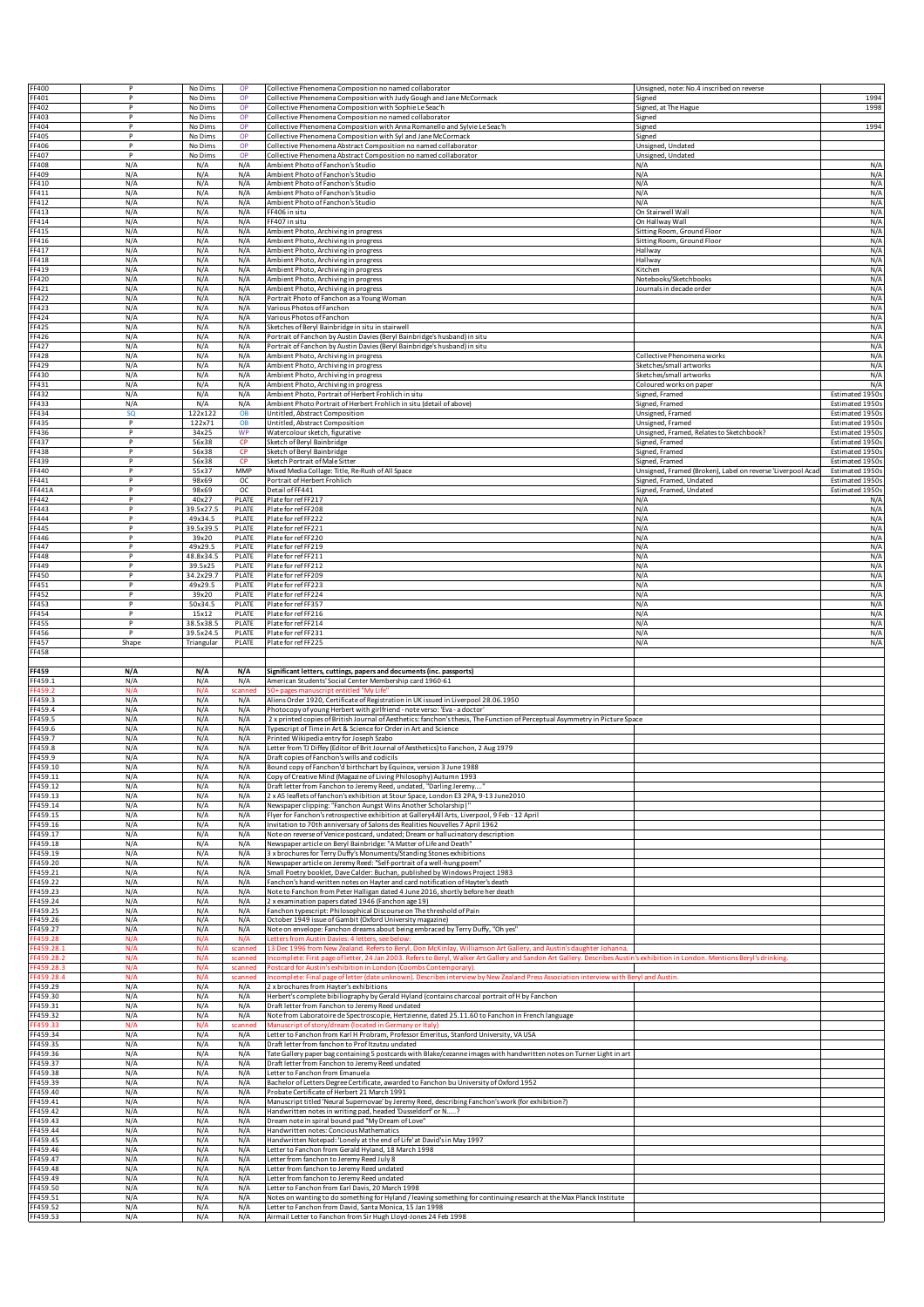| FF400                 | P              | No Dims            | OP             | Collective Phenomena Composition no named collaborator                                                                                                                         | Unsigned, note: No.4 inscribed on reverse                                              |                                    |
|-----------------------|----------------|--------------------|----------------|--------------------------------------------------------------------------------------------------------------------------------------------------------------------------------|----------------------------------------------------------------------------------------|------------------------------------|
| FF401                 | P              | No Dims            | OP             | Collective Phenomena Composition with Judy Gough and Jane McCormack                                                                                                            | iigned                                                                                 | 1994                               |
| FF402                 | P              | No Dims            | OP             | Collective Phenomena Composition with Sophie Le Seac'h                                                                                                                         | Signed, at The Hague                                                                   | 1998                               |
| FF403                 | P              | No Dims            | OP             | Collective Phenomena Composition no named collaborator                                                                                                                         | Signed                                                                                 |                                    |
| F404                  | P              | No Dims            | OP             | Collective Phenomena Composition with Anna Romanello and Sylvie Le Seac'h                                                                                                      | Signed                                                                                 | 1994                               |
| F405<br>FF406         | P<br>P         | No Dims<br>No Dims | OP<br>OP       | Collective Phenomena Composition with Syl and Jane McCormack<br>Collective Phenomena Abstract Composition no named collaborator                                                | Signed<br>Unsigned, Undated                                                            |                                    |
| FF407                 | P              | No Dims            | OP             | Collective Phenomena Abstract Composition no named collaborator                                                                                                                | Unsigned, Undated                                                                      |                                    |
| FF408                 | N/A            | N/A                | N/A            | Ambient Photo of Fanchon's Studio                                                                                                                                              | N/A                                                                                    | N/A                                |
| FF409                 | N/A            | N/A                | N/A            | Ambient Photo of Fanchon's Studio                                                                                                                                              | N/A                                                                                    | N/A                                |
| FF410                 | N/A            | N/A                | N/A            | Ambient Photo of Fanchon's Studio                                                                                                                                              | N/A                                                                                    | N/A                                |
| FF411<br>FF412        | N/A<br>N/A     | N/A<br>N/A         | N/A            | Ambient Photo of Fanchon's Studio                                                                                                                                              | N/A<br>N/A                                                                             | N/A<br>N/A                         |
| FF413                 | N/A            | N/A                | N/A<br>N/A     | Ambient Photo of Fanchon's Studio<br>FF406 in situ                                                                                                                             | On Stairwell Wall                                                                      | N/A                                |
| FF414                 | N/A            | N/A                | N/A            | FF407 in situ                                                                                                                                                                  | On Hallway Wall                                                                        | N/A                                |
| FF415                 | N/A            | N/A                | N/A            | Ambient Photo, Archiving in progress                                                                                                                                           | Sitting Room, Ground Floor                                                             | N/A                                |
| FF416                 | N/A            | N/A                | N/A            | Ambient Photo, Archiving in progress                                                                                                                                           | Sitting Room, Ground Floor                                                             | N/A                                |
| FF417                 | N/A            | N/A                | N/A            | Ambient Photo, Archiving in progress                                                                                                                                           | Hallway                                                                                | N/A                                |
| FF418<br>FF419        | N/A<br>N/A     | N/A<br>N/A         | N/A<br>N/A     | Ambient Photo, Archiving in progress<br>Ambient Photo, Archiving in progress                                                                                                   | Hallway<br>Kitchen                                                                     | N/A<br>N/A                         |
| FF420                 | N/A            | N/A                | N/A            | Ambient Photo, Archiving in progress                                                                                                                                           | Notebooks/Sketchbooks                                                                  | N/A                                |
| FF421                 | N/A            | N/A                | N/A            | Ambient Photo, Archiving in progress                                                                                                                                           | Journals in decade order                                                               | N/A                                |
| F422                  | N/A            | N/A                | N/A            | Portrait Photo of Fanchon as a Young Woman                                                                                                                                     |                                                                                        | N/A                                |
| F423                  | N/A            | N/A                | N/A            | Various Photos of Fanchon                                                                                                                                                      |                                                                                        | N/A                                |
| F424                  | N/A            | N/A                | N/A            | Various Photos of Fanchon                                                                                                                                                      |                                                                                        | N/A                                |
| FF425<br>FF426        | N/A<br>N/A     | N/A<br>N/A         | N/A<br>N/A     | Sketches of Beryl Bainbridge in situ in stairwell<br>Portrait of Fanchon by Austin Davies (Beryl Bainbridge's husband) in situ                                                 |                                                                                        | N/A<br>N/A                         |
| FF427                 | N/A            | N/A                | N/A            | Portrait of Fanchon by Austin Davies (Beryl Bainbridge's husband) in situ                                                                                                      |                                                                                        | N/A                                |
| <b>FF428</b>          | N/A            | N/A                | N/A            | Ambient Photo, Archiving in progress                                                                                                                                           | Collective Phenomena works                                                             | N/A                                |
| FF429                 | N/A            | N/A                | N/A            | Ambient Photo, Archiving in progress                                                                                                                                           | sketches/small artworks                                                                | N/A                                |
| FF430                 | N/A            | N/A                | N/A            | Ambient Photo, Archiving in progress                                                                                                                                           | Sketches/small artworks                                                                | $N/\beta$                          |
| FF431                 | N/A            | N/A                | N/A            | Ambient Photo, Archiving in progress                                                                                                                                           | Coloured works on paper                                                                | $N/\ell$                           |
| FF432                 | N/A            | N/A                | N/A            | Ambient Photo, Portrait of Herbert Frohlich in situ                                                                                                                            | Signed, Framed                                                                         | Estimated 1950s                    |
| FF433<br>FF434        | N/A<br>SQ      | N/A<br>122x12      | N/A<br>OB      | Ambient Photo Portrait of Herbert Frohlich in situ (detail of above)<br>Untitled, Abstract Composition                                                                         | Signed, Framed<br>Unsigned, Framed                                                     | Estimated 1950s<br>Estimated 1950s |
| FF435                 | P              | 122x71             | OB             | Untitled, Abstract Composition                                                                                                                                                 | Unsigned, Framed                                                                       | Estimated 1950s                    |
| FF436                 | P              | 34x25              | WP             | Watercolour sketch, figurative                                                                                                                                                 | Unsigned, Framed, Relates to Sketchbook?                                               | Estimated 1950s                    |
| FF437                 | P              | 56x38              | <b>CP</b>      | Sketch of Beryl Bainbridge                                                                                                                                                     | Signed, Framed                                                                         | Estimated 1950s                    |
| FF438                 | P              | 56x38              | CP             | Sketch of Beryl Bainbridge                                                                                                                                                     | iigned, Framed                                                                         | Estimated 1950s                    |
| FF439                 | P<br>P         | 56x38              | <b>CP</b>      | Sketch Portrait of Male Sitter                                                                                                                                                 | iigned, Framed                                                                         | Estimated 1950s                    |
| FF440<br>F441         | P              | 55x37<br>98x69     | MMP<br>oc      | Mixed Media Collage: Title, Re-Rush of All Space<br>Portrait of Herbert Frohlich                                                                                               | Unsigned, Framed (Broken), Label on reverse 'Liverpool Acad<br>Signed, Framed, Undated | Estimated 1950s<br>Estimated 1950s |
| F441A                 | P              | 98x69              | oc             | Detail of FF441                                                                                                                                                                | Signed, Framed, Undated                                                                | Estimated 1950s                    |
| FF442                 | P              | 40x27              | PLATE          | Plate for ref FF217                                                                                                                                                            | N/A                                                                                    | N/A                                |
| FF443                 | P              | 39.5x27            | PLATE          | Plate for ref FF208                                                                                                                                                            | N/A                                                                                    | N/A                                |
| FF444                 | P              | 49x34.5            | PLATE          | Plate for refFF222                                                                                                                                                             | N/A                                                                                    | N/A                                |
| <b>FF445</b><br>FF446 | P<br>P         | 39.5x39.<br>39x20  | PLATE<br>PLATE | Plate for refFF221<br>Plate for ref FF220                                                                                                                                      | N/A<br>N/A                                                                             | N/A<br>N/A                         |
| FF447                 | P              | 49x29.5            | PLATE          | Plate for ref FF219                                                                                                                                                            | N/A                                                                                    | N/A                                |
| FF448                 | $\overline{P}$ | 48.8x34.5          | PLATE          | Plate for refFF211                                                                                                                                                             | N/A                                                                                    | N/A                                |
| FF449                 | $\, {\sf P}$   | 39.5x25            | PLATE          | Plate for refFF212                                                                                                                                                             | N/A                                                                                    | N/A                                |
| FF450                 | P              | 34.2x29.7          | PLATE          | Plate for ref FF209                                                                                                                                                            | N/A                                                                                    | N/A                                |
| FF451                 | P              | 49x29.5            | PLATE          | Plate for ref FF223                                                                                                                                                            | N/A                                                                                    | N/A                                |
| FF452<br>FF453        | P<br>P         | 39x20<br>50x34.5   | PLATE<br>PLATE | Plate for ref FF224<br>Plate for ref FF357                                                                                                                                     | N/A<br>N/A                                                                             | N/A<br>N/A                         |
| FF454                 | P              | 15x12              | PLATE          | Plate for ref FF216                                                                                                                                                            | N/A                                                                                    | N/A                                |
| FF455                 | P              | 38.5x38.5          | PLATE          | Plate for ref FF214                                                                                                                                                            | N/A                                                                                    | N/A                                |
| FF456                 | P              | 39.5x24.5          | PLATE          | Plate for ref FF231                                                                                                                                                            | N/A                                                                                    | N/A                                |
| FF457                 | Shape          | Triangular         | PLATE          | Plate for refFF225                                                                                                                                                             | N/A                                                                                    | N/A                                |
|                       |                |                    |                |                                                                                                                                                                                |                                                                                        |                                    |
| F458                  |                |                    |                |                                                                                                                                                                                |                                                                                        |                                    |
|                       |                |                    |                |                                                                                                                                                                                |                                                                                        |                                    |
| <b>FF459</b>          | N/A<br>N/A     | N/A                | N/A            | Significant letters, cuttings, papers and documents (inc. passports)                                                                                                           |                                                                                        |                                    |
| FF459.1<br>-459.      | N/A            | N/A<br>N/A         | N/A<br>scanned | American Students' Social Center Membership card 1960-61<br>50+ pages manuscript entitled "My Life'                                                                            |                                                                                        |                                    |
| FF459.3               | N/A            | N/A                | N/A            | Aliens Order 1920, Certificate of Registration in UK issued in Liverpool 28.06.1950                                                                                            |                                                                                        |                                    |
| FF459.4               | N/A            | N/A                | N/A            | Photocopy of young Herbert with girlfriend - note verso: 'Eva - a doctor                                                                                                       |                                                                                        |                                    |
| F459.5                | N/A            | N/A                | N/A            | 2 x printed copies of British Journal of Aesthetics: fanchon's thesis, The Function of Perceptual Asymmetry in Picture Space                                                   |                                                                                        |                                    |
| F459.6                | N/A            | N/A                | N/A            | Typescript of Time in Art & Science for Order in Art and Science                                                                                                               |                                                                                        |                                    |
| F459.7                | N/A            | N/A                | N/A            | Printed Wikipedia entry for Joseph Szabo                                                                                                                                       |                                                                                        |                                    |
| F459.8<br>F459.9      | N/A<br>N/A     | N/A<br>N/A         | N/A<br>N/A     | Letter from TJ Diffey (Editor of Brit Journal of Aesthetics) to Fanchon, 2 Aug 1979<br>Draft copies of Fanchon's wills and codicils                                            |                                                                                        |                                    |
| FF459.10              | N/A            | N/A                | N/A            | Bound copy of Fanchon'd birthchart by Equinox, version 3 June 1988                                                                                                             |                                                                                        |                                    |
| FF459.11              | N/A            | N/A                | N/A            | Copy of Creative Mind (Magazine of Living Philosophy) Autumn 1993                                                                                                              |                                                                                        |                                    |
| FF459.12              | N/A            | N/A                | N/A            | Draft letter from Fanchon to Jeremy Reed, undated, "Darling Jeremy                                                                                                             |                                                                                        |                                    |
| FF459.13<br>FF459.14  | N/A<br>N/A     | N/A<br>N/A         | N/A<br>N/A     | 2 x A5 leaflets of fanchon's exhibition at Stour Space, London E3 2PA, 9-13 June2010                                                                                           |                                                                                        |                                    |
| FF459.15              | N/A            | N/A                | N/A            | Newspaper clipping: "Fanchon Aungst Wins Another Scholarship  "<br>Flyer for Fanchon's retrospective exhibition at Gallery4All Arts, Liverpool, 9 Feb - 12 April               |                                                                                        |                                    |
| FF459.16              | N/A            | N/A                | N/A            | Invitation to 70th anniversary of Salons des Realities Nouvelles 7 April 1962                                                                                                  |                                                                                        |                                    |
| FF459.17              | N/A            | N/A                | N/A            | Note on reverse of Venice postcard, undated; Dream or hallucinatory description                                                                                                |                                                                                        |                                    |
| FF459.18              | N/A            | N/A                | N/A            | Newspaper article on Beryl Bainbridge: "A Matter of Life and Death"                                                                                                            |                                                                                        |                                    |
| FF459.19              | N/A            | N/A                | N/A            | 3 x brochures for Terry Duffy's Monuments/Standing Stones exhibitions                                                                                                          |                                                                                        |                                    |
| FF459.20              | N/A            | N/A                | N/A            | Newspaper article on Jeremy Reed: "Self-portrait of a well-hung poem"<br>Small Poetry booklet, Dave Calder: Buchan, published by Windows Project 1983                          |                                                                                        |                                    |
| FF459.21<br>FF459.22  | N/A<br>N/A     | N/A<br>N/A         | N/A<br>N/A     | Fanchon's hand-written notes on Hayter and card notification of Hayter's death                                                                                                 |                                                                                        |                                    |
| FF459.23              | N/A            | N/A                | N/A            | Note to Fanchon from Peter Halligan dated 4 June 2016, shortly before her death                                                                                                |                                                                                        |                                    |
| FF459.24              | N/A            | N/A                | N/A            | 2 x examination papers dated 1946 (Fanchon age 19)                                                                                                                             |                                                                                        |                                    |
| FF459.25              | N/A            | N/A                | N/A            | Fanchon typescript: Philosophical Discourse on The threshold of Pain                                                                                                           |                                                                                        |                                    |
| FF459.26              | N/A            | N/A                | N/A            | October 1949 issue of Gambit (Oxford University magazine)                                                                                                                      |                                                                                        |                                    |
| FF459.27<br>F459.28   | N/A            | N/A                | N/A            | Note on envelope: Fanchon dreams about being embraced by Terry Duffy, "Oh yes'                                                                                                 |                                                                                        |                                    |
| FF459.28.             | N/A<br>N/A     | N/A<br>N/A         | N/A<br>scanned | Letters from Austin Davies: 4 letters, see below:<br>3 Dec 1996 from New Zealand. Refers to Beryl, Don McKinlay, Williamson Art Gallery, and Austin's daughter Johanna.        |                                                                                        |                                    |
| FF459.28.2            | N/A            | N/A                | scanned        | complete: First page of letter, 24 Jan 2003. Refers to Beryl, Walker Art Gallery and Sandon Art Gallery. Describes Austin's exhibition in London. Mentions Beryl's drinking    |                                                                                        |                                    |
| F459.28.3             | N/A            | N/A                | scanned        | ostcard for Austin's exhibition in London (Coombs Contemporary).                                                                                                               |                                                                                        |                                    |
| FF459.28.4            | N/A            | N/A                | scanned        | ncomplete: Final page of letter (date unknown). Describes interview by New Zealand Press Association interview with Beryl and Austin.                                          |                                                                                        |                                    |
| FF459.29              | N/A            | N/A                | N/A            | 2 x brochures from Hayter's exhibitions                                                                                                                                        |                                                                                        |                                    |
| FF459.30              | N/A            | N/A                | N/A            | Herbert's complete bibiliography by Gerald Hyland (contains charcoal portrait of H by Fanchon                                                                                  |                                                                                        |                                    |
| FF459.31<br>FF459.32  | N/A<br>N/A     | N/A<br>N/A         | N/A<br>N/A     | Draft letter from Fanchon to Jeremy Reed undated<br>Note from Laboratoire de Spectroscopie, Hertzienne, dated 25.11.60 to Fanchon in French language                           |                                                                                        |                                    |
| F459.33               | N/A            | N/A                | scanned        | Manuscript of story/dream (located in Germany or Italy)                                                                                                                        |                                                                                        |                                    |
| FF459.34              | N/A            | N/A                | N/A            | Letter to Fanchon from Karl H Probram, Professor Emeritus, Stanford University, VA USA                                                                                         |                                                                                        |                                    |
| FF459.35              | N/A            | N/A                | N/A            | Draft letter from fanchon to Prof Itzutzu undated                                                                                                                              |                                                                                        |                                    |
| FF459.36              | N/A            | N/A                | N/A            | Tate Gallery paper bag containing 5 postcards with Blake/cezanne images with handwritten notes on Turner Light in art                                                          |                                                                                        |                                    |
| FF459.37              | N/A            | N/A                | N/A            | Draft letter from Fanchon to Jeremy Reed undated                                                                                                                               |                                                                                        |                                    |
| FF459.38<br>FF459.39  | N/A<br>N/A     | N/A                | N/A<br>N/A     | Letter to Fanchon from Emanuela                                                                                                                                                |                                                                                        |                                    |
| FF459.40              | N/A            | N/A<br>N/A         | N/A            | Bachelor of Letters Degree Certificate, awarded to Fanchon bu University of Oxford 1952<br>Probate Certificate of Herbert 21 March 1991                                        |                                                                                        |                                    |
| FF459.41              | N/A            | N/A                | N/A            | Manuscript titled 'Neural Supernovae' by Jeremy Reed, describing Fanchon's work (for exhibition?)                                                                              |                                                                                        |                                    |
| FF459.42              | N/A            | N/A                | N/A            | Handwritten notes in writing pad, headed 'Dusseldorf' or N?                                                                                                                    |                                                                                        |                                    |
| FF459.43              | N/A            | N/A                | N/A            | Dream note in spiral bound pad "My Dream of Love"                                                                                                                              |                                                                                        |                                    |
| FF459.44              | N/A            | N/A                | N/A            | Handwritten notes: Concious Mathematics                                                                                                                                        |                                                                                        |                                    |
| FF459.45<br>FF459.46  | N/A<br>N/A     | N/A<br>N/A         | N/A<br>N/A     | Handwritten Notepad: 'Lonely at the end of Life' at David's in May 1997<br>Letter to Fanchon from Gerald Hyland, 18 March 1998                                                 |                                                                                        |                                    |
| FF459.47              | N/A            | N/A                | N/A            | Letter from fanchon to Jeremy Reed July 8                                                                                                                                      |                                                                                        |                                    |
| FF459.48              | N/A            | N/A                | N/A            | Letter from fanchon to Jeremy Reed undated                                                                                                                                     |                                                                                        |                                    |
| FF459.49              | N/A            | N/A                | N/A            | Letter from fanchon to Jeremy Reed undated                                                                                                                                     |                                                                                        |                                    |
| FF459.50              | N/A            | N/A                | N/A            | Letter to Fanchon from Earl Davis, 20 March 1998                                                                                                                               |                                                                                        |                                    |
| FF459.51<br>FF459.52  | N/A<br>N/A     | N/A<br>N/A         | N/A<br>N/A     | Notes on wanting to do something for Hyland / leaving something for continuing research at the Max Planck Institute<br>Letter to Fanchon from David, Santa Monica, 15 Jan 1998 |                                                                                        |                                    |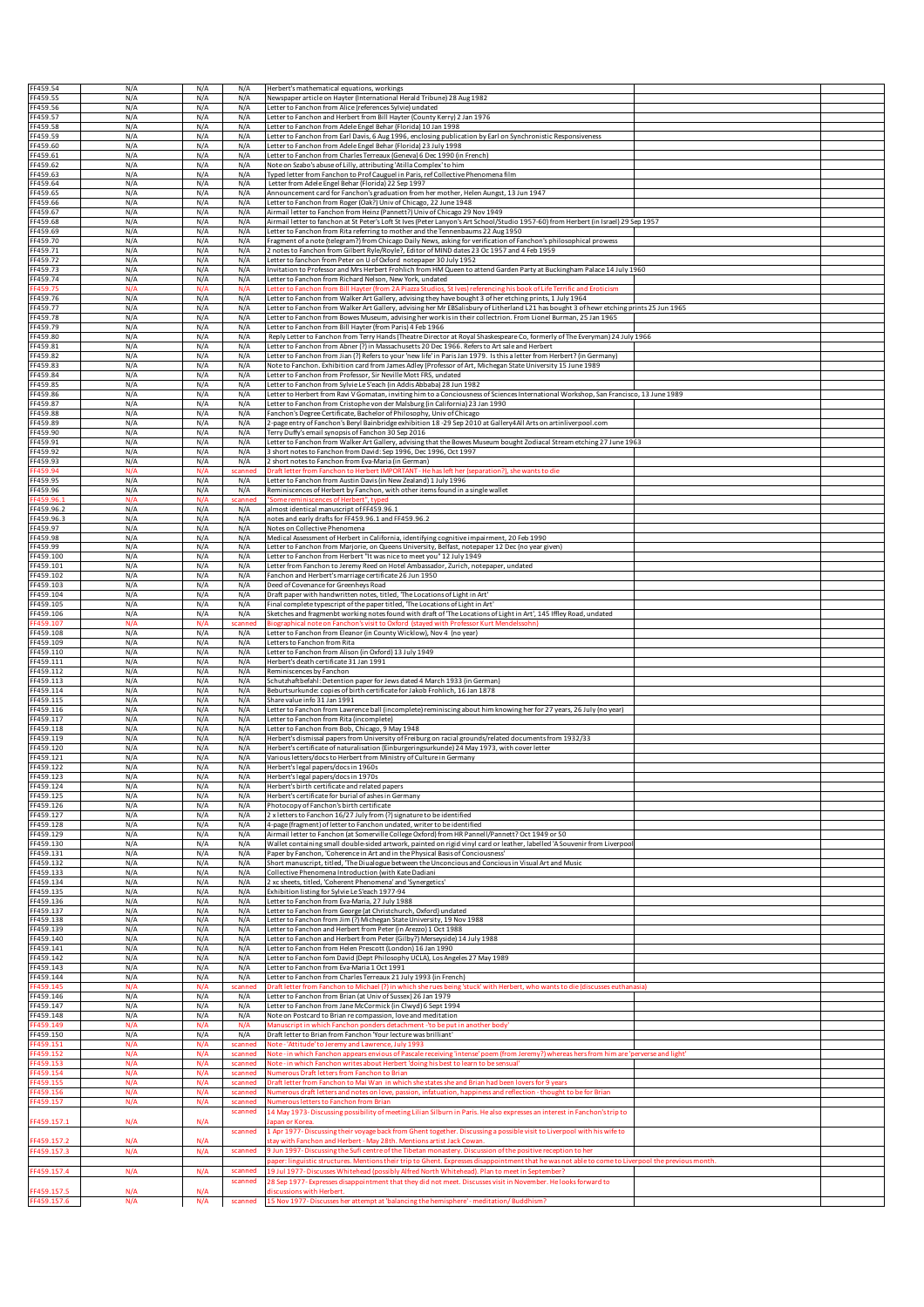| FF459.54    | N/A | N/A | N/A     | Herbert's mathematical equations, workings                                                                                                       |  |
|-------------|-----|-----|---------|--------------------------------------------------------------------------------------------------------------------------------------------------|--|
| FF459.55    | N/A | N/A | N/A     | Newspaper article on Hayter (International Herald Tribune) 28 Aug 1982                                                                           |  |
| FF459.56    | N/A | N/A | N/A     | Letter to Fanchon from Alice (references Sylvie) undated                                                                                         |  |
| FF459.57    | N/A | N/A | N/A     | Letter to Fanchon and Herbert from Bill Hayter (County Kerry) 2 Jan 1976                                                                         |  |
| FF459.58    | N/A | N/A | N/A     | Letter to Fanchon from Adele Engel Behar (Florida) 10 Jan 1998                                                                                   |  |
| FF459.59    | N/A | N/A | N/A     | Letter to Fanchon from Earl Davis, 6 Aug 1996, enclosing publication by Earl on Synchronistic Responsiveness                                     |  |
| FF459.60    | N/A | N/A | N/A     | Letter to Fanchon from Adele Engel Behar (Florida) 23 July 1998                                                                                  |  |
| FF459.61    | N/A | N/A | N/A     | Letter to Fanchon from Charles Terreaux (Geneva) 6 Dec 1990 (in French)                                                                          |  |
| FF459.62    | N/A | N/A | N/A     | Note on Szabo's abuse of Lilly, attributing 'Atilla Complex' to him                                                                              |  |
| FF459.63    | N/A | N/A | N/A     | Typed letter from Fanchon to Prof Cauguel in Paris, ref Collective Phenomena film                                                                |  |
| FF459.64    | N/A | N/A | N/A     | Letter from Adele Engel Behar (Florida) 22 Sep 1997                                                                                              |  |
| FF459.65    | N/A | N/A | N/A     | Announcement card for Fanchon's graduation from her mother, Helen Aungst, 13 Jun 1947                                                            |  |
| FF459.66    | N/A | N/A | N/A     | Letter to Fanchon from Roger (Oak?) Univ of Chicago, 22 June 1948                                                                                |  |
|             |     |     |         |                                                                                                                                                  |  |
| FF459.67    | N/A | N/A | N/A     | Airmail letter to Fanchon from Heinz (Pannett?) Univ of Chicago 29 Nov 1949                                                                      |  |
| FF459.68    | N/A | N/A | N/A     | Airmail letter to fanchon at St Peter's Loft St Ives (Peter Lanyon's Art School/Studio 1957-60) from Herbert (in Israel) 29 Sep 1957             |  |
| FF459.69    | N/A | N/A | N/A     | Letter to Fanchon from Rita referring to mother and the Tennenbaums 22 Aug 1950                                                                  |  |
| FF459.70    | N/A | N/A | N/A     | Fragment of a note (telegram?) from Chicago Daily News, asking for verification of Fanchon's philosophical prowess                               |  |
| FF459.71    | N/A | N/A | N/A     | 2 notes to Fanchon from Gilbert Ryle/Royle?, Editor of MIND dates 23 Oc 1957 and 4 Feb 1959                                                      |  |
| FF459.72    | N/A | N/A | N/A     | Letter to fanchon from Peter on U of Oxford notepaper 30 July 1952                                                                               |  |
| FF459.73    | N/A | N/A | N/A     | Invitation to Professor and Mrs Herbert Frohlich from HM Queen to attend Garden Party at Buckingham Palace 14 July 1960                          |  |
| FF459.74    | N/A | N/A | N/A     | Letter to Fanchon from Richard Nelson, New York, undated                                                                                         |  |
| FF459.75    | N/A | N/A | N/A     | Letter to Fanchon from Bill Hayter (from 2A Piazza Studios, St Ives) referencing his book of Life Terrific and Eroticism                         |  |
| FF459.76    | N/A | N/A | N/A     | Letter to Fanchon from Walker Art Gallery, advising they have bought 3 of her etching prints, 1 July 1964                                        |  |
| FF459.77    | N/A | N/A | N/A     | Letter to Fanchon from Walker Art Gallery, advising her Mr EBSalisbury of Litherland L21 has bought 3 of hewr etching prints 25 Jun 1965         |  |
| FF459.78    | N/A | N/A | N/A     | Letter to Fanchon from Bowes Museum, advising her work is in their collectrion. From Lionel Burman, 25 Jan 1965                                  |  |
| FF459.79    | N/A | N/A | N/A     | Letter to Fanchon from Bill Hayter (from Paris) 4 Feb 1966                                                                                       |  |
| FF459.80    | N/A | N/A | N/A     | Reply Letter to Fanchon from Terry Hands (Theatre Director at Royal Shaskespeare Co, formerly of The Everyman) 24 July 1966                      |  |
|             |     |     |         |                                                                                                                                                  |  |
| FF459.81    | N/A | N/A | N/A     | Letter to Fanchon from Abner (?) in Massachusetts 20 Dec 1966. Refers to Art sale and Herbert                                                    |  |
| FF459.82    | N/A | N/A | N/A     | Letter to Fanchon from Jian (?) Refers to your 'new life' in Paris Jan 1979. Is this a letter from Herbert? (in Germany)                         |  |
| FF459.83    | N/A | N/A | N/A     | Note to Fanchon. Exhibition card from James Adley (Professor of Art, Michegan State University 15 June 1989                                      |  |
| FF459.84    | N/A | N/A | N/A     | Letter to Fanchon from Professor, Sir Neville Mott FRS, undated                                                                                  |  |
| FF459.85    | N/A | N/A | N/A     | Letter to Fanchon from Sylvie Le S'each (in Addis Abbaba) 28 Jun 1982                                                                            |  |
| FF459.86    | N/A | N/A | N/A     | Letter to Herbert from Ravi V Gomatan, inviting him to a Conciousness of Sciences International Workshop, San Francisco, 13 June 1989            |  |
| FF459.87    | N/A | N/A | N/A     | Letter to Fanchon from Cristophe von der Malsburg (in California) 23 Jan 1990                                                                    |  |
| FF459.88    | N/A | N/A | N/A     | Fanchon's Degree Certificate, Bachelor of Philosophy, Univ of Chicago                                                                            |  |
| FF459.89    | N/A | N/A | N/A     | 2-page entry of Fanchon's Beryl Bainbridge exhibition 18-29 Sep 2010 at Gallery4All Arts on artinliverpool.com                                   |  |
| FF459.90    | N/A | N/A | N/A     | Terry Duffy's email synopsis of Fanchon 30 Sep 2016                                                                                              |  |
| FF459.91    | N/A | N/A | N/A     | Letter to Fanchon from Walker Art Gallery, advising that the Bowes Museum bought Zodiacal Stream etching 27 June 1963                            |  |
| FF459.92    |     | N/A | N/A     | 3 short notes to Fanchon from David: Sep 1996, Dec 1996, Oct 1997                                                                                |  |
|             | N/A |     |         |                                                                                                                                                  |  |
| FF459.93    | N/A | N/A | N/A     | 2 short notes to Fanchon from Eva-Maria (in German)                                                                                              |  |
| FF459.94    | N/A | N/A | scanned | Draft letter from Fanchon to Herbert IMPORTANT - He has left her (separation?), she wants to die                                                 |  |
| FF459.95    | N/A | N/A | N/A     | Letter to Fanchon from Austin Davis (in New Zealand) 1 July 1996                                                                                 |  |
| FF459.96    | N/A | N/A | N/A     | Reminiscences of Herbert by Fanchon, with other items found in a single wallet                                                                   |  |
| FF459.96.   | N/A | N/A | canned  | Some reminiscences of Herbert", typed                                                                                                            |  |
| FF459.96.2  | N/A | N/A | N/A     | almost identical manuscript of FF459.96.1                                                                                                        |  |
| FF459.96.3  | N/A | N/A | N/A     | notes and early drafts for FF459.96.1 and FF459.96.2                                                                                             |  |
| FF459.97    | N/A | N/A | N/A     | Notes on Collective Phenomena                                                                                                                    |  |
| FF459.98    | N/A | N/A | N/A     | Medical Assessment of Herbert in California, identifying cognitive impairment, 20 Feb 1990                                                       |  |
| FF459.99    | N/A | N/A | N/A     | Letter to Fanchon from Marjorie, on Queens University, Belfast, notepaper 12 Dec (no year given)                                                 |  |
| FF459.100   | N/A | N/A | N/A     | Letter to Fanchon from Herbert "It was nice to meet you" 12 July 1949                                                                            |  |
|             |     |     |         |                                                                                                                                                  |  |
| FF459.101   | N/A | N/A | N/A     | Letter from Fanchon to Jeremy Reed on Hotel Ambassador, Zurich, notepaper, undated                                                               |  |
| FF459.102   | N/A | N/A | N/A     | Fanchon and Herbert's marriage certificate 26 Jun 1950                                                                                           |  |
| FF459.103   | N/A | N/A | N/A     | Deed of Covenance for Greenheys Road                                                                                                             |  |
| FF459.104   | N/A | N/A | N/A     | Draft paper with handwritten notes, titled, 'The Locations of Light in Art'                                                                      |  |
| FF459.105   | N/A | N/A | N/A     | Final complete typescript of the paper titled, 'The Locations of Light in Art'                                                                   |  |
| FF459.106   | N/A | N/A | N/A     | Sketches and fragmenbt working notes found with draft of 'The Locations of Light in Art', 145 Iffley Road, undated                               |  |
| FF459.107   | N/A | N/A | scanned | <b>Biographical note on Fanchon's visit to Oxford (stayed with Professor Kurt Mendelssohn)</b>                                                   |  |
| FF459.108   | N/A | N/A | N/A     | Letter to Fanchon from Eleanor (in County Wicklow), Nov 4 (no year)                                                                              |  |
| FF459.109   | N/A | N/A | N/A     | Letters to Fanchon from Rita                                                                                                                     |  |
| FF459.110   | N/A | N/A | N/A     | Letter to Fanchon from Alison (in Oxford) 13 July 1949                                                                                           |  |
| FF459.111   | N/A | N/A | N/A     | Herbert's death certificate 31 Jan 1991                                                                                                          |  |
| FF459.112   | N/A | N/A | N/A     | Reminiscences by Fanchon                                                                                                                         |  |
|             |     |     |         | Schutzhaftbefahl: Detention paper for Jews dated 4 March 1933 (in German)                                                                        |  |
| FF459.113   | N/A | N/A | N/A     |                                                                                                                                                  |  |
| FF459.114   | N/A | N/A | N/A     | Beburtsurkunde: copies of birth certificate for Jakob Frohlich, 16 Jan 1878                                                                      |  |
| FF459.115   | N/A | N/A | N/A     | Share value info 31 Jan 1991                                                                                                                     |  |
| FF459.116   | N/A | N/A | N/A     | Letter to Fanchon from Lawrence ball (incomplete) reminiscing about him knowing her for 27 years, 26 July (no year)                              |  |
| FF459.117   | N/A | N/A | N/A     | Letter to Fanchon from Rita (incomplete)                                                                                                         |  |
| FF459.118   | N/A | N/A | N/A     | Letter to Fanchon from Bob, Chicago, 9 May 1948                                                                                                  |  |
| FF459.119   | N/A | N/A | N/A     | Herbert's dismissal papers from University of Freiburg on racial grounds/related documents from 1932/33                                          |  |
| FF459.120   | N/A | N/A | N/A     | Herbert's certificate of naturalisation (Einburgeringsurkunde) 24 May 1973, with cover letter                                                    |  |
| FF459.121   | N/A | N/A | N/A     | Various letters/docs to Herbert from Ministry of Culture in Germany                                                                              |  |
| FF459.122   | N/A | N/A | N/A     | Herbert's legal papers/docs in 1960s                                                                                                             |  |
| FF459.123   |     |     | N/A     |                                                                                                                                                  |  |
| FF459.124   | N/A | N/A |         | Herbert's legal papers/docs in 1970s                                                                                                             |  |
| FF459.125   | N/A | N/A | N/A     | Herbert's birth certificate and related papers<br>Herbert's certificate for burial of ashes in Germany                                           |  |
|             | N/A | N/A | N/A     |                                                                                                                                                  |  |
| FF459.126   | N/A | N/A | N/A     | Photocopy of Fanchon's birth certificate                                                                                                         |  |
| FF459.127   | N/A | N/A | N/A     | 2 x letters to Fanchon 16/27 July from (?) signature to be identified                                                                            |  |
| FF459.128   | N/A | N/A | N/A     | 4-page (fragment) of letter to Fanchon undated, writer to be identified                                                                          |  |
| FF459.129   | N/A | N/A | N/A     | Airmail letter to Fanchon (at Somerville College Oxford) from HR Pannell/Pannett? Oct 1949 or 50                                                 |  |
| FF459.130   | N/A | N/A | N/A     | Wallet containing small double-sided artwork, painted on rigid vinyl card or leather, labelled 'A Souvenir from Liverpoo                         |  |
| FF459.131   | N/A | N/A | N/A     | Paper by Fanchon, 'Coherence in Art and in the Physical Basis of Conciousness'                                                                   |  |
| FF459.132   | N/A | N/A | N/A     | Short manuscript, titled, 'The Diualogue between the Unconcious and Concious in Visual Art and Music                                             |  |
| FF459.133   | N/A | N/A | N/A     | Collective Phenomena Introduction (with Kate Dadiani                                                                                             |  |
| FF459.134   | N/A | N/A | N/A     | 2 xc sheets, titled, 'Coherent Phenomena' and 'Synergetics'                                                                                      |  |
| FF459.135   | N/A | N/A | N/A     | Exhibition listing for Sylvie Le S'each 1977-94                                                                                                  |  |
| FF459.136   | N/A | N/A | N/A     | Letter to Fanchon from Eva-Maria, 27 July 1988                                                                                                   |  |
| FF459.137   | N/A | N/A | N/A     | Letter to Fanchon from George (at Christchurch, Oxford) undated                                                                                  |  |
| FF459.138   | N/A | N/A | N/A     | Letter to Fanchon from Jim (?) Michegan State University, 19 Nov 1988                                                                            |  |
| FF459.139   | N/A | N/A | N/A     | Letter to Fanchon and Herbert from Peter (in Arezzo) 1 Oct 1988                                                                                  |  |
|             |     |     |         | Letter to Fanchon and Herbert from Peter (Gilby?) Merseyside) 14 July 1988                                                                       |  |
| FF459.140   | N/A | N/A | N/A     |                                                                                                                                                  |  |
| FF459.141   | N/A | N/A | N/A     | Letter to Fanchon from Helen Prescott (London) 16 Jan 1990                                                                                       |  |
| FF459.142   | N/A | N/A | N/A     | Letter to Fanchon fom David (Dept Philosophy UCLA), Los Angeles 27 May 1989                                                                      |  |
| FF459.143   | N/A | N/A | N/A     | Letter to Fanchon from Eva-Maria 1 Oct 1991                                                                                                      |  |
| FF459.144   | N/A | N/A | N/A     | Letter to Fanchon from Charles Terreaux 21 July 1993 (in French)                                                                                 |  |
| FF459.145   | N/A | N/A | scanned | Draft letter from Fanchon to Michael (?) in which she rues being 'stuck' with Herbert, who wants to die (discusses euthanasia                    |  |
| FF459.146   | N/A | N/A | N/A     | Letter to Fanchon from Brian (at Univ of Sussex) 26 Jan 1979                                                                                     |  |
| FF459.147   | N/A | N/A | N/A     | Letter to Fanchon from Jane McCormick (in Clwyd) 6 Sept 1994                                                                                     |  |
| FF459.148   | N/A | N/A | N/A     | Note on Postcard to Brian re compassion, love and meditation                                                                                     |  |
| FF459.149   | N/A | N/A | N/A     | Manuscript in which Fanchon ponders detachment -'to be put in another body'                                                                      |  |
| FF459.150   | N/A | N/A | N/A     | Draft letter to Brian from Fanchon 'Your lecture was brilliant'                                                                                  |  |
| FF459.151   | N/A | N/A | scanned | Note - 'Attitude' to Jeremy and Lawrence, July 1993                                                                                              |  |
| FF459.152   | N/A | N/A | scanned | Vote - in which Fanchon appears envious of Pascale receiving 'intense' poem (from Jeremy?) whereas hers from him are 'perverse and light'        |  |
| FF459.153   |     |     |         |                                                                                                                                                  |  |
|             | N/A | N/A | scanned | Note - in which Fanchon writes about Herbert 'doing his best to learn to be sensual'                                                             |  |
| FF459.154   | N/A | N/A | scanned | Numerous Draft letters from Fanchon to Brian                                                                                                     |  |
| FF459.155   | N/A | N/A | scanned | raft letter from Fanchon to Mai Wan in which she states she and Brian had been lovers for 9 years                                                |  |
| FF459.156   | N/A | N/A | scanned | Jumerous draft letters and notes on love, passion, infatuation, happiness and reflection - thought to be for Brian                               |  |
| FF459.157   | N/A | N/A | scanned | umerous letters to Fanchon from Brian                                                                                                            |  |
|             |     |     | scanned | 14 May 1973-Discussing possibility of meeting Lilian Silburn in Paris. He also expresses an interest in Fanchon's trip to                        |  |
| FF459.157.1 | N/A | N/A |         | apan or Korea                                                                                                                                    |  |
|             |     |     | scanned | 1 Apr 1977-Discussing their voyage back from Ghent together. Discussing a possible visit to Liverpool with his wife to                           |  |
| FF459.157.2 | N/A | N/A |         | tay with Fanchon and Herbert - May 28th. Mentions artist Jack Cowan.                                                                             |  |
| FF459.157.3 | N/A | N/A | scanned | 9 Jun 1997- Discussing the Sufi centre of the Tibetan monastery. Discussion of the positive reception to her                                     |  |
|             |     |     |         | aper: linguistic structures. Mentions their trip to Ghent. Expresses disappointment that he was not able to come to Liverpool the previous month |  |
|             |     |     | scanned |                                                                                                                                                  |  |
| FF459.157.4 | N/A | N/A |         | 19 Jul 1977-Discusses Whitehead (possibly Alfred North Whitehead). Plan to meet in September?                                                    |  |
|             |     |     | scanned | 28 Sep 1977- Expresses disappointment that they did not meet. Discusses visit in November. He looks forward to                                   |  |
| FF459.157.5 | N/A | N/A |         | liscussions with Herbert                                                                                                                         |  |
| FF459.157.6 | N/A | N/A | scanned | 15 Nov 1977-Discusses her attempt at 'balancing the hemisphere' - meditation/Buddhism?                                                           |  |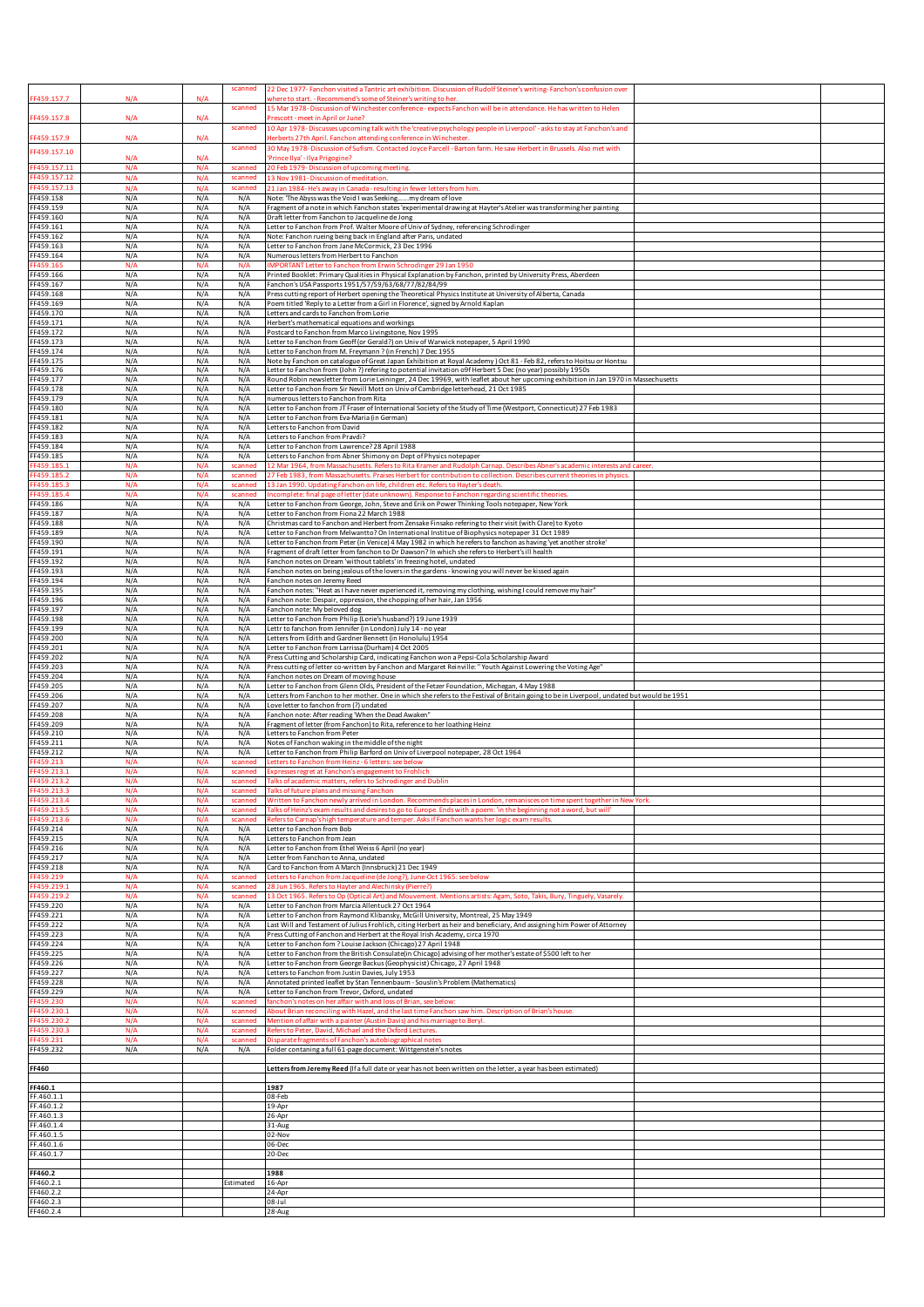| FF460.2.3<br>FF460.2.4       |            |            |                    | 08-Jul<br>28-Aug                                                                                                                                                                                                                                       |  |
|------------------------------|------------|------------|--------------------|--------------------------------------------------------------------------------------------------------------------------------------------------------------------------------------------------------------------------------------------------------|--|
| FF460.2.2                    |            |            |                    | 24-Apr                                                                                                                                                                                                                                                 |  |
| FF460.2.1                    |            |            | Estimated          | 16-Apr                                                                                                                                                                                                                                                 |  |
| FF460.2                      |            |            |                    | 1988                                                                                                                                                                                                                                                   |  |
| FF.460.1.7                   |            |            |                    | 20-Dec                                                                                                                                                                                                                                                 |  |
| FF.460.1.6                   |            |            |                    | 06-Dec                                                                                                                                                                                                                                                 |  |
| FF.460.1.5                   |            |            |                    | 02-Nov                                                                                                                                                                                                                                                 |  |
| FF.460.1.4                   |            |            |                    | 31-Aug                                                                                                                                                                                                                                                 |  |
| FF.460.1.2<br>FF.460.1.3     |            |            |                    | 19-Apr<br>26-Apr                                                                                                                                                                                                                                       |  |
| FF.460.1.1                   |            |            |                    | 08-Feb                                                                                                                                                                                                                                                 |  |
| FF460.1                      |            |            |                    | 1987                                                                                                                                                                                                                                                   |  |
| FF460                        |            |            |                    | Letters from Jeremy Reed (If a full date or year has not been written on the letter, a year has been estimated)                                                                                                                                        |  |
|                              |            |            |                    |                                                                                                                                                                                                                                                        |  |
| FF459.232                    | N/A        | N/A        | N/A                | Folder contaning a full 61-page document: Wittgenstein's notes                                                                                                                                                                                         |  |
| FF459.230.3<br>FF459.231     | N/A<br>N/A | N/A<br>N/A | scanned<br>scanned | Refers to Peter, David, Michael and the Oxford Lectures.<br>Disparate fragments of Fanchon's autobiographical notes                                                                                                                                    |  |
| FF459.230.2                  | N/A        | N/A        | scanned            | Mention of affair with a painter (Austin Davis) and his marriage to Beryl.                                                                                                                                                                             |  |
| FF459.230.1                  | N/A        | N/A        | scanned            | About Brian reconciling with Hazel, and the last time Fanchon saw him. Description of Brian's house                                                                                                                                                    |  |
| FF459.229<br>FF459.230       | N/A<br>N/A | N/A<br>N/A | N/A<br>scanned     | Letter to Fanchon from Trevor, Oxford, undated<br>fanchon's notes on her affair with and loss of Brian, see below:                                                                                                                                     |  |
| FF459.228                    | N/A        | N/A        | N/A                | Annotated printed leaflet by Stan Tennenbaum - Souslin's Problem (Mathematics)                                                                                                                                                                         |  |
| FF459.226<br>FF459.227       | N/A<br>N/A | N/A<br>N/A | N/A<br>N/A         | Letter to Fanchon from George Backus (Geophysicist) Chicago, 27 April 1948<br>Letters to Fanchon from Justin Davies, July 1953                                                                                                                         |  |
| FF459.225                    | N/A        | N/A        | N/A                | Letter to Fanchon from the British Consulate(in Chicago) advising of her mother's estate of \$500 left to her                                                                                                                                          |  |
| FF459.224                    | N/A        | N/A        | N/A                | Letter to Fanchon fom ? Louise Jackson (Chicago) 27 April 1948                                                                                                                                                                                         |  |
| FF459.222<br>FF459.223       | N/A<br>N/A | N/A<br>N/A | N/A<br>N/A         | Last Will and Testament of Julius Frohlich, citing Herbert as heir and beneficiary, And assigning him Power of Attorney<br>Press Cutting of Fanchon and Herbert at the Royal Irish Academy, circa 1970                                                 |  |
| FF459.221                    | N/A        | N/A        | N/A                | Letter to Fanchon from Raymond Klibansky, McGill University, Montreal, 25 May 1949                                                                                                                                                                     |  |
| FF459.220                    | N/A        | N/A        | N/A                | Letter to Fanchon from Marcia Allentuck 27 Oct 1964                                                                                                                                                                                                    |  |
| FF459.219.<br>FF459.219.2    | N/A<br>N/A | N/A<br>N/A | scanned<br>scanned | 28 Jun 1965. Refers to Hayter and Alechinsky (Pierre?)<br>13 Oct 1965. Refers to Op (Optical Art) and Mouvement. Mentions artists: Agam, Soto, Takis, Bury, Tinguely, Vasarely                                                                         |  |
| FF459.219                    | N/A        | N/A        | scanned            | Letters to Fanchon from Jacqueline (de Jong?), June-Oct 1965: see below                                                                                                                                                                                |  |
| FF459.218                    | N/A        | N/A        | N/A                | Card to Fanchon from A March (Innsbruck) 21 Dec 1949                                                                                                                                                                                                   |  |
| FF459.217                    | N/A        | N/A        | N/A                | Letter from Fanchon to Anna, undated                                                                                                                                                                                                                   |  |
| FF459.215<br>FF459.216       | N/A<br>N/A | N/A<br>N/A | N/A<br>N/A         | Letters to Fanchon from Jean<br>Letter to Fanchon from Ethel Weiss 6 April (no year)                                                                                                                                                                   |  |
| FF459.214                    | N/A        | N/A        | N/A                | Letter to Fanchon from Bob                                                                                                                                                                                                                             |  |
| FF459.213.6                  | N/A        | N/A        | scanned            | Refers to Carnap's high temperature and temper. Asks if Fanchon wants her logic exam results.                                                                                                                                                          |  |
| FF459.213.4<br>FF459.213.5   | N/A<br>N/A | N/A<br>N/A | scanned<br>scanned | Written to Fanchon newly arrived in London. Recommends places in London, remanisces on time spent together in New York<br>Talks of Heinz's exam results and desires to go to Europe. Ends with a poem: 'in the beginning not a word, but will'         |  |
| FF459.213.3                  | N/A        | N/A        | scanned            | alks of future plans and missing Fanchon                                                                                                                                                                                                               |  |
| FF459.213.2                  | N/A        | N/A        | scanned            | alks of academic matters, refers to Schrodinger and Dublin                                                                                                                                                                                             |  |
| FF459.213<br>FF459.213.      | N/A<br>N/A | N/A<br>N/A | scanned            | Letters to Fanchon from Heinz - 6 letters: see below<br><b>Expresses</b> reg                                                                                                                                                                           |  |
| FF459.212                    | N/A        | N/A        | N/A                | Letter to Fanchon from Philip Barford on Univ of Liverpool notepaper, 28 Oct 1964                                                                                                                                                                      |  |
| FF459.211                    | N/A        | N/A        | N/A                | Notes of Fanchon waking in the middle of the night                                                                                                                                                                                                     |  |
| FF459.209<br>FF459.210       | N/A<br>N/A | N/A<br>N/A | N/A<br>N/A         | Fragment of letter (from Fanchon) to Rita, reference to her loathing Heinz<br>Letters to Fanchon from Peter                                                                                                                                            |  |
| FF459.208                    | N/A        | N/A        | N/A                | Fanchon note: After reading 'When the Dead Awaken'                                                                                                                                                                                                     |  |
| FF459.207                    | N/A        | N/A        | N/A                | Love letter to fanchon from (?) undated                                                                                                                                                                                                                |  |
| FF459.206                    | N/A        | N/A        | N/A                | Letters from Fanchon to her mother. One in which she refers to the Festival of Britain going to be in Liverpool, undated but would be 1951                                                                                                             |  |
| FF459.204<br>FF459.205       | N/A<br>N/A | N/A<br>N/A | N/A<br>N/A         | Fanchon notes on Dream of moving house<br>Letter to Fanchon from Glenn Olds, President of the Fetzer Foundation, Michegan, 4 May 1988                                                                                                                  |  |
| FF459.203                    | N/A        | N/A        | N/A                | Press cutting of letter co-written by Fanchon and Margaret Reinville: "Youth Against Lowering the Voting Age"                                                                                                                                          |  |
| FF459.202                    | N/A        | N/A        | N/A                | Press Cutting and Scholarship Card, indicating Fanchon won a Pepsi-Cola Scholarship Award                                                                                                                                                              |  |
| FF459.200<br>FF459.201       | N/A<br>N/A | N/A<br>N/A | N/A<br>N/A         | Letters from Edith and Gardner Bennett (in Honolulu) 1954<br>Letter to Fanchon from Larrissa (Durham) 4 Oct 2005                                                                                                                                       |  |
| FF459.199                    | N/A        | N/A        | N/A                | Lettr to fanchon from Jennifer (in London) July 14 - no year                                                                                                                                                                                           |  |
| FF459.198                    | N/A        | N/A        | N/A                | Letter to Fanchon from Philip (Lorie's husband?) 19 June 1939                                                                                                                                                                                          |  |
| FF459.197                    | N/A        | N/A        | N/A                | Fanchon note: My beloved dog                                                                                                                                                                                                                           |  |
| FF459.195<br>FF459.196       | N/A<br>N/A | N/A<br>N/A | N/A<br>N/A         | Fanchon notes: "Heat as I have never experienced it, removing my clothing, wishing I could remove my hair"<br>Fanchon note: Despair, oppression, the chopping of her hair, Jan 1956                                                                    |  |
| FF459.194                    | N/A        | N/A        | N/A                | Fanchon notes on Jeremy Reed                                                                                                                                                                                                                           |  |
| FF459.193                    | N/A        | N/A        | N/A                | Fanchon notes on being jealous of the lovers in the gardens - knowing you will never be kissed again                                                                                                                                                   |  |
| FF459.191<br>FF459.192       | N/A<br>N/A | N/A<br>N/A | N/A<br>N/A         | Fragment of draft letter from fanchon to Dr Dawson? In which she refers to Herbert's ill health<br>Fanchon notes on Dream 'without tablets' in freezing hotel, undated                                                                                 |  |
| FF459.190                    | N/A        | N/A        | N/A                | Letter to Fanchon from Peter (in Venice) 4 May 1982 in which he refers to fanchon as having 'yet another stroke'                                                                                                                                       |  |
| FF459.189                    | N/A        | N/A        | N/A                | Letter to Fanchon from Melwantto? On International Institue of Biophysics notepaper 31 Oct 1989                                                                                                                                                        |  |
| FF459.188                    | N/A        | N/A        | N/A<br>N/A         | Christmas card to Fanchon and Herbert from Zensake Finsako refering to their visit (with Clare) to Kyoto                                                                                                                                               |  |
| FF459.186<br>FF459.187       | N/A<br>N/A | N/A<br>N/A | N/A                | Letter to Fanchon from George, John, Steve and Erik on Power Thinking Tools notepaper, New York<br>Letter to Fanchon from Fiona 22 March 1988                                                                                                          |  |
| FF459.185.4                  | N/A        | N/A        | scanned            | Incomplete: final page of letter (date unknown). Response to Fanchon regarding scientific theories                                                                                                                                                     |  |
| FF459.185.3                  | N/A        | N/A        | scanned            | 13 Jan 1990. Updating Fanchon on life, children etc. Refers to Hayter's death                                                                                                                                                                          |  |
| FF459.185.1<br>FF459.185.2   | N/A<br>N/A | N/A<br>N/A | scanned<br>scanned | 12 Mar 1964, from Massachusetts. Refers to Rita Kramer and Rudolph Carnap. Describes Abner's academic interests and career.<br>27 Feb 1983, from Massachusetts. Praises Herbert for contribution to collection. Describes current theories in physics. |  |
| FF459.185                    | N/A        | N/A        | N/A                | Letters to Fanchon from Abner Shimony on Dept of Physics notepaper                                                                                                                                                                                     |  |
| FF459.184                    | N/A        | N/A        | N/A                | Letter to Fanchon from Lawrence? 28 April 1988                                                                                                                                                                                                         |  |
| FF459.182<br>FF459.183       | N/A<br>N/A | N/A<br>N/A | N/A<br>N/A         | Letters to Fanchon from David<br>Letters to Fanchon from Praydi?                                                                                                                                                                                       |  |
| FF459.181                    | N/A        | N/A        | N/A                | Letter to Fanchon from Eva-Maria (in German)                                                                                                                                                                                                           |  |
| FF459.180                    | N/A        | N/A        | N/A                | Letter to Fanchon from JT Fraser of International Society of the Study of Time (Westport, Connecticut) 27 Feb 1983                                                                                                                                     |  |
| FF459.178<br>FF459.179       | N/A<br>N/A | N/A<br>N/A | N/A<br>N/A         | Letter to Fanchon from Sir Nevill Mott on Univ of Cambridge letterhead, 21 Oct 1985<br>numerous letters to Fanchon from Rita                                                                                                                           |  |
| FF459.177                    | N/A        | N/A        | N/A                | Round Robin newsletter from Lorie Leininger, 24 Dec 19969, with leaflet about her upcoming exhibition in Jan 1970 in Massechusetts                                                                                                                     |  |
| FF459.176                    | N/A        | N/A        | N/A                | Letter to Fanchon from (John?) refering to potential invitation o9f Herbert 5 Dec (no year) possibly 1950s                                                                                                                                             |  |
| FF459.174<br>FF459.175       | N/A<br>N/A | N/A<br>N/A | N/A<br>N/A         | Letter to Fanchon from M. Freymann ? (in French) 7 Dec 1955<br>Note by Fanchon on catalogue of Great Japan Exhibition at Royal Academy ) Oct 81 - Feb 82, refers to Hoitsu or Hontsu                                                                   |  |
| FF459.173                    | N/A        | N/A        | N/A                | Letter to Fanchon from Geoff (or Gerald?) on Univ of Warwick notepaper, 5 April 1990                                                                                                                                                                   |  |
| FF459.172                    | N/A        | N/A        | N/A                | Postcard to Fanchon from Marco Livingstone, Nov 1995                                                                                                                                                                                                   |  |
| FF459.170<br>FF459.171       | N/A<br>N/A | N/A<br>N/A | N/A<br>N/A         | Letters and cards to Fanchon from Lorie<br>Herbert's mathematical equations and workings                                                                                                                                                               |  |
| FF459.169                    | N/A        | N/A        | N/A                | Poem titled 'Reply to a Letter from a Girl in Florence', signed by Arnold Kaplan                                                                                                                                                                       |  |
| FF459.168                    | N/A        | N/A        | N/A                | Press cutting report of Herbert opening the Theoretical Physics Institute at University of Alberta, Canada                                                                                                                                             |  |
| FF459.166<br>FF459.167       | N/A        | N/A<br>N/A | N/A<br>N/A         | Printed Booklet: Primary Qualities in Physical Explanation by Fanchon, printed by University Press, Aberdeen<br>Fanchon's USA Passports 1951/57/59/63/68/77/82/84/99                                                                                   |  |
| FF459.165                    | N/A<br>N/A | N/A        | N/A                | MPORTANT Letter to Fanchon from Erwin Schrodinger 29 Jan 1950                                                                                                                                                                                          |  |
| FF459.164                    | N/A        | N/A        | N/A                | Numerous letters from Herbert to Fanchon                                                                                                                                                                                                               |  |
| FF459.162<br>FF459.163       | N/A<br>N/A | N/A<br>N/A | N/A<br>N/A         | Note: Fanchon rueing being back in England after Paris, undated<br>Letter to Fanchon from Jane McCormick, 23 Dec 1996                                                                                                                                  |  |
| FF459.161                    | N/A        | N/A        | N/A                | Letter to Fanchon from Prof. Walter Moore of Univ of Sydney, referencing Schrodinger                                                                                                                                                                   |  |
| FF459.160                    | N/A        | N/A        | N/A                | Fragment of a note in which Fanchon states 'experimental drawing at Hayter's Atelier was transforming her painting<br>Draft letter from Fanchon to Jacqueline de Jong                                                                                  |  |
| FF459.158<br>FF459.159       | N/A<br>N/A | N/A<br>N/A | N/A<br>N/A         | Note: 'The Abyss was the Void I was Seekingmy dream of love                                                                                                                                                                                            |  |
| FF459.157.13                 | N/A        | N/A        | scanned            | 21 Jan 1984-He's away in Canada - resulting in fewer letters from him                                                                                                                                                                                  |  |
| FF459.157.11<br>FF459.157.12 | N/A<br>N/A | N/A<br>N/A | scanned<br>scanned | 20 Feb 1979-Discussion of upcoming meeting.<br>13 Nov 1981- Discussion of meditation                                                                                                                                                                   |  |
|                              | N/A        | N/A        |                    | Prince Ilya' - Ilya Prigogine?                                                                                                                                                                                                                         |  |
| FF459.157.10                 |            |            | scanned            | 30 May 1978-Discussion of Sufism. Contacted Joyce Parcell - Barton farm. He saw Herbert in Brussels. Also met with                                                                                                                                     |  |
| FF459.157.9                  | N/A        | N/A        | scanned            | 10 Apr 1978- Discusses upcoming talk with the 'creative psychology people in Liverpool' - asks to stay at Fanchon's and<br>Herberts 27th April. Fanchon attending conference in Winchester                                                             |  |
| FF459.157.8                  | N/A        | N/A        |                    | Prescott - meet in April or June?                                                                                                                                                                                                                      |  |
| FF459.157.7                  | N/A        | N/A        | scanned            | where to start. - Recommend's some of Steiner's writing to her.<br>15 Mar 1978-Discussion of Winchester conference - expects Fanchon will be in attendance. He has written to Helen                                                                    |  |
|                              |            |            | scanned            | 22 Dec 1977-Fanchon visited a Tantric art exhibition. Discussion of Rudolf Steiner's writing-Fanchon's confusion over                                                                                                                                  |  |
|                              |            |            |                    |                                                                                                                                                                                                                                                        |  |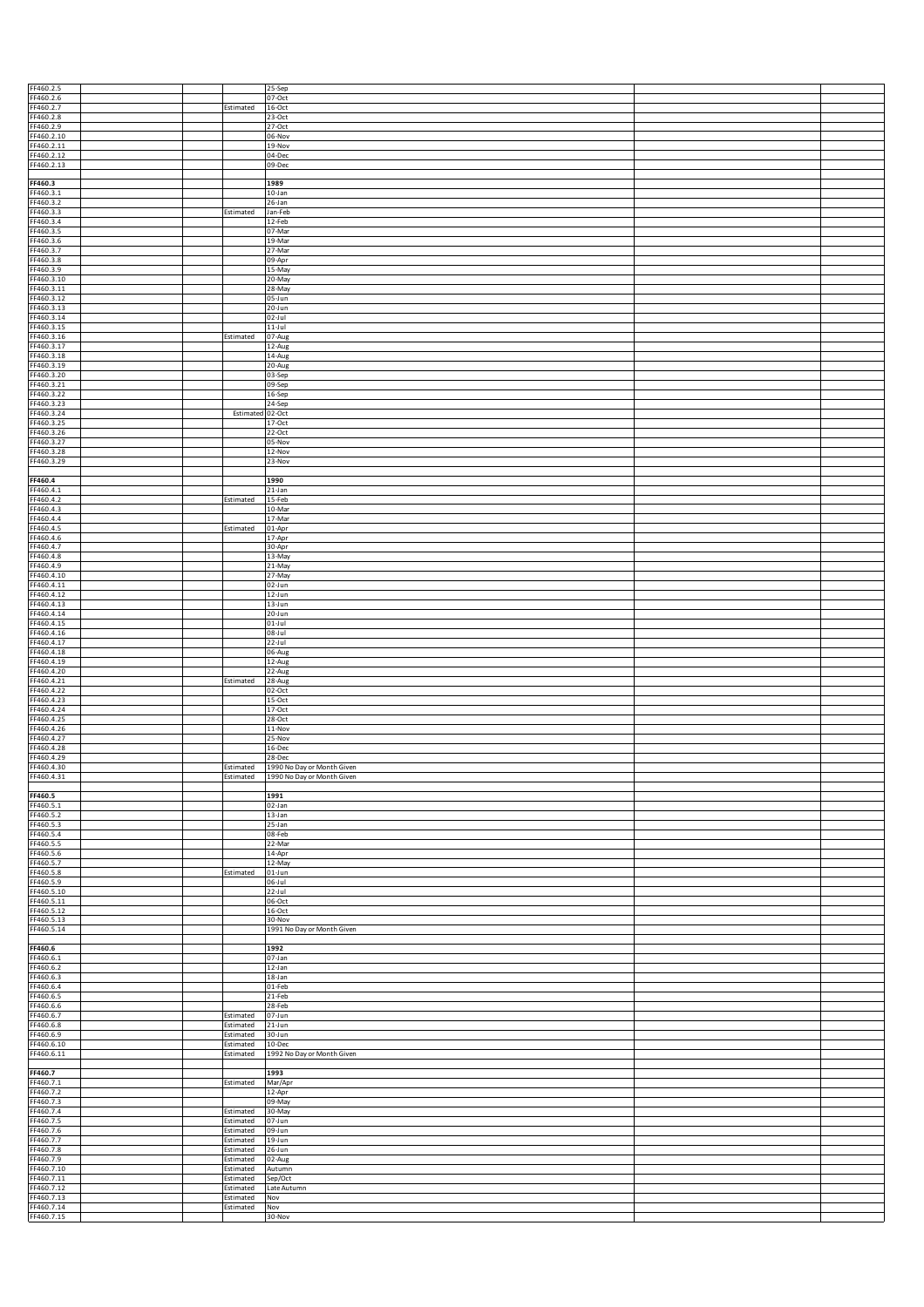| FF460.2.5<br>FF460.2.6   |  |                        | 25-Sep<br>07-Oct           |  |
|--------------------------|--|------------------------|----------------------------|--|
| FF460.2.7                |  | Estimated              | $16$ -Oct                  |  |
| F460.2.8                 |  |                        | $23-Oct$                   |  |
| FF460.2.9                |  |                        | $27-Oct$                   |  |
| FF460.2.10<br>FF460.2.11 |  |                        | 06-Nov                     |  |
| FF460.2.12               |  |                        | 19-Nov<br>04-Dec           |  |
| FF460.2.13               |  |                        | 09-Dec                     |  |
|                          |  |                        |                            |  |
| FF460.3                  |  |                        | 1989                       |  |
| FF460.3.1<br>FF460.3.2   |  |                        | $10-Ian$<br>26-Jan         |  |
| FF460.3.3                |  | Estimated              | Jan-Feb                    |  |
| FF460.3.4                |  |                        | 12-Feb                     |  |
| FF460.3.5                |  |                        | 07-Mar                     |  |
| FF460.3.6                |  |                        | 19-Mar                     |  |
| FF460.3.7<br>FF460.3.8   |  |                        | 27-Mar<br>09-Apr           |  |
| FF460.3.9                |  |                        | 15-May                     |  |
| FF460.3.10               |  |                        | 20-May                     |  |
| FF460.3.11               |  |                        | 28-May                     |  |
| FF460.3.12               |  |                        | 05-Jun                     |  |
| FF460.3.13<br>FF460.3.14 |  |                        | 20-Jun                     |  |
| FF460.3.15               |  |                        | 02-Jul<br>11-Jul           |  |
| FF460.3.16               |  | Estimated              | 07-Aug                     |  |
| FF460.3.17               |  |                        | 12-Aug                     |  |
| FF460.3.18               |  |                        | 14-Aug                     |  |
| FF460.3.19               |  |                        | 20-Aug                     |  |
| FF460.3.20<br>FF460.3.21 |  |                        | 03-Sep<br>09-Sep           |  |
| FF460.3.22               |  |                        | $16-Sep$                   |  |
| FF460.3.23               |  |                        | $24-Sep$                   |  |
| FF460.3.24               |  | Estimated              | 02-Oct                     |  |
| FF460.3.25               |  |                        | 17-Oct                     |  |
| FF460.3.26<br>FF460.3.27 |  |                        | 22-Oct<br>05-Nov           |  |
| FF460.3.28               |  |                        | 12-Nov                     |  |
| FF460.3.29               |  |                        | 23-Nov                     |  |
|                          |  |                        |                            |  |
| FF460.4                  |  |                        | 1990                       |  |
| FF460.4.1                |  |                        | $21$ -Jan                  |  |
| FF460.4.2<br>FF460.4.3   |  | Estimated              | 15-Feb<br>10-Mar           |  |
| FF460.4.4                |  |                        | 17-Mar                     |  |
| FF460.4.5                |  | Estimated              | 01-Apr                     |  |
| FF460.4.6                |  |                        | 17-Apr                     |  |
| FF460.4.7                |  |                        | 30-Apr                     |  |
| FF460.4.8<br>FF460.4.9   |  |                        | 13-May<br>21-May           |  |
| FF460.4.10               |  |                        | 27-May                     |  |
| FF460.4.11               |  |                        | 02-Jun                     |  |
| FF460.4.12               |  |                        | 12-Jun                     |  |
| FF460.4.13               |  |                        | 13-Jun                     |  |
| FF460.4.14               |  |                        | 20-Jun                     |  |
| FF460.4.15<br>FF460.4.16 |  |                        | $01$ -Jul<br>UJ-80         |  |
| FF460.4.17               |  |                        | $22 -$ Jul                 |  |
| FF460.4.18               |  |                        | 06-Aug                     |  |
| FF460.4.19               |  |                        | 12-Aug                     |  |
| FF460.4.20               |  |                        | 22-Aug                     |  |
| FF460.4.21               |  | Estimated              | 28-Aug                     |  |
| FF460.4.22<br>FF460.4.23 |  |                        | 02-Oct<br>15-Oct           |  |
|                          |  |                        | 17-Oct                     |  |
|                          |  |                        |                            |  |
| FF460.4.24               |  |                        |                            |  |
| FF460.4.25<br>FF460.4.26 |  |                        | 28-Oct<br>11-Nov           |  |
| FF460.4.27               |  |                        | $25-Nov$                   |  |
| FF460.4.28               |  |                        | $16 - Dec$                 |  |
| FF460.4.29               |  |                        | $28 - Dec$                 |  |
| FF460.4.30               |  | Estimated              | 1990 No Day or Month Given |  |
| F460.4.31                |  | Estimated              | 1990 No Day or Month Given |  |
| FF460.5                  |  |                        | 1991                       |  |
| FF460.5.1                |  |                        | 02-Jan                     |  |
| FF460.5.2                |  |                        | $13$ -Jan                  |  |
| FF460.5.3                |  |                        | $25 - Jan$                 |  |
| FF460.5.4                |  |                        | 08-Feb<br>22-Mar           |  |
| FF460.5.5<br>FF460.5.6   |  |                        | 14-Apr                     |  |
| FF460.5.7                |  |                        | 12-May                     |  |
| FF460.5.8                |  | Estimated              | 01-Jun                     |  |
| FF460.5.9                |  |                        | 06-Jul                     |  |
| FF460.5.10<br>FF460.5.11 |  |                        | 22-Jul                     |  |
| FF460.5.12               |  |                        | 06-Oct<br>$16 - Oct$       |  |
| FF460.5.13               |  |                        | 30-Nov                     |  |
| FF460.5.14               |  |                        | 1991 No Day or Month Given |  |
|                          |  |                        |                            |  |
| FF460.6                  |  |                        | 1992                       |  |
| FF460.6.1<br>FF460.6.2   |  |                        | 07-Jan<br>12-Jan           |  |
| FF460.6.3                |  |                        | 18-Jan                     |  |
| FF460.6.4                |  |                        | 01-Feb                     |  |
| FF460.6.5                |  |                        | $21-Feb$                   |  |
| FF460.6.6                |  |                        | 28-Feb                     |  |
| FF460.6.7                |  | Estimated              | 07-Jun                     |  |
| FF460.6.8<br>FF460.6.9   |  | Estimated<br>Estimated | 21-Jun<br>30-Jun           |  |
| FF460.6.10               |  | Estimated              | $10$ -Dec                  |  |
| FF460.6.11               |  | Estimated              | 1992 No Day or Month Given |  |
|                          |  |                        |                            |  |
| FF460.7                  |  |                        | 1993                       |  |
| FF460.7.1<br>FF460.7.2   |  | Estimated              | Mar/Apr<br>12-Apr          |  |
| FF460.7.3                |  |                        | 09-May                     |  |
| FF460.7.4                |  | Estimated              | 30-May                     |  |
| FF460.7.5                |  | Estimated              | 07-Jun                     |  |
| FF460.7.6                |  | Estimated              | 09-Jun                     |  |
| FF460.7.7                |  | Estimated              | 19-Jun                     |  |
| FF460.7.8<br>FF460.7.9   |  | Estimated<br>Estimated | 26-Jun<br>02-Aug           |  |
| FF460.7.10               |  | Estimated              | Autumn                     |  |
| FF460.7.11               |  | Estimated              | Sep/Oct                    |  |
| FF460.7.12               |  | Estimated              | Late Autumn                |  |
| FF460.7.13<br>FF460.7.14 |  | Estimated<br>Estimated | Nov<br>Nov                 |  |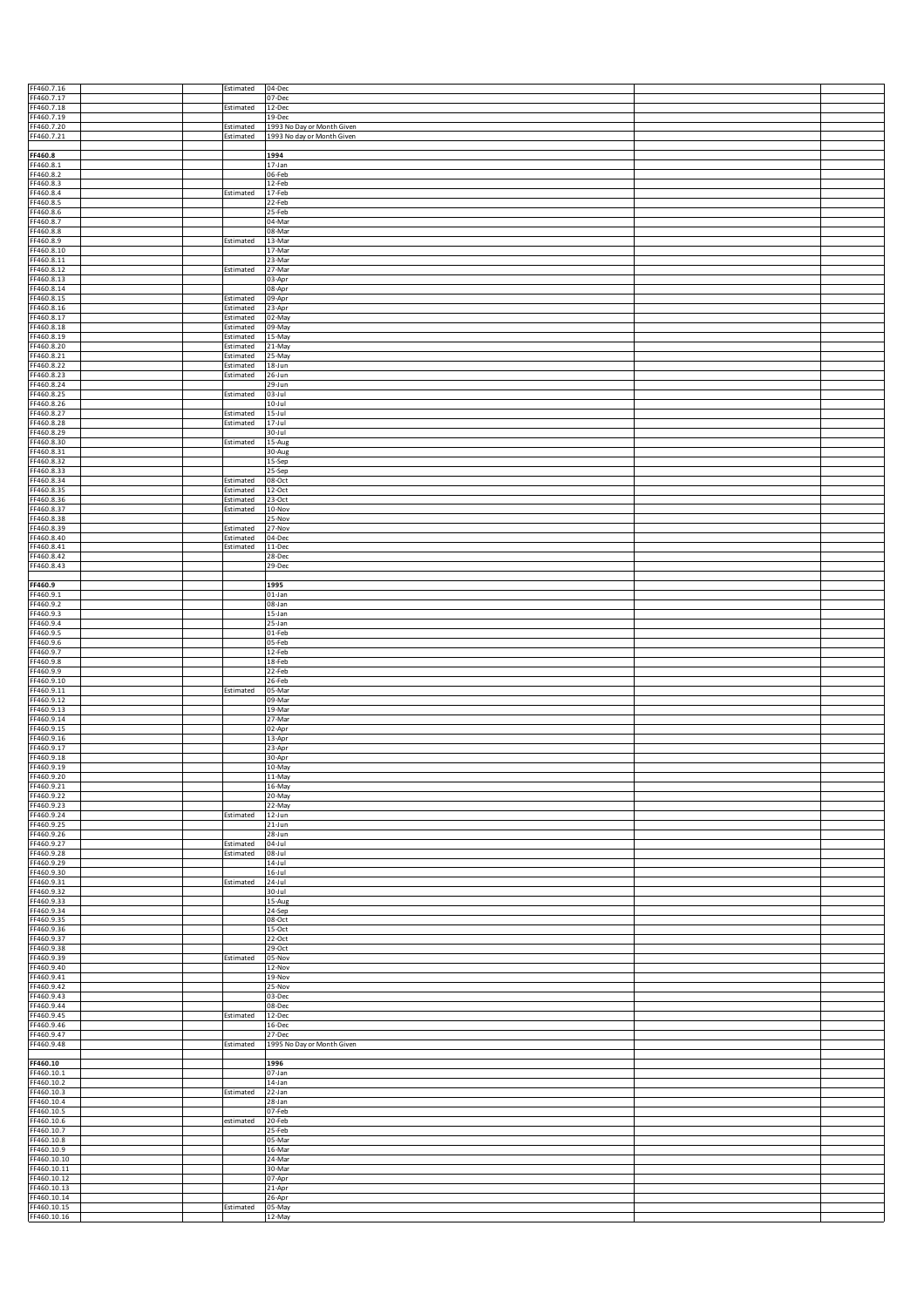| FF460.7.16                 |  |                        |                            |  |
|----------------------------|--|------------------------|----------------------------|--|
|                            |  | Estimated              | 04-Dec<br>07-Dec           |  |
| FF460.7.17<br>FF460.7.18   |  | Estimated              | 12-Dec                     |  |
| FF460.7.19                 |  |                        | 19-Dec                     |  |
| FF460.7.20                 |  | Estimated              | 1993 No Day or Month Given |  |
| FF460.7.21                 |  | Estimated              | 1993 No day or Month Given |  |
|                            |  |                        |                            |  |
| FF460.8<br>FF460.8.1       |  |                        | 1994<br>17-Jan             |  |
| FF460.8.2                  |  |                        | 06-Feb                     |  |
| FF460.8.3                  |  |                        | 12-Feb                     |  |
| FF460.8.4                  |  | Estimated              | 17-Feb                     |  |
| FF460.8.5                  |  |                        | $22-Feb$                   |  |
| FF460.8.6                  |  |                        | 25-Feb                     |  |
| FF460.8.7                  |  |                        | 04-Mar                     |  |
| FF460.8.8                  |  |                        | 08-Mar                     |  |
| FF460.8.9<br>FF460.8.10    |  | Estimated              | 13-Mar<br>17-Mar           |  |
| FF460.8.11                 |  |                        | 23-Mar                     |  |
| FF460.8.12                 |  | Estimated              | 27-Mar                     |  |
| FF460.8.13                 |  |                        | 03-Apr                     |  |
| FF460.8.14                 |  |                        | 08-Apr                     |  |
| FF460.8.15                 |  | Estimated              | 09-Apr                     |  |
| FF460.8.16                 |  | Estimated              | 23-Apr                     |  |
| FF460.8.17                 |  | Estimated              | 02-May                     |  |
| FF460.8.18<br>FF460.8.19   |  | Estimated<br>Estimated | 09-May<br>15-May           |  |
| FF460.8.20                 |  | Estimated              | 21-May                     |  |
| FF460.8.21                 |  | Estimated              | 25-May                     |  |
| FF460.8.22                 |  | Estimated              | 18-Jun                     |  |
| FF460.8.23                 |  | Estimated              | $26 - Jun$                 |  |
| FF460.8.24                 |  |                        | $29 - Jun$                 |  |
| FF460.8.25                 |  | Estimated              | 03-Jul                     |  |
| FF460.8.26                 |  |                        | $10 -$ Jul                 |  |
| FF460.8.27                 |  | Estimated              | $15 -$ Jul                 |  |
| FF460.8.28<br>FF460.8.29   |  | Estimated              | 17-Jul<br>$30 - Ju$        |  |
| FF460.8.30                 |  | Estimated              | 15-Aug                     |  |
| FF460.8.31                 |  |                        | 30-Aug                     |  |
| FF460.8.32                 |  |                        | 15-Sep                     |  |
| FF460.8.33                 |  |                        | 25-Sep                     |  |
| FF460.8.34                 |  | Estimated              | 08-Oct                     |  |
| FF460.8.35                 |  | Estimated              | 12-Oct                     |  |
| FF460.8.36                 |  | Estimated              | 23-Oct                     |  |
| FF460.8.37                 |  | Estimated              | 10-Nov                     |  |
| FF460.8.38<br>FF460.8.39   |  |                        | 25-Nov                     |  |
| FF460.8.40                 |  | Estimated<br>Estimated | 27-Nov<br>04-Dec           |  |
| FF460.8.41                 |  | Estimated              | 11-Dec                     |  |
| FF460.8.42                 |  |                        | 28-Dec                     |  |
| FF460.8.43                 |  |                        | 29-Dec                     |  |
|                            |  |                        |                            |  |
| FF460.9                    |  |                        | 1995                       |  |
| FF460.9.1                  |  |                        | 01-Jan                     |  |
| FF460.9.2                  |  |                        | 08-Jan                     |  |
| FF460.9.3                  |  |                        | $15$ -Jan                  |  |
| FF460.9.4<br>FF460.9.5     |  |                        | $25 - Jan$<br>01-Feb       |  |
| FF460.9.6                  |  |                        | 05-Feb                     |  |
| FF460.9.7                  |  |                        | 12-Feb                     |  |
| FF460.9.8                  |  |                        | 18-Feb                     |  |
| FF460.9.9                  |  |                        | 22-Feb                     |  |
| FF460.9.10                 |  |                        | 26-Feb                     |  |
| FF460.9.11                 |  | Estimated              | 05-Mar                     |  |
| FF460.9.12                 |  |                        | 09-Mar                     |  |
| FF460.9.13                 |  |                        | 19-Mar                     |  |
| FF460.9.14<br>FF460.9.15   |  |                        | 27-Mar                     |  |
|                            |  |                        | 02-Apr<br>$13$ -Apr        |  |
|                            |  |                        |                            |  |
| FF460.9.16                 |  |                        |                            |  |
| FF460.9.17                 |  |                        | 23-Apr                     |  |
| FF460.9.18                 |  |                        | 30-Apr                     |  |
| FF460.9.19<br>FF460.9.20   |  |                        | 10-May<br>11-May           |  |
| FF460.9.21                 |  |                        | 16-May                     |  |
| FF460.9.22                 |  |                        | 20-May                     |  |
| FF460.9.23                 |  |                        | 22-May                     |  |
| FF460.9.24                 |  | Estimated              | $12 - Jun$                 |  |
| FF460.9.25                 |  |                        | 21-Jun                     |  |
| FF460.9.26                 |  |                        | 28-Jun                     |  |
| FF460.9.27<br>FF460.9.28   |  | Estimated<br>Estimated | 04-Jul<br>$08 -$ Jul       |  |
| FF460.9.29                 |  |                        | $14 -$ Jul                 |  |
| FF460.9.30                 |  |                        | $16 -$ Jul                 |  |
| FF460.9.31                 |  | Estimated              | $24 -$ Jul                 |  |
| FF460.9.32                 |  |                        | $30 -$ Jul                 |  |
| FF460.9.33                 |  |                        | 15-Aug                     |  |
| FF460.9.34                 |  |                        | $24-Sep$                   |  |
| FF460.9.35                 |  |                        | 08-Oct                     |  |
| FF460.9.36<br>FF460.9.37   |  |                        | 15-Oct<br>22-Oct           |  |
| FF460.9.38                 |  |                        | 29-Oct                     |  |
| FF460.9.39                 |  | Estimated              | 05-Nov                     |  |
| FF460.9.40                 |  |                        | 12-Nov                     |  |
| FF460.9.41                 |  |                        | 19-Nov                     |  |
| FF460.9.42                 |  |                        | 25-Nov                     |  |
| FF460.9.43                 |  |                        | 03-Dec                     |  |
| FF460.9.44                 |  |                        | 08-Dec                     |  |
| FF460.9.45                 |  | Estimated              | 12-Dec                     |  |
| FF460.9.46<br>FF460.9.47   |  |                        | 16-Dec<br>27-Dec           |  |
| FF460.9.48                 |  | Estimated              | 1995 No Day or Month Given |  |
|                            |  |                        |                            |  |
| FF460.10                   |  |                        | 1996                       |  |
| FF460.10.1                 |  |                        | 07-Jan                     |  |
| FF460.10.2                 |  |                        | 14-Jan                     |  |
| FF460.10.3                 |  | Estimated              | $22$ -Jan                  |  |
| FF460.10.4                 |  |                        | 28-Jan                     |  |
| FF460.10.5                 |  |                        | 07-Feb                     |  |
| FF460.10.6<br>FF460.10.7   |  | estimated              | 20-Feb<br>25-Feb           |  |
| FF460.10.8                 |  |                        | 05-Mar                     |  |
| FF460.10.9                 |  |                        | 16-Mar                     |  |
| FF460.10.10                |  |                        | 24-Mar                     |  |
| FF460.10.11                |  |                        | 30-Mar                     |  |
| FF460.10.12                |  |                        | 07-Apr                     |  |
| FF460.10.13                |  |                        | 21-Apr                     |  |
| FF460.10.14<br>FF460.10.15 |  | Estimated              | 26-Apr<br>05-May           |  |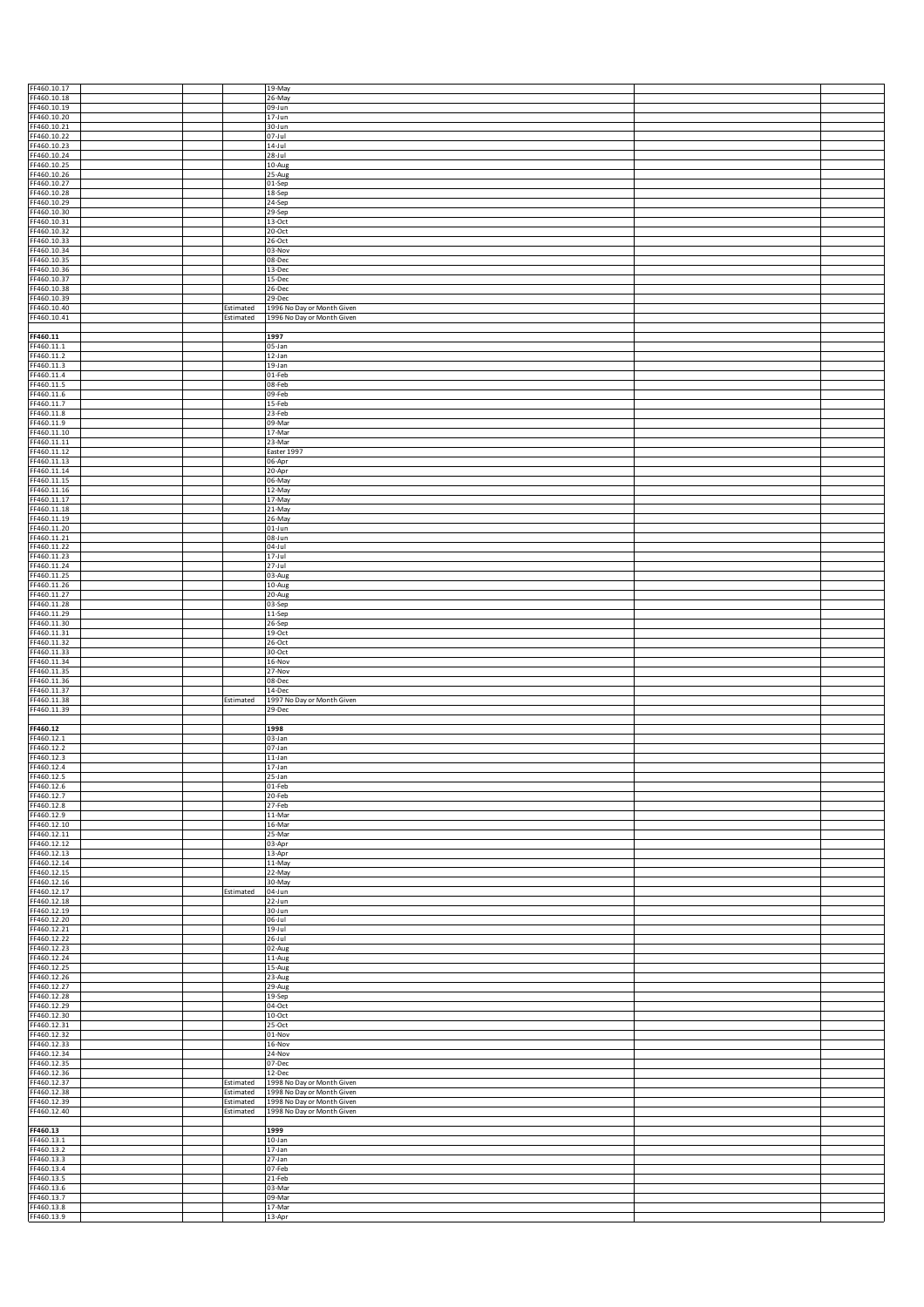| FF460.10.17<br>FF460.10.18                                                                                                                                                                               |                        | 19-May<br>26-May                                         |  |
|----------------------------------------------------------------------------------------------------------------------------------------------------------------------------------------------------------|------------------------|----------------------------------------------------------|--|
| FF460.10.19                                                                                                                                                                                              |                        | 09-Jun                                                   |  |
| FF460.10.20                                                                                                                                                                                              |                        | $17 - Jun$                                               |  |
| FF460.10.21                                                                                                                                                                                              |                        | $30 - Jun$                                               |  |
| FF460.10.22                                                                                                                                                                                              |                        | 07-Jul                                                   |  |
| FF460.10.23<br>FF460.10.24                                                                                                                                                                               |                        | 14-Jul<br>28-Jul                                         |  |
| FF460.10.25                                                                                                                                                                                              |                        | 10-Aug                                                   |  |
| FF460.10.26                                                                                                                                                                                              |                        | 25-Aug                                                   |  |
| FF460.10.27                                                                                                                                                                                              |                        | 01-Sep                                                   |  |
| FF460.10.28                                                                                                                                                                                              |                        | 18-Sep                                                   |  |
| FF460.10.29<br>FF460.10.30                                                                                                                                                                               |                        | 24-Sep<br>29-Sep                                         |  |
| FF460.10.31                                                                                                                                                                                              |                        | 13-Oct                                                   |  |
| FF460.10.32                                                                                                                                                                                              |                        | 20-Oct                                                   |  |
| FF460.10.33                                                                                                                                                                                              |                        | 26-Oct                                                   |  |
| FF460.10.34<br>FF460.10.35                                                                                                                                                                               |                        | 03-Nov<br>08-Dec                                         |  |
| FF460.10.36                                                                                                                                                                                              |                        | 13-Dec                                                   |  |
| FF460.10.37                                                                                                                                                                                              |                        | 15-Dec                                                   |  |
| FF460.10.38                                                                                                                                                                                              |                        | 26-Dec                                                   |  |
| FF460.10.39                                                                                                                                                                                              |                        | 29-Dec                                                   |  |
| FF460.10.40<br>FF460.10.41                                                                                                                                                                               | Estimated<br>Estimated | 1996 No Day or Month Given<br>1996 No Day or Month Given |  |
|                                                                                                                                                                                                          |                        |                                                          |  |
| FF460.11                                                                                                                                                                                                 |                        | 1997                                                     |  |
| FF460.11.1                                                                                                                                                                                               |                        | 05-Jan                                                   |  |
| FF460.11.2                                                                                                                                                                                               |                        | 12-Jan                                                   |  |
| FF460.11.3<br>FF460.11.4                                                                                                                                                                                 |                        | 19-Jan<br>01-Feb                                         |  |
| FF460.11.5                                                                                                                                                                                               |                        | 08-Feb                                                   |  |
| FF460.11.6                                                                                                                                                                                               |                        | 09-Feb                                                   |  |
| FF460.11.7                                                                                                                                                                                               |                        | 15-Feb                                                   |  |
| FF460.11.8                                                                                                                                                                                               |                        | 23-Feb                                                   |  |
| FF460.11.9<br>FF460.11.10                                                                                                                                                                                |                        | 09-Mar<br>17-Mar                                         |  |
| FF460.11.11                                                                                                                                                                                              |                        | 23-Mar                                                   |  |
| FF460.11.12                                                                                                                                                                                              |                        | Easter 1997                                              |  |
| FF460.11.13                                                                                                                                                                                              |                        | 06-Apr                                                   |  |
| FF460.11.14                                                                                                                                                                                              |                        | 20-Apr                                                   |  |
| FF460.11.15<br>FF460.11.16                                                                                                                                                                               |                        | 06-May<br>12-May                                         |  |
| FF460.11.17                                                                                                                                                                                              |                        | 17-May                                                   |  |
| FF460.11.18                                                                                                                                                                                              |                        | 21-May                                                   |  |
| FF460.11.19                                                                                                                                                                                              |                        | 26-May                                                   |  |
| FF460.11.20                                                                                                                                                                                              |                        | $01$ -Jun                                                |  |
| FF460.11.21<br>FF460.11.22                                                                                                                                                                               |                        | 08-Jun<br>$04 -$ Jul                                     |  |
| FF460.11.23                                                                                                                                                                                              |                        | $17 -$ Jul                                               |  |
| FF460.11.24                                                                                                                                                                                              |                        | $27 -$ Jul                                               |  |
| FF460.11.25                                                                                                                                                                                              |                        | 03-Aug                                                   |  |
| FF460.11.26                                                                                                                                                                                              |                        | 10-Aug                                                   |  |
| FF460.11.27<br>FF460.11.28                                                                                                                                                                               |                        | 20-Aug<br>03-Sep                                         |  |
| FF460.11.29                                                                                                                                                                                              |                        | 11-Sep                                                   |  |
| FF460.11.30                                                                                                                                                                                              |                        | 26-Sep                                                   |  |
| FF460.11.31                                                                                                                                                                                              |                        | $19$ -Oct                                                |  |
| FF460.11.32                                                                                                                                                                                              |                        | $26 - Oct$                                               |  |
| FF460.11.33                                                                                                                                                                                              |                        | 30-Oct                                                   |  |
| FF460.11.34<br>FF460.11.35                                                                                                                                                                               |                        | 16-Nov<br>27-Nov                                         |  |
| FF460.11.36                                                                                                                                                                                              |                        | 08-Dec                                                   |  |
| FF460.11.37                                                                                                                                                                                              |                        | 14-Dec                                                   |  |
| FF460.11.38                                                                                                                                                                                              | Estimated              | 1997 No Day or Month Given                               |  |
| FF460.11.39                                                                                                                                                                                              |                        | 29-Dec                                                   |  |
|                                                                                                                                                                                                          |                        |                                                          |  |
|                                                                                                                                                                                                          |                        |                                                          |  |
| FF460.12                                                                                                                                                                                                 |                        | 1998                                                     |  |
| FF460.12.1<br>FF460.12.2                                                                                                                                                                                 |                        | $03$ -Jan<br>07-Jan                                      |  |
| FF460.12.3                                                                                                                                                                                               |                        | $11$ -Jan                                                |  |
| FF460.12.4                                                                                                                                                                                               |                        | 17-Jan                                                   |  |
| FF460.12.5                                                                                                                                                                                               |                        | 25-Jan                                                   |  |
| FF460.12.6                                                                                                                                                                                               |                        | 01-Feb                                                   |  |
| FF460.12.7<br>FF460.12.8                                                                                                                                                                                 |                        | 20-Feb<br>27-Feb                                         |  |
|                                                                                                                                                                                                          |                        | 11-Mar                                                   |  |
| FF460.12.9<br>FF460.12.10                                                                                                                                                                                |                        | 16-Mar                                                   |  |
| FF460.12.11                                                                                                                                                                                              |                        | 25-Mar                                                   |  |
|                                                                                                                                                                                                          |                        | 03-Apr                                                   |  |
| FF460.12.12<br>FF460.12.13<br>FF460.12.14                                                                                                                                                                |                        | 13-Apr<br>11-May                                         |  |
| FF460.12.15                                                                                                                                                                                              |                        | 22-May                                                   |  |
| FF460.12.16                                                                                                                                                                                              |                        | 30-May                                                   |  |
| FF460.12.17                                                                                                                                                                                              | Estimated              | 04-Jun                                                   |  |
| FF460.12.18<br>FF460.12.19                                                                                                                                                                               |                        | 22-Jun<br>$30 - Jun$                                     |  |
| FF460.12.20                                                                                                                                                                                              |                        | 06-Jul                                                   |  |
| FF460.12.21                                                                                                                                                                                              |                        | $19 -$ Jul                                               |  |
| FF460.12.22                                                                                                                                                                                              |                        | $26 -$ Jul                                               |  |
| FF460.12.23                                                                                                                                                                                              |                        | 02-Aug                                                   |  |
| FF460.12.24<br>FF460.12.25                                                                                                                                                                               |                        | 11-Aug<br>15-Aug                                         |  |
|                                                                                                                                                                                                          |                        | 23-Aug                                                   |  |
|                                                                                                                                                                                                          |                        | 29-Aug                                                   |  |
| FF460.12.26<br>FF460.12.27<br>FF460.12.28                                                                                                                                                                |                        | 19-Sep                                                   |  |
| FF460.12.29<br>FF460.12.30                                                                                                                                                                               |                        | 04-Oct<br>$10-Oct$                                       |  |
|                                                                                                                                                                                                          |                        | $25-Oct$                                                 |  |
|                                                                                                                                                                                                          |                        | 01-Nov                                                   |  |
|                                                                                                                                                                                                          |                        | 16-Nov                                                   |  |
|                                                                                                                                                                                                          |                        | 24-Nov                                                   |  |
|                                                                                                                                                                                                          |                        | 07-Dec<br>12-Dec                                         |  |
|                                                                                                                                                                                                          | Estimated              | 1998 No Day or Month Given                               |  |
|                                                                                                                                                                                                          | Estimated              | 1998 No Day or Month Given                               |  |
|                                                                                                                                                                                                          | Estimated              | 1998 No Day or Month Given                               |  |
|                                                                                                                                                                                                          | Estimated              | 1998 No Day or Month Given                               |  |
|                                                                                                                                                                                                          |                        | 1999                                                     |  |
|                                                                                                                                                                                                          |                        | $10$ -Jan                                                |  |
|                                                                                                                                                                                                          |                        | 17-Jan                                                   |  |
| FF460.12.31<br>FF460.12.32<br>FF460.12.33<br>FF460.12.34<br>FF460.12.35<br>FF460.12.36<br>FF460.12.37<br>FF460.12.38<br>FF460.12.39<br>FF460.12.40<br>FF460.13<br>FF460.13.1<br>FF460.13.2<br>FF460.13.3 |                        | 27-Jan                                                   |  |
|                                                                                                                                                                                                          |                        | 07-Feb                                                   |  |
| FF460.13.4<br>FF460.13.5                                                                                                                                                                                 |                        | $21-Feb$                                                 |  |
| FF460.13.6<br>FF460.13.7                                                                                                                                                                                 |                        | 03-Mar<br>09-Mar                                         |  |
| FF460.13.8<br>FF460.13.9                                                                                                                                                                                 |                        | 17-Mar<br>13-Apr                                         |  |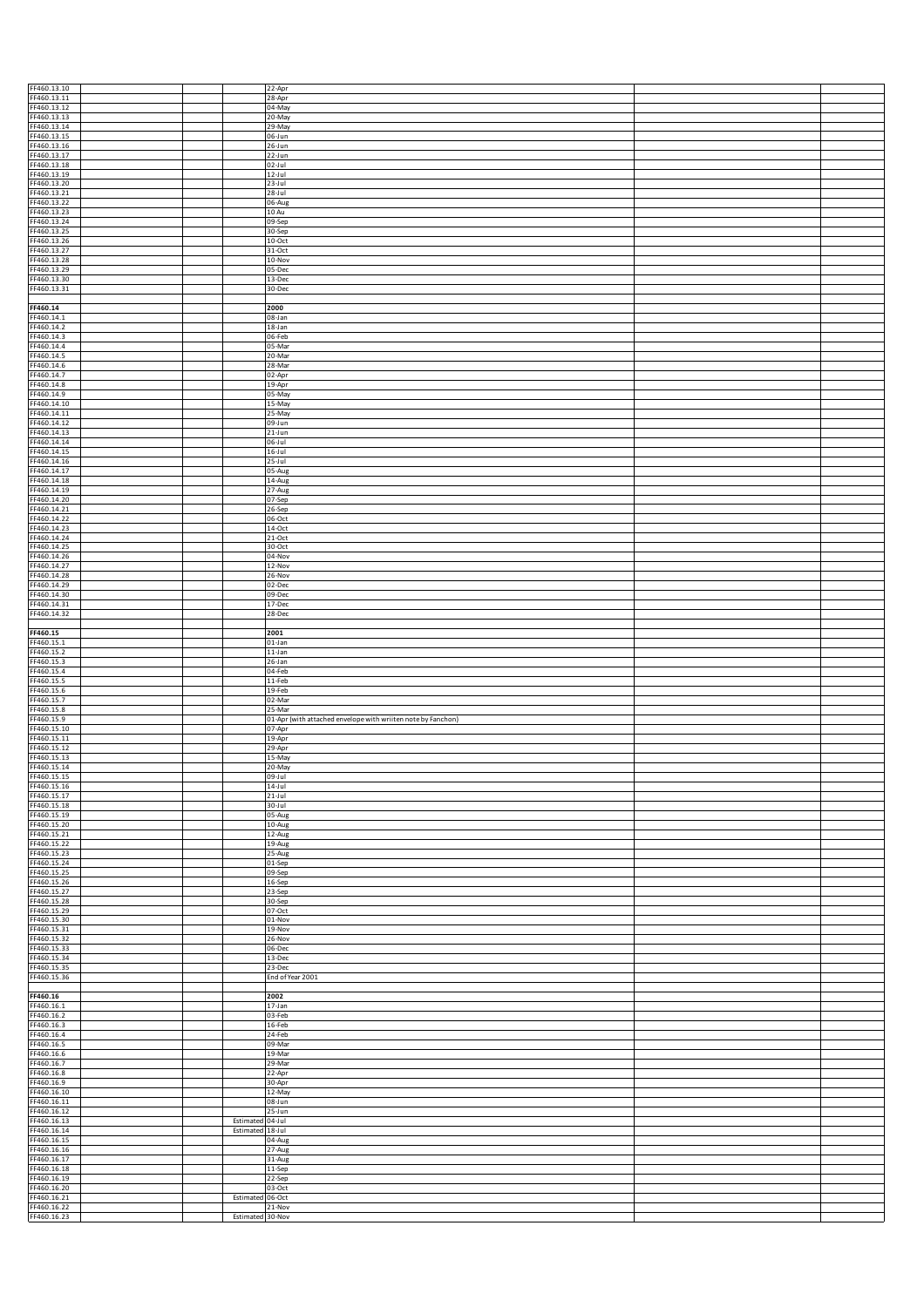| FF460.13.10<br>FF460.13.11                                                                                                                  |                  | 22-Apr<br>28-Apr                                                       |  |
|---------------------------------------------------------------------------------------------------------------------------------------------|------------------|------------------------------------------------------------------------|--|
| FF460.13.12                                                                                                                                 |                  | 04-May                                                                 |  |
| FF460.13.13                                                                                                                                 |                  | 20-May                                                                 |  |
| FF460.13.14                                                                                                                                 |                  | 29-May                                                                 |  |
| FF460.13.15                                                                                                                                 |                  | 06-Jun                                                                 |  |
| FF460.13.16                                                                                                                                 |                  | 26-Jun                                                                 |  |
| FF460.13.17<br>FF460.13.18                                                                                                                  |                  | 22-Jun<br>02-Jul                                                       |  |
| FF460.13.19                                                                                                                                 |                  | $12 -$ Jul                                                             |  |
| FF460.13.20                                                                                                                                 |                  | $23 -$ Jul                                                             |  |
| FF460.13.21                                                                                                                                 |                  | $28 -$ Jul                                                             |  |
| FF460.13.22                                                                                                                                 |                  | 06-Aug                                                                 |  |
| FF460.13.23                                                                                                                                 |                  | 10 Au                                                                  |  |
| FF460.13.24<br>FF460.13.25                                                                                                                  |                  | 09-Sep<br>30-Sep                                                       |  |
| FF460.13.26                                                                                                                                 |                  | 10-Oct                                                                 |  |
| FF460.13.27                                                                                                                                 |                  | 31-Oct                                                                 |  |
| FF460.13.28                                                                                                                                 |                  | 10-Nov                                                                 |  |
| FF460.13.29                                                                                                                                 |                  | 05-Dec                                                                 |  |
| FF460.13.30                                                                                                                                 |                  | 13-Dec                                                                 |  |
| FF460.13.31                                                                                                                                 |                  | 30-Dec                                                                 |  |
| FF460.14                                                                                                                                    |                  | 2000                                                                   |  |
| FF460.14.1                                                                                                                                  |                  | 08-Jan                                                                 |  |
| FF460.14.2                                                                                                                                  |                  | 18-Jan                                                                 |  |
| FF460.14.3                                                                                                                                  |                  | 06-Feb                                                                 |  |
| FF460.14.4                                                                                                                                  |                  | 05-Mar                                                                 |  |
| FF460.14.5                                                                                                                                  |                  | 20-Mar                                                                 |  |
| FF460.14.6<br>FF460.14.7                                                                                                                    |                  | 28-Mar<br>02-Apr                                                       |  |
| FF460.14.8                                                                                                                                  |                  | 19-Apr                                                                 |  |
| FF460.14.9                                                                                                                                  |                  | 05-May                                                                 |  |
| FF460.14.10                                                                                                                                 |                  | 15-May                                                                 |  |
| FF460.14.11                                                                                                                                 |                  | 25-May                                                                 |  |
| FF460.14.12                                                                                                                                 |                  | 09-Jun                                                                 |  |
| FF460.14.13                                                                                                                                 |                  | 21-Jun                                                                 |  |
| FF460.14.14<br>FF460.14.15                                                                                                                  |                  | 06-Jul<br>$16 -$ Jul                                                   |  |
| FF460.14.16                                                                                                                                 |                  | 25-Jul                                                                 |  |
| FF460.14.17                                                                                                                                 |                  | 05-Aug                                                                 |  |
| FF460.14.18                                                                                                                                 |                  | 14-Aug                                                                 |  |
| FF460.14.19                                                                                                                                 |                  | 27-Aug                                                                 |  |
| FF460.14.20                                                                                                                                 |                  | 07-Sep                                                                 |  |
| FF460.14.21                                                                                                                                 |                  | 26-Sep                                                                 |  |
| FF460.14.22<br>FF460.14.23                                                                                                                  |                  | 06-Oct                                                                 |  |
| FF460.14.24                                                                                                                                 |                  | 14-Oct<br>21-Oct                                                       |  |
| FF460.14.25                                                                                                                                 |                  | 30-Oct                                                                 |  |
| FF460.14.26                                                                                                                                 |                  | 04-Nov                                                                 |  |
| FF460.14.27                                                                                                                                 |                  | 12-Nov                                                                 |  |
| FF460.14.28                                                                                                                                 |                  | $26 - Nov$                                                             |  |
| FF460.14.29                                                                                                                                 |                  | 02-Dec                                                                 |  |
| FF460.14.30                                                                                                                                 |                  | 09-Dec                                                                 |  |
| FF460.14.31                                                                                                                                 |                  | 17-Dec                                                                 |  |
| FF460.14.32                                                                                                                                 |                  | 28-Dec                                                                 |  |
| FF460.15                                                                                                                                    |                  | 2001                                                                   |  |
| FF460.15.1                                                                                                                                  |                  | $01$ -Jan                                                              |  |
| FF460.15.2                                                                                                                                  |                  | $11$ -Jan                                                              |  |
| FF460.15.3                                                                                                                                  |                  | $26$ -Jan                                                              |  |
|                                                                                                                                             |                  |                                                                        |  |
|                                                                                                                                             |                  | 04-Feb                                                                 |  |
|                                                                                                                                             |                  | 11-Feb                                                                 |  |
|                                                                                                                                             |                  | 19-Feb                                                                 |  |
| FF460.15.4<br>FF460.15.5<br>FF460.15.6<br>FF460.15.7                                                                                        |                  | 02-Mar                                                                 |  |
| FF460.15.8                                                                                                                                  |                  | 25-Mar                                                                 |  |
| FF460.15.9<br>FF460.15.10                                                                                                                   |                  | 01-Apr (with attached envelope with wriiten note by Fanchon)<br>07-Apr |  |
| FF460.15.11                                                                                                                                 |                  | 19-Apr                                                                 |  |
| FF460.15.12                                                                                                                                 |                  | $29 - Apr$                                                             |  |
| FF460.15.13                                                                                                                                 |                  | 15-May                                                                 |  |
| FF460.15.14                                                                                                                                 |                  | 20-May                                                                 |  |
| FF460.15.15                                                                                                                                 |                  | 09-Jul                                                                 |  |
| FF460.15.16<br>FF460.15.17                                                                                                                  |                  | $14 -$ Jul<br>$21 -$ Jul                                               |  |
| FF460.15.18                                                                                                                                 |                  | $30 -$ Jul                                                             |  |
|                                                                                                                                             |                  | 05-Aug                                                                 |  |
| FF460.15.19<br>FF460.15.20                                                                                                                  |                  | 10-Aug                                                                 |  |
| FF460.15.21                                                                                                                                 |                  | 12-Aug                                                                 |  |
| FF460.15.22                                                                                                                                 |                  | $19-Aug$                                                               |  |
| FF460.15.23                                                                                                                                 |                  | 25-Aug                                                                 |  |
| FF460.15.24<br>FF460.15.25                                                                                                                  |                  | 01-Sep<br>09-Sep                                                       |  |
| FF460.15.26                                                                                                                                 |                  | 16-Sep                                                                 |  |
| FF460.15.27                                                                                                                                 |                  | 23-Sep                                                                 |  |
| FF460.15.28                                                                                                                                 |                  | 30-Sep                                                                 |  |
| FF460.15.29                                                                                                                                 |                  | 07-Oct                                                                 |  |
| FF460.15.30                                                                                                                                 |                  | $01-Nov$                                                               |  |
| FF460.15.31<br>FF460.15.32                                                                                                                  |                  | 19-Nov<br>26-Nov                                                       |  |
| FF460.15.33                                                                                                                                 |                  | 06-Dec                                                                 |  |
| FF460.15.34                                                                                                                                 |                  | 13-Dec                                                                 |  |
| FF460.15.35                                                                                                                                 |                  | 23-Dec                                                                 |  |
| FF460.15.36                                                                                                                                 |                  | End of Year 2001                                                       |  |
|                                                                                                                                             |                  |                                                                        |  |
|                                                                                                                                             |                  | 2002                                                                   |  |
| FF460.16<br>FF460.16.1<br>FF460.16.2                                                                                                        |                  | $17-Ian$<br>03-Feb                                                     |  |
|                                                                                                                                             |                  | 16-Feb                                                                 |  |
|                                                                                                                                             |                  | 24-Feb                                                                 |  |
|                                                                                                                                             |                  | 09-Mar                                                                 |  |
|                                                                                                                                             |                  | 19-Mar                                                                 |  |
|                                                                                                                                             |                  | 29-Mar                                                                 |  |
|                                                                                                                                             |                  | 22-Apr                                                                 |  |
|                                                                                                                                             |                  | 30-Apr                                                                 |  |
|                                                                                                                                             |                  | 12-May<br>08-Jun                                                       |  |
| FF460.16.3<br>FF460.16.4<br>FF460.16.5<br>FF460.16.6<br>FF460.16.7<br>FF460.16.8<br>FF460.16.9<br>FF460.16.10<br>FF460.16.11<br>FF460.16.12 |                  | $25 - Jun$                                                             |  |
|                                                                                                                                             | Estimated 04-Jul |                                                                        |  |
| FF460.16.13<br>FF460.16.14                                                                                                                  | Estimated 18-Jul |                                                                        |  |
| FF460.16.15                                                                                                                                 |                  | 04-Aug                                                                 |  |
|                                                                                                                                             |                  | 27-Aug                                                                 |  |
| FF460.16.16<br>FF460.16.17                                                                                                                  |                  | 31-Aug                                                                 |  |
| FF460.16.18<br>FF460.16.19                                                                                                                  |                  | 11-Sep                                                                 |  |
| FF460.16.20                                                                                                                                 |                  | 22-Sep<br>03-Oct                                                       |  |
| FF460.16.21                                                                                                                                 | Estimated 06-Oct |                                                                        |  |
| FF460.16.22<br>FF460.16.23                                                                                                                  | Estimated 30-Nov | 21-Nov                                                                 |  |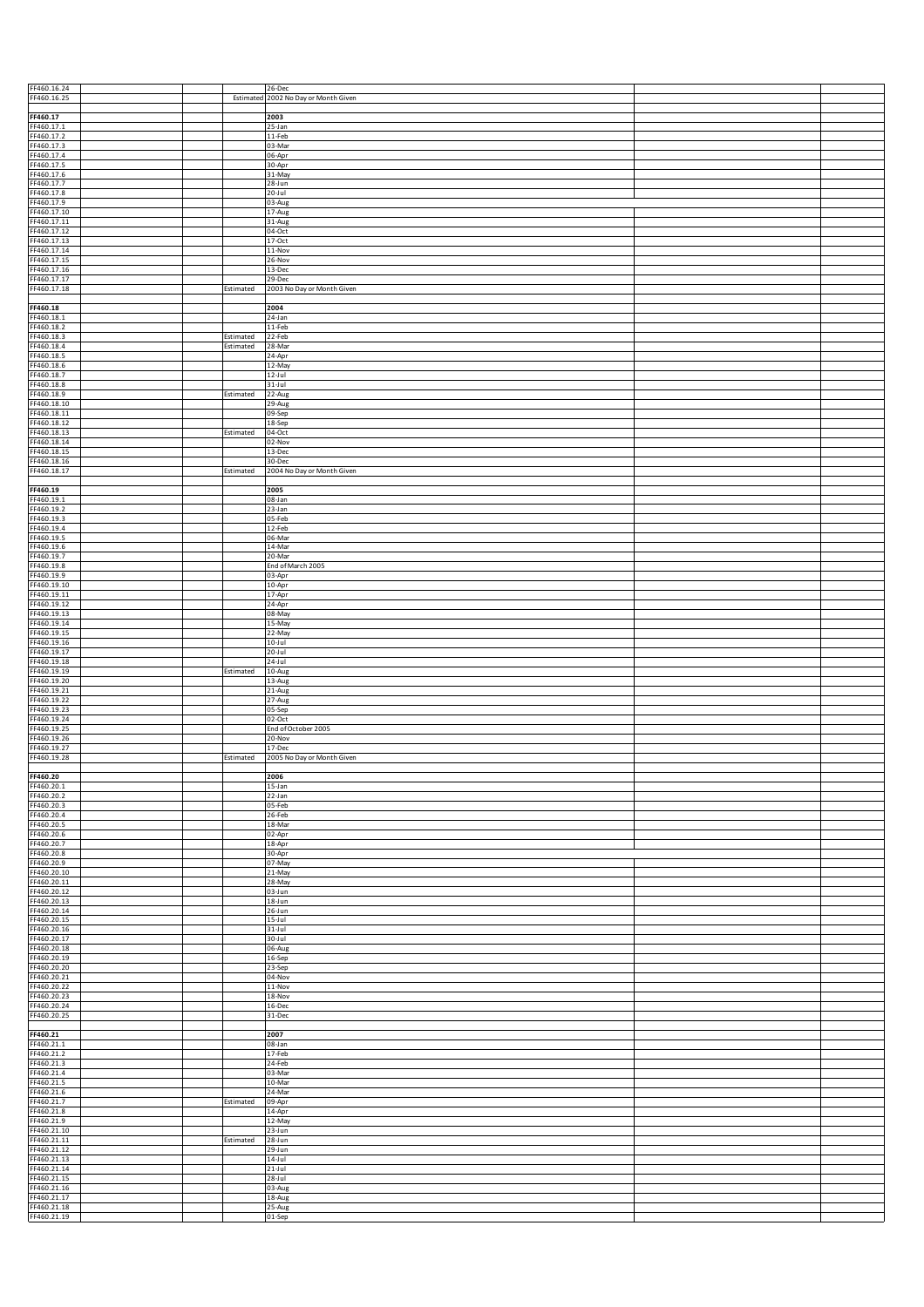| FF460.16.24                               |  |                        |                                      |  |
|-------------------------------------------|--|------------------------|--------------------------------------|--|
| FF460.16.25                               |  | Estimated              | 26-Dec<br>2002 No Day or Month Given |  |
|                                           |  |                        |                                      |  |
| FF460.17                                  |  |                        | 2003                                 |  |
| FF460.17.1<br>FF460.17.2                  |  |                        | $25 - Jan$<br>11-Feb                 |  |
| FF460.17.3                                |  |                        | 03-Mar                               |  |
| FF460.17.4<br>FF460.17.5                  |  |                        | 06-Apr<br>30-Apr                     |  |
| FF460.17.6                                |  |                        | 31-May                               |  |
| FF460.17.7                                |  |                        | 28-Jun                               |  |
| FF460.17.8<br>FF460.17.9                  |  |                        | $20 -$ Jul<br>03-Aug                 |  |
| FF460.17.10                               |  |                        | 17-Aug                               |  |
| FF460.17.11                               |  |                        | 31-Aug                               |  |
| FF460.17.12<br>FF460.17.13                |  |                        | 04-Oct<br>17-Oct                     |  |
| FF460.17.14                               |  |                        | 11-Nov                               |  |
| FF460.17.15<br>FF460.17.16                |  |                        | 26-Nov<br>13-Dec                     |  |
| FF460.17.17                               |  |                        | 29-Dec                               |  |
| FF460.17.18                               |  | Estimated              | 2003 No Day or Month Given           |  |
| FF460.18                                  |  |                        | 2004                                 |  |
| FF460.18.1                                |  |                        | 24-Jan                               |  |
| FF460.18.2                                |  |                        | 11-Feb                               |  |
| FF460.18.3<br>FF460.18.4                  |  | Estimated<br>Estimated | 22-Feb<br>28-Mar                     |  |
| FF460.18.5                                |  |                        | 24-Apr                               |  |
| FF460.18.6<br>FF460.18.7                  |  |                        | 12-May<br>$12 -$ Jul                 |  |
| FF460.18.8                                |  |                        | $31 -$ Jul                           |  |
| FF460.18.9                                |  | Estimated              | 22-Aug                               |  |
| FF460.18.10<br>FF460.18.11                |  |                        | $29-Aug$<br>09-Sep                   |  |
| FF460.18.12                               |  |                        | 18-Sep                               |  |
| FF460.18.13                               |  | Estimated              | 04-Oct                               |  |
| FF460.18.14<br>FF460.18.15                |  |                        | 02-Nov<br>13-Dec                     |  |
| FF460.18.16                               |  |                        | 30-Dec                               |  |
| FF460.18.17                               |  | Estimated              | 2004 No Day or Month Given           |  |
| FF460.19                                  |  |                        | 2005                                 |  |
| FF460.19.1                                |  |                        | 08-Jan                               |  |
| FF460.19.2<br>FF460.19.3                  |  |                        | 23-Jan<br>05-Feb                     |  |
| FF460.19.4                                |  |                        | 12-Feb                               |  |
| FF460.19.5                                |  |                        | 06-Mar                               |  |
| FF460.19.6<br>FF460.19.7                  |  |                        | 14-Mar<br>20-Mar                     |  |
| FF460.19.8                                |  |                        | End of March 2005                    |  |
| FF460.19.9                                |  |                        | 03-Apr                               |  |
| FF460.19.10<br>FF460.19.11                |  |                        | 10-Apr<br>17-Apr                     |  |
| FF460.19.12                               |  |                        | 24-Apr                               |  |
| FF460.19.13                               |  |                        | 08-May                               |  |
| FF460.19.14<br>FF460.19.15                |  |                        | 15-May<br>22-May                     |  |
| FF460.19.16                               |  |                        | $10 -$ Jul                           |  |
| FF460.19.17<br>FF460.19.18                |  |                        | 20-Jul<br>$24 -$ Jul                 |  |
| FF460.19.19                               |  | Estimated              | 10-Aug                               |  |
| FF460.19.20                               |  |                        | 13-Aug                               |  |
| FF460.19.21<br>FF460.19.22                |  |                        | 21-Aug<br>27-Aug                     |  |
| FF460.19.23                               |  |                        | 05-Sep                               |  |
| FF460.19.24                               |  |                        | 02-Oct                               |  |
| FF460.19.25<br>FF460.19.26                |  |                        | End of October 2005<br>20-Nov        |  |
| FF460.19.27                               |  |                        | $17 - Dec$                           |  |
| FF460.19.28                               |  | Estimated              | 2005 No Day or Month Given           |  |
| FF460.20                                  |  |                        | 2006                                 |  |
| FF460.20.1                                |  |                        | 15-Jan                               |  |
| FF460.20.2<br>FF460.20.3                  |  |                        | 22-Jan<br>05-Feb                     |  |
| FF460.20.4                                |  |                        | 26-Feb                               |  |
| FF460.20.5                                |  |                        | 18-Mar                               |  |
| FF460.20.6<br>FF460.20.7                  |  |                        | 02-Apr<br>18-Apr                     |  |
| FF460.20.8                                |  |                        |                                      |  |
| FF460.20.9<br>FF460.20.10                 |  |                        | 30-Apr                               |  |
|                                           |  |                        | 07-May                               |  |
| FF460.20.11                               |  |                        | 21-May<br>28-May                     |  |
| FF460.20.12                               |  |                        | 03-Jun                               |  |
| FF460.20.13                               |  |                        | $18 - Jun$                           |  |
| FF460.20.14<br>FF460.20.15                |  |                        | 26-Jun<br>$15 -$ Jul                 |  |
| FF460.20.16                               |  |                        | $31$ -Jul                            |  |
| FF460.20.17                               |  |                        | 30-Jul                               |  |
| FF460.20.18<br>FF460.20.19                |  |                        | 06-Aug<br>16-Sep                     |  |
| FF460.20.20                               |  |                        | 23-Sep                               |  |
| FF460.20.21<br>FF460.20.22                |  |                        | 04-Nov<br>11-Nov                     |  |
| FF460.20.23                               |  |                        | 18-Nov                               |  |
| FF460.20.24                               |  |                        | 16-Dec                               |  |
| FF460.20.25                               |  |                        | 31-Dec                               |  |
| FF460.21                                  |  |                        | 2007                                 |  |
| FF460.21.1<br>FF460.21.2                  |  |                        | 08-Jan<br>17-Feb                     |  |
| FF460.21.3                                |  |                        | 24-Feb                               |  |
| FF460.21.4                                |  |                        | 03-Mar                               |  |
| FF460.21.5<br>FF460.21.6                  |  |                        | 10-Mar<br>24-Mar                     |  |
| FF460.21.7                                |  | Estimated              | 09-Apr                               |  |
| FF460.21.8                                |  |                        | 14-Apr                               |  |
| FF460.21.9<br>FF460.21.10                 |  |                        | 12-May<br>23-Jun                     |  |
| FF460.21.11                               |  | Estimated              | 28-Jun                               |  |
| FF460.21.12<br>FF460.21.13                |  |                        | 29-Jun<br>14-Jul                     |  |
| FF460.21.14                               |  |                        | $21 -$ Jul                           |  |
| FF460.21.15                               |  |                        | $28 - Jul$                           |  |
| FF460.21.16<br>FF460.21.17<br>FF460.21.18 |  |                        | 03-Aug<br>18-Aug<br>25-Aug           |  |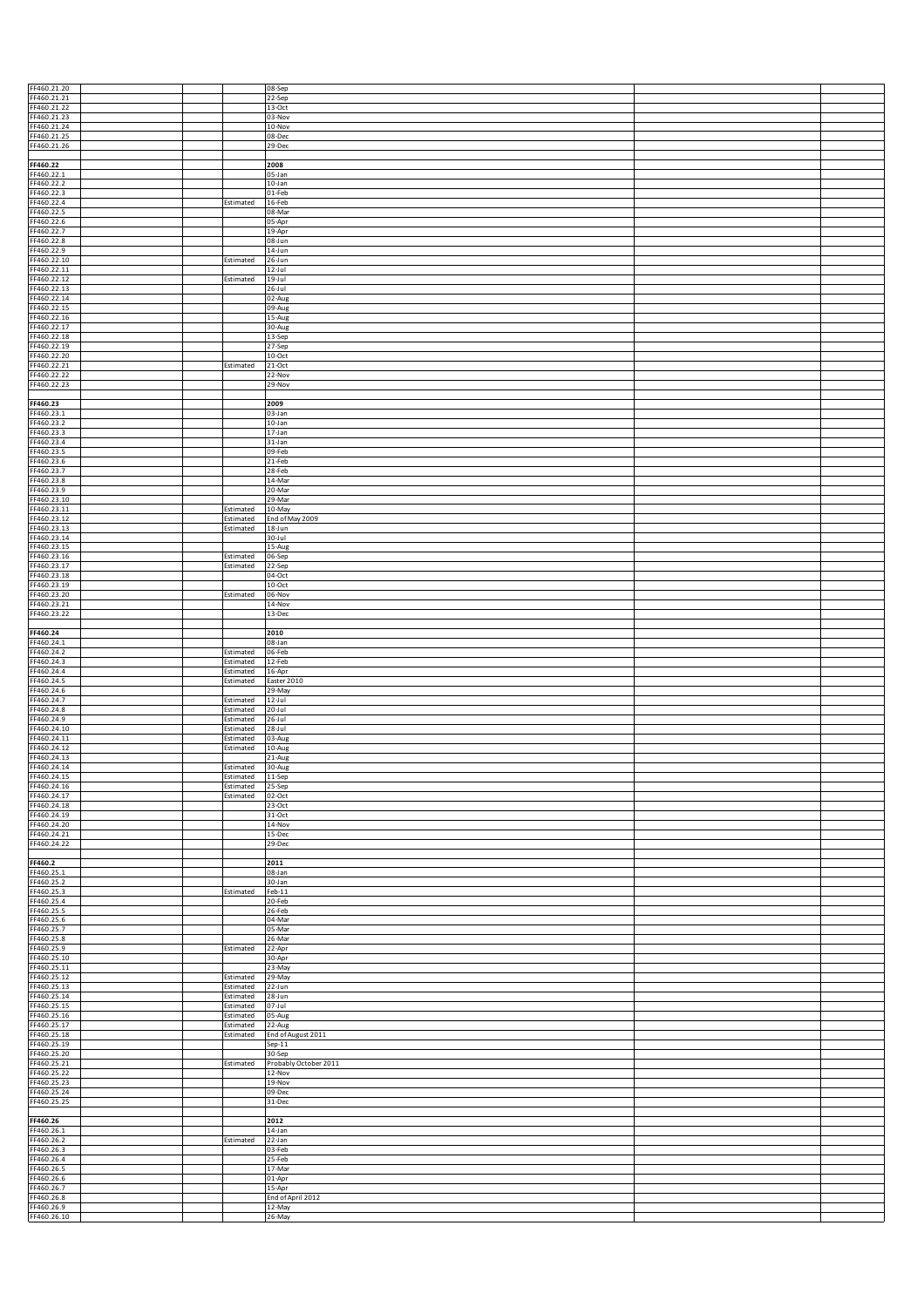| FF460.21.20                |                        | 08-Sep                          |  |
|----------------------------|------------------------|---------------------------------|--|
| FF460.21.21<br>FF460.21.22 |                        | 22-Sep<br>13-Oct                |  |
| FF460.21.23                |                        | 03-Nov                          |  |
| FF460.21.24<br>FF460.21.25 |                        | 10-Nov<br>08-Dec                |  |
| FF460.21.26                |                        | 29-Dec                          |  |
| FF460.22                   |                        | 2008                            |  |
| FF460.22.1<br>FF460.22.2   |                        | 05-Jan<br>10-Jan                |  |
| FF460.22.3                 |                        | 01-Feb                          |  |
| FF460.22.4<br>FF460.22.5   | Estimated              | 16-Feb<br>08-Mar                |  |
| FF460.22.6                 |                        | 05-Apr                          |  |
| FF460.22.7<br>FF460.22.8   |                        | 19-Apr<br>$08 - Jun$            |  |
| FF460.22.9                 |                        | $14 - Jun$                      |  |
| FF460.22.10<br>FF460.22.11 | Estimated              | 26-Jun<br>12-Jul                |  |
| FF460.22.12                | Estimated              | 19-Jul                          |  |
| FF460.22.13<br>FF460.22.14 |                        | $26 -$ Jul<br>02-Aug            |  |
| F460.22.15                 |                        | 09-Aug                          |  |
| F460.22.16<br>FF460.22.17  |                        | 15-Aug<br>30-Aug                |  |
| FF460.22.18                |                        | 13-Sep                          |  |
| FF460.22.19<br>FF460.22.20 |                        | 27-Sep<br>$10$ -Oct             |  |
| FF460.22.21                | Estimated              | 21-Oct                          |  |
| FF460.22.22<br>FF460.22.23 |                        | 22-Nov<br>29-Nov                |  |
|                            |                        |                                 |  |
| FF460.23<br>FF460.23.1     |                        | 2009<br>$03$ -Jan               |  |
| FF460.23.2                 |                        | $10$ -Jan                       |  |
| FF460.23.3<br>FF460.23.4   |                        | 17-Jan<br>31-Jan                |  |
| FF460.23.5                 |                        | 09-Feb                          |  |
| FF460.23.6<br>FF460.23.7   |                        | 21-Feb<br>28-Feb                |  |
| FF460.23.8                 |                        | 14-Mar                          |  |
| FF460.23.9<br>FF460.23.10  |                        | 20-Mar                          |  |
| FF460.23.11                | Estimated              | 29-Mar<br>10-May                |  |
| FF460.23.12<br>FF460.23.13 | Estimated<br>Estimated | End of May 2009<br>18-Jun       |  |
| FF460.23.14                |                        | 30-Jul                          |  |
| FF460.23.15                |                        | 15-Aug                          |  |
| FF460.23.16<br>FF460.23.17 | Estimated<br>Estimated | 06-Sep<br>22-Sep                |  |
| FF460.23.18                |                        | 04-Oct                          |  |
| FF460.23.19<br>FF460.23.20 | Estimated              | $10$ -Oct<br>06-Nov             |  |
| FF460.23.21                |                        | 14-Nov                          |  |
| FF460.23.22                |                        | 13-Dec                          |  |
| FF460.24                   |                        | 2010                            |  |
| FF460.24.1<br>FF460.24.2   | Estimated              | 08-Jan<br>06-Feb                |  |
| FF460.24.3                 | Estimated              | 12-Feb                          |  |
| F460.24.4<br>FF460.24.5    | Estimated<br>Estimated | 16-Apr<br>Easter 2010           |  |
| FF460.24.6                 |                        | 29-May                          |  |
| FF460.24.7<br>FF460.24.8   | Estimated<br>Estimated | 12-Jul<br>20-Jul                |  |
| FF460.24.9                 | Estimated              | 26-Jul                          |  |
| FF460.24.10<br>FF460.24.11 | Estimated<br>Estimated | $28 -$ Jul<br>03-Aug            |  |
| FF460.24.12                | Estimated              | 10-Aug                          |  |
| FF460.24.13<br>FF460.24.14 | Estimated              | 21-Aug<br>30-Aug                |  |
| FF460 24 15                | Fstimated              | $11-Sen$                        |  |
| FF460.24.16<br>FF460.24.17 | Estimated<br>Estimated | 25-Sep<br>02-Oct                |  |
| FF460.24.18                |                        |                                 |  |
| FF460.24.19<br>FF460.24.20 |                        | 23-Oct                          |  |
| FF460.24.21                |                        | 31-Oct                          |  |
|                            |                        | 14-Nov<br>15-Dec                |  |
| FF460.24.22                |                        | 29-Dec                          |  |
| FF460.2                    |                        | 2011                            |  |
| FF460.25.1                 |                        | 08-Jan                          |  |
| FF460.25.2<br>FF460.25.3   | Estimated              | 30-Jan<br>$Feb-11$              |  |
| FF460.25.4                 |                        | 20-Feb                          |  |
| FF460.25.5<br>FF460.25.6   |                        | 26-Feb<br>04-Mar                |  |
| FF460.25.7                 |                        | 05-Mar                          |  |
| FF460.25.8<br>FF460.25.9   | Estimated              | 26-Mar<br>22-Apr                |  |
| FF460.25.10                |                        | 30-Apr                          |  |
| FF460.25.11<br>FF460.25.12 | Estimated              | 23-May<br>29-May                |  |
| FF460.25.13                | Estimated              | 22-Jun                          |  |
| FF460.25.14<br>FF460.25.15 | Estimated<br>Estimated | 28-Jun<br>07-Jul                |  |
| FF460.25.16                | Estimated              | 05-Aug                          |  |
| FF460.25.17<br>FF460.25.18 | Estimated<br>Estimated | 22-Aug<br>End of August 2011    |  |
| FF460.25.19                |                        | $Sep-11$                        |  |
| FF460.25.20<br>FF460.25.21 | Estimated              | 30-Sep<br>Probably October 2011 |  |
| FF460.25.22                |                        | 12-Nov                          |  |
| FF460.25.23<br>FF460.25.24 |                        | 19-Nov<br>09-Dec                |  |
| FF460.25.25                |                        | 31-Dec                          |  |
| FF460.26                   |                        | 2012                            |  |
| FF460.26.1                 |                        | $14$ -Jan                       |  |
| FF460.26.2<br>FF460.26.3   | Estimated              | 22-Jan<br>03-Feb                |  |
| FF460.26.4                 |                        | 25-Feb                          |  |
| FF460.26.5<br>FF460.26.6   |                        | 17-Mar<br>01-Apr                |  |
| FF460.26.7                 |                        | 15-Apr                          |  |
| FF460.26.8<br>FF460.26.9   |                        | End of April 2012<br>12-May     |  |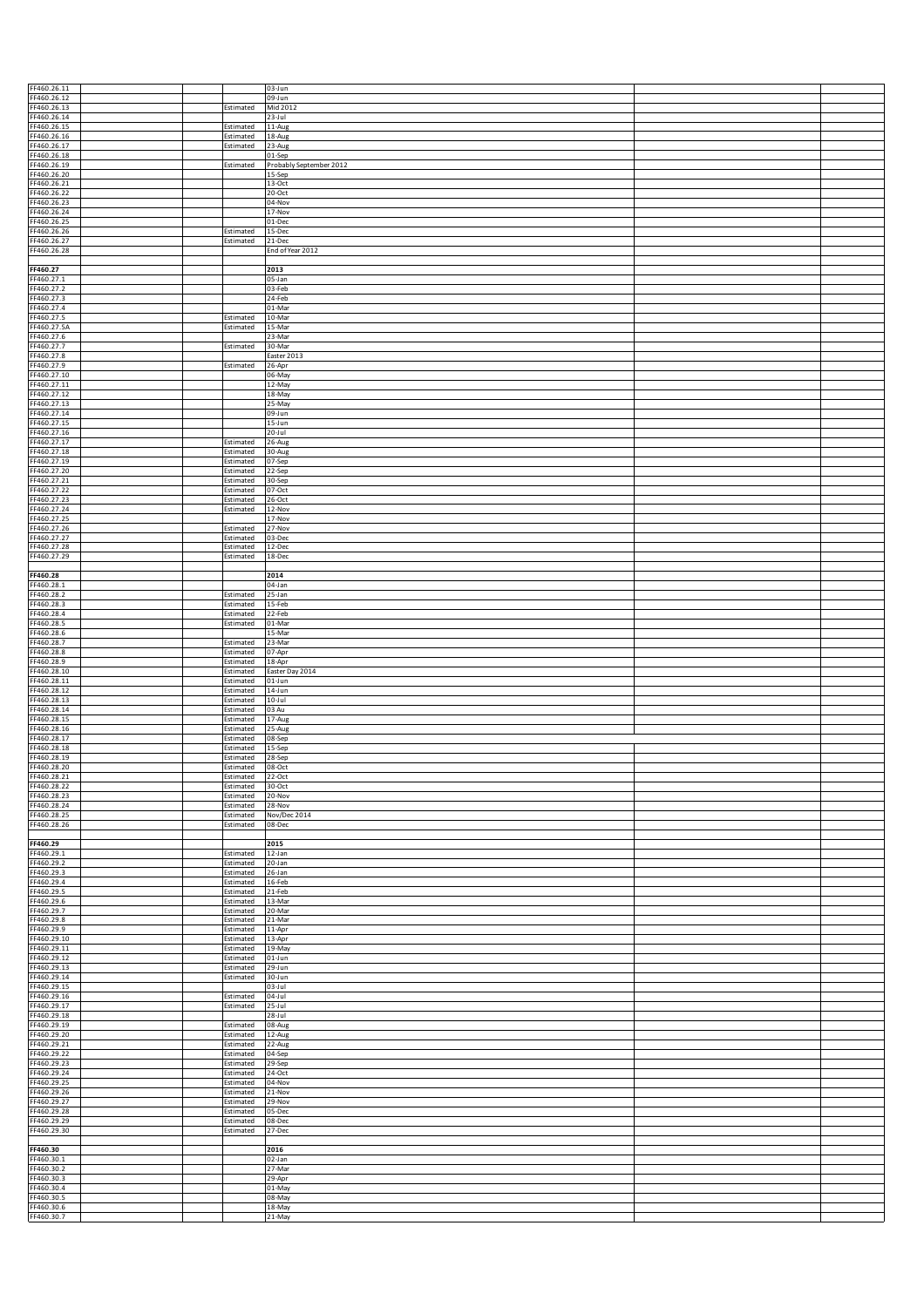| FF460.26.11                |  |                        | 03-Jun                     |  |
|----------------------------|--|------------------------|----------------------------|--|
| FF460.26.12<br>FF460.26.13 |  | Estimated              | 09-Jun<br>Mid 2012         |  |
| FF460.26.14<br>FF460.26.15 |  | Estimated              | $23 -$ Jul<br>11-Aug       |  |
| FF460.26.16                |  | Estimated              | 18-Aug                     |  |
| FF460.26.17<br>FF460.26.18 |  | Estimated              | 23-Aug<br>01-Sep           |  |
| FF460.26.19<br>FF460.26.20 |  | Estimated              | Probably September 2012    |  |
| FF460.26.21                |  |                        | 15-Sep<br>13-Oct           |  |
| FF460.26.22<br>FF460.26.23 |  |                        | 20-Oct<br>04-Nov           |  |
| FF460.26.24                |  |                        | 17-Nov                     |  |
| FF460.26.25<br>FF460.26.26 |  | Estimated              | 01-Dec<br>15-Dec           |  |
| FF460.26.27<br>FF460.26.28 |  | Estimated              | 21-Dec<br>End of Year 2012 |  |
|                            |  |                        |                            |  |
| FF460.27<br>FF460.27.1     |  |                        | 2013<br>05-Jan             |  |
| FF460.27.2                 |  |                        | 03-Feb                     |  |
| FF460.27.3<br>FF460.27.4   |  |                        | 24-Feb<br>01-Mar           |  |
| FF460.27.5<br>FF460.27.5A  |  | Estimated<br>Estimated | 10-Mar<br>15-Mar           |  |
| FF460.27.6                 |  |                        | 23-Mar                     |  |
| FF460.27.7<br>FF460.27.8   |  | Estimated              | 30-Mar<br>Easter 2013      |  |
| FF460.27.9<br>FF460.27.10  |  | Estimated              | 26-Apr<br>06-May           |  |
| FF460.27.11                |  |                        | 12-May                     |  |
| FF460.27.12<br>FF460.27.13 |  |                        | 18-May<br>25-May           |  |
| FF460.27.14                |  |                        | 09-Jun                     |  |
| FF460.27.15<br>FF460.27.16 |  |                        | $15 - Jun$<br>20-Jul       |  |
| FF460.27.17<br>FF460.27.18 |  | Estimated<br>Estimated | 26-Aug<br>30-Aug           |  |
| FF460.27.19                |  | stimated               | 07-Sep                     |  |
| FF460.27.20<br>FF460.27.21 |  | stimated<br>Estimated  | 22-Sep<br>30-Sep           |  |
| FF460.27.22<br>FF460.27.23 |  | Estimated<br>Estimated | 07-Oct<br>26-Oct           |  |
| FF460.27.24                |  | Estimated              | 12-Nov                     |  |
| FF460.27.25<br>FF460.27.26 |  | Estimated              | 17-Nov<br>27-Nov           |  |
| FF460.27.27<br>FF460.27.28 |  | Estimated<br>Estimated | 03-Dec<br>12-Dec           |  |
| FF460.27.29                |  | Estimated              | 18-Dec                     |  |
| FF460.28                   |  |                        | 2014                       |  |
| FF460.28.1<br>FF460.28.2   |  | Estimated              | 04-Jan<br>25-Jan           |  |
| FF460.28.3                 |  | Estimated              | 15-Feb                     |  |
| FF460.28.4<br>FF460.28.5   |  | Estimated<br>Estimated | 22-Feb<br>01-Mar           |  |
| FF460.28.6<br>FF460.28.7   |  | Estimated              | 15-Mar<br>23-Mar           |  |
| FF460.28.8                 |  | Estimated              | 07-Apr                     |  |
| FF460.28.9<br>FF460.28.10  |  | Estimated<br>Estimated | 18-Apr<br>Easter Day 2014  |  |
| FF460.28.11<br>FF460.28.12 |  | Estimated<br>Estimated | 01-Jun<br>14-Jun           |  |
| FF460.28.13                |  | Estimated              | $10 -$ Jul                 |  |
| FF460.28.14<br>FF460.28.15 |  | Estimated<br>Estimated | 03 Au<br>17-Aug            |  |
| FF460.28.16<br>FF460.28.17 |  | Estimated<br>Estimated | 25-Aug<br>08-Sep           |  |
| FF460.28.18                |  | Estimated              | 15-Sep                     |  |
| FF460.28.19<br>FF460.28.20 |  | Estimated<br>Estimated | 28-Sep<br>08-Oct           |  |
| FF460 28 21<br>FF460.28.22 |  | Fstimated<br>Estimated | $22-0rt$<br>30-Oct         |  |
| FF460.28.23                |  | Estimated              | 20-Nov                     |  |
| FF460.28.24<br>FF460.28.25 |  | Estimated<br>stimated  | 28-Nov<br>Nov/Dec 2014     |  |
| FF460.28.26                |  | Estimated              | 08-Dec                     |  |
| FF460.29                   |  |                        | 2015                       |  |
| FF460.29.1<br>FF460.29.2   |  | Estimated<br>Estimated | 12-Jan<br>20-Jan           |  |
| FF460.29.3<br>FF460.29.4   |  | Estimated<br>Estimated | 26-Jan<br>16-Feb           |  |
| FF460.29.5                 |  | Estimated              | 21-Feb                     |  |
| FF460.29.6<br>FF460.29.7   |  | Estimated<br>Estimated | 13-Mar<br>20-Mar           |  |
| FF460.29.8<br>FF460.29.9   |  | Estimated<br>Estimated | 21-Mar<br>11-Apr           |  |
| FF460.29.10                |  | Estimated              | 13-Apr                     |  |
| FF460.29.11<br>FF460.29.12 |  | Estimated<br>Estimated | 19-May<br>01-Jun           |  |
| FF460.29.13<br>FF460.29.14 |  | Estimated<br>Estimated | 29-Jun<br>30-Jun           |  |
| FF460.29.15                |  |                        | $03-Jul$                   |  |
| FF460.29.16<br>FF460.29.17 |  | Estimated<br>Estimated | 04-Jul<br>$25 -$ Jul       |  |
| FF460.29.18<br>FF460.29.19 |  | Estimated              | 28-Jul<br>08-Aug           |  |
| FF460.29.20                |  | Estimated              | $12$ -Aug                  |  |
| FF460.29.21<br>FF460.29.22 |  | Estimated<br>Estimated | $22$ -Aug<br>04-Sep        |  |
| FF460.29.23<br>FF460.29.24 |  | Estimated<br>Estimated | 29-Sep<br>24-Oct           |  |
| FF460.29.25                |  | Estimated              | 04-Nov                     |  |
| FF460.29.26<br>FF460.29.27 |  | Estimated<br>Estimated | 21-Nov<br>29-Nov           |  |
| FF460.29.28<br>FF460.29.29 |  | Estimated<br>Estimated | 05-Dec<br>08-Dec           |  |
| FF460.29.30                |  | Estimated              | 27-Dec                     |  |
| FF460.30                   |  |                        | 2016                       |  |
| FF460.30.1<br>FF460.30.2   |  |                        | 02-Jan<br>27-Mar           |  |
| FF460.30.3                 |  |                        | 29-Apr                     |  |
| FF460.30.4<br>FF460.30.5   |  |                        | 01-May<br>08-May           |  |
| FF460.30.6<br>FF460.30.7   |  |                        | 18-May<br>21-May           |  |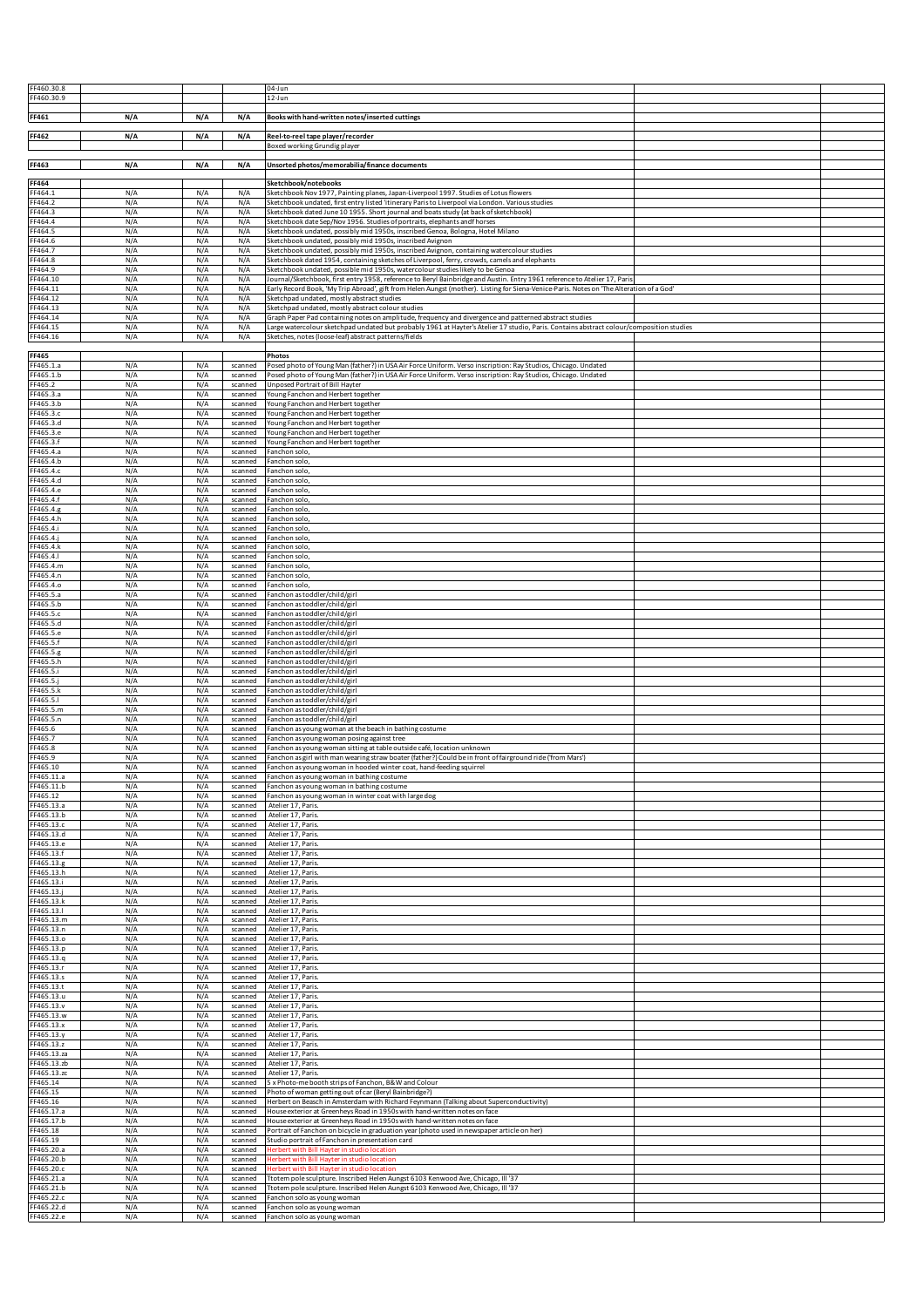| FF460.30.8                 |            |            |                    | 04-Jun                                                                                                                                                                                   |  |
|----------------------------|------------|------------|--------------------|------------------------------------------------------------------------------------------------------------------------------------------------------------------------------------------|--|
| FF460.30.9                 |            |            |                    | 12-Jun                                                                                                                                                                                   |  |
| FF461                      | N/A        | N/A        | N/A                | Books with hand-written notes/inserted cuttings                                                                                                                                          |  |
|                            |            |            |                    |                                                                                                                                                                                          |  |
| FF462                      | N/A        | N/A        | N/A                | Reel-to-reel tape player/recorder                                                                                                                                                        |  |
|                            |            |            |                    | Boxed working Grundig player                                                                                                                                                             |  |
| FF463                      | N/A        | N/A        | N/A                | Unsorted photos/memorabilia/finance documents                                                                                                                                            |  |
|                            |            |            |                    |                                                                                                                                                                                          |  |
| FF464                      |            |            |                    | Sketchbook/notebooks                                                                                                                                                                     |  |
| FF464.1<br>FF464.2         | N/A<br>N/A | N/A<br>N/A | N/A<br>N/A         | Sketchbook Nov 1977, Painting planes, Japan-Liverpool 1997. Studies of Lotus flowers<br>Sketchbook undated, first entry listed 'itinerary Paris to Liverpool via London. Various studies |  |
| FF464.3                    | N/A        | N/A        | N/A                | Sketchbook dated June 10 1955. Short journal and boats study (at back of sketchbook)                                                                                                     |  |
| FF464.4                    | N/A        | N/A        | N/A                | Sketchbook date Sep/Nov 1956. Studies of portraits, elephants andf horses                                                                                                                |  |
| FF464.5                    | N/A        | N/A        | N/A                | Sketchbook undated, possibly mid 1950s, inscribed Genoa, Bologna, Hotel Milano                                                                                                           |  |
| FF464.6<br>FF464.7         | N/A<br>N/A | N/A<br>N/A | N/A<br>N/A         | Sketchbook undated, possibly mid 1950s, inscribed Avignon<br>Sketchbook undated, possibly mid 1950s, inscribed Avignon, containing watercolour studies                                   |  |
| FF464.8                    | N/A        | N/A        | N/A                | Sketchbook dated 1954, containing sketches of Liverpool, ferry, crowds, camels and elephants                                                                                             |  |
| FF464.9                    | N/A        | N/A        | N/A                | Sketchbook undated, possible mid 1950s, watercolour studies likely to be Genoa                                                                                                           |  |
| FF464.10                   | N/A        | N/A        | N/A                | Journal/Sketchbook, first entry 1958, reference to Beryl Bainbridge and Austin. Entry 1961 reference to Atelier 17, Paris                                                                |  |
| FF464.11                   | N/A        | N/A        | N/A                | Early Record Book, 'My Trip Abroad', gift from Helen Aungst (mother). Listing for Siena-Venice-Paris. Notes on 'The Alteration of a God'                                                 |  |
| FF464.12<br>FF464.13       | N/A<br>N/A | N/A<br>N/A | N/A<br>N/A         | Sketchpad undated, mostly abstract studies<br>Sketchpad undated, mostly abstract colour studies                                                                                          |  |
| FF464.14                   | N/A        | N/A        | N/A                | Graph Paper Pad containing notes on amplitude, frequency and divergence and patterned abstract studies                                                                                   |  |
| FF464.15                   | N/A        | N/A        | N/A                | Large watercolour sketchpad undated but probably 1961 at Hayter's Atelier 17 studio, Paris. Contains abstract colour/composition studies                                                 |  |
| FF464.16                   | N/A        | N/A        | N/A                | Sketches, notes (loose-leaf) abstract patterns/fields                                                                                                                                    |  |
| FF465                      |            |            |                    | Photos                                                                                                                                                                                   |  |
| FF465.1.a                  | N/A        | N/A        | scanned            | Posed photo of Young Man (father?) in USA Air Force Uniform. Verso inscription: Ray Studios, Chicago. Undated                                                                            |  |
| FF465.1.b                  | N/A        | N/A        | scanned            | Posed photo of Young Man (father?) in USA Air Force Uniform. Verso inscription: Ray Studios, Chicago. Undated                                                                            |  |
| FF465.2                    | N/A        | N/A        | scanned            | Unposed Portrait of Bill Hayter                                                                                                                                                          |  |
| FF465.3.a<br>FF465.3.b     | N/A<br>N/A | N/A<br>N/A | scanned<br>scanned | Young Fanchon and Herbert together<br>Young Fanchon and Herbert together                                                                                                                 |  |
| FF465.3.c                  | N/A        | N/A        | scanned            | Young Fanchon and Herbert together                                                                                                                                                       |  |
| FF465.3.d                  | N/A        | N/A        | scanned            | Young Fanchon and Herbert together                                                                                                                                                       |  |
| FF465.3.e                  | N/A        | N/A        | scanned            | Young Fanchon and Herbert together                                                                                                                                                       |  |
| FF465.3.f<br>FF465.4.a     | N/A<br>N/A | N/A<br>N/A | scanned<br>scanned | Young Fanchon and Herbert together<br>Fanchon solo,                                                                                                                                      |  |
| FF465.4.b                  | N/A        | N/A        | scanned            | Fanchon solo                                                                                                                                                                             |  |
| FF465.4.c                  | N/A        | N/A        | scanned            | Fanchon solo,                                                                                                                                                                            |  |
| FF465.4.d                  | N/A        | N/A        | scanned            | Fanchon solo,                                                                                                                                                                            |  |
| FF465.4.e                  | N/A        | N/A        | scanned            | Fanchon solo,                                                                                                                                                                            |  |
| FF465.4.f<br>FF465.4.g     | N/A<br>N/A | N/A<br>N/A | scanned<br>scanned | Fanchon solo,<br>Fanchon solo,                                                                                                                                                           |  |
| FF465.4.h                  | N/A        | N/A        | scanned            | Fanchon solo                                                                                                                                                                             |  |
| FF465.4.i                  | N/A        | N/A        | scanned            | Fanchon solo                                                                                                                                                                             |  |
| FF465.4.j                  | N/A        | N/A        | scanned            | Fanchon solo                                                                                                                                                                             |  |
| FF465.4.k                  | N/A        | N/A        | scanned            | Fanchon solo                                                                                                                                                                             |  |
| FF465.4.I<br>FF465.4.m     | N/A<br>N/A | N/A<br>N/A | scanned<br>scanned | Fanchon solo<br>Fanchon solo                                                                                                                                                             |  |
| FF465.4.n                  | N/A        | N/A        | scanned            | Fanchon solo                                                                                                                                                                             |  |
| FF465.4.0                  | N/A        | N/A        | scanned            | anchon solo,                                                                                                                                                                             |  |
| FF465.5.a                  | N/A        | N/A        | scanned            | anchon as toddler/child/girl <sup>-</sup>                                                                                                                                                |  |
| FF465.5.b<br>FF465.5.c     | N/A<br>N/A | N/A<br>N/A | scanned<br>scanned | anchon as toddler/child/girl<br>Fanchon as toddler/child/girl                                                                                                                            |  |
| FF465.5.d                  | N/A        | N/A        | scanned            | Fanchon as toddler/child/girl                                                                                                                                                            |  |
| FF465.5.e                  | N/A        | N/A        | scanned            | Fanchon as toddler/child/girl                                                                                                                                                            |  |
| FF465.5.f                  | N/A        | N/A        | scanned            | Fanchon as toddler/child/girl                                                                                                                                                            |  |
| FF465.5.g                  | N/A        | N/A        | scanned            | Fanchon as toddler/child/girl                                                                                                                                                            |  |
| FF465.5.h<br>FF465.5.i     | N/A<br>N/A | N/A<br>N/A | scanned<br>scanned | Fanchon as toddler/child/girl<br>Fanchon as toddler/child/girl                                                                                                                           |  |
| FF465.5.j                  | N/A        | N/A        | scanned            | Fanchon as toddler/child/girl                                                                                                                                                            |  |
| FF465.5.k                  | N/A        | N/A        | scanned            | Fanchon as toddler/child/girl                                                                                                                                                            |  |
| FF465.5.I                  | N/A        | N/A        | scanned            | Fanchon as toddler/child/girl                                                                                                                                                            |  |
| FF465.5.m<br>FF465.5.n     | N/A<br>N/A | N/A<br>N/A | scanned<br>scanned | Fanchon as toddler/child/gir                                                                                                                                                             |  |
| FF465.6                    | N/A        | N/A        | scanned            | Fanchon as toddler/child/girl<br>Fanchon as young woman at the beach in bathing costume                                                                                                  |  |
| FF465.7                    | N/A        | N/A        | scanned            | Fanchon as young woman posing against tree                                                                                                                                               |  |
| FF465.8                    | N/A        | N/A        | scanned            | 'anchon as young woman sitting at table outside café, location unknown                                                                                                                   |  |
| FF465.9<br>FF465.10        | N/A<br>N/A | N/A<br>N/A | scanned            | Fanchon as girl with man wearing straw boater (father?) Could be in front of fairground ride ('from Mars')<br>Fanchon as young woman in hooded winter coat, hand-feeding squirrel        |  |
| F465.11.a                  | N/A        | N/A        | scanned<br>scanned | Fanchon as young woman in bathing costume                                                                                                                                                |  |
| FF465.11.b                 | N/A        | N/A        | scanned            | Fanchon as young woman in bathing costume                                                                                                                                                |  |
| FF465.12                   | N/A        | N/A        | scanned            | Fanchon as young woman in winter coat with large dog                                                                                                                                     |  |
| FF465.13.a<br>FF465.13.b   | N/A        | N/A        | scanned            | Atelier 17, Paris.<br>Atelier 17, Paris.                                                                                                                                                 |  |
| FF465.13.c                 | N/A<br>N/A | N/A<br>N/A | scanned<br>scanned | Atelier 17, Paris.                                                                                                                                                                       |  |
| FF465.13.d                 | N/A        | N/A        | scanned            | Atelier 17, Paris.                                                                                                                                                                       |  |
| FF465.13.e                 | N/A        | N/A        | scanned            | Atelier 17, Paris.                                                                                                                                                                       |  |
| FF465.13.f                 | N/A        | N/A        | scanned            | Atelier 17, Paris.                                                                                                                                                                       |  |
| FF465.13.g<br>FF465.13.h   | N/A<br>N/A | N/A<br>N/A | scanned<br>scanned | Atelier 17, Paris.<br>Atelier 17, Paris.                                                                                                                                                 |  |
| FF465.13.i                 | N/A        | N/A        | scanned            | Atelier 17, Paris.                                                                                                                                                                       |  |
| FF465.13.j                 | N/A        | N/A        | scanned            | Atelier 17, Paris.                                                                                                                                                                       |  |
| FF465.13.k                 | N/A        | N/A        | scanned            | Atelier 17, Paris.                                                                                                                                                                       |  |
| FF465.13.I<br>FF465.13.m   | N/A<br>N/A | N/A<br>N/A | scanned<br>scanned | Atelier 17, Paris.<br>Atelier 17, Paris.                                                                                                                                                 |  |
| FF465.13.n                 | N/A        | N/A        | scanned            | Atelier 17, Paris.                                                                                                                                                                       |  |
| FF465.13.o                 | N/A        | N/A        | scanned            | Atelier 17, Paris.                                                                                                                                                                       |  |
| FF465.13.p                 | N/A        | N/A        | scanned            | Atelier 17, Paris.                                                                                                                                                                       |  |
| FF465.13.q<br>FF465.13.r   | N/A<br>N/A | N/A<br>N/A | scanned<br>scanned | Atelier 17, Paris.<br>Atelier 17, Paris.                                                                                                                                                 |  |
| FF465.13.s                 | N/A        | N/A        | scanned            | Atelier 17, Paris.                                                                                                                                                                       |  |
| FF465.13.t                 | N/A        | N/A        | scanned            | Atelier 17, Paris.                                                                                                                                                                       |  |
| FF465.13.u                 | N/A        | N/A        | scanned            | Atelier 17, Paris.                                                                                                                                                                       |  |
| FF465.13.v                 | N/A        | N/A        | scanned            | Atelier 17, Paris.                                                                                                                                                                       |  |
| FF465.13.w<br>FF465.13.x   | N/A<br>N/A | N/A<br>N/A | scanned<br>scanned | Atelier 17, Paris.<br>Atelier 17, Paris.                                                                                                                                                 |  |
| FF465.13.y                 | N/A        | N/A        | scanned            | Atelier 17, Paris.                                                                                                                                                                       |  |
| FF465.13.z                 | N/A        | N/A        | scanned            | Atelier 17, Paris.                                                                                                                                                                       |  |
| FF465.13.za                | N/A        | N/A        | scanned            | Atelier 17, Paris.                                                                                                                                                                       |  |
| FF465.13.zb<br>FF465.13.zc | N/A<br>N/A | N/A<br>N/A | scanned<br>scanned | Atelier 17, Paris.<br>Atelier 17, Paris.                                                                                                                                                 |  |
| FF465.14                   | N/A        | N/A        | scanned            | 5 x Photo-me booth strips of Fanchon, B&W and Colour                                                                                                                                     |  |
| FF465.15                   | N/A        | N/A        | scanned            | Photo of woman getting out of car (Beryl Bainbridge?)                                                                                                                                    |  |
| FF465.16                   | N/A        | N/A        | scanned            | Herbert on Beasch in Amsterdam with Richard Feynmann (Talking about Superconductivity)                                                                                                   |  |
| FF465.17.a<br>FF465.17.b   | N/A<br>N/A | N/A<br>N/A | scanned            | House exterior at Greenheys Road in 1950s with hand-written notes on face<br>House exterior at Greenheys Road in 1950s with hand-written notes on face                                   |  |
| FF465.18                   | N/A        | N/A        | scanned<br>scanned | Portrait of Fanchon on bicycle in graduation year (photo used in newspaper article on her)                                                                                               |  |
| FF465.19                   | N/A        | N/A        | scanned            | Studio portrait of Fanchon in presentation card                                                                                                                                          |  |
| FF465.20.a                 | N/A        | N/A        | scanned            | lerbert with Bill Hayter in studio location                                                                                                                                              |  |
| FF465.20.b                 | N/A        | N/A        | scanned            | lerbert with Bill Hayter in studio location                                                                                                                                              |  |
| FF465.20.c<br>FF465.21.a   | N/A<br>N/A | N/A<br>N/A | scanned<br>scanned | lerbert with Bill Hayter in studio location<br>Ttotem pole sculpture. Inscribed Helen Aungst 6103 Kenwood Ave, Chicago, Ill '37                                                          |  |
| FF465.21.b                 | N/A        | N/A        | scanned            | Ttotem pole sculpture. Inscribed Helen Aungst 6103 Kenwood Ave, Chicago, Ill '37                                                                                                         |  |
| FF465.22.c                 | N/A        | N/A        | scanned            | Fanchon solo as young woman                                                                                                                                                              |  |
| FF465.22.d                 | N/A        | N/A        | scanned            | Fanchon solo as young woman                                                                                                                                                              |  |
| FF465.22.e                 | N/A        | N/A        | scanned            | Fanchon solo as young woman                                                                                                                                                              |  |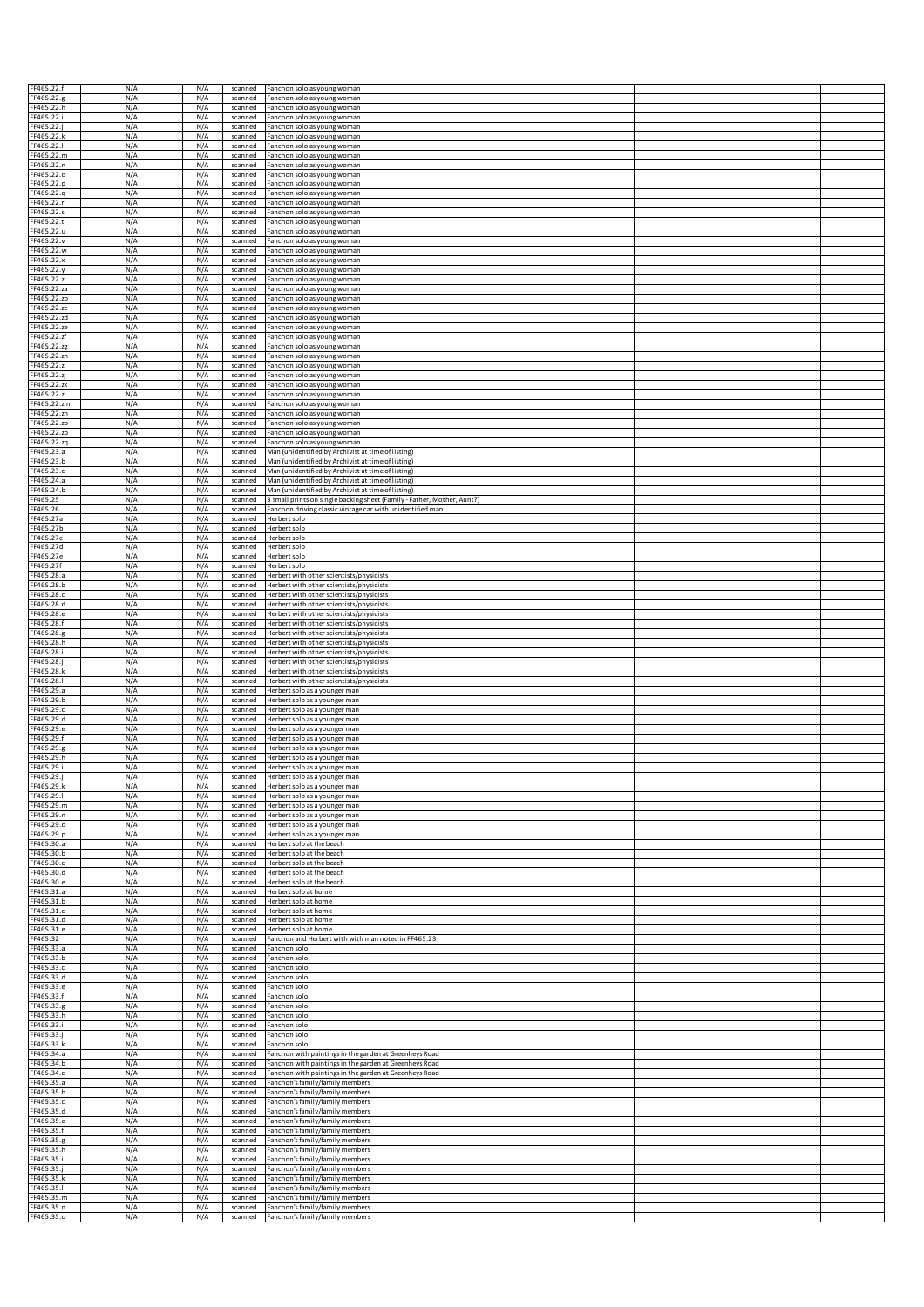| FF465.22.f<br>FF465.22.g   | N/A<br>N/A | N/A<br>N/A | scanned            | Fanchon solo as young woman                                                                                                   |  |
|----------------------------|------------|------------|--------------------|-------------------------------------------------------------------------------------------------------------------------------|--|
| FF465.22.h                 | N/A        | N/A        | scanned<br>scanned | Fanchon solo as young woman<br>Fanchon solo as young woman                                                                    |  |
| FF465.22.i                 | N/A        | N/A        | scanned            | Fanchon solo as young woman                                                                                                   |  |
| FF465.22.j<br>FF465.22.k   | N/A<br>N/A | N/A<br>N/A | scanned<br>scanned | Fanchon solo as young woman<br>Fanchon solo as young woman                                                                    |  |
| FF465.22.I                 | N/A        | N/A        | scanned            | Fanchon solo as young woman                                                                                                   |  |
| FF465.22.m                 | N/A        | N/A        | scanned            | Fanchon solo as young woman                                                                                                   |  |
| FF465.22.n<br>FF465.22.o   | N/A<br>N/A | N/A<br>N/A | scanned<br>scanned | Fanchon solo as young woman<br>Fanchon solo as young woman                                                                    |  |
| FF465.22.p                 | N/A        | N/A        | scanned            | Fanchon solo as young woman                                                                                                   |  |
| FF465.22.q                 | N/A        | N/A        | scanned            | Fanchon solo as young woman                                                                                                   |  |
| FF465.22.r<br>FF465.22.s   | N/A<br>N/A | N/A<br>N/A | scanned<br>scanned | Fanchon solo as young woman<br>Fanchon solo as young woman                                                                    |  |
| FF465.22.t                 | N/A        | N/A        | scanned            | Fanchon solo as young woman                                                                                                   |  |
| FF465.22.u                 | N/A        | N/A        | scanned            | Fanchon solo as young woman                                                                                                   |  |
| FF465.22.v<br>FF465.22.w   | N/A<br>N/A | N/A<br>N/A | scanned<br>scanned | Fanchon solo as young woman<br>Fanchon solo as young woman                                                                    |  |
| FF465.22.x                 | N/A        | N/A        | scanned            | Fanchon solo as young woman                                                                                                   |  |
| FF465.22.y                 | N/A        | N/A        | scanned            | Fanchon solo as young woman                                                                                                   |  |
| FF465.22.z<br>FF465.22.za  | N/A<br>N/A | N/A<br>N/A | scanned<br>scanned | Fanchon solo as young woman<br>Fanchon solo as young woman                                                                    |  |
| FF465.22.zb                | N/A        | N/A        | scanned            | Fanchon solo as young woman                                                                                                   |  |
| FF465.22.zc<br>FF465.22.zd | N/A<br>N/A | N/A<br>N/A | scanned<br>scanned | Fanchon solo as young woman<br>Fanchon solo as young woman                                                                    |  |
| FF465.22.ze                | N/A        | N/A        | scanned            | Fanchon solo as young woman                                                                                                   |  |
| FF465.22.zf                | N/A        | N/A        | scanned            | Fanchon solo as young woman                                                                                                   |  |
| FF465.22.zg<br>FF465.22.zh | N/A<br>N/A | N/A<br>N/A | scanned<br>scanned | Fanchon solo as young woman<br>Fanchon solo as young woman                                                                    |  |
| FF465.22.zi                | N/A        | N/A        | scanned            | Fanchon solo as young woman                                                                                                   |  |
| FF465.22.zj                | N/A        | N/A        | scanned            | Fanchon solo as young woman                                                                                                   |  |
| FF465.22.zk<br>FF465.22.zl | N/A<br>N/A | N/A<br>N/A | scanned<br>scanned | Fanchon solo as young woman<br>Fanchon solo as young woman                                                                    |  |
| FF465.22.zm                | N/A        | N/A        | scanned            | Fanchon solo as young woman                                                                                                   |  |
| FF465.22.zn                | N/A        | N/A        | scanned            | Fanchon solo as young woman                                                                                                   |  |
| FF465.22.zo<br>FF465.22.zp | N/A<br>N/A | N/A<br>N/A | scanned<br>scanned | Fanchon solo as young woman<br>Fanchon solo as young woman                                                                    |  |
| FF465.22.zq                | N/A        | N/A        | scanned            | Fanchon solo as young woman                                                                                                   |  |
| FF465.23.a<br>FF465.23.b   | N/A<br>N/A | N/A        | scanned            | Man (unidentified by Archivist at time of listing)                                                                            |  |
| FF465.23.c                 | N/A        | N/A<br>N/A | scanned<br>scanned | Man (unidentified by Archivist at time of listing)<br>Man (unidentified by Archivist at time of listing)                      |  |
| FF465.24.a                 | N/A        | N/A        | scanned            | Man (unidentified by Archivist at time of listing)                                                                            |  |
| FF465.24.b<br>FF465.25     | N/A<br>N/A | N/A<br>N/A | scanned<br>scanned | Man (unidentified by Archivist at time of listing)<br>3 small prints on single backing sheet (Family - Father, Mother, Aunt?) |  |
| FF465.26                   | N/A        | N/A        | scanned            | Fanchon driving classic vintage car with unidentified man                                                                     |  |
| FF465.27a                  | N/A        | N/A        | scanned            | Herbert solo                                                                                                                  |  |
| FF465.27b<br>FF465.27c     | N/A<br>N/A | N/A<br>N/A | scanned<br>scanned | Herbert solo<br>Herbert solo                                                                                                  |  |
| FF465.27d                  | N/A        | N/A        | scanned            | Herbert solo                                                                                                                  |  |
| FF465.27e                  | N/A        | N/A        | scanned            | Herbert solo                                                                                                                  |  |
| FF465.27f<br>FF465.28.a    | N/A<br>N/A | N/A<br>N/A | scanned<br>scanned | Herbert solo<br>Herbert with other scientists/physicists                                                                      |  |
| FF465.28.b                 | N/A        | N/A        | scanned            | Herbert with other scientists/physicists                                                                                      |  |
| FF465.28.c                 | N/A<br>N/A | N/A        | scanned<br>scanned | Herbert with other scientists/physicists                                                                                      |  |
| FF465.28.d<br>FF465.28.e   | N/A        | N/A<br>N/A | scanned            | Herbert with other scientists/physicists<br>Herbert with other scientists/physicists                                          |  |
| FF465.28.f                 | N/A        | N/A        | scanned            | Herbert with other scientists/physicists                                                                                      |  |
| FF465.28.g                 | N/A        | N/A        | scanned            | Herbert with other scientists/physicists                                                                                      |  |
| FF465.28.h<br>FF465.28.i   | N/A<br>N/A | N/A<br>N/A | scanned<br>scanned | Herbert with other scientists/physicists<br>Herbert with other scientists/physicists                                          |  |
| FF465.28.j                 | N/A        | N/A        | scanned            | Herbert with other scientists/physicists                                                                                      |  |
| FF465.28.k<br>FF465.28.    | N/A<br>N/A | N/A<br>N/A | scanned<br>scanned | Herbert with other scientists/physicists<br>Herbert with other scientists/physicists                                          |  |
| FF465.29.a                 | N/A        | N/A        | scanned            | Herbert solo as a younger man                                                                                                 |  |
| FF465.29.b                 | N/A        | N/A        | scanned            | Herbert solo as a younger man                                                                                                 |  |
|                            |            |            | scanned            | Herbert solo as a younger man<br>Herbert solo as a younger man                                                                |  |
| FF465.29.c                 | N/A        | N/A        |                    | Herbert solo as a younger man                                                                                                 |  |
| FF465.29.d<br>FF465.29.e   | N/A<br>N/A | N/A<br>N/A | scanned<br>scanned |                                                                                                                               |  |
| FF465.29.f                 | N/A        | N/A        | scanned            | Herbert solo as a younger man                                                                                                 |  |
| FF465.29.g                 | N/A        | N/A        | scanned            | Herbert solo as a younger man                                                                                                 |  |
| FF465.29.h<br>FF465.29.i   | N/A<br>N/A | N/A<br>N/A | scanned<br>scanned | Herbert solo as a younger man<br>Herbert solo as a younger man                                                                |  |
| FF465.29.                  | N/A        | N/A        | scanned            | Herbert solo as a younger man                                                                                                 |  |
| FF465.29.k<br>FF465.29.I   | N/A<br>N/A | N/A<br>N/A | scanned<br>scanned | Herbert solo as a younger man<br>Herbert solo as a younger man                                                                |  |
| FF465.29.m                 | N/A        | N/A        | scanned            | Herbert solo as a younger man                                                                                                 |  |
| FF465.29.n                 | N/A        | N/A        | scanned            | Herbert solo as a younger man                                                                                                 |  |
| FF465.29.o<br>FF465.29.p   | N/A<br>N/A | N/A<br>N/A | scanned<br>scanned | Herbert solo as a younger man<br>Herbert solo as a younger man                                                                |  |
| FF465.30.a                 | N/A        | N/A        | scanned            | Herbert solo at the beach                                                                                                     |  |
| FF465.30.b<br>FF465.30.c   | N/A<br>N/A | N/A<br>N/A | scanned<br>scanned | Herbert solo at the beach<br>Herbert solo at the beach                                                                        |  |
| FF465.30.d                 | N/A        | N/A        | scanned            | Herbert solo at the beach                                                                                                     |  |
| FF465.30.e                 | N/A        | N/A        | scanned            | Herbert solo at the beach                                                                                                     |  |
| FF465.31.a<br>FF465.31.b   | N/A<br>N/A | N/A<br>N/A | scanned<br>scanned | Herbert solo at home<br>Herbert solo at home                                                                                  |  |
| FF465.31.c                 | N/A        | N/A        | scanned            | Herbert solo at home                                                                                                          |  |
| FF465.31.d                 | N/A        | N/A        | scanned            | Herbert solo at home                                                                                                          |  |
| FF465.31.e<br>FF465.32     | N/A<br>N/A | N/A<br>N/A | scanned<br>scanned | Herbert solo at home<br>Fanchon and Herbert with with man noted in FF465.23                                                   |  |
| FF465.33.a                 | N/A        | N/A        | scanned            | Fanchon solo                                                                                                                  |  |
| FF465.33.b                 | N/A        | N/A        | scanned            | Fanchon solo                                                                                                                  |  |
| FF465.33.c<br>FF465.33.d   | N/A<br>N/A | N/A<br>N/A | scanned<br>scanned | Fanchon solo<br>Fanchon solo                                                                                                  |  |
| FF465.33.e                 | N/A        | N/A        | scanned            | Fanchon solo                                                                                                                  |  |
| FF465.33.f                 | N/A        | N/A        | scanned            | Fanchon solo                                                                                                                  |  |
| FF465.33.g<br>FF465.33.h   | N/A<br>N/A | N/A<br>N/A | scanned<br>scanned | Fanchon solo<br>Fanchon solo                                                                                                  |  |
| FF465.33.i                 | N/A        | N/A        | scanned            | Fanchon solo                                                                                                                  |  |
| FF465.33.<br>FF465.33.k    | N/A<br>N/A | N/A<br>N/A | scanned<br>scanned | Fanchon solo<br>Fanchon solo                                                                                                  |  |
| FF465.34.a                 | N/A        | N/A        | scanned            | Fanchon with paintings in the garden at Greenheys Road                                                                        |  |
| FF465.34.b                 | N/A        | N/A        | scanned            | Fanchon with paintings in the garden at Greenheys Road                                                                        |  |
| FF465.34.c<br>FF465.35.a   | N/A<br>N/A | N/A<br>N/A | scanned<br>scanned | Fanchon with paintings in the garden at Greenheys Road<br>Fanchon's family/family members                                     |  |
| FF465.35.b                 | N/A        | N/A        | scanned            | Fanchon's family/family members                                                                                               |  |
| FF465.35.c<br>FF465.35.d   | N/A<br>N/A | N/A<br>N/A | scanned<br>scanned | Fanchon's family/family members<br>Fanchon's family/family members                                                            |  |
| FF465.35.e                 | N/A        | N/A        | scanned            | Fanchon's family/family members                                                                                               |  |
| FF465.35.f                 | N/A        | N/A        | scanned            | Fanchon's family/family members                                                                                               |  |
| FF465.35.g<br>FF465.35.h   | N/A<br>N/A | N/A<br>N/A | scanned<br>scanned | Fanchon's family/family members<br>Fanchon's family/family members                                                            |  |
| FF465.35.i                 | N/A        | N/A        | scanned            | Fanchon's family/family members                                                                                               |  |
| FF465.35.j                 | N/A        | N/A        | scanned            | Fanchon's family/family members                                                                                               |  |
| FF465.35.k<br>FF465.35.I   | N/A<br>N/A | N/A<br>N/A | scanned<br>scanned | Fanchon's family/family members<br>Fanchon's family/family members                                                            |  |
| FF465.35.m<br>FF465.35.n   | N/A<br>N/A | N/A<br>N/A | scanned<br>scanned | Fanchon's family/family members<br>Fanchon's family/family members                                                            |  |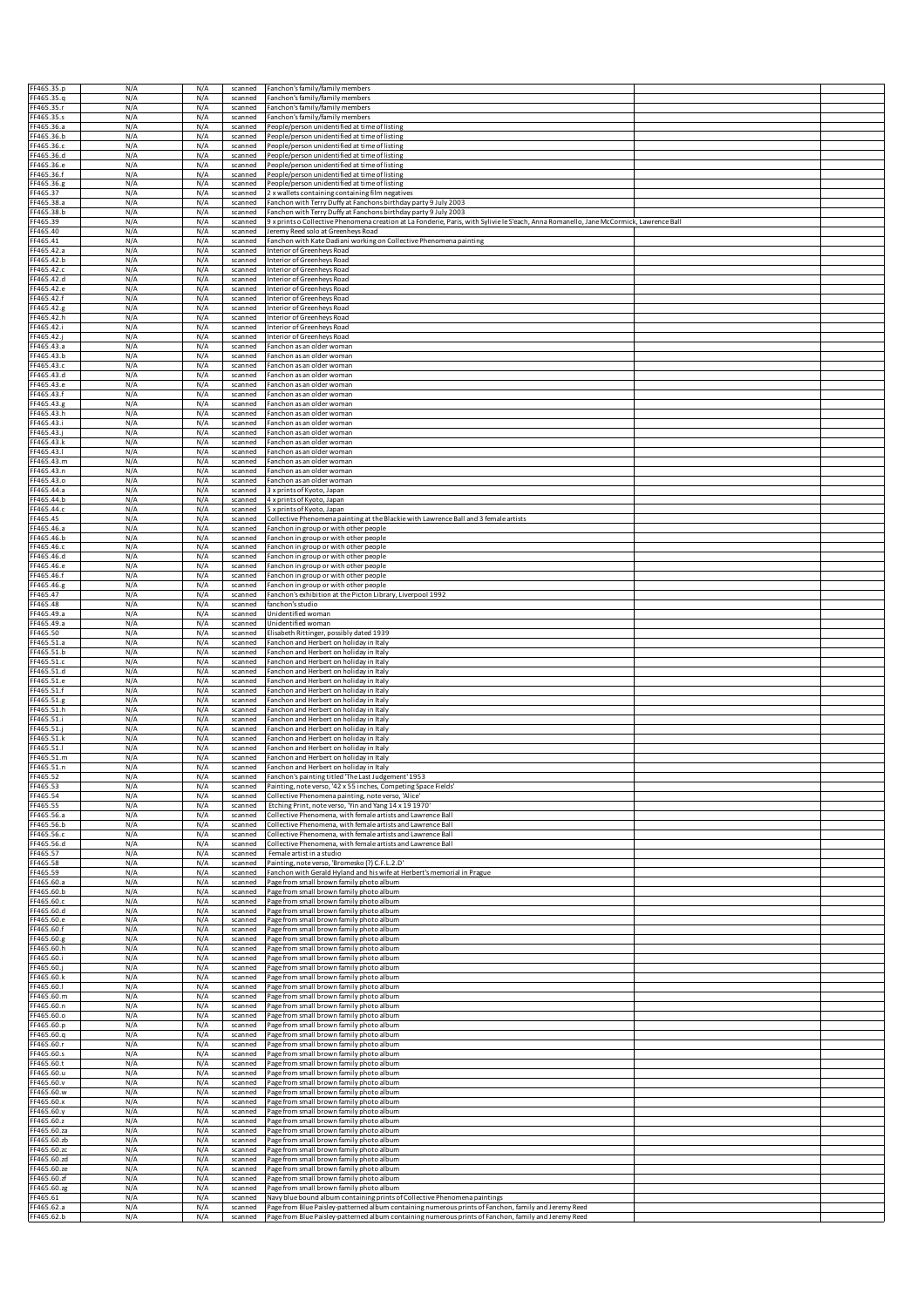| FF465.35.p                 | N/A        | N/A        | scanned            | Fanchon's family/family members                                                                                                                                                                                      |  |
|----------------------------|------------|------------|--------------------|----------------------------------------------------------------------------------------------------------------------------------------------------------------------------------------------------------------------|--|
| FF465.35.q<br>FF465.35.r   | N/A<br>N/A | N/A<br>N/A | scanned<br>scanned | Fanchon's family/family members<br>Fanchon's family/family members                                                                                                                                                   |  |
| FF465.35.s                 | N/A        | N/A        | scanned            | Fanchon's family/family members                                                                                                                                                                                      |  |
| FF465.36.a                 | N/A        | N/A        | scanned            | People/person unidentified at time of listing                                                                                                                                                                        |  |
| FF465.36.b                 | N/A        | N/A        | scanned            | People/person unidentified at time of listing                                                                                                                                                                        |  |
| FF465.36.c                 | N/A        | N/A        | scanned            | People/person unidentified at time of listing                                                                                                                                                                        |  |
| FF465.36.d                 | N/A        | N/A        | scanned            | People/person unidentified at time of listing                                                                                                                                                                        |  |
| FF465.36.e                 | N/A        | N/A        | scanned            | People/person unidentified at time of listing                                                                                                                                                                        |  |
| FF465.36.f                 | N/A        | N/A        | scanned            | People/person unidentified at time of listing                                                                                                                                                                        |  |
| FF465.36.g                 | N/A        | N/A        | scanned            | People/person unidentified at time of listing                                                                                                                                                                        |  |
| FF465.37                   | N/A        | N/A        | scanned            | 2 x wallets containing containing film negatives                                                                                                                                                                     |  |
| FF465.38.a                 | N/A        | N/A        | scanned            | Fanchon with Terry Duffy at Fanchons birthday party 9 July 2003                                                                                                                                                      |  |
| FF465.38.b                 | N/A        | N/A        | scanned            | Fanchon with Terry Duffy at Fanchons birthday party 9 July 2003                                                                                                                                                      |  |
| FF465.39                   | N/A        | N/A        | scanned            | 9 x prints o Collective Phenomena creation at La Fonderie, Paris, with Sylivie le S'each, Anna Romanello, Jane McCormick, Lawrence Ball                                                                              |  |
| FF465.40<br>FF465.41       | N/A<br>N/A | N/A<br>N/A | scanned<br>scanned | Jeremy Reed solo at Greenheys Road<br>Fanchon with Kate Dadiani working on Collective Phenomena painting                                                                                                             |  |
| FF465.42.a                 | N/A        | N/A        | scanned            | Interior of Greenheys Road                                                                                                                                                                                           |  |
| FF465.42.b                 | N/A        | N/A        | scanned            | Interior of Greenheys Road                                                                                                                                                                                           |  |
| FF465.42.c                 | N/A        | N/A        | scanned            | Interior of Greenheys Road                                                                                                                                                                                           |  |
| FF465.42.d                 | N/A        | N/A        | scanned            | Interior of Greenheys Road                                                                                                                                                                                           |  |
| FF465.42.e                 | N/A        | N/A        | scanned            | Interior of Greenheys Road                                                                                                                                                                                           |  |
| FF465.42.f                 | N/A        | N/A        | scanned            | Interior of Greenheys Road                                                                                                                                                                                           |  |
| FF465.42.g                 | N/A        | N/A        | scanned            | Interior of Greenheys Road                                                                                                                                                                                           |  |
| FF465.42.h                 | N/A        | N/A        | scanned            | Interior of Greenheys Road                                                                                                                                                                                           |  |
| FF465.42.i                 | N/A        | N/A        | scanned            | Interior of Greenheys Road                                                                                                                                                                                           |  |
| FF465.42.j                 | N/A        | N/A        | scanned            | Interior of Greenheys Road                                                                                                                                                                                           |  |
| FF465.43.a                 | N/A        | N/A        | scanned            | Fanchon as an older woman                                                                                                                                                                                            |  |
| FF465.43.b<br>FF465.43.c   | N/A<br>N/A | N/A        | scanned            | Fanchon as an older womar                                                                                                                                                                                            |  |
| FF465.43.d                 | N/A        | N/A<br>N/A | scanned            | Fanchon as an older womar                                                                                                                                                                                            |  |
| FF465.43.e                 | N/A        | N/A        | scanned<br>scanned | Fanchon as an older woman<br>Fanchon as an older woman                                                                                                                                                               |  |
| FF465.43.f                 | N/A        | N/A        | scanned            | Fanchon as an older woman                                                                                                                                                                                            |  |
| FF465.43.g                 | N/A        | N/A        | scanned            | Fanchon as an older woman                                                                                                                                                                                            |  |
| FF465.43.h                 | N/A        | N/A        | scanned            | Fanchon as an older woman                                                                                                                                                                                            |  |
| FF465.43.i                 | N/A        | N/A        | scanned            | Fanchon as an older woman                                                                                                                                                                                            |  |
| FF465.43.j                 | N/A        | N/A        | scanned            | Fanchon as an older woman                                                                                                                                                                                            |  |
| FF465.43.k                 | N/A        | N/A        | scanned            | Fanchon as an older woman                                                                                                                                                                                            |  |
| FF465.43.                  | N/A        | N/A        | scanned            | Fanchon as an older woman                                                                                                                                                                                            |  |
| FF465.43.m                 | N/A        | N/A        | scanned            | Fanchon as an older woman                                                                                                                                                                                            |  |
| FF465.43.n                 | N/A        | N/A        | scanned            | Fanchon as an older woman                                                                                                                                                                                            |  |
| FF465.43.o                 | N/A        | N/A        | scanned            | Fanchon as an older woman                                                                                                                                                                                            |  |
| FF465.44.a                 | N/A        | N/A        | scanned            | 3 x prints of Kyoto, Japan                                                                                                                                                                                           |  |
| FF465.44.b                 | N/A        | N/A        | scanned            | 4 x prints of Kyoto, Japan                                                                                                                                                                                           |  |
| FF465.44.c                 | N/A        | N/A        | scanned            | 5 x prints of Kyoto, Japan                                                                                                                                                                                           |  |
| FF465.45                   | N/A        | N/A        | scanned            | Collective Phenomena painting at the Blackie with Lawrence Ball and 3 female artists                                                                                                                                 |  |
| FF465.46.a<br>FF465.46.b   | N/A<br>N/A | N/A<br>N/A | scanned            | Fanchon in group or with other people                                                                                                                                                                                |  |
| FF465.46.c                 | N/A        | N/A        | scanned            | Fanchon in group or with other people                                                                                                                                                                                |  |
| FF465.46.d                 | N/A        | N/A        | scanned            | Fanchon in group or with other people                                                                                                                                                                                |  |
| FF465.46.e                 | N/A        | N/A        | scanned<br>scanned | Fanchon in group or with other people<br>Fanchon in group or with other people                                                                                                                                       |  |
| FF465.46.f                 | N/A        | N/A        | scanned            | Fanchon in group or with other people                                                                                                                                                                                |  |
| FF465.46.g                 | N/A        | N/A        | scanned            | Fanchon in group or with other people                                                                                                                                                                                |  |
| FF465.47                   | N/A        | N/A        | scanned            | Fanchon's exhibition at the Picton Library, Liverpool 1992                                                                                                                                                           |  |
| FF465.48                   | N/A        | N/A        | scanned            | fanchon's studio                                                                                                                                                                                                     |  |
| FF465.49.a                 | N/A        | N/A        | scanned            | Unidentified woman                                                                                                                                                                                                   |  |
| FF465.49.a                 | N/A        | N/A        | scanned            | Unidentified woman                                                                                                                                                                                                   |  |
| FF465.50                   | N/A        | N/A        | scanned            | Elisabeth Rittinger, possibly dated 1939                                                                                                                                                                             |  |
| FF465.51.a                 | N/A        | N/A        | scanned            | Fanchon and Herbert on holiday in Italy                                                                                                                                                                              |  |
| FF465.51.b                 | N/A        | N/A        | scanned            | Fanchon and Herbert on holiday in Italy                                                                                                                                                                              |  |
| FF465.51.c                 | N/A        | N/A        | scanned            | Fanchon and Herbert on holiday in Italy                                                                                                                                                                              |  |
| FF465.51.d                 | N/A        | N/A        | scanned            | Fanchon and Herbert on holiday in Italy                                                                                                                                                                              |  |
| FF465.51.e                 | N/A        | N/A        | scanned            | Fanchon and Herbert on holiday in Italy                                                                                                                                                                              |  |
| FF465.51.f                 | N/A        | N/A        | scanned            | Fanchon and Herbert on holiday in Italy                                                                                                                                                                              |  |
| FF465.51.g                 | N/A        | N/A        | scanned            | Fanchon and Herbert on holiday in Italy                                                                                                                                                                              |  |
| FF465.51.h                 | N/A        | N/A        | scanned            | Fanchon and Herbert on holiday in Italy                                                                                                                                                                              |  |
| FF465.51.i<br>FF465.51.j   | N/A        | N/A        | scanned            | Fanchon and Herbert on holiday in Italy<br>Fanchon and Herbert on holiday in Italy                                                                                                                                   |  |
|                            |            |            | scanned            | Fanchon and Herbert on holiday in Italy                                                                                                                                                                              |  |
|                            | N/A        | N/A        |                    |                                                                                                                                                                                                                      |  |
| FF465.51.k                 | N/A        | N/A        | scanned            |                                                                                                                                                                                                                      |  |
| FF465.51.                  | N/A        | N/A        | scanned            | Fanchon and Herbert on holiday in Italy                                                                                                                                                                              |  |
| FF465.51.m                 | N/A        | N/A        | scanned            | Fanchon and Herbert on holiday in Italy                                                                                                                                                                              |  |
| FF465.51.n<br>F465.52      | N/A<br>N/A | N/A<br>N/A | scanned<br>scanned | Fanchon and Herbert on holiday in Italy                                                                                                                                                                              |  |
| FF465.53                   | N/A        | N/A        | scanned            | Fanchon's painting titled 'The Last Judgement' 1953<br>Painting, note verso, '42 x 55 inches, Competing Space Fields'                                                                                                |  |
| FF465.54                   | N/A        | N/A        | scanned            | Collective Phenomena painting, note verso, 'Alice'                                                                                                                                                                   |  |
| FF465.55                   | N/A        | N/A        | scanned            | Etching Print, note verso, 'Yin and Yang 14 x 19 1970'                                                                                                                                                               |  |
| FF465.56.a                 | N/A        | N/A        | scanned            | Collective Phenomena, with female artists and Lawrence Ball                                                                                                                                                          |  |
| FF465.56.b                 | N/A        | N/A        | scanned            | Collective Phenomena, with female artists and Lawrence Ball                                                                                                                                                          |  |
| FF465.56.c                 | N/A        | N/A        | scanned            | Collective Phenomena, with female artists and Lawrence Ball                                                                                                                                                          |  |
| FF465.56.d                 | N/A        | N/A        | scanned            | Collective Phenomena, with female artists and Lawrence Ball                                                                                                                                                          |  |
| FF465.57                   | N/A        | N/A        | scanned            | Female artist in a studio                                                                                                                                                                                            |  |
| FF465.58                   | N/A        | N/A        | scanned            | Painting, note verso, 'Bromesko (?) C.F.L.2.D'                                                                                                                                                                       |  |
| FF465.59                   | N/A        | N/A        | scanned<br>scanned | Fanchon with Gerald Hyland and his wife at Herbert's memorial in Prague                                                                                                                                              |  |
| FF465.60.a<br>FF465.60.b   | N/A<br>N/A | N/A<br>N/A | scanned            | Page from small brown family photo album                                                                                                                                                                             |  |
| FF465.60.c                 | N/A        | N/A        | scanned            | Page from small brown family photo album<br>Page from small brown family photo album                                                                                                                                 |  |
| FF465.60.d                 | N/A        | N/A        | scanned            | Page from small brown family photo album                                                                                                                                                                             |  |
| FF465.60.e                 | N/A        | N/A        | scanned            | Page from small brown family photo album                                                                                                                                                                             |  |
| FF465.60.f                 | N/A        | N/A        | scanned            | Page from small brown family photo album                                                                                                                                                                             |  |
| FF465.60.g                 | N/A        | N/A        | scanned            | Page from small brown family photo album                                                                                                                                                                             |  |
| FF465.60.h                 | N/A        | N/A        | scanned            | Page from small brown family photo album                                                                                                                                                                             |  |
| FF465.60.i                 | N/A        | N/A        | scanned            | Page from small brown family photo album                                                                                                                                                                             |  |
| FF465.60.j                 | N/A        | N/A        | scanned            | Page from small brown family photo album                                                                                                                                                                             |  |
| FF465.60.k                 | N/A        | N/A        | scanned            | Page from small brown family photo album                                                                                                                                                                             |  |
| FF465.60.I                 | N/A        | N/A        | scanned            | Page from small brown family photo album                                                                                                                                                                             |  |
| FF465.60.m                 | N/A        | N/A        | scanned            | Page from small brown family photo album                                                                                                                                                                             |  |
| FF465.60.n                 | N/A        | N/A        | scanned            | Page from small brown family photo album                                                                                                                                                                             |  |
| FF465.60.o<br>FF465.60.p   | N/A<br>N/A | N/A<br>N/A | scanned<br>scanned | Page from small brown family photo album<br>Page from small brown family photo album                                                                                                                                 |  |
| FF465.60.q                 | N/A        | N/A        | scanned            | Page from small brown family photo album                                                                                                                                                                             |  |
| FF465.60.r                 | N/A        | N/A        | scanned            | Page from small brown family photo album                                                                                                                                                                             |  |
| FF465.60.s                 | N/A        | N/A        | scanned            | Page from small brown family photo album                                                                                                                                                                             |  |
| FF465.60.t                 | N/A        | N/A        | scanned            | Page from small brown family photo album                                                                                                                                                                             |  |
| FF465.60.u                 | N/A        | N/A        | scanned            | Page from small brown family photo album                                                                                                                                                                             |  |
| FF465.60.v                 | N/A        | N/A        | scanned            | Page from small brown family photo album                                                                                                                                                                             |  |
| FF465.60.w                 | N/A        | N/A        | scanned            | Page from small brown family photo album                                                                                                                                                                             |  |
| FF465.60.x                 | N/A        | N/A        | scanned            | Page from small brown family photo album                                                                                                                                                                             |  |
| FF465.60.y                 | N/A        | N/A        | scanned            | Page from small brown family photo album                                                                                                                                                                             |  |
| FF465.60.z                 | N/A        | N/A        | scanned            | Page from small brown family photo album                                                                                                                                                                             |  |
| FF465.60.za                | N/A        | N/A        | scanned            | Page from small brown family photo album                                                                                                                                                                             |  |
| FF465.60.zb                | N/A        | N/A        | scanned<br>scanned | Page from small brown family photo album                                                                                                                                                                             |  |
| FF465.60.zc<br>FF465.60.zd | N/A<br>N/A | N/A<br>N/A | scanned            | Page from small brown family photo album<br>Page from small brown family photo album                                                                                                                                 |  |
| FF465.60.ze                | N/A        | N/A        | scanned            | Page from small brown family photo album                                                                                                                                                                             |  |
| FF465.60.zf                | N/A        | N/A        | scanned            | Page from small brown family photo album                                                                                                                                                                             |  |
| FF465.60.zg                | N/A        | N/A        | scanned            | Page from small brown family photo album                                                                                                                                                                             |  |
| FF465.61                   | N/A        | N/A        | scanned            | Navy blue bound album containing prints of Collective Phenomena paintings                                                                                                                                            |  |
| FF465.62.a<br>FF465.62.b   | N/A<br>N/A | N/A<br>N/A | scanned            | Page from Blue Paisley-patterned album containing numerous prints of Fanchon, family and Jeremy Reed<br>scanned Page from Blue Paisley-patterned album containing numerous prints of Fanchon, family and Jeremy Reed |  |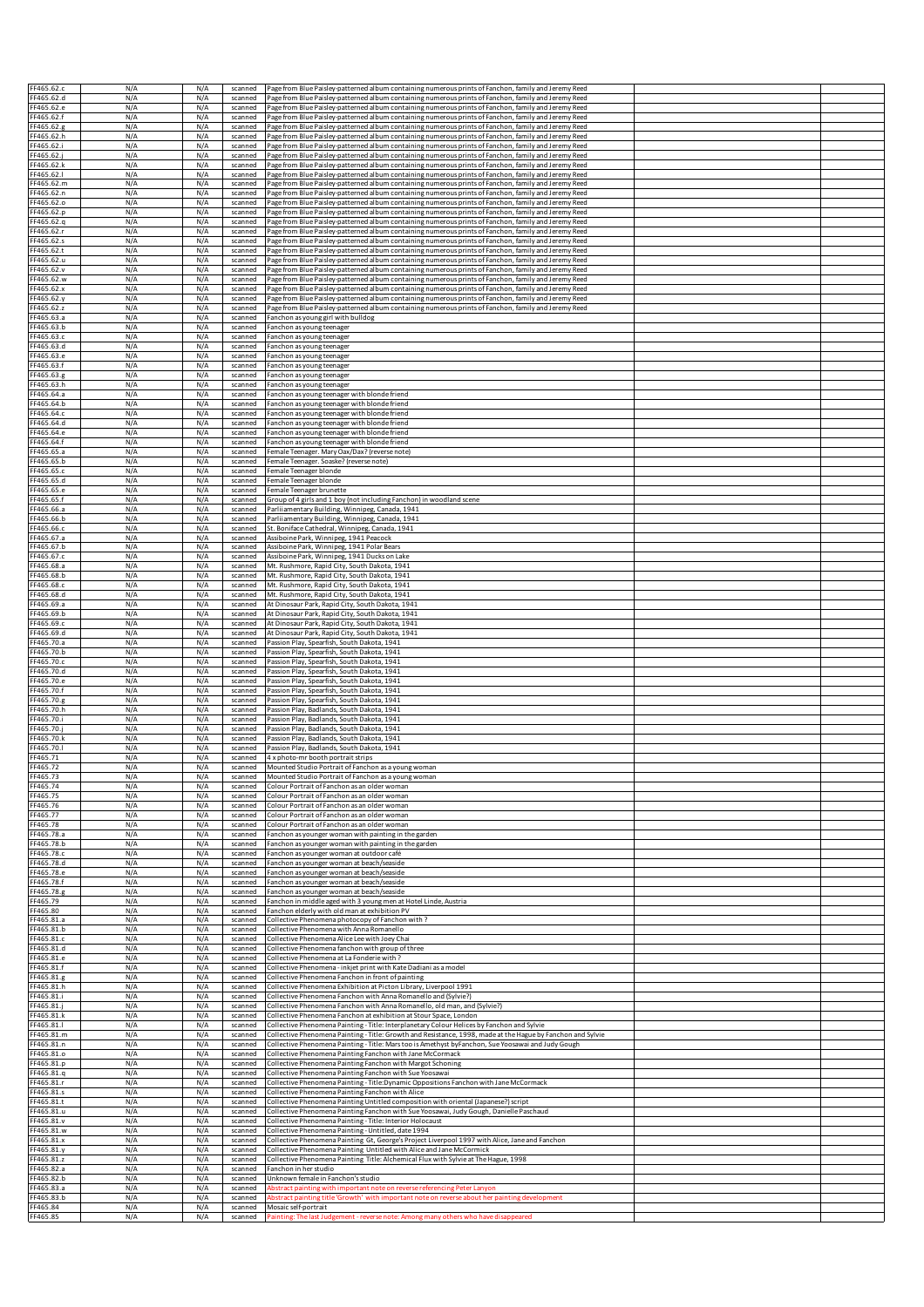| FF465.62.c<br>FF465.62.d             | N/A<br>N/A        | N/A<br>N/A        | scanned<br>scanned | Page from Blue Paisley-patterned album containing numerous prints of Fanchon, family and Jeremy Reed<br>Page from Blue Paisley-patterned album containing numerous prints of Fanchon, family and Jeremy Reed |  |
|--------------------------------------|-------------------|-------------------|--------------------|--------------------------------------------------------------------------------------------------------------------------------------------------------------------------------------------------------------|--|
| FF465.62.e                           | N/A               | N/A               | scanned            | Page from Blue Paisley-patterned album containing numerous prints of Fanchon, family and Jeremy Reed                                                                                                         |  |
| FF465.62.f                           | N/A               | N/A               | scanned            | Page from Blue Paisley-patterned album containing numerous prints of Fanchon, family and Jeremy Reed                                                                                                         |  |
| FF465.62.<br>FF465.62.h              | N/A<br>N/A        | N/A<br>N/A        | scanned<br>scanned | Page from Blue Paisley-patterned album containing numerous prints of Fanchon, family and Jeremy Reed<br>Page from Blue Paisley-patterned album containing numerous prints of Fanchon, family and Jeremy Reed |  |
| FF465.62.i                           | N/A               | N/A               | scanned            | age from Blue Paisley-patterned album containing numerous prints of Fanchon, family and Jeremy Reed?                                                                                                         |  |
| FF465.62.j                           | N/A               | N/A<br>N/A        | scanned            | Page from Blue Paisley-patterned album containing numerous prints of Fanchon, family and Jeremy Reed<br>Page from Blue Paisley-patterned album containing numerous prints of Fanchon, family and Jeremy Reed |  |
| FF465.62.k<br>F465.62.I              | N/A<br>N/A        | N/A               | scanned<br>scanned | Page from Blue Paisley-patterned album containing numerous prints of Fanchon, family and Jeremy Reed                                                                                                         |  |
| F465.62.m                            | N/A               | N/A               | scanned            | Page from Blue Paisley-patterned album containing numerous prints of Fanchon, family and Jeremy Reed                                                                                                         |  |
| FF465.62.n<br>FF465.62.o             | N/A<br>N/A        | N/A<br>N/A        | scanned<br>scanned | Page from Blue Paisley-patterned album containing numerous prints of Fanchon, family and Jeremy Reed<br>Page from Blue Paisley-patterned album containing numerous prints of Fanchon, family and Jeremy Reed |  |
| FF465.62.p                           | N/A               | N/A               | scanned            | Page from Blue Paisley-patterned album containing numerous prints of Fanchon, family and Jeremy Reed                                                                                                         |  |
| FF465.62.q                           | N/A               | N/A               | scanned            | Page from Blue Paisley-patterned album containing numerous prints of Fanchon, family and Jeremy Reed                                                                                                         |  |
| FF465.62.r<br>FF465.62.s             | N/A<br>N/A        | N/A<br>N/A        | scanned<br>scanned | Page from Blue Paisley-patterned album containing numerous prints of Fanchon, family and Jeremy Reed<br>Page from Blue Paisley-patterned album containing numerous prints of Fanchon, family and Jeremy Reed |  |
| FF465.62.t                           | N/A               | N/A               | scanned            | Page from Blue Paisley-patterned album containing numerous prints of Fanchon, family and Jeremy Reed                                                                                                         |  |
| FF465.62.u<br>F465.62.v              | N/A<br>N/A        | N/A<br>N/A        | scanned<br>scanned | Page from Blue Paisley-patterned album containing numerous prints of Fanchon, family and Jeremy Reed<br>Page from Blue Paisley-patterned album containing numerous prints of Fanchon, family and Jeremy Reed |  |
| FF465.62.w                           | N/A               | N/A               | scanned            | Page from Blue Paisley-patterned album containing numerous prints of Fanchon, family and Jeremy Reed                                                                                                         |  |
| FF465.62.x                           | N/A               | N/A               | scanned            | Page from Blue Paisley-patterned album containing numerous prints of Fanchon, family and Jeremy Reed                                                                                                         |  |
| FF465.62.y<br>FF465.62.z             | N/A<br>N/A        | N/A<br>N/A        | scanned<br>scanned | Page from Blue Paisley-patterned album containing numerous prints of Fanchon, family and Jeremy Reed<br>Page from Blue Paisley-patterned album containing numerous prints of Fanchon, family and Jeremy Reed |  |
| FF465.63.a                           | N/A               | N/A               | scanned            | Fanchon as young girl with bulldog                                                                                                                                                                           |  |
| FF465.63.b<br>FF465.63.c             | N/A<br>N/A        | N/A<br>N/A        | scanned<br>scanned | Fanchon as young teenager<br>Fanchon as young teenager                                                                                                                                                       |  |
| FF465.63.d                           | N/A               | N/A               | scanned            | Fanchon as young teenager                                                                                                                                                                                    |  |
| F465.63.e                            | N/A               | N/A               | scanned            | Fanchon as young teenager                                                                                                                                                                                    |  |
| F465.63.f<br>F465.63.g               | N/A<br>N/A        | N/A<br>N/A        | scanned<br>scanned | Fanchon as young teenager<br>Fanchon as young teenager                                                                                                                                                       |  |
| F465.63.h                            | N/A               | N/A               | scanned            | Fanchon as young teenager                                                                                                                                                                                    |  |
| F465.64.a<br>F465.64.b               | N/A<br>N/A        | N/A<br>N/A        | scanned<br>scanned | Fanchon as young teenager with blonde friend<br>Fanchon as young teenager with blonde friend                                                                                                                 |  |
| F465.64.c                            | N/A               | N/A               | scanned            | Fanchon as young teenager with blonde friend                                                                                                                                                                 |  |
| FF465.64.d                           | N/A               | N/A               | scanned            | Fanchon as young teenager with blonde friend                                                                                                                                                                 |  |
| FF465.64.e<br>F465.64.f              | N/A<br>N/A        | N/A<br>N/A        | scanned<br>scanned | Fanchon as young teenager with blonde friend<br>Fanchon as young teenager with blonde friend                                                                                                                 |  |
| F465.65.a                            | N/A               | N/A               | scanned            | Female Teenager. Mary Oax/Dax? (reverse note)                                                                                                                                                                |  |
| F465.65.b<br>FF465.65.c              | N/A<br>N/A        | N/A<br>N/A        | scanned<br>scanned | Female Teenager. Soaske? (reverse note)<br>Female Teenager blonde                                                                                                                                            |  |
| FF465.65.d                           | N/A               | N/A               | scanned            | Female Teenager blonde                                                                                                                                                                                       |  |
| FF465.65.e                           | N/A               | N/A               | scanned            | Female Teenager brunette                                                                                                                                                                                     |  |
| FF465.65.f<br>FF465.66.a             | N/A<br>N/A        | N/A<br>N/A        | scanned<br>scanned | Group of 4 girls and 1 boy (not including Fanchon) in woodland scene<br>Parliiamentary Building, Winnipeg, Canada, 1941                                                                                      |  |
| FF465.66.b                           | N/A               | N/A               | scanned            | Parliiamentary Building, Winnipeg, Canada, 1941                                                                                                                                                              |  |
| F465.66.c<br>F465.67.a               | N/A<br>N/A        | N/A<br>N/A        | scanned<br>scanned | St. Boniface Cathedral, Winnipeg, Canada, 1941<br>Assiboine Park, Winnipeg, 1941 Peacock                                                                                                                     |  |
| FF465.67.b                           | N/A               | N/A               | scanned            | Assiboine Park, Winnipeg, 1941 Polar Bears                                                                                                                                                                   |  |
| FF465.67.c<br>F465.68.a              | N/A<br>N/A        | N/A<br>N/A        | scanned<br>scanned | Assiboine Park, Winnipeg, 1941 Ducks on Lake<br>Mt. Rushmore, Rapid City, South Dakota, 1941                                                                                                                 |  |
| FF465.68.b                           | N/A               | N/A               | scanned            | Mt. Rushmore, Rapid City, South Dakota, 1941                                                                                                                                                                 |  |
| FF465.68.c                           | N/A               | N/A               | scanned            | Mt. Rushmore, Rapid City, South Dakota, 1941                                                                                                                                                                 |  |
| FF465.68.d<br>FF465.69.a             | N/A<br>N/A        | N/A<br>N/A        | scanned<br>scanned | Mt. Rushmore, Rapid City, South Dakota, 1941<br>At Dinosaur Park, Rapid City, South Dakota, 1941                                                                                                             |  |
| F465.69.b                            | N/A               | N/A               | scanned            | At Dinosaur Park, Rapid City, South Dakota, 1941                                                                                                                                                             |  |
| FF465.69.c<br>FF465.69.d             | N/A<br>N/A        | N/A<br>N/A        | scanned<br>scanned | At Dinosaur Park, Rapid City, South Dakota, 1941<br>At Dinosaur Park, Rapid City, South Dakota, 1941                                                                                                         |  |
| FF465.70.a                           | N/A               | N/A               | scanned            | Passion Play, Spearfish, South Dakota, 1941                                                                                                                                                                  |  |
| FF465.70.b                           | N/A               | N/A               | scanned            | Passion Play, Spearfish, South Dakota, 1941                                                                                                                                                                  |  |
| FF465.70.c<br>FF465.70.d             | N/A<br>N/A        | N/A<br>N/A        | scanned<br>scanned | Passion Play, Spearfish, South Dakota, 1941<br>Passion Play, Spearfish, South Dakota, 1941                                                                                                                   |  |
| FF465.70.e                           | N/A               | N/A               | scanned            | Passion Play, Spearfish, South Dakota, 1941                                                                                                                                                                  |  |
| FF465.70.f<br>FF465.70.g             | N/A<br>N/A        | N/A<br>N/A        | scanned<br>scanned | Passion Play, Spearfish, South Dakota, 1941<br>Passion Play, Spearfish, South Dakota, 1941                                                                                                                   |  |
| F465.70.h                            | N/A               | N/A               | scanned            | Passion Play, Badlands, South Dakota, 1941                                                                                                                                                                   |  |
| F465.70.i<br>F465.70.j               | N/A               | N/A               | scanned            | Passion Play, Badlands, South Dakota, 1941                                                                                                                                                                   |  |
| F465.70.k                            | N/A<br>N/A        | N/A<br>N/A        | scanned<br>scanned | Passion Play, Badlands, South Dakota, 1941<br>Passion Play, Badlands, South Dakota, 1941                                                                                                                     |  |
| F465.70.                             | N/A               | N/A               | scanned            | Passion Play, Badlands, South Dakota, 1941                                                                                                                                                                   |  |
| F465.71<br>FF465.72                  | N/A<br>N/A        | N/A<br>N/A        | scanned<br>scanned | 4 x photo-mr booth portrait strips<br>Mounted Studio Portrait of Fanchon as a young woman                                                                                                                    |  |
| F465.73                              | N/A               | N/A               | scanned            | Mounted Studio Portrait of Fanchon as a young woman                                                                                                                                                          |  |
| FF465.74<br>F465.75                  | N/A               | N/A               | scanned            | Colour Portrait of Fanchon as an older woman                                                                                                                                                                 |  |
| F465.76                              | N/A<br>N/A        | N/A<br>N/A        | scanned<br>scanned | Colour Portrait of Fanchon as an older woman<br>Colour Portrait of Fanchon as an older woman                                                                                                                 |  |
| FF465.77                             | N/A               | N/A               | scanned            | Colour Portrait of Fanchon as an older woman                                                                                                                                                                 |  |
| FF465.78<br>FF465.78.a               | N/A<br>N/A        | N/A<br>N/A        | scanned<br>scanned | Colour Portrait of Fanchon as an older woman<br>Fanchon as younger woman with painting in the garden                                                                                                         |  |
| FF465.78.b                           | N/A               | N/A               | scanned            | Fanchon as younger woman with painting in the garden                                                                                                                                                         |  |
| FF465.78.c<br>FF465.78.d             | N/A<br>N/A        | N/A<br>N/A        | scanned<br>scanned | Fanchon as younger woman at outdoor café<br>Fanchon as younger woman at beach/seaside                                                                                                                        |  |
| FF465.78.e                           | N/A               | N/A               | scanned            | Fanchon as younger woman at beach/seaside                                                                                                                                                                    |  |
| FF465.78.f                           | N/A               | N/A               | scanned            | Fanchon as younger woman at beach/seaside                                                                                                                                                                    |  |
| FF465.78.g<br>FF465.79               | N/A<br>N/A        | N/A<br>N/A        | scanned<br>scanned | Fanchon as younger woman at beach/seaside<br>Fanchon in middle aged with 3 young men at Hotel Linde, Austria                                                                                                 |  |
| FF465.80                             | N/A               | N/A               | scanned            | Fanchon elderly with old man at exhibition PV                                                                                                                                                                |  |
| FF465.81.a<br>FF465.81.b             | N/A<br>N/A        | N/A<br>N/A        | scanned<br>scanned | Collective Phenomena photocopy of Fanchon with?<br>Collective Phenomena with Anna Romanello                                                                                                                  |  |
| FF465.81.c                           | N/A               | N/A               | scanned            | Collective Phenomena Alice Lee with Joey Chai                                                                                                                                                                |  |
| FF465.81.d<br>FF465.81.e             | N/A<br>N/A        | N/A<br>N/A        | scanned            | Collective Phenomena fanchon with group of three                                                                                                                                                             |  |
| FF465.81.f                           | N/A               | N/A               | scanned<br>scanned | Collective Phenomena at La Fonderie with?<br>Collective Phenomena - inkjet print with Kate Dadiani as a model                                                                                                |  |
| FF465.81.g                           | N/A               | N/A               | scanned            | Collective Phenomena Fanchon in front of painting                                                                                                                                                            |  |
| FF465.81.h<br>FF465.81.i             | N/A<br>N/A        | N/A<br>N/A        | scanned<br>scanned | Collective Phenomena Exhibition at Picton Library, Liverpool 1991<br>Collective Phenomena Fanchon with Anna Romanello and (Sylvie?)                                                                          |  |
| FF465.81.j                           | N/A               | N/A               | scanned            | Collective Phenomena Fanchon with Anna Romanello, old man, and (Sylvie?)                                                                                                                                     |  |
| FF465.81.k<br>FF465.81.              | N/A<br>N/A        | N/A<br>N/A        | scanned<br>scanned | Collective Phenomena Fanchon at exhibition at Stour Space, London<br>Collective Phenomena Painting - Title: Interplanetary Colour Helices by Fanchon and Sylvie                                              |  |
| FF465.81.m                           |                   |                   |                    |                                                                                                                                                                                                              |  |
|                                      | N/A               | N/A               | scanned            | Collective Phenomena Painting - Title: Growth and Resistance, 1998, made at the Hague by Fanchon and Sylvie                                                                                                  |  |
| FF465.81.n                           | N/A               | N/A               | scanned            | Collective Phenomena Painting - Title: Mars too is Amethyst byFanchon, Sue Yoosawai and Judy Gough                                                                                                           |  |
| FF465.81.o<br>FF465.81.p             | N/A<br>N/A        | N/A<br>N/A        | scanned<br>scanned | Collective Phenomena Painting Fanchon with Jane McCormack<br>Collective Phenomena Painting Fanchon with Margot Schoning                                                                                      |  |
| FF465.81.q                           | N/A               | N/A               | scanned            | Collective Phenomena Painting Fanchon with Sue Yoosawai                                                                                                                                                      |  |
| F465.81.r                            | N/A               | N/A               | scanned            | Collective Phenomena Painting - Title:Dynamic Oppositions Fanchon with Jane McCormack                                                                                                                        |  |
| FF465.81.s<br>F465.81.t              | N/A<br>N/A        | N/A<br>N/A        | scanned<br>scanned | Collective Phenomena Painting Fanchon with Alice<br>Collective Phenomena Painting Untitled composition with oriental (Japanese?) script                                                                      |  |
| F465.81.u                            | N/A               | N/A               | scanned            | Collective Phenomena Painting Fanchon with Sue Yoosawai, Judy Gough, Danielle Paschaud                                                                                                                       |  |
| F465.81.v<br>FF465.81.w              | N/A<br>N/A        | N/A<br>N/A        | scanned<br>scanned | Collective Phenomena Painting - Title: Interior Holocaust<br>Collective Phenomena Painting - Untitled, date 1994                                                                                             |  |
| FF465.81.x                           | N/A               | N/A               | scanned            | Collective Phenomena Painting Gt, George's Project Liverpool 1997 with Alice, Jane and Fanchon                                                                                                               |  |
| F465.81.y<br>F465.81.z               | N/A<br>N/A        | N/A<br>N/A        | scanned<br>scanned | Collective Phenomena Painting Untitled with Alice and Jane McCormick<br>Collective Phenomena Painting Title: Alchemical Flux with Sylvie at The Hague, 1998                                                  |  |
| FF465.82.a                           | N/A               | N/A               | scanned            | Fanchon in her studio                                                                                                                                                                                        |  |
| FF465.82.b                           | N/A               | N/A               | scanned<br>scanned | Unknown female in Fanchon's studio                                                                                                                                                                           |  |
| FF465.83.a<br>FF465.83.b<br>FF465.84 | N/A<br>N/A<br>N/A | N/A<br>N/A<br>N/A | scanned<br>scanned | bstract painting with important note on reverse referencing Peter Lanyor<br>ostract painting title 'Growth' with important note on reverse about her painting developmen'<br>Mosaic self-portrait            |  |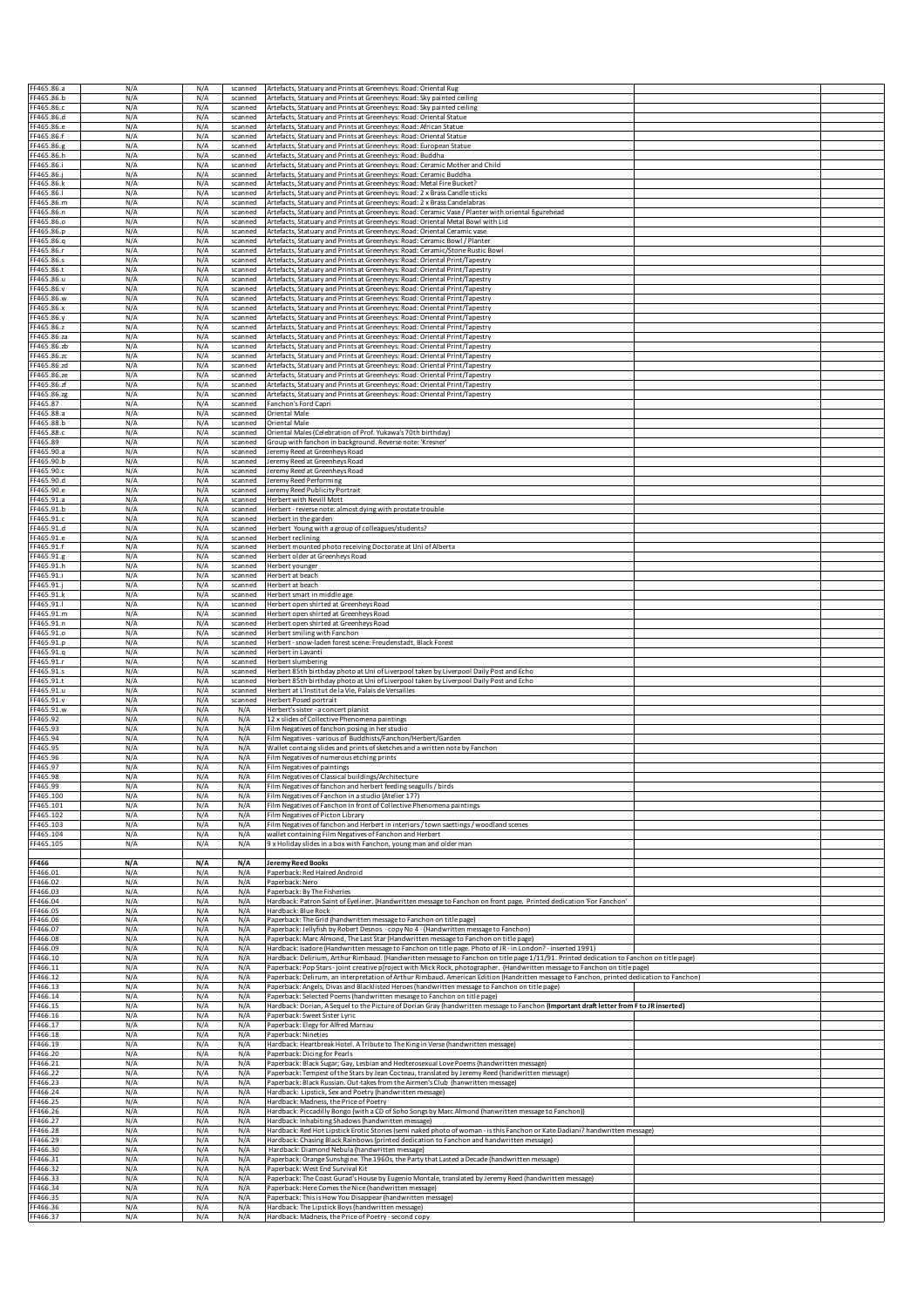| FF465.86.a               | N/A        | N/A        | scanned            | Artefacts, Statuary and Prints at Greenheys: Road: Oriental Rug                                                                                                                                                                            |  |
|--------------------------|------------|------------|--------------------|--------------------------------------------------------------------------------------------------------------------------------------------------------------------------------------------------------------------------------------------|--|
| FF465.86.b<br>FF465.86.c | N/A<br>N/A | N/A<br>N/A | scanned<br>scanned | Artefacts, Statuary and Prints at Greenheys: Road: Sky painted ceiling<br>Artefacts, Statuary and Prints at Greenheys: Road: Sky painted ceiling                                                                                           |  |
| FF465.86.d               | N/A        | N/A        | scanned            | Artefacts, Statuary and Prints at Greenheys: Road: Oriental Statue                                                                                                                                                                         |  |
| FF465.86.e               | N/A        | N/A        | scanned            | Artefacts, Statuary and Prints at Greenheys: Road: African Statue                                                                                                                                                                          |  |
| FF465.86.f               | N/A        | N/A        | scanned            | Artefacts, Statuary and Prints at Greenheys: Road: Oriental Statue                                                                                                                                                                         |  |
| FF465.86.g               | N/A        | N/A        | scanned            | Artefacts, Statuary and Prints at Greenheys: Road: European Statue                                                                                                                                                                         |  |
| FF465.86.h<br>FF465.86.i | N/A<br>N/A | N/A<br>N/A | scanned<br>scanned | Artefacts, Statuary and Prints at Greenheys: Road: Buddha<br>Artefacts, Statuary and Prints at Greenheys: Road: Ceramic Mother and Child                                                                                                   |  |
| FF465.86.j               | N/A        | N/A        | scanned            | Artefacts, Statuary and Prints at Greenheys: Road: Ceramic Buddha                                                                                                                                                                          |  |
| FF465.86.k               | N/A        | N/A        | scanned            | Artefacts, Statuary and Prints at Greenheys: Road: Metal Fire Bucket?                                                                                                                                                                      |  |
| F465.86.                 | N/A        | N/A        | scanned            | Artefacts, Statuary and Prints at Greenheys: Road: 2 x Brass Candle sticks                                                                                                                                                                 |  |
| FF465.86.m<br>F465.86.n  | N/A<br>N/A | N/A<br>N/A | scanned            | Artefacts, Statuary and Prints at Greenheys: Road: 2 x Brass Candelabras                                                                                                                                                                   |  |
| FF465.86.0               | N/A        | N/A        | scanned<br>scanned | Artefacts, Statuary and Prints at Greenheys: Road: Ceramic Vase / Planter with oriental figurehead<br>Artefacts, Statuary and Prints at Greenheys: Road: Oriental Metal Bowl with Lid                                                      |  |
| FF465.86.p               | N/A        | N/A        | scanned            | Artefacts, Statuary and Prints at Greenheys: Road: Oriental Ceramic vase                                                                                                                                                                   |  |
| F465.86.q                | N/A        | N/A        | scanned            | Artefacts, Statuary and Prints at Greenheys: Road: Ceramic Bowl / Planter                                                                                                                                                                  |  |
| F465.86.r                | N/A        | N/A        | scanned            | Artefacts, Statuary and Prints at Greenheys: Road: Ceramic/Stone Rustic Bowl                                                                                                                                                               |  |
| FF465.86.s<br>FF465.86.t | N/A<br>N/A | N/A<br>N/A | scanned<br>scanned | Artefacts, Statuary and Prints at Greenheys: Road: Oriental Print/Tapestry<br>Artefacts, Statuary and Prints at Greenheys: Road: Oriental Print/Tapestry                                                                                   |  |
| FF465.86.u               | N/A        | N/A        | scanned            | Artefacts, Statuary and Prints at Greenheys: Road: Oriental Print/Tapestry                                                                                                                                                                 |  |
| FF465.86.v               | N/A        | N/A        | scanned            | Artefacts, Statuary and Prints at Greenheys: Road: Oriental Print/Tapestry                                                                                                                                                                 |  |
| FF465.86.w               | N/A        | N/A        | scanned            | Artefacts, Statuary and Prints at Greenheys: Road: Oriental Print/Tapestry                                                                                                                                                                 |  |
| FF465.86.x               | N/A        | N/A        | scanned            | Artefacts, Statuary and Prints at Greenheys: Road: Oriental Print/Tapestry                                                                                                                                                                 |  |
| FF465.86.y               | N/A<br>N/A | N/A<br>N/A | scanned            | Artefacts, Statuary and Prints at Greenheys: Road: Oriental Print/Tapestry                                                                                                                                                                 |  |
| F465.86.z<br>F465.86.za  | N/A        | N/A        | scanned<br>scanned | Artefacts, Statuary and Prints at Greenheys: Road: Oriental Print/Tapestry<br>Artefacts, Statuary and Prints at Greenheys: Road: Oriental Print/Tapestry                                                                                   |  |
| F465.86.zb               | N/A        | N/A        | scanned            | Artefacts, Statuary and Prints at Greenheys: Road: Oriental Print/Tapestry                                                                                                                                                                 |  |
| F465.86.zc               | N/A        | N/A        | scanned            | Artefacts, Statuary and Prints at Greenheys: Road: Oriental Print/Tapestry                                                                                                                                                                 |  |
| F465.86.zd               | N/A        | N/A        | scanned            | Artefacts, Statuary and Prints at Greenheys: Road: Oriental Print/Tapestry                                                                                                                                                                 |  |
| F465.86.ze<br>F465.86.zf | N/A<br>N/A | N/A<br>N/A | scanned<br>scanned | Artefacts, Statuary and Prints at Greenheys: Road: Oriental Print/Tapestry<br>Artefacts, Statuary and Prints at Greenheys: Road: Oriental Print/Tapestry                                                                                   |  |
| FF465.86.zg              | N/A        | N/A        | scanned            | Artefacts, Statuary and Prints at Greenheys: Road: Oriental Print/Tapestry                                                                                                                                                                 |  |
| FF465.87                 | N/A        | N/A        | scanned            | Fanchon's Ford Capri                                                                                                                                                                                                                       |  |
| FF465.88.a               | N/A        | N/A        | scanned            | Oriental Male                                                                                                                                                                                                                              |  |
| FF465.88.b               | N/A        | N/A        | scanned            | Oriental Male                                                                                                                                                                                                                              |  |
| FF465.88.c<br>FF465.89   | N/A<br>N/A | N/A        | scanned            | Oriental Males (Celebration of Prof. Yukawa's 70th birthday)<br>Group with fanchon in background. Reverse note: 'Kresner'                                                                                                                  |  |
| FF465.90.a               | N/A        | N/A<br>N/A | scanned<br>scanned | Jeremy Reed at Greenheys Road                                                                                                                                                                                                              |  |
| FF465.90.b               | N/A        | N/A        | scanned            | Jeremy Reed at Greenheys Road                                                                                                                                                                                                              |  |
| FF465.90.c               | N/A        | N/A        | scanned            | Jeremy Reed at Greenheys Road                                                                                                                                                                                                              |  |
| FF465.90.d               | N/A        | N/A        | scanned            | Jeremy Reed Performing                                                                                                                                                                                                                     |  |
| FF465.90.e               | N/A        | N/A        | scanned            | Jeremy Reed Publicity Portrait                                                                                                                                                                                                             |  |
| FF465.91.a<br>FF465.91.b | N/A<br>N/A | N/A<br>N/A | scanned<br>scanned | <b>Herbert with Nevill Mott</b><br>Herbert - reverse note: almost dying with prostate trouble                                                                                                                                              |  |
| FF465.91.c               | N/A        | N/A        | scanned            | Herbert in the garden                                                                                                                                                                                                                      |  |
| F465.91.d                | N/A        | N/A        | scanned            | lerbert Young with a group of colleagues/students?                                                                                                                                                                                         |  |
| FF465.91.e               | N/A        | N/A        | scanned            | lerbert reclining                                                                                                                                                                                                                          |  |
| F465.91.f                | N/A        | N/A        | scanned            | Herbert mounted photo receiving Doctorate at Uni of Alberta                                                                                                                                                                                |  |
| F465.91.g<br>FF465.91.h  | N/A<br>N/A | N/A<br>N/A | scanned<br>scanned | lerbert older at Greenheys Road<br>Herbert younger                                                                                                                                                                                         |  |
| FF465.91.i               | N/A        | N/A        | scanned            | Herbert at beach                                                                                                                                                                                                                           |  |
| F465.91.j                | N/A        | N/A        | scanned            | Herbert at beach                                                                                                                                                                                                                           |  |
| F465.91.k                | N/A        | N/A        | scanned            | Herbert smart in middle age                                                                                                                                                                                                                |  |
| F465.91.I                | N/A        | N/A        | scanned            | Herbert open shirted at Greenheys Road                                                                                                                                                                                                     |  |
| F465.91.m<br>FF465.91.n  | N/A<br>N/A | N/A<br>N/A | scanned<br>scanned | Herbert open shirted at Greenheys Road<br>Herbert open shirted at Greenheys Road                                                                                                                                                           |  |
| FF465.91.o               | N/A        | N/A        | scanned            | Herbert smiling with Fanchon                                                                                                                                                                                                               |  |
| FF465.91.p               | N/A        | N/A        | scanned            | Herbert - snow-laden forest scene: Freudenstadt, Black Forest                                                                                                                                                                              |  |
| FF465.91.q               | N/A        | N/A        | scanned            | Herbert in Lavanti                                                                                                                                                                                                                         |  |
| FF465.91.r               | N/A        | N/A        | scanned            | Herbert slumbering                                                                                                                                                                                                                         |  |
| FF465.91.s               | N/A        | N/A        | scanned            | Herbert 85th birthday photo at Uni of Liverpool taken by Liverpool Daily Post and Echo                                                                                                                                                     |  |
| F465.91.t<br>F465.91.u   | N/A<br>N/A | N/A<br>N/A | scanned<br>scanned | Herbert 85th birthday photo at Uni of Liverpool taken by Liverpool Daily Post and Echo<br>Herbert at L'Institut de la Vie, Palais de Versailles                                                                                            |  |
| F465.91.v                | N/A        | N/A        | scanned            | Herbert Posed portrait                                                                                                                                                                                                                     |  |
| F465.91.w                | N/A        | N/A        | N/A                | Herbert's sister - a concert pianist                                                                                                                                                                                                       |  |
| F465.92                  | N/A        | N/A        | N/A                | 12 x slides of Collective Phenomena paintings                                                                                                                                                                                              |  |
| F465.93<br>F465.94       | N/A<br>N/A | N/A<br>N/A | N/A<br>N/A         | Film Negatives of fanchon posing in her studio<br>Film Negatives - various of Buddhists/Fanchon/Herbert/Garden                                                                                                                             |  |
| F465.95                  | N/A        | N/A        | N/A                | Wallet containg slides and prints of sketches and a written note by Fanchon                                                                                                                                                                |  |
| FF465.96                 | N/A        | N/A        | N/A                | Film Negatives of numerous etching prints                                                                                                                                                                                                  |  |
| FF465.97                 | N/A        | N/A        | N/A                | Film Negatives of paintings                                                                                                                                                                                                                |  |
| FF465.98                 | N/A        | N/A        | N/A                | Film Negatives of Classical buildings/Architecture                                                                                                                                                                                         |  |
| FF465.99                 | N/A        | N/A        | N/A                | Film Negatives of fanchon and herbert feeding seagulls / birds                                                                                                                                                                             |  |
| FF465.100<br>FF465.101   | N/A<br>N/A | N/A<br>N/A | N/A                | Film Negatives of Fanchon in a studio (Atelier 17?)                                                                                                                                                                                        |  |
| FF465.102                | N/A        |            |                    |                                                                                                                                                                                                                                            |  |
| FF465.103                |            | N/A        | N/A<br>N/A         | Film Negatives of Fanchon in front of Collective Phenomena paintings<br>Film Negatives of Picton Library                                                                                                                                   |  |
| FF465.104                | N/A        | N/A        | N/A                | Film Negatives of fanchon and Herbert in interiors / town saettings / woodland scenes                                                                                                                                                      |  |
|                          | N/A        | N/A        | N/A                | wallet containing Film Negatives of Fanchon and Herbert                                                                                                                                                                                    |  |
| FF465.105                | N/A        | N/A        | N/A                | 9 x Holiday slides in a box with Fanchon, young man and older man                                                                                                                                                                          |  |
|                          |            |            |                    |                                                                                                                                                                                                                                            |  |
| FF466<br>FF466.01        | N/A<br>N/A | N/A<br>N/A | N/A<br>N/A         | <b>Jeremy Reed Books</b><br>Paperback: Red Haired Android                                                                                                                                                                                  |  |
| FF466.02                 | N/A        | N/A        | N/A                | Paperback: Nero                                                                                                                                                                                                                            |  |
| FF466.03                 | N/A        | N/A        | N/A                | Paperback: By The Fisheries                                                                                                                                                                                                                |  |
| FF466.04                 | N/A        | N/A        | N/A                | Hardback: Patron Saint of Eyeliner. (Handwritten message to Fanchon on front page. Printed dedication 'For Fanchon'                                                                                                                        |  |
| FF466.05                 | N/A        | N/A        | N/A                | Hardback: Blue Rock                                                                                                                                                                                                                        |  |
| FF466.06<br>FF466.07     | N/A<br>N/A | N/A<br>N/A | N/A<br>N/A         | Paperback: The Grid (handwritten message to Fanchon on title page)<br>Paperback: Jellyfish by Robert Desnos - copy No 4 - (Handwritten message to Fanchon)                                                                                 |  |
| FF466.08                 | N/A        | N/A        | N/A                | Paperback: Marc Almond, The Last Star (Handwritten message to Fanchon on title page)                                                                                                                                                       |  |
| FF466.09                 | N/A        | N/A        | N/A                | Hardback: Isadore (Handwritten message to Fanchon on title page. Photo of JR - in London? - inserted 1991)                                                                                                                                 |  |
| F466.10                  | N/A        | N/A        | N/A                | Hardback: Delirium, Arthur Rimbaud. (Handwritten message to Fanchon on title page 1/11/91. Printed dedication to Fanchon on title page)                                                                                                    |  |
| FF466.11                 | N/A        | N/A        | N/A<br>N/A         | Paperback: Pop Stars-joint creative p[roject with Mick Rock, photographer. (Handwritten message to Fanchon on title page)                                                                                                                  |  |
| FF466.12<br>FF466.13     | N/A<br>N/A | N/A<br>N/A | N/A                | Paperback: Delirum, an interpretation of Arthur Rimbaud. American Edition (Handritten message to Fanchon, printed dedication to Fanchon)<br>Paperback: Angels, Divas and Blacklisted Heroes (handwritten message to Fanchon on title page) |  |
| FF466.14                 | N/A        | N/A        | N/A                | Paperback: Selected Poems (handwritten mesasge to Fanchon on title page)                                                                                                                                                                   |  |
| FF466.15                 | N/A        | N/A        | N/A                | Hardback: Dorian, A Sequel to the Picture of Dorian Gray (handwritten message to Fanchon (Important draft letter from F to JR inserted)                                                                                                    |  |
| FF466.16                 | N/A        | N/A        | N/A                | Paperback: Sweet Sister Lyric                                                                                                                                                                                                              |  |
| FF466.17                 | N/A        | N/A        | N/A                | Paperback: Elegy for Alfred Marnau                                                                                                                                                                                                         |  |
| FF466.18<br>FF466.19     | N/A<br>N/A | N/A<br>N/A | N/A<br>N/A         | Paperback: Nineties<br>Hardback: Heartbreak Hotel. A Tribute to The King in Verse (handwritten message)                                                                                                                                    |  |
| FF466.20                 | N/A        | N/A        | N/A                | Paperback: Dicing for Pearls                                                                                                                                                                                                               |  |
| FF466.21                 | N/A        | N/A        | N/A                | Paperback: Black Sugar; Gay, Lesbian and Hedterosexual Love Poems (handwritten message)                                                                                                                                                    |  |
| F466.22                  | N/A        | N/A        | N/A                | Paperback: Tempest of the Stars by Jean Cocteau, translated by Jeremy Reed (handwritten message)                                                                                                                                           |  |
| F466.23                  | N/A        | N/A        | N/A                | Paperback: Black Russian. Out-takes from the Airmen's Club (hanwritten message)                                                                                                                                                            |  |
| F466.24<br>FF466.25      | N/A<br>N/A | N/A<br>N/A | N/A<br>N/A         | Hardback: Lipstick, Sex and Poetry (handwritten message)<br>Hardback: Madness, the Price of Poetry                                                                                                                                         |  |
| FF466.26                 | N/A        | N/A        | N/A                | Hardback: Piccadilly Bongo (with a CD of Soho Songs by Marc Almond (hanwritten message to Fanchon))                                                                                                                                        |  |
| FF466.27                 | N/A        | N/A        | N/A                | Hardback: Inhabiting Shadows (handwritten message)                                                                                                                                                                                         |  |
| FF466.28                 | N/A        | N/A        | N/A                | Hardback: Red Hot Lipstick Erotic Stories (semi naked photo of woman - is this Fanchon or Kate Dadiani? handwritten message)                                                                                                               |  |
| FF466.29                 | N/A        | N/A        | N/A                | Hardback: Chasing Black Rainbows (printed dedication to Fanchon and handwritten message)                                                                                                                                                   |  |
| FF466.30<br>FF466.31     | N/A<br>N/A | N/A<br>N/A | N/A<br>N/A         | Hardback: Diamond Nebula (handwritten message)                                                                                                                                                                                             |  |
| FF466.32                 | N/A        | N/A        | N/A                | Paperback: Orange Sunshgine. The 1960s, the Party that Lasted a Decade (handwritten message)<br>Paperback: West End Survival Kit                                                                                                           |  |
| FF466.33                 | N/A        | N/A        | N/A                | Paperback: The Coast Gurad's House by Eugenio Montale, translated by Jeremy Reed (handwritten message)                                                                                                                                     |  |
| FF466.34                 | N/A        | N/A        | N/A                | Paperback: Here Comes the Nice (handwritten message)                                                                                                                                                                                       |  |
| FF466.35<br>FF466.36     | N/A<br>N/A | N/A<br>N/A | N/A<br>N/A         | Paperback: This is How You Disappear (handwritten message)<br>Hardback: The Lipstick Boys (handwritten message)                                                                                                                            |  |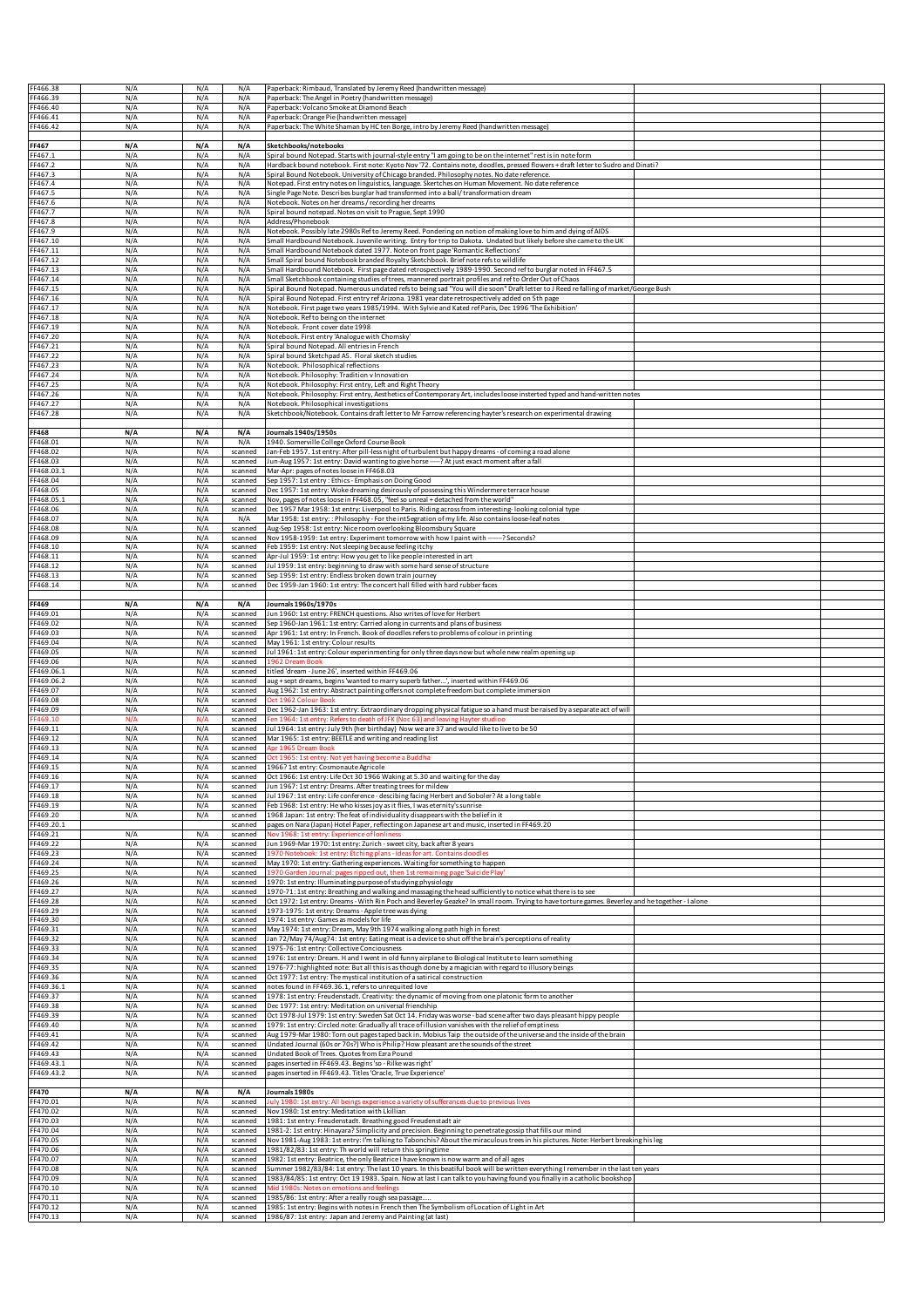| FF466.38                   | N/A               | N/A               | N/A                | Paperback: Rimbaud, Translated by Jeremy Reed (handwritten message)                                                                                                                                                                                              |  |
|----------------------------|-------------------|-------------------|--------------------|------------------------------------------------------------------------------------------------------------------------------------------------------------------------------------------------------------------------------------------------------------------|--|
| FF466.39<br>FF466.40       | N/A               | N/A               | N/A                | Paperback: The Angel in Poetry (handwritten message)<br>Paperback: Volcano Smoke at Diamond Beach                                                                                                                                                                |  |
| FF466.41                   | N/A<br>N/A        | N/A<br>N/A        | N/A<br>N/A         | Paperback: Orange Pie (handwritten message)                                                                                                                                                                                                                      |  |
| FF466.42                   | N/A               | N/A               | N/A                | Paperback: The White Shaman by HC ten Borge, intro by Jeremy Reed (handwritten message)                                                                                                                                                                          |  |
| FF467                      |                   |                   |                    |                                                                                                                                                                                                                                                                  |  |
| FF467.1                    | N/A<br>N/A        | N/A<br>N/A        | N/A<br>N/A         | Sketchbooks/notebooks<br>Spiral bound Notepad. Starts with journal-style entry "I am going to be on the internet" rest is in note form                                                                                                                           |  |
| F467.2                     | N/A               | N/A               | N/A                | Hardback bound notebook. First note: Kyoto Nov '72. Contains note, doodles, pressed flowers + draft letter to Sudro and Dinati?                                                                                                                                  |  |
| FF467.3<br>FF467.4         | N/A<br>N/A        | N/A<br>N/A        | N/A<br>N/A         | Spiral Bound Notebook. University of Chicago branded. Philosophy notes. No date reference.<br>Notepad. First entry notes on linguistics, language. Skertches on Human Movement. No date reference                                                                |  |
| FF467.5                    | N/A               | N/A               | N/A                | Single Page Note. Describes burglar had transformed into a ball/transformation dream                                                                                                                                                                             |  |
| FF467.6                    | N/A               | N/A               | N/A                | Notebook. Notes on her dreams / recording her dreams                                                                                                                                                                                                             |  |
| FF467.7<br>FF467.8         | N/A<br>N/A        | N/A<br>N/A        | N/A<br>N/A         | Spiral bound notepad. Notes on visit to Prague, Sept 1990<br>Address/Phonebook                                                                                                                                                                                   |  |
| FF467.9                    | N/A               | N/A               | N/A                | Notebook. Possibly late 2980s Ref to Jeremy Reed. Pondering on notion of making love to him and dying of AIDS                                                                                                                                                    |  |
| FF467.10                   | N/A               | N/A               | N/A                | Small Hardbound Notebook. Juvenile writing. Entry for trip to Dakota. Undated but likely before she came to the UK                                                                                                                                               |  |
| FF467.11<br>FF467.12       | N/A<br>N/A        | N/A<br>N/A        | N/A<br>N/A         | Small Hardbound Notebook dated 1977. Note on front page 'Romantic Reflections<br>Small Spiral bound Notebook branded Royalty Sketchbook. Brief note refs to wildlife                                                                                             |  |
| FF467.13                   | N/A               | N/A               | N/A                | Small Hardbound Notebook. First page dated retrospectively 1989-1990. Second ref to burglar noted in FF467.5                                                                                                                                                     |  |
| FF467.14                   | N/A               | N/A               | N/A                | Small Sketchbook containing studies of trees, mannered portrait profiles and ref to Order Out of Chaos                                                                                                                                                           |  |
| FF467.15<br>FF467.16       | N/A<br>N/A        | N/A<br>N/A        | N/A<br>N/A         | Spiral Bound Notepad. Numerous undated refs to being sad "You will die soon" Draft letter to J Reed re falling of market/George Bush<br>Spiral Bound Notepad. First entry ref Arizona. 1981 year date retrospectively added on 5th page                          |  |
| FF467.17                   | N/A               | N/A               | N/A                | Notebook. First page two years 1985/1994. With Sylvie and Kated ref Paris, Dec 1996 'The Exhibition'                                                                                                                                                             |  |
| FF467.18                   | N/A               | N/A               | N/A                | Notebook. Ref to being on the internet                                                                                                                                                                                                                           |  |
| FF467.19<br>FF467.20       | N/A<br>N/A        | N/A<br>N/A        | N/A<br>N/A         | Notebook. Front cover date 1998<br>Notebook. First entry 'Analogue with Chomsky'                                                                                                                                                                                 |  |
| FF467.21                   | N/A               | N/A               | N/A                | Spiral bound Notepad. All entries in French                                                                                                                                                                                                                      |  |
| FF467.22                   | N/A               | N/A               | N/A                | Spiral bound Sketchpad A5. Floral sketch studies                                                                                                                                                                                                                 |  |
| FF467.23<br>FF467.24       | N/A<br>N/A        | N/A<br>N/A        | N/A<br>N/A         | Notebook. Philosophical reflections<br>Notebook. Philosophy: Tradition v Innovation                                                                                                                                                                              |  |
| FF467.25                   | N/A               | N/A               | N/A                | Notebook. Philosophy: First entry, Left and Right Theory                                                                                                                                                                                                         |  |
| FF467.26                   | N/A               | N/A               | N/A                | Notebook. Philosophy: First entry, Aesthetics of Contemporary Art, includes loose insterted typed and hand-written notes                                                                                                                                         |  |
| FF467.27<br>FF467.28       | N/A<br>N/A        | N/A<br>N/A        | N/A<br>N/A         | Notebook, Philosophical investigations<br>Sketchbook/Notebook. Contains draft letter to Mr Farrow referencing hayter's research on experimental drawing                                                                                                          |  |
|                            |                   |                   |                    |                                                                                                                                                                                                                                                                  |  |
| FF468                      | N/A               | N/A               | N/A                | Journals 1940s/1950s                                                                                                                                                                                                                                             |  |
| FF468.01<br>FF468.02       | N/A<br>N/A        | N/A<br>N/A        | N/A<br>scanned     | 1940. Somerville College Oxford Course Book<br>Jan-Feb 1957. 1st entry: After pill-less night of turbulent but happy dreams - of coming a road alone                                                                                                             |  |
| FF468.03                   | N/A               | N/A               | scanned            | Jun-Aug 1957: 1st entry: David wanting to give horse -----? At just exact moment after a fall                                                                                                                                                                    |  |
| FF468.03.                  | N/A               | N/A               | scanned            | Mar-Apr: pages of notes loose in FF468.03                                                                                                                                                                                                                        |  |
| FF468.04<br>FF468.05       | N/A<br>N/A        | N/A<br>N/A        | scanned<br>scanned | Sep 1957: 1st entry: Ethics - Emphasis on Doing Good<br>Dec 1957: 1st entry: Woke dreaming desirously of possessing this Windermere terrace house                                                                                                                |  |
| FF468.05.1                 | N/A               | N/A               | scanned            | Nov, pages of notes loose in FF468.05, "feel so unreal + detached from the world"                                                                                                                                                                                |  |
| FF468.06                   | N/A               | N/A               | scanned            | Dec 1957 Mar 1958: 1st entry: Liverpool to Paris. Riding across from interesting-looking colonial type                                                                                                                                                           |  |
| FF468.07<br>FF468.08       | N/A<br>N/A        | N/A<br>N/A        | N/A<br>scanned     | Mar 1958: 1st entry: : Philosophy - For the int5egration of my life. Also contains loose-leaf notes<br>Aug-Sep 1958: 1st entry: Nice room overlooking Bloomsbury Square                                                                                          |  |
| FF468.09                   | N/A               | N/A               | scanned            | Nov 1958-1959: 1st entry: Experiment tomorrow with how I paint with ------? Seconds?                                                                                                                                                                             |  |
| FF468.10                   | N/A<br>N/A        | N/A               | scanned            | Feb 1959: 1st entry: Not sleeping because feeling itchy                                                                                                                                                                                                          |  |
| FF468.11<br>FF468.12       | N/A               | N/A<br>N/A        | scanned<br>scanned | Apr-Jul 1959: 1st entry: How you get to like people interested in art<br>Jul 1959: 1st entry: beginning to draw with some hard sense of structure                                                                                                                |  |
| FF468.13                   | N/A               | N/A               | scanned            | Sep 1959: 1st entry: Endless broken down train journey                                                                                                                                                                                                           |  |
| FF468.14                   | N/A               | N/A               | scanned            | Dec 1959-Jan 1960: 1st entry: The concert hall filled with hard rubber faces                                                                                                                                                                                     |  |
| FF469                      | N/A               | N/A               | N/A                | Journals 1960s/1970s                                                                                                                                                                                                                                             |  |
| FF469.01                   | N/A               | N/A               | scanned            | Jun 1960: 1st entry: FRENCH questions. Also writes of love for Herbert                                                                                                                                                                                           |  |
| FF469.02<br>FF469.03       | N/A<br>N/A        | N/A<br>N/A        | scanned<br>scanned | Sep 1960-Jan 1961: 1st entry: Carried along in currents and plans of business<br>Apr 1961: 1st entry: In French. Book of doodles refers to problems of colour in printing                                                                                        |  |
| FF469.04                   | N/A               | N/A               | scanned            | May 1961: 1st entry: Colour results                                                                                                                                                                                                                              |  |
| FF469.05                   | N/A               | N/A               | scanned            | Jul 1961: 1st entry: Colour experinmenting for only three days now but whole new realm opening up                                                                                                                                                                |  |
| FF469.06<br>FF469.06.1     | N/A<br>N/A        | N/A<br>N/A        | scanned<br>scanned | 1962 Dream Book<br>titled 'dream - June 26', inserted within FF469.06                                                                                                                                                                                            |  |
| FF469.06.2                 | N/A               | N/A               | scanned            | aug + sept dreams, begins 'wanted to marry superb father', inserted within FF469.06                                                                                                                                                                              |  |
| FF469.07                   | N/A               | N/A               | scanned            | Aug 1962: 1st entry: Abstract painting offers not complete freedom but complete immersion                                                                                                                                                                        |  |
| F469.08<br>F469.09         | N/A<br>N/A        | N/A<br>N/A        | scanned<br>scanned | Oct 1962 Colour Book<br>Dec 1962-Jan 1963: 1st entry: Extraordinary dropping physical fatigue so a hand must be raised by a separate act of will                                                                                                                 |  |
| F469.10                    | N/A               | N/A               | scanned            | Fen 1964: 1st entry: Refers to death of JFK (Noc 63) and leaving Hayter studioo                                                                                                                                                                                  |  |
| FF469.11                   | N/A               | N/A               | scanned            | Jul 1964: 1st entry: July 9th (her birthday) Now we are 37 and would like to live to be 50                                                                                                                                                                       |  |
| FF469.12<br>FF469.13       | N/A<br>N/A        | N/A<br>N/A        | scanned<br>scanned | Mar 1965: 1st entry: BEETLE and writing and reading list<br>or 1965 Dream Bor                                                                                                                                                                                    |  |
| FF469.14                   | N/A               | N/A               | scanned            | 965: 1st entry: Not yet having become a Buddha                                                                                                                                                                                                                   |  |
| FF469.15<br>F              | N/A               | N/A               | scanned            | 1966? 1st entry: Cosmonaute Agricole                                                                                                                                                                                                                             |  |
| <b>F469 16</b><br>FF469.17 | $N/\Delta$<br>N/A | $N/\Delta$<br>N/A | scanned<br>scanned | Oct 1966: 1st entry: Life Oct 30 1966 Waking at 5.30 and waiting for the day<br>Jun 1967: 1st entry: Dreams. After treating trees for mildew                                                                                                                     |  |
| FF469.18                   | N/A               | N/A               | scanned            | Jul 1967: 1st entry: Life conference - descibing facing Herbert and Soboler? At a long table                                                                                                                                                                     |  |
| FF469.19                   | N/A               | N/A               | scanned            | Feb 1968: 1st entry: He who kisses joy as it flies, I was eternity's sunrise                                                                                                                                                                                     |  |
| FF469.20<br>FF469.20.1     | N/A               | N/A               | scanned<br>scanned | 1968 Japan: 1st entry: The feat of individuality disappears with the belief in it<br>pages on Nara (Japan) Hotel Paper, reflecting on Japanese art and music, inserted in FF469.20                                                                               |  |
| FF469.21                   | N/A               | N/A               | scanned            | ov 1968: 1st entry: Experience of lonliness                                                                                                                                                                                                                      |  |
| FF469.22                   | N/A               | N/A               | scanned            | Jun 1969-Mar 1970: 1st entry: Zurich - sweet city, back after 8 years                                                                                                                                                                                            |  |
| FF469.23<br>FF469.24       | N/A<br>N/A        | N/A<br>N/A        | scanned<br>scanned | 970 Notebook: 1st entry: Etching plans - Ideas for art. Contains doodles<br>May 1970: 1st entry: Gathering experiences. Waiting for something to happen                                                                                                          |  |
| FF469.25                   | N/A               | N/A               | scanned            | 1970 Garden Journal: pages ripped out, then 1st remaining page 'Suicide Play'                                                                                                                                                                                    |  |
| FF469.26                   | N/A               | N/A               | scanned            | 1970: 1st entry: Illuminating purpose of studying physiology                                                                                                                                                                                                     |  |
| FF469.27<br>FF469.28       | N/A<br>N/A        | N/A<br>N/A        | scanned<br>scanned | 1970-71: 1st entry: Breathing and walking and massaging the head sufficiently to notice what there is to see<br>Oct 1972: 1st entry: Dreams - With Rin Poch and Beverley Geazke? In small room. Trying to have torture games. Beverley and he together - I alone |  |
| FF469.29                   | N/A               | N/A               | scanned            | 1973-1975: 1st entry: Dreams - Apple tree was dying                                                                                                                                                                                                              |  |
| FF469.30<br>FF469.31       | N/A<br>N/A        | N/A<br>N/A        | scanned<br>scanned | 1974: 1st entry: Games as models for life<br>May 1974: 1st entry: Dream, May 9th 1974 walking along path high in forest                                                                                                                                          |  |
| FF469.32                   | N/A               | N/A               | scanned            | Jan 72/May 74/Aug74: 1st entry: Eating meat is a device to shut off the brain's perceptions of reality                                                                                                                                                           |  |
| FF469.33                   | N/A               | N/A               | scanned            | 1975-76: 1st entry: Collective Conciousness                                                                                                                                                                                                                      |  |
| FF469.34<br>FF469.35       | N/A<br>N/A        | N/A<br>N/A        | scanned<br>scanned | 1976: 1st entry: Dream. H and I went in old funny airplane to Biological Institute to learn something<br>1976-77: highlighted note: But all this is as though done by a magician with regard to illusory beings                                                  |  |
| FF469.36                   | N/A               | N/A               | scanned            | Oct 1977: 1st entry: The mystical institution of a satirical construction                                                                                                                                                                                        |  |
| FF469.36.1                 | N/A               | N/A               | scanned            | notes found in FF469.36.1, refers to unrequited love                                                                                                                                                                                                             |  |
| FF469.37<br>FF469.38       | N/A<br>N/A        | N/A<br>N/A        | scanned<br>scanned | 1978: 1st entry: Freudenstadt. Creativity: the dynamic of moving from one platonic form to another<br>Dec 1977: 1st entry: Meditation on universal friendship                                                                                                    |  |
| FF469.39                   | N/A               | N/A               | scanned            | Oct 1978-Jul 1979: 1st entry: Sweden Sat Oct 14. Friday was worse - bad scene after two days pleasant hippy people                                                                                                                                               |  |
| FF469.40                   | N/A               | N/A               | scanned            | 1979: 1st entry: Circled note: Gradually all trace of illusion vanishes with the relief of emptiness                                                                                                                                                             |  |
| FF469.41<br>FF469.42       | N/A<br>N/A        | N/A<br>N/A        | scanned<br>scanned | Aug 1979-Mar 1980: Torn out pages taped back in. Mobius Taip the outside of the universe and the inside of the brain<br>Undated Journal (60s or 70s?) Who is Philip? How pleasant are the sounds of the street                                                   |  |
| F469.43                    | N/A               | N/A               | scanned            | Undated Book of Trees. Quotes from Ezra Pound                                                                                                                                                                                                                    |  |
| F469.43.1                  | N/A               | N/A               | scanned            | pages inserted in FF469.43. Begins 'so - Rilke was right'                                                                                                                                                                                                        |  |
| FF469.43.2                 | N/A               | N/A               | scanned            | pages inserted in FF469.43. Titles 'Oracle, True Experience'                                                                                                                                                                                                     |  |
| <b>FF470</b>               | N/A               | N/A               | N/A                | Journals 1980s                                                                                                                                                                                                                                                   |  |
| FF470.01                   | N/A               | N/A               | scanned            | ry: All beings experience a variety of sufferances due to previous live<br>Nov 1980: 1st entry: Meditation with Lkillian                                                                                                                                         |  |
| FF470.02<br>FF470.03       | N/A<br>N/A        | N/A<br>N/A        | scanned<br>scanned | 1981: 1st entry: Freudenstadt. Breathing good Freudenstadt air                                                                                                                                                                                                   |  |
| FF470.04                   | N/A               | N/A               | scanned            | 1981-2: 1st entry: Hinayara? Simplicity and precision. Beginning to penetrate gossip that fills our mind                                                                                                                                                         |  |
| F470.05                    | N/A               | N/A               | scanned            | Nov 1981-Aug 1983: 1st entry: I'm talking to Tabonchis? About the miraculous trees in his pictures. Note: Herbert breaking his leg                                                                                                                               |  |
| F470.06<br>F470.07         | N/A<br>N/A        | N/A<br>N/A        | scanned<br>scanned | 1981/82/83: 1st entry: Th world will return this springtime<br>1982: 1st entry: Beatrice, the only Beatrice I have known is now warm and of all ages                                                                                                             |  |
| FF470.08                   | N/A               | N/A               | scanned            | Summer 1982/83/84: 1st entry: The last 10 years. In this beatiful book will be written everything I remember in the last ten years                                                                                                                               |  |
| FF470.09                   | N/A               | N/A               | scanned            | 1983/84/85: 1st entry: Oct 19 1983. Spain. Now at last I can talk to you having found you finally in a catholic bookshop                                                                                                                                         |  |
|                            |                   |                   |                    |                                                                                                                                                                                                                                                                  |  |
| FF470.10<br>FF470.11       | N/A<br>N/A        | N/A<br>N/A        | scanned<br>scanned | lid 1980s: Notes on emotions and feelings<br>1985/86: 1st entry: After a really rough sea passage                                                                                                                                                                |  |
| FF470.12<br>FF470.13       | N/A<br>N/A        | N/A<br>N/A        | scanned<br>scanned | 1985: 1st entry: Begins with notes in French then The Symbolism of Location of Light in Art<br>1986/87: 1st entry: Japan and Jeremy and Painting (at last)                                                                                                       |  |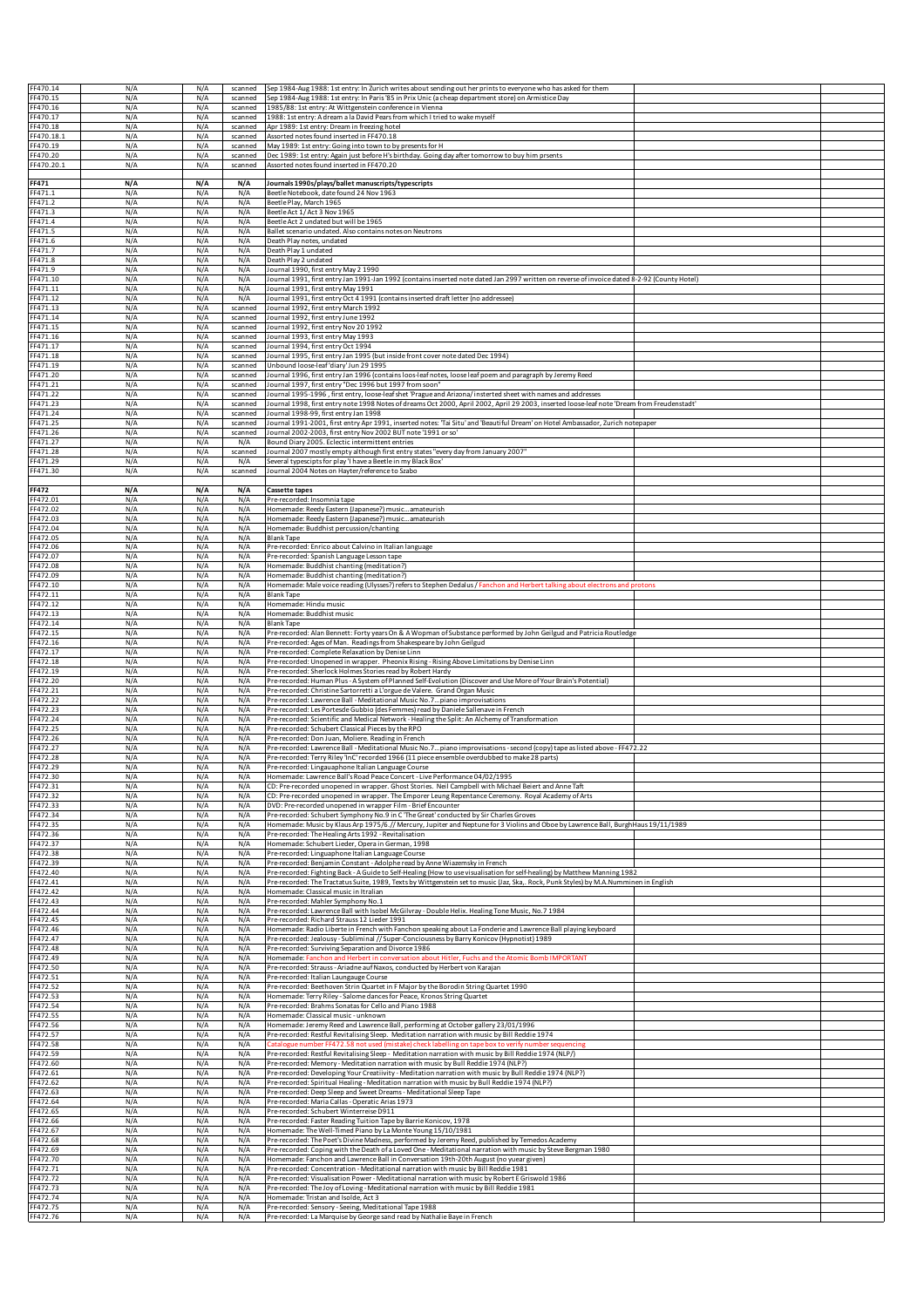| FF470.14             | N/A        | N/A        | scanned            | Sep 1984-Aug 1988: 1st entry: In Zurich writes about sending out her prints to everyone who has asked for them                                                                                        |  |
|----------------------|------------|------------|--------------------|-------------------------------------------------------------------------------------------------------------------------------------------------------------------------------------------------------|--|
| FF470.15<br>FF470.16 | N/A<br>N/A | N/A<br>N/A | scanned<br>scanned | Sep 1984-Aug 1988: 1st entry: In Paris '85 in Prix Unic (a cheap department store) on Armistice Day<br>1985/88: 1st entry: At Wittgenstein conference in Vienna                                       |  |
| FF470.17             | N/A        | N/A        | scanned            | 1988: 1st entry: A dream a la David Pears from which I tried to wake myself                                                                                                                           |  |
| FF470.18             | N/A        | N/A        | scanned            | Apr 1989: 1st entry: Dream in freezing hotel                                                                                                                                                          |  |
| FF470.18.            | N/A        | N/A        | scanned            | Assorted notes found inserted in FF470.18                                                                                                                                                             |  |
| FF470.19             | N/A        | N/A        | scanned            | May 1989: 1st entry: Going into town to by presents for H                                                                                                                                             |  |
| FF470.20             | N/A        | N/A        | scanned            | Dec 1989: 1st entry: Again just before H's birthday. Going day after tomorrow to buy him prsents                                                                                                      |  |
| FF470.20.1           | N/A        | N/A        | scanned            | Assorted notes found inserted in FF470.20                                                                                                                                                             |  |
|                      |            |            |                    |                                                                                                                                                                                                       |  |
| FF471                | N/A        | N/A        | N/A                | Journals 1990s/plays/ballet manuscripts/typescripts                                                                                                                                                   |  |
| FF471.1              | N/A        | N/A        | N/A                | Beetle Notebook, date found 24 Nov 1963                                                                                                                                                               |  |
| FF471.2              | N/A        | N/A        | N/A                | Beetle Play, March 1965                                                                                                                                                                               |  |
| FF471.3              | N/A        | N/A        | N/A                | Beetle Act 1/Act 3 Nov 1965                                                                                                                                                                           |  |
| FF471.4              | N/A        | N/A        | N/A                | Beetle Act 2 undated but will be 1965                                                                                                                                                                 |  |
| FF471.5              | N/A        | N/A        | N/A                | Ballet scenario undated. Also contains notes on Neutrons                                                                                                                                              |  |
| FF471.6<br>FF471.7   | N/A<br>N/A | N/A<br>N/A | N/A<br>N/A         | Death Play notes, undated<br>Death Play 1 undated                                                                                                                                                     |  |
| FF471.8              | N/A        | N/A        | N/A                | Death Play 2 undated                                                                                                                                                                                  |  |
| FF471.9              | N/A        | N/A        | N/A                | Journal 1990, first entry May 2 1990                                                                                                                                                                  |  |
| FF471.10             | N/A        | N/A        | N/A                | Journal 1991, first entry Jan 1991-Jan 1992 (contains inserted note dated Jan 2997 written on reverse of invoice dated 8-2-92 (County Hotel)                                                          |  |
| FF471.11             | N/A        | N/A        | N/A                | Journal 1991, first entry May 1991                                                                                                                                                                    |  |
| FF471.12             | N/A        | N/A        | N/A                | Journal 1991, first entry Oct 4 1991 (contains inserted draft letter (no addressee)                                                                                                                   |  |
| FF471.13             | N/A        | N/A        | scanned            | Journal 1992, first entry March 1992                                                                                                                                                                  |  |
| FF471.14             | N/A        | N/A        | scanned            | Journal 1992, first entry June 1992                                                                                                                                                                   |  |
| FF471.15             | N/A        | N/A        | scanned            | Journal 1992, first entry Nov 20 1992                                                                                                                                                                 |  |
| FF471.16             | N/A        | N/A        | scanned            | Journal 1993, first entry May 1993                                                                                                                                                                    |  |
| FF471.17             | N/A        | N/A        | scanned            | Journal 1994, first entry Oct 1994                                                                                                                                                                    |  |
| FF471.18             | N/A        | N/A        | scanned            | Journal 1995, first entry Jan 1995 (but inside front cover note dated Dec 1994)                                                                                                                       |  |
| FF471.19             | N/A        | N/A        | scanned            | Unbound loose-leaf 'diary' Jun 29 1995                                                                                                                                                                |  |
| FF471.20             | N/A        | N/A        | scanned            | Journal 1996, first entry Jan 1996 (contains loos-leaf notes, loose leaf poem and paragraph by Jeremy Reed                                                                                            |  |
| FF471.21             | N/A        | N/A        | scanned            | Journal 1997, first entry "Dec 1996 but 1997 from soon"                                                                                                                                               |  |
| FF471.22             | N/A        | N/A        | scanned            | Journal 1995-1996, first entry, loose-leaf shet 'Prague and Arizona/ insterted sheet with names and addresses                                                                                         |  |
| FF471.23             | N/A        | N/A        | scanned            | Journal 1998, first entry note 1998 Notes of dreams Oct 2000, April 2002, April 29 2003, inserted loose-leaf note 'Dream from Freudenstadt'                                                           |  |
| FF471.24             | N/A<br>N/A | N/A<br>N/A | scanned            | Journal 1998-99, first entry Jan 1998                                                                                                                                                                 |  |
| FF471.25<br>FF471.26 |            | N/A        | scanned            | Journal 1991-2001, first entry Apr 1991, inserted notes: 'Tai Situ' and 'Beautiful Dream' on Hotel Ambassador, Zurich notepaper<br>Journal 2002-2003, first entry Nov 2002 BUT note '1991 or so'      |  |
| FF471.27             | N/A<br>N/A | N/A        | scanned<br>N/A     | Bound Diary 2005. Eclectic intermittent entries                                                                                                                                                       |  |
| FF471.28             | N/A        | N/A        | scanned            | Journal 2007 mostly empty although first entry states "every day from January 2007'                                                                                                                   |  |
| FF471.29             | N/A        | N/A        | N/A                | Several typescipts for play 'I have a Beetle in my Black Box'                                                                                                                                         |  |
| FF471.30             | N/A        | N/A        | scanned            | Journal 2004 Notes on Hayter/reference to Szabo                                                                                                                                                       |  |
|                      |            |            |                    |                                                                                                                                                                                                       |  |
| <b>FF472</b>         | N/A        | N/A        | N/A                | <b>Cassette tapes</b>                                                                                                                                                                                 |  |
| FF472.01             | N/A        | N/A        | N/A                | Pre-recorded: Insomnia tape                                                                                                                                                                           |  |
| FF472.02             | N/A        | N/A        | N/A                | Homemade: Reedy Eastern (Japanese?) musicamateurish                                                                                                                                                   |  |
| FF472.03             | N/A        | N/A        | N/A                | Homemade: Reedy Eastern (Japanese?) musicamateurish                                                                                                                                                   |  |
| FF472.04             | N/A        | N/A        | N/A                | Homemade: Buddhist percussion/chanting                                                                                                                                                                |  |
| FF472.05             | N/A        | N/A        | N/A                | <b>Blank Tape</b>                                                                                                                                                                                     |  |
| FF472.06             | N/A        | N/A        | N/A                | Pre-recorded: Enrico about Calvino in Italian language                                                                                                                                                |  |
| FF472.07             | N/A        | N/A        | N/A                | Pre-recorded: Spanish Language Lesson tape                                                                                                                                                            |  |
| FF472.08             | N/A        | N/A        | N/A                | Homemade: Buddhist chanting (meditation?)                                                                                                                                                             |  |
| FF472.09             | N/A        | N/A        | N/A                | Homemade: Buddhist chanting (meditation?)                                                                                                                                                             |  |
| FF472.10             | N/A        | N/A        | N/A                | Homemade: Male voice reading (Ulysses?) refers to Stephen Dedalus / Fanchon and Herbert talking about electrons and protons                                                                           |  |
| FF472.11             | N/A        | N/A        | N/A                | <b>Blank Tape</b>                                                                                                                                                                                     |  |
| FF472.12             | N/A        | N/A        | N/A                | Homemade: Hindu music                                                                                                                                                                                 |  |
| FF472.13<br>FF472.14 | N/A<br>N/A | N/A<br>N/A | N/A<br>N/A         | Homemade: Buddhist music<br><b>Blank Tape</b>                                                                                                                                                         |  |
| FF472.15             | N/A        | N/A        | N/A                | Pre-recorded: Alan Bennett: Forty years On & A Wopman of Substance performed by John Geilgud and Patricia Routledge                                                                                   |  |
| FF472.16             | N/A        | N/A        | N/A                | Pre-recorded: Ages of Man. Readings from Shakespeare by John Geilgud                                                                                                                                  |  |
| FF472.17             | N/A        | N/A        | N/A                | Pre-recorded: Complete Relaxation by Denise Linn                                                                                                                                                      |  |
| FF472.18             | N/A        | N/A        | N/A                | Pre-recorded: Unopened in wrapper. Pheonix Rising - Rising Above Limitations by Denise Linn                                                                                                           |  |
| FF472.19             | N/A        | N/A        | N/A                | Pre-recorded: Sherlock Holmes Stories read by Robert Hardy                                                                                                                                            |  |
| FF472.20             | N/A        | N/A        | N/A                | Pre-recorded: Human Plus - A System of Planned Self-Evolution (Discover and Use More of Your Brain's Potential)                                                                                       |  |
| FF472.21             | N/A        | N/A        | N/A                | Pre-recorded: Christine Sartorretti a L'orgue de Valere. Grand Organ Music                                                                                                                            |  |
| FF472.22             | N/A        | N/A        | N/A                | Pre-recorded: Lawrence Ball - Meditational Music No.7piano improvisations                                                                                                                             |  |
| FF472.23             | N/A        | N/A        | N/A                | Pre-recorded: Les Portesde Gubbio (des Femmes) read by Daniele Sallenave in French                                                                                                                    |  |
| FF472.24             | N/A        | N/A        | N/A                | Pre-recorded: Scientific and Medical Network - Healing the Split: An Alchemy of Transformation                                                                                                        |  |
| FF472.25             | N/A        | N/A        | N/A                | Pre-recorded: Schubert Classical Pieces by the RPO                                                                                                                                                    |  |
| FF472.26             | N/A        | N/A        | N/A                | Pre-recorded: Don Juan, Moliere. Reading in French                                                                                                                                                    |  |
| FF472.27             | N/A        | N/A        | N/A                | Pre-recorded: Lawrence Ball - Meditational Music No.7piano improvisations - second (copy) tape as listed above - FF472.22                                                                             |  |
| FF472.28             | N/A        | N/A        | N/A                | Pre-recorded: Terry Riley 'InC' recorded 1966 (11 piece ensemble overdubbed to make 28 parts)                                                                                                         |  |
| FF472.29             | N/A        | N/A        | N/A                | Pre-recorded: Lingauaphone Italian Language Course                                                                                                                                                    |  |
| FF472.30<br>FF472.31 | N/A<br>N/A | N/A<br>N/A | N/A<br>N/A         | Homemade: Lawrence Ball's Road Peace Concert - Live Performance 04/02/1995<br>CD: Pre-recorded unopened in wrapper. Ghost Stories. Neil Campbell with Michael Beiert and Anne Taft                    |  |
| FF472.32             | N/A        | N/A        | N/A                | CD: Pre-recorded unopened in wrapper. The Emporer Leung Repentance Ceremony. Royal Academy of Arts                                                                                                    |  |
| FF472.33             | N/A        | N/A        | N/A                | DVD: Pre-recorded unopened in wrapper Film - Brief Encounter                                                                                                                                          |  |
| FF472.34             | N/A        | N/A        | N/A                | Pre-recorded: Schubert Symphony No.9 in C 'The Great' conducted by Sir Charles Groves                                                                                                                 |  |
| FF472.35             | N/A        | N/A        | N/A                | Homemade: Music by Klaus Arp 1975/6.// Mercury, Jupiter and Neptune for 3 Violins and Oboe by Lawrence Ball, BurghHaus 19/11/1989                                                                     |  |
| FF472.36             | N/A        | N/A        | N/A                | Pre-recorded: The Healing Arts 1992 - Revitalisation                                                                                                                                                  |  |
| FF472.37             | N/A        | N/A        | N/A                | Homemade: Schubert Lieder, Opera in German, 1998                                                                                                                                                      |  |
| FF472.38             | N/A        | N/A        | N/A                | Pre-recorded: Linguaphone Italian Language Course                                                                                                                                                     |  |
| FF472.39             | N/A        | N/A        | N/A                | Pre-recorded: Benjamin Constant - Adolphe read by Anne Wiazemsky in French                                                                                                                            |  |
| FF472.40             | N/A        | N/A        | N/A                | Pre-recorded: Fighting Back - A Guide to Self-Healing (How to use visualisation for self-healing) by Matthew Manning 1982                                                                             |  |
| FF472.41             | N/A        | N/A        | N/A                | Pre-recorded: The Tractatus Suite, 1989, Texts by Wittgenstein set to music (Jaz, Ska,. Rock, Punk Styles) by M.A.Numminen in English                                                                 |  |
| FF472.42             | N/A        | N/A        | N/A                | Homemade: Classical music in Itralian                                                                                                                                                                 |  |
| FF472.43<br>FF472.44 | N/A<br>N/A | N/A<br>N/A | N/A<br>N/A         | Pre-recorded: Mahler Symphony No.1<br>Pre-recorded: Lawrence Ball with Isobel McGilvray - Double Helix. Healing Tone Music, No.7 1984                                                                 |  |
| FF472.45             | N/A        | N/A        | N/A                | Pre-recorded: Richard Strauss 12 Lieder 1991                                                                                                                                                          |  |
| FF472.46             | N/A        | N/A        | N/A                | Homemade: Radio Liberte in French with Fanchon speaking about La Fonderie and Lawrence Ball playing keyboard                                                                                          |  |
| FF472.47             | N/A        | N/A        | N/A                | Pre-recorded: Jealousy - Subliminal // Super-Conciousness by Barry Konicov (Hypnotist) 1989                                                                                                           |  |
| FF472.48             | N/A        | N/A        | N/A                | Pre-recorded: Surviving Separation and Divorce 1986                                                                                                                                                   |  |
| FF472.49             | N/A        | N/A        | N/A                | Homemade: Fanchon and Herbert in conversation about Hitler, Fuchs and the Atomic Bomb IMPORTANT                                                                                                       |  |
| FF472.50             | N/A        | N/A        | N/A                | Pre-recorded: Strauss - Ariadne auf Naxos, conducted by Herbert von Karajan                                                                                                                           |  |
| FF472.51             | N/A        | N/A        | N/A                | Pre-recorded: Italian Laungauge Course                                                                                                                                                                |  |
| FF472.52             | N/A        | N/A        | N/A                | Pre-recorded: Beethoven Strin Quartet in F Major by the Borodin String Quartet 1990                                                                                                                   |  |
| FF472.53             | N/A        | N/A        | N/A                | Homemade: Terry Riley - Salome dances for Peace, Kronos String Quartet                                                                                                                                |  |
| FF472.54             | N/A        | N/A        | N/A                | Pre-recorded: Brahms Sonatas for Cello and Piano 1988                                                                                                                                                 |  |
| FF472.55             | N/A        | N/A        | N/A                | Homemade: Classical music - unknown                                                                                                                                                                   |  |
| FF472.56             | N/A<br>N/A | N/A<br>N/A | N/A                | Homemade: Jeremy Reed and Lawrence Ball, performing at October gallery 23/01/1996                                                                                                                     |  |
| FF472.57<br>FF472.58 | N/A        | N/A        | N/A<br>N/A         | Pre-recorded: Restful Revitalising Sleep. Meditation narration with music by Bill Reddie 1974<br>Catalogue number FF472.58 not used (mistake) check labelling on tape box to verify number sequencing |  |
| FF472.59             | N/A        | N/A        | N/A                | Pre-recorded: Restful Revitalising Sleep - Meditation narration with music by Bill Reddie 1974 (NLP/)                                                                                                 |  |
| FF472.60             | N/A        | N/A        | N/A                | Pre-recorded: Memory - Meditation narration with music by Bull Reddie 1974 (NLP?)                                                                                                                     |  |
| FF472.61             | N/A        | N/A        | N/A                | Pre-recorded: Developing Your Creatiivity - Meditation narration with music by Bull Reddie 1974 (NLP?)                                                                                                |  |
| FF472.62             | N/A        | N/A        | N/A                | Pre-recorded: Spiritual Healing - Meditation narration with music by Bull Reddie 1974 (NLP?)                                                                                                          |  |
| FF472.63             | N/A        | N/A        | N/A                | Pre-recorded: Deep Sleep and Sweet Dreams - Meditational Sleep Tape                                                                                                                                   |  |
| FF472.64             | N/A        | N/A        | N/A                | Pre-recorded: Maria Callas - Operatic Arias 1973                                                                                                                                                      |  |
| FF472.65             | N/A        | N/A        | N/A                | Pre-recorded: Schubert Winterreise D911                                                                                                                                                               |  |
| FF472.66             | N/A        | N/A        | N/A                | Pre-recorded: Faster Reading Tuition Tape by Barrie Konicov, 1978                                                                                                                                     |  |
| FF472.67             | N/A        | N/A        | N/A                | Homemade: The Well-Timed Piano by La Monte Young 15/10/1981                                                                                                                                           |  |
| FF472.68             | N/A        | N/A        | N/A                | Pre-recorded: The Poet's Divine Madness, performed by Jeremy Reed, published by Temedos Academy                                                                                                       |  |
| FF472.69             | N/A        | N/A        | N/A                | Pre-recorded: Coping with the Death of a Loved One - Meditational narration with music by Steve Bergman 1980                                                                                          |  |
| FF472.70             | N/A        | N/A        | N/A                | Homemade: Fanchon and Lawrence Ball in Conversation 19th-20th August (no yuear given)                                                                                                                 |  |
| FF472.71             | N/A        | N/A        | N/A                | Pre-recorded: Concentration - Meditational narration with music by Bill Reddie 1981                                                                                                                   |  |
| FF472.72             | N/A        | N/A        | N/A                | Pre-recorded: Visualisation Power - Meditational narration with music by Robert E Griswold 1986                                                                                                       |  |
| FF472.73             | N/A        | N/A        | N/A                | Pre-recorded: The Joy of Loving - Meditational narration with music by Bill Reddie 1981                                                                                                               |  |
| FF472.74             | N/A<br>N/A | N/A<br>N/A | N/A<br>N/A         | Homemade: Tristan and Isolde, Act 3                                                                                                                                                                   |  |
|                      |            |            |                    | Pre-recorded: Sensory - Seeing, Meditational Tape 1988                                                                                                                                                |  |
| FF472.75<br>FF472.76 | N/A        | N/A        | N/A                | Pre-recorded: La Marquise by George sand read by Nathalie Baye in French                                                                                                                              |  |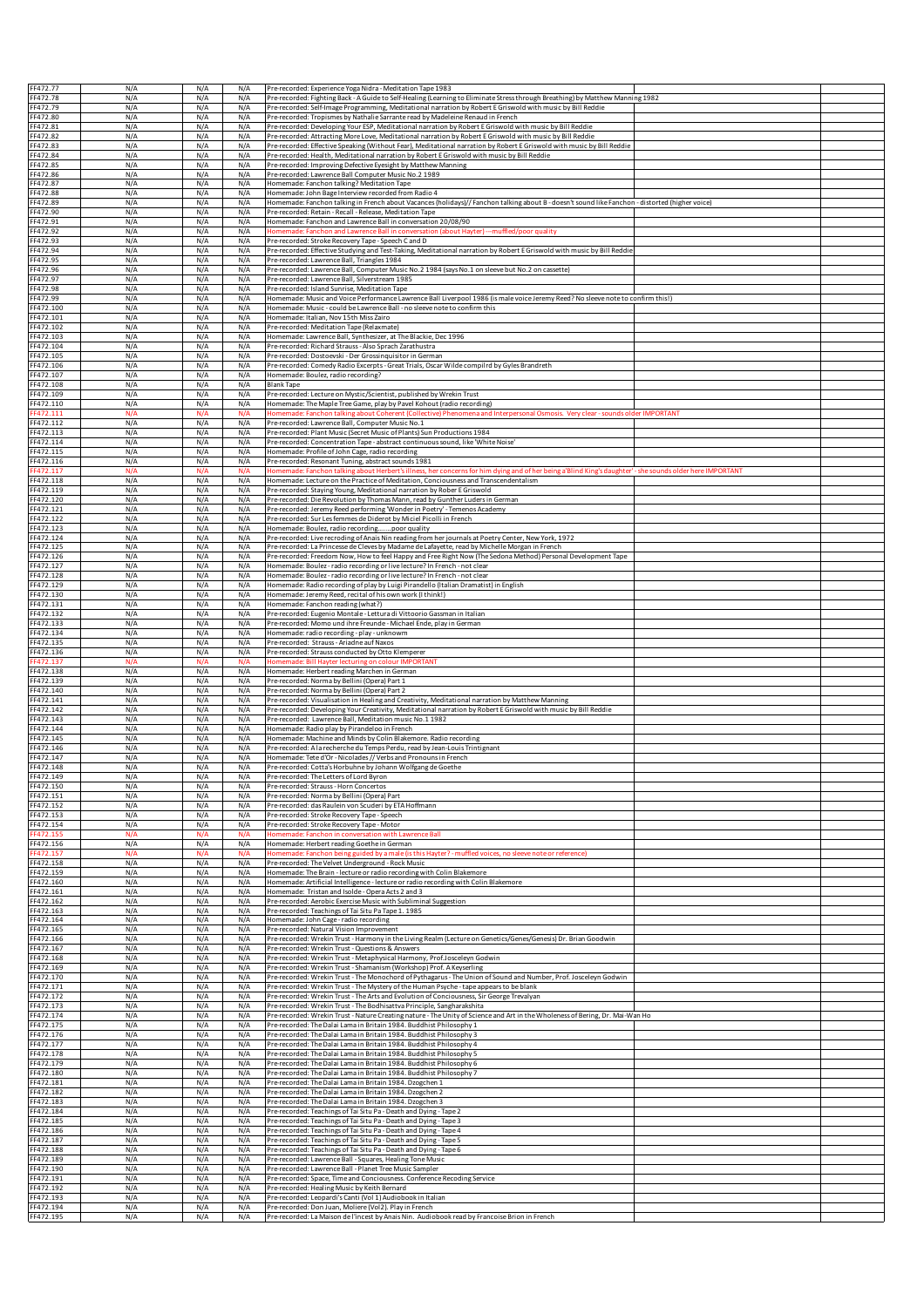| FF472.77               | N/A        | N/A        | N/A        | Pre-recorded: Experience Yoga Nidra - Meditation Tape 1983                                                                                                                                                                                    |  |
|------------------------|------------|------------|------------|-----------------------------------------------------------------------------------------------------------------------------------------------------------------------------------------------------------------------------------------------|--|
| FF472.78<br>FF472.79   | N/A<br>N/A | N/A<br>N/A | N/A<br>N/A | Pre-recorded: Fighting Back - A Guide to Self-Healing (Learning to Eliminate Stress through Breathing) by Matthew Manning 1982<br>Pre-recorded: Self-Image Programming, Meditational narration by Robert E Griswold with music by Bill Reddie |  |
| FF472.80               | N/A        | N/A        | N/A        | Pre-recorded: Tropismes by Nathalie Sarrante read by Madeleine Renaud in French                                                                                                                                                               |  |
| FF472.81               | N/A        | N/A        | N/A        | Pre-recorded: Developing Your ESP, Meditational narration by Robert E Griswold with music by Bill Reddie                                                                                                                                      |  |
| FF472.82               | N/A        | N/A        | N/A        | Pre-recorded: Attracting More Love, Meditational narration by Robert E Griswold with music by Bill Reddie                                                                                                                                     |  |
| FF472.83               | N/A        | N/A        | N/A        | Pre-recorded: Effective Speaking (Without Fear), Meditational narration by Robert E Griswold with music by Bill Reddie                                                                                                                        |  |
| FF472.84               | N/A        | N/A        | N/A        | Pre-recorded: Health, Meditational narration by Robert E Griswold with music by Bill Reddie                                                                                                                                                   |  |
| FF472.85               | N/A        | N/A        | N/A        | Pre-recorded: Improving Defective Eyesight by Matthew Manning                                                                                                                                                                                 |  |
| FF472.86               | N/A        | N/A        | N/A        | Pre-recorded: Lawrence Ball Computer Music No.2 1989                                                                                                                                                                                          |  |
| FF472.87               | N/A        | N/A        | N/A        | Homemade: Fanchon talking? Meditation Tape                                                                                                                                                                                                    |  |
| FF472.88               | N/A        | N/A        | N/A        | Homemade: John Bage Interview recorded from Radio 4                                                                                                                                                                                           |  |
| FF472.89               | N/A        | N/A        | N/A        | Homemade: Fanchon talking in French about Vacances (holidays)// Fanchon talking about B - doesn't sound like Fanchon - distorted (higher voice)                                                                                               |  |
| FF472.90               | N/A        | N/A        | N/A        | Pre-recorded: Retain - Recall - Release, Meditation Tape                                                                                                                                                                                      |  |
| FF472.91               | N/A        | N/A        | N/A        | Homemade: Fanchon and Lawrence Ball in conversation 20/08/90                                                                                                                                                                                  |  |
| F472.92                | N/A        | N/A        | N/A        | Homemade: Fanchon and Lawrence Ball in conversation (about Hayter) --- muffled/poor quality                                                                                                                                                   |  |
| F472.93<br>F472.94     | N/A<br>N/A | N/A<br>N/A | N/A<br>N/A | Pre-recorded: Stroke Recovery Tape - Speech C and D                                                                                                                                                                                           |  |
| FF472.95               | N/A        | N/A        | N/A        | Pre-recorded: Effective Studying and Test-Taking, Meditational narration by Robert E Griswold with music by Bill Reddie<br>Pre-recorded: Lawrence Ball, Triangles 1984                                                                        |  |
| FF472.96               | N/A        | N/A        | N/A        | Pre-recorded: Lawrence Ball, Computer Music No.2 1984 (says No.1 on sleeve but No.2 on cassette)                                                                                                                                              |  |
| FF472.97               | N/A        | N/A        | N/A        | Pre-recorded: Lawrence Ball, Silverstream 1985                                                                                                                                                                                                |  |
| FF472.98               | N/A        | N/A        | N/A        | Pre-recorded: Island Sunrise, Meditation Tape                                                                                                                                                                                                 |  |
| FF472.99               | N/A        | N/A        | N/A        | Homemade: Music and Voice Performance Lawrence Ball Liverpool 1986 (is male voice Jeremy Reed? No sleeve note to confirm this!)                                                                                                               |  |
| FF472.100              | N/A        | N/A        | N/A        | Homemade: Music - could be Lawrence Ball - no sleeve note to confirm this                                                                                                                                                                     |  |
| FF472.101              | N/A        | N/A        | N/A        | Homemade: Italian, Nov 15th Miss Zairo                                                                                                                                                                                                        |  |
| FF472.102              | N/A        | N/A        | N/A        | Pre-recorded: Meditation Tape (Relaxmate)                                                                                                                                                                                                     |  |
| FF472.103              | N/A        | N/A        | N/A        | Homemade: Lawrence Ball, Synthesizer, at The Blackie, Dec 1996                                                                                                                                                                                |  |
| FF472.104              | N/A        | N/A        | N/A        | Pre-recorded: Richard Strauss - Also Sprach Zarathustra                                                                                                                                                                                       |  |
| FF472.105              | N/A        | N/A        | N/A        | Pre-recorded: Dostoevski - Der Grossinquisitor in German                                                                                                                                                                                      |  |
| FF472.106              | N/A        | N/A        | N/A        | Pre-recorded: Comedy Radio Excerpts - Great Trials, Oscar Wilde compilrd by Gyles Brandreth                                                                                                                                                   |  |
| FF472.107              | N/A        | N/A        | N/A        | Homemade: Boulez, radio recording?                                                                                                                                                                                                            |  |
| FF472.108              | N/A        | N/A        | N/A        | <b>Blank Tape</b>                                                                                                                                                                                                                             |  |
| FF472.109              | N/A        | N/A        | N/A        | Pre-recorded: Lecture on Mystic/Scientist, published by Wrekin Trust                                                                                                                                                                          |  |
| FF472.110              | N/A<br>N/A | N/A        | N/A<br>N/A | Homemade: The Maple Tree Game, play by Pavel Kohout (radio recording)                                                                                                                                                                         |  |
| FF472.111<br>FF472.112 | N/A        | N/A<br>N/A | N/A        | Homemade: Fanchon talking about Coherent (Collective) Phenomena and Interpersonal Osmosis. Very clear - sounds older IMPORTANT<br>Pre-recorded: Lawrence Ball, Computer Music No.1                                                            |  |
| FF472.113              | N/A        | N/A        | N/A        | Pre-recorded: Plant Music (Secret Music of Plants) Sun Productions 1984                                                                                                                                                                       |  |
| FF472.114              | N/A        | N/A        | N/A        | Pre-recorded: Concentration Tape - abstract continuous sound, like 'White Noise'                                                                                                                                                              |  |
| FF472.115              | N/A        | N/A        | N/A        | Homemade: Profile of John Cage, radio recording                                                                                                                                                                                               |  |
| FF472.116              | N/A        | N/A        | N/A        | Pre-recorded: Resonant Tuning, abstract sounds 1981                                                                                                                                                                                           |  |
| F472.117               | N/A        | N/A        | N/A        | omemade: Fanchon talking about Herbert's illness, her concerns for him dying and of her being a'Blind King's daughter' - she sounds older here IMPORTANT                                                                                      |  |
| FF472.118              | N/A        | N/A        | N/A        | Homemade: Lecture on the Practice of Meditation, Conciousness and Transcendentalism                                                                                                                                                           |  |
| FF472.119              | N/A        | N/A        | N/A        | Pre-recorded: Staying Young, Meditational narration by Rober E Griswold                                                                                                                                                                       |  |
| FF472.120              | N/A        | N/A        | N/A        | Pre-recorded: Die Revolution by Thomas Mann, read by Gunther Luders in German                                                                                                                                                                 |  |
| FF472.121              | N/A        | N/A        | N/A        | Pre-recorded: Jeremy Reed performing 'Wonder in Poetry' - Temenos Academy                                                                                                                                                                     |  |
| FF472.122              | N/A        | N/A        | N/A        | Pre-recorded: Sur Les femmes de Diderot by Miciel Picolli in French                                                                                                                                                                           |  |
| FF472.123              | N/A        | N/A        | N/A        | Homemade: Boulez, radio recordingpoor quality                                                                                                                                                                                                 |  |
| FF472.124              | N/A        | N/A        | N/A        | Pre-recorded: Live recroding of Anais Nin reading from her journals at Poetry Center, New York, 1972                                                                                                                                          |  |
| FF472.125              | N/A        | N/A        | N/A        | Pre-recorded: La Princesse de Cleves by Madame de Lafayette, read by Michelle Morgan in French                                                                                                                                                |  |
| FF472.126              | N/A        | N/A        | N/A        | Pre-recorded: Freedom Now, How to feel Happy and Free Right Now (The Sedona Method) Personal Development Tape                                                                                                                                 |  |
| FF472.127              | N/A        | N/A        | N/A        | Homemade: Boulez - radio recording or live lecture? In French - not clear                                                                                                                                                                     |  |
| FF472.128              | N/A        | N/A        | N/A        | Homemade: Boulez - radio recording or live lecture? In French - not clear                                                                                                                                                                     |  |
| FF472.129              | N/A        | N/A        | N/A        | Homemade: Radio recording of play by Luigi Pirandello (Italian Dramatist) in English                                                                                                                                                          |  |
| FF472.130              | N/A        | N/A        | N/A        | Homemade: Jeremy Reed, recital of his own work (I think!)                                                                                                                                                                                     |  |
| FF472.131<br>FF472.132 | N/A<br>N/A | N/A        | N/A<br>N/A | Homemade: Fanchon reading (what?)<br>Pre-recorded: Eugenio Montale - Lettura di Vittoorio Gassman in Italian                                                                                                                                  |  |
| FF472.133              | N/A        | N/A<br>N/A | N/A        | Pre-recorded: Momo und ihre Freunde - Michael Ende, play in German                                                                                                                                                                            |  |
| FF472.134              | N/A        | N/A        | N/A        | Homemade: radio recording - play - unknowm                                                                                                                                                                                                    |  |
| FF472.135              | N/A        | N/A        | N/A        | Pre-recorded: Strauss - Ariadne auf Naxos                                                                                                                                                                                                     |  |
| FF472.136              | N/A        | N/A        | N/A        | Pre-recorded: Strauss conducted by Otto Klemperer                                                                                                                                                                                             |  |
| F472.137               | N/A        | N/A        | N/A        | Homemade: Bill Hayter lecturing on colour IMPORTANT                                                                                                                                                                                           |  |
| FF472.138              | N/A        | N/A        | N/A        | Homemade: Herbert reading Marchen in German                                                                                                                                                                                                   |  |
| FF472.139              | N/A        | N/A        | N/A        | Pre-recorded: Norma by Bellini (Opera) Part 1                                                                                                                                                                                                 |  |
| FF472.140              | N/A        | N/A        | N/A        | Pre-recorded: Norma by Bellini (Opera) Part 2                                                                                                                                                                                                 |  |
| FF472.141              | N/A        | N/A        | N/A        | Pre-recorded: Visualisation in Healing and Creativity, Meditational narration by Matthew Manning                                                                                                                                              |  |
| FF472.142              | N/A        | N/A        | N/A        | Pre-recorded: Developing Your Creativity, Meditational narration by Robert E Griswold with music by Bill Reddie                                                                                                                               |  |
| FF472.143              | N/A        | N/A        | N/A        | Pre-recorded: Lawrence Ball, Meditation music No.1 1982                                                                                                                                                                                       |  |
| FF472.144              | N/A        | N/A        | N/A        | Homemade: Radio play by Pirandeloo in French                                                                                                                                                                                                  |  |
| FF472.145              | N/A        | N/A        | N/A        | Homemade: Machine and Minds by Colin Blakemore. Radio recording                                                                                                                                                                               |  |
| FF472.146              | N/A        | N/A        | N/A        | Pre-recorded: A la recherche du Temps Perdu, read by Jean-Louis Trintignant                                                                                                                                                                   |  |
| FF472.147              | N/A        | N/A        | N/A        | Homemade: Tete d'Or - Nicolades // Verbs and Pronouns in French                                                                                                                                                                               |  |
| FF472.148              | N/A        | N/A        | N/A        | Pre-recorded: Cotta's Horbuhne by Johann Wolfgang de Goethe                                                                                                                                                                                   |  |
| FF472.149<br>FF472.150 | N/A<br>N/A | N/A        | N/A<br>N/A | Pre-recorded: The Letters of Lord Byron                                                                                                                                                                                                       |  |
| FF472.151              | N/A        | N/A        | N/A        | Pre-recorded: Strauss - Horn Concertos                                                                                                                                                                                                        |  |
| FF472.152              | N/A        | N/A<br>N/A | N/A        | Pre-recorded: Norma by Bellini (Opera) Part<br>Pre-recorded: das Raulein von Scuderi by ETA Hoffmann                                                                                                                                          |  |
| FF472.153              | N/A        | N/A        | N/A        | Pre-recorded: Stroke Recovery Tape - Speech                                                                                                                                                                                                   |  |
| FF472.154              | N/A        | N/A        | N/A        | Pre-recorded: Stroke Recovery Tape - Motor                                                                                                                                                                                                    |  |
| FF472.155              | N/A        | N/A        | N/A        | Homemade: Fanchon in conversation with Lawrence Ball                                                                                                                                                                                          |  |
| FF472.156              | N/A        | N/A        | N/A        | Homemade: Herbert reading Goethe in German                                                                                                                                                                                                    |  |
| FF472.157              | N/A        | N/A        | N/A        | Homemade: Fanchon being guided by a male (is this Hayter? - muffled voices, no sleeve note or reference)                                                                                                                                      |  |
| FF472.158              | N/A        | N/A        | N/A        | Pre-recorded: The Velvet Underground - Rock Music                                                                                                                                                                                             |  |
| FF472.159              | N/A        | N/A        | N/A        | Homemade: The Brain - lecture or radio recording with Colin Blakemore                                                                                                                                                                         |  |
| FF472.160              | N/A        | N/A        | N/A        | Homemade: Artificial Intelligence - lecture or radio recording with Colin Blakemore                                                                                                                                                           |  |
| FF472.161              | N/A        | N/A        | N/A        | Homemade: Tristan and Isolde - Opera Acts 2 and 3                                                                                                                                                                                             |  |
| FF472.162              | N/A        | N/A        | N/A        | Pre-recorded: Aerobic Exercise Music with Subliminal Suggestion                                                                                                                                                                               |  |
| FF472.163              | N/A        | N/A        | N/A        | Pre-recorded: Teachings of Tai Situ Pa Tape 1. 1985                                                                                                                                                                                           |  |
| FF472.164              | N/A        | N/A        | N/A        | Homemade: John Cage - radio recording                                                                                                                                                                                                         |  |
| FF472.165              | N/A        | N/A        | N/A        | Pre-recorded: Natural Vision Improvement                                                                                                                                                                                                      |  |
| FF472.166<br>FF472.167 | N/A<br>N/A | N/A<br>N/A | N/A<br>N/A | Pre-recorded: Wrekin Trust - Harmony in the Living Realm (Lecture on Genetics/Genes/Genesis) Dr. Brian Goodwin<br>Pre-recorded: Wrekin Trust - Questions & Answers                                                                            |  |
| FF472.168              | N/A        | N/A        | N/A        | Pre-recorded: Wrekin Trust - Metaphysical Harmony, Prof.Josceleyn Godwin                                                                                                                                                                      |  |
| FF472.169              | N/A        | N/A        | N/A        | Pre-recorded: Wrekin Trust - Shamanism (Workshop) Prof. A Keyserling                                                                                                                                                                          |  |
| FF472.170              | N/A        | N/A        | N/A        | Pre-recorded: Wrekin Trust - The Monochord of Pythagarus - The Union of Sound and Number, Prof. Josceleyn Godwin                                                                                                                              |  |
| FF472.171              | N/A        | N/A        | N/A        | Pre-recorded: Wrekin Trust - The Mystery of the Human Psyche - tape appears to be blank                                                                                                                                                       |  |
| FF472.172              | N/A        | N/A        | N/A        | Pre-recorded: Wrekin Trust - The Arts and Evolution of Conciousness, Sir George Trevalyan                                                                                                                                                     |  |
| FF472.173              | N/A        | N/A        | N/A        | Pre-recorded: Wrekin Trust - The Bodhisattva Principle, Sangharakshita                                                                                                                                                                        |  |
| FF472.174              | N/A        | N/A        | N/A        | Pre-recorded: Wrekin Trust - Nature Creating nature - The Unity of Science and Art in the Wholeness of Bering, Dr. Mai-Wan Ho                                                                                                                 |  |
| FF472.175              | N/A        | N/A        | N/A        | Pre-recorded: The Dalai Lama in Britain 1984. Buddhist Philosophy 1                                                                                                                                                                           |  |
| FF472.176              | N/A        | N/A        | N/A        | Pre-recorded: The Dalai Lama in Britain 1984. Buddhist Philosophy 3                                                                                                                                                                           |  |
| FF472.177              | N/A        | N/A        | N/A        | Pre-recorded: The Dalai Lama in Britain 1984. Buddhist Philosophy 4                                                                                                                                                                           |  |
| FF472.178              | N/A        | N/A        | N/A        | Pre-recorded: The Dalai Lama in Britain 1984. Buddhist Philosophy 5                                                                                                                                                                           |  |
| FF472.179              | N/A        | N/A        | N/A        | Pre-recorded: The Dalai Lama in Britain 1984. Buddhist Philosophy 6                                                                                                                                                                           |  |
| FF472.180              | N/A        | N/A        | N/A        | Pre-recorded: The Dalai Lama in Britain 1984. Buddhist Philosophy 7                                                                                                                                                                           |  |
| FF472.181              | N/A        | N/A        | N/A        | Pre-recorded: The Dalai Lama in Britain 1984. Dzogchen 1                                                                                                                                                                                      |  |
| FF472.182              | N/A        | N/A        | N/A        | Pre-recorded: The Dalai Lama in Britain 1984. Dzogchen 2                                                                                                                                                                                      |  |
| FF472.183              | N/A        | N/A        | N/A        | Pre-recorded: The Dalai Lama in Britain 1984. Dzogchen 3                                                                                                                                                                                      |  |
| FF472.184              | N/A        | N/A        | N/A        | Pre-recorded: Teachings of Tai Situ Pa - Death and Dying - Tape 2                                                                                                                                                                             |  |
| FF472.185<br>FF472.186 | N/A<br>N/A | N/A<br>N/A | N/A<br>N/A | Pre-recorded: Teachings of Tai Situ Pa - Death and Dying - Tape 3                                                                                                                                                                             |  |
| FF472.187              | N/A        | N/A        | N/A        | Pre-recorded: Teachings of Tai Situ Pa - Death and Dying - Tape 4<br>Pre-recorded: Teachings of Tai Situ Pa - Death and Dying - Tape 5                                                                                                        |  |
| FF472.188              | N/A        | N/A        | N/A        | Pre-recorded: Teachings of Tai Situ Pa - Death and Dying - Tape 6                                                                                                                                                                             |  |
| FF472.189              | N/A        | N/A        | N/A        | Pre-recorded: Lawrence Ball - Squares, Healing Tone Music                                                                                                                                                                                     |  |
| FF472.190              | N/A        | N/A        | N/A        | Pre-recorded: Lawrence Ball - Planet Tree Music Sampler                                                                                                                                                                                       |  |
| FF472.191              | N/A        | N/A        | N/A        | Pre-recorded: Space, Time and Conciousness. Conference Recoding Service                                                                                                                                                                       |  |
|                        | N/A        | N/A        | N/A        | Pre-recorded: Healing Music by Keith Bernard                                                                                                                                                                                                  |  |
| FF472.192              |            |            |            |                                                                                                                                                                                                                                               |  |
| FF472.193              | N/A        | N/A        | N/A        | Pre-recorded: Leopardi's Canti (Vol 1) Audiobook in Italian                                                                                                                                                                                   |  |
| FF472.194<br>FF472.195 | N/A        | N/A        | N/A        | Pre-recorded: Don Juan, Moliere (Vol2). Play in French<br>Pre-recorded: La Maison de l'incest by Anais Nin. Audiobook read by Francoise Brion in French                                                                                       |  |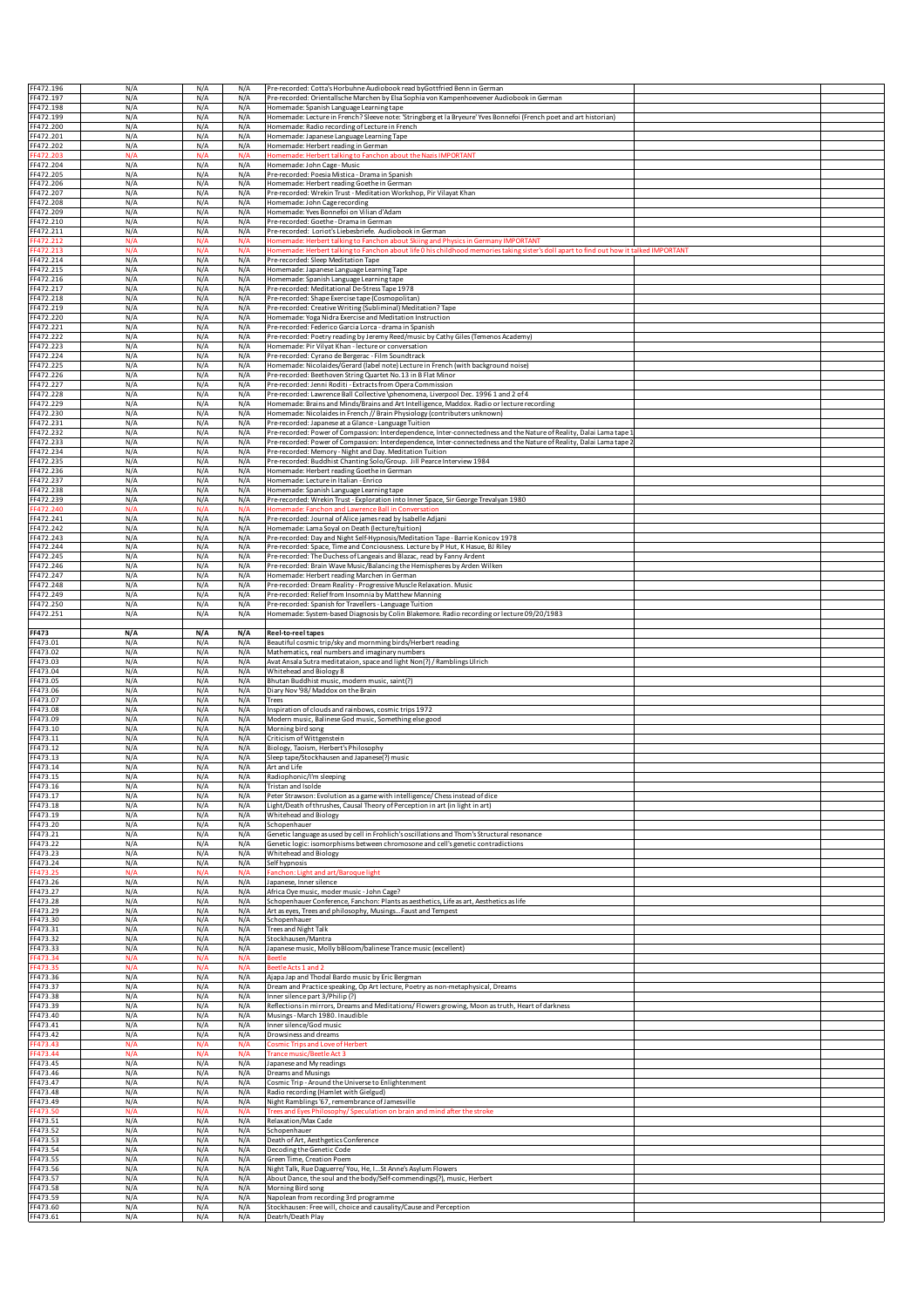| FF472.196<br>FF472.197 | N/A<br>N/A | N/A<br>N/A | N/A<br>N/A | Pre-recorded: Cotta's Horbuhne Audiobook read byGottfried Benn in German<br>Pre-recorded: Orientallsche Marchen by Elsa Sophia von Kampenhoevener Audiobook in German                                                                        |  |
|------------------------|------------|------------|------------|----------------------------------------------------------------------------------------------------------------------------------------------------------------------------------------------------------------------------------------------|--|
| FF472.198              | N/A        | N/A        | N/A        | Homemade: Spanish Language Learning tape                                                                                                                                                                                                     |  |
| FF472.199<br>FF472.200 | N/A<br>N/A | N/A<br>N/A | N/A<br>N/A | Homemade: Lecture in French? Sleeve note: 'Stringberg et la Bryeure' Yves Bonnefoi (French poet and art historian)<br>Homemade: Radio recording of Lecture in French                                                                         |  |
| FF472.201              | N/A        | N/A        | N/A        | Homemade: Japanese Language Learning Tape                                                                                                                                                                                                    |  |
| FF472.202<br>FF472.203 | N/A<br>N/A | N/A<br>N/A | N/A<br>N/A | Homemade: Herbert reading in German<br>Homemade: Herbert talking to Fanchon about the Nazis IMPORTANT                                                                                                                                        |  |
| FF472.204              | N/A        | N/A        | N/A        | Homemade: John Cage - Music                                                                                                                                                                                                                  |  |
| FF472.205<br>FF472.206 | N/A        | N/A        | N/A        | Pre-recorded: Poesia Mistica - Drama in Spanish                                                                                                                                                                                              |  |
| FF472.207              | N/A<br>N/A | N/A<br>N/A | N/A<br>N/A | Homemade: Herbert reading Goethe in German<br>Pre-recorded: Wrekin Trust - Meditation Workshop, Pir Vilayat Khan                                                                                                                             |  |
| FF472.208              | N/A        | N/A        | N/A        | Homemade: John Cage recording                                                                                                                                                                                                                |  |
| FF472.209<br>FF472.210 | N/A<br>N/A | N/A<br>N/A | N/A<br>N/A | Homemade: Yves Bonnefoi on Vilian d'Adam<br>Pre-recorded: Goethe - Drama in German                                                                                                                                                           |  |
| FF472.211              | N/A        | N/A        | N/A        | Pre-recorded: Loriot's Liebesbriefe. Audiobook in German                                                                                                                                                                                     |  |
| FF472.212<br>FF472.213 | N/A<br>N/A | N/A<br>N/A | N/A<br>N/A | Iomemade: Herbert talking to Fanchon about Skiing and Physics in Germany IMPORTANT<br>Iomemade: Herbert talking to Fanchon about life 0 his childhood memories taking sister's doll apart to find out how it talked IMPORTANT                |  |
| FF472.214              | N/A        | N/A        | N/A        | Pre-recorded: Sleep Meditation Tape                                                                                                                                                                                                          |  |
| FF472.215<br>FF472.216 | N/A        | N/A        | N/A        | Homemade: Japanese Language Learning Tape                                                                                                                                                                                                    |  |
| FF472.217              | N/A<br>N/A | N/A<br>N/A | N/A<br>N/A | Homemade: Spanish Language Learning tape<br>Pre-recorded: Meditational De-Stress Tape 1978                                                                                                                                                   |  |
| FF472.218              | N/A        | N/A        | N/A        | Pre-recorded: Shape Exercise tape (Cosmopolitan)                                                                                                                                                                                             |  |
| FF472.219<br>FF472.220 | N/A<br>N/A | N/A<br>N/A | N/A<br>N/A | Pre-recorded: Creative Writing (Subliminal) Meditation? Tape<br>Homemade: Yoga Nidra Exercise and Meditation Instruction                                                                                                                     |  |
| FF472.221              | N/A        | N/A        | N/A        | Pre-recorded: Federico Garcia Lorca - drama in Spanish                                                                                                                                                                                       |  |
| FF472.222<br>FF472.223 | N/A<br>N/A | N/A<br>N/A | N/A<br>N/A | Pre-recorded: Poetry reading by Jeremy Reed/music by Cathy Giles (Temenos Academy)<br>Homemade: Pir Vilyat Khan - lecture or conversation                                                                                                    |  |
| FF472.224              | N/A        | N/A        | N/A        | Pre-recorded: Cyrano de Bergerac - Film Soundtrack                                                                                                                                                                                           |  |
| FF472.225<br>FF472.226 | N/A<br>N/A | N/A<br>N/A | N/A<br>N/A | Homemade: Nicolaides/Gerard (label note) Lecture in French (with background noise)<br>Pre-recorded: Beethoven String Quartet No.13 in B Flat Minor                                                                                           |  |
| FF472.227              | N/A        | N/A        | N/A        | Pre-recorded: Jenni Roditi - Extracts from Opera Commission                                                                                                                                                                                  |  |
| FF472.228<br>FF472.229 | N/A        | N/A        | N/A        | Pre-recorded: Lawrence Ball Collective \phenomena, Liverpool Dec. 1996 1 and 2 of 4                                                                                                                                                          |  |
| FF472.230              | N/A<br>N/A | N/A<br>N/A | N/A<br>N/A | Homemade: Brains and Minds/Brains and Art Intelligence, Maddox. Radio or lecture recording<br>Homemade: Nicolaides in French // Brain Physiology (contributers unknown)                                                                      |  |
| FF472.231              | N/A        | N/A        | N/A        | Pre-recorded: Japanese at a Glance - Language Tuition                                                                                                                                                                                        |  |
| FF472.232<br>FF472.233 | N/A<br>N/A | N/A<br>N/A | N/A<br>N/A | Pre-recorded: Power of Compassion: Interdependence, Inter-connectedness and the Nature of Reality, Dalai Lama tape 1<br>Pre-recorded: Power of Compassion: Interdependence, Inter-connectedness and the Nature of Reality, Dalai Lama tape 2 |  |
| FF472.234              | N/A        | N/A        | N/A        | Pre-recorded: Memory - Night and Day. Meditation Tuition                                                                                                                                                                                     |  |
| FF472.235<br>FF472.236 | N/A<br>N/A | N/A<br>N/A | N/A<br>N/A | Pre-recorded: Buddhist Chanting Solo/Group. Jill Pearce Interview 1984<br>Homemade: Herbert reading Goethe in German                                                                                                                         |  |
| FF472.237              | N/A        | N/A        | N/A        | Homemade: Lecture in Italian - Enrico                                                                                                                                                                                                        |  |
| FF472.238<br>FF472.239 | N/A<br>N/A | N/A<br>N/A | N/A<br>N/A | Homemade: Spanish Language Learning tape<br>Pre-recorded: Wrekin Trust - Exploration into Inner Space, Sir George Trevalyan 1980                                                                                                             |  |
| FF472.240              | N/A        | N/A        | N/A        | Homemade: Fanchon and Lawrence Ball in Conversation                                                                                                                                                                                          |  |
| FF472.241<br>FF472.242 | N/A<br>N/A | N/A<br>N/A | N/A<br>N/A | Pre-recorded: Journal of Alice james read by Isabelle Adjani<br>Homemade: Lama Soyal on Death (lecture/tuition)                                                                                                                              |  |
| FF472.243              | N/A        | N/A        | N/A        | Pre-recorded: Day and Night Self-Hypnosis/Meditation Tape - Barrie Konicov 1978                                                                                                                                                              |  |
| FF472.244              | N/A        | N/A        | N/A        | Pre-recorded: Space, Time and Conciousness. Lecture by P Hut, K Hasue, BJ Riley                                                                                                                                                              |  |
| FF472.245<br>FF472.246 | N/A<br>N/A | N/A<br>N/A | N/A<br>N/A | Pre-recorded: The Duchess of Langeais and Blazac, read by Fanny Ardent<br>Pre-recorded: Brain Wave Music/Balancing the Hemispheres by Arden Wilken                                                                                           |  |
| FF472.247              | N/A        | N/A        | N/A        | Homemade: Herbert reading Marchen in German                                                                                                                                                                                                  |  |
| FF472.248<br>FF472.249 | N/A<br>N/A | N/A<br>N/A | N/A<br>N/A | Pre-recorded: Dream Reality - Progressive Muscle Relaxation. Music<br>Pre-recorded: Relief from Insomnia by Matthew Manning                                                                                                                  |  |
| FF472.250              | N/A        | N/A        | N/A        | Pre-recorded: Spanish for Travellers - Language Tuition                                                                                                                                                                                      |  |
| FF472.251              | N/A        | N/A        | N/A        | Homemade: System-based Diagnosis by Colin Blakemore. Radio recording or lecture 09/20/1983                                                                                                                                                   |  |
| FF473                  | N/A        | N/A        | N/A        | Reel-to-reel tapes                                                                                                                                                                                                                           |  |
| FF473.01<br>FF473.02   | N/A        | N/A        | N/A        | Beautiful cosmic trip/sky and mornming birds/Herbert reading                                                                                                                                                                                 |  |
| FF473.03               | N/A<br>N/A | N/A<br>N/A | N/A<br>N/A | Mathematics, real numbers and imaginary numbers<br>Avat Ansala Sutra meditataion, space and light Non(?) / Ramblings Ulrich                                                                                                                  |  |
| FF473.04               | N/A        | N/A        | N/A        | Whitehead and Biology 8                                                                                                                                                                                                                      |  |
| FF473.05<br>FF473.06   | N/A<br>N/A | N/A<br>N/A | N/A<br>N/A | Bhutan Buddhist music, modern music, saint(?)<br>Diary Nov '98/ Maddox on the Brain                                                                                                                                                          |  |
| FF473.07               | N/A        | N/A        | N/A        | Trees                                                                                                                                                                                                                                        |  |
| FF473.08<br>FF473.09   | N/A<br>N/A | N/A<br>N/A | N/A<br>N/A | Inspiration of clouds and rainbows, cosmic trips 1972<br>Modern music, Balinese God music, Something else good                                                                                                                               |  |
| FF473.10               | N/A        | N/A        | N/A        | Morning bird song                                                                                                                                                                                                                            |  |
| FF473.11<br>FF473.12   | N/A<br>N/A | N/A<br>N/A | N/A<br>N/A | Criticism of Wittgenstein<br>Biology, Taoism, Herbert's Philosophy                                                                                                                                                                           |  |
| FF473.13               | N/A        | N/A        | N/A        | Sleep tape/Stockhausen and Japanese(?) music                                                                                                                                                                                                 |  |
| FF473.14               | N/A        | N/A        | N/A        | Art and Life                                                                                                                                                                                                                                 |  |
| FF473.15<br>FF473.16   | N/A<br>N/A | N/A<br>N/A | N/A<br>N/A | Kadiophonic/i'm sieeping<br>Tristan and Isolde                                                                                                                                                                                               |  |
| FF473.17               | N/A        | N/A        | N/A        | Peter Strawson: Evolution as a game with intelligence/ Chess instead of dice                                                                                                                                                                 |  |
| FF473.18<br>FF473.19   | N/A<br>N/A | N/A<br>N/A | N/A<br>N/A | Light/Death of thrushes, Causal Theory of Perception in art (in light in art)<br>Whitehead and Biology                                                                                                                                       |  |
| FF473.20               | N/A        | N/A        | N/A        | Schopenhauer                                                                                                                                                                                                                                 |  |
| FF473.21<br>FF473.22   | N/A<br>N/A | N/A<br>N/A | N/A<br>N/A | Genetic language as used by cell in Frohlich's oscillations and Thom's Structural resonance<br>Genetic logic: isomorphisms between chromosone and cell's genetic contradictions                                                              |  |
| FF473.23               | N/A        | N/A        | N/A        | Whitehead and Biology                                                                                                                                                                                                                        |  |
| FF473.24<br>FF473.25   | N/A<br>N/A | N/A<br>N/A | N/A<br>N/A | Selfhypnosis<br>Fanchon: Light and art/Baroque light                                                                                                                                                                                         |  |
| FF473.26               | N/A        | N/A        | N/A        | Japanese, Inner silence                                                                                                                                                                                                                      |  |
| FF473.27<br>FF473.28   | N/A<br>N/A | N/A<br>N/A | N/A<br>N/A | Africa Oye music, moder music - John Cage?<br>Schopenhauer Conference, Fanchon: Plants as aesthetics, Life as art, Aesthetics as life                                                                                                        |  |
| FF473.29               | N/A        | N/A        | N/A        | Art as eyes, Trees and philosophy, Musings Faust and Tempest                                                                                                                                                                                 |  |
| FF473.30<br>FF473.31   | N/A        | N/A        | N/A        | Schopenhauer                                                                                                                                                                                                                                 |  |
| FF473.32               | N/A<br>N/A | N/A<br>N/A | N/A<br>N/A | Trees and Night Talk<br>Stockhausen/Mantra                                                                                                                                                                                                   |  |
| FF473.33               | N/A        | N/A        | N/A        | Japanese music, Molly bBloom/balinese Trance music (excellent)                                                                                                                                                                               |  |
| FF473.34<br>FF473.35   | N/A<br>N/A | N/A<br>N/A | N/A<br>N/A | eetle<br>eetle Acts 1 and 2                                                                                                                                                                                                                  |  |
| FF473.36               | N/A        | N/A        | N/A        | Ajapa Jap and Thodal Bardo music by Eric Bergman                                                                                                                                                                                             |  |
| FF473.37<br>FF473.38   | N/A<br>N/A | N/A<br>N/A | N/A<br>N/A | Dream and Practice speaking, Op Art lecture, Poetry as non-metaphysical, Dreams<br>Inner silence part 3/Philip (?)                                                                                                                           |  |
| FF473.39               | N/A        | N/A        | N/A        | Reflections in mirrors, Dreams and Meditations/ Flowers growing, Moon as truth, Heart of darkness                                                                                                                                            |  |
| FF473.40<br>FF473.41   | N/A<br>N/A | N/A<br>N/A | N/A<br>N/A | Musings - March 1980. Inaudible<br>Inner silence/God music                                                                                                                                                                                   |  |
| FF473.42               | N/A        | N/A        | N/A        | Drowsiness and dreams                                                                                                                                                                                                                        |  |
| FF473.43<br>FF473.44   | N/A<br>N/A | N/A<br>N/A | N/A<br>N/A | <b>Cosmic Trips and Love of Herbert</b><br>Trance music/Beetle Act 3                                                                                                                                                                         |  |
| FF473.45               | N/A        | N/A        | N/A        | Japanese and My readings                                                                                                                                                                                                                     |  |
| FF473.46               | N/A        | N/A        | N/A        | <b>Dreams and Musings</b>                                                                                                                                                                                                                    |  |
| FF473.47<br>FF473.48   | N/A<br>N/A | N/A<br>N/A | N/A<br>N/A | Cosmic Trip - Around the Universe to Enlightenment<br>Radio recording (Hamlet with Gielgud)                                                                                                                                                  |  |
| FF473.49               | N/A        | N/A        | N/A        | Night Ramblings '67, remembrance of Jamesville                                                                                                                                                                                               |  |
| FF473.50<br>FF473.51   | N/P<br>N/A | N/A<br>N/A | N/A<br>N/A | rees and Eyes Philosophy/ Speculation on brain and mind after the stroke<br>Relaxation/Max Cade                                                                                                                                              |  |
| FF473.52               | N/A        | N/A        | N/A        | Schopenhauer                                                                                                                                                                                                                                 |  |
| FF473.53<br>FF473.54   | N/A<br>N/A | N/A<br>N/A | N/A<br>N/A | Death of Art, Aesthgetics Conference<br>Decoding the Genetic Code                                                                                                                                                                            |  |
| FF473.55               | N/A        | N/A        | N/A        | Green Time, Creation Poem                                                                                                                                                                                                                    |  |
| FF473.56<br>FF473.57   | N/A<br>N/A | N/A<br>N/A | N/A<br>N/A | Night Talk, Rue Daguerre/ You, He, ISt Anne's Asylum Flowers<br>About Dance, the soul and the body/Self-commendings(?), music, Herbert                                                                                                       |  |
| FF473.58               | N/A        | N/A        | N/A        | Morning Bird song                                                                                                                                                                                                                            |  |
| FF473.59               | N/A        | N/A        | N/A        | Napolean from recording 3rd programme                                                                                                                                                                                                        |  |
| FF473.60<br>FF473.61   | N/A<br>N/A | N/A<br>N/A | N/A<br>N/A | Stockhausen: Free will, choice and causality/Cause and Perception<br>Deatrh/Death Play                                                                                                                                                       |  |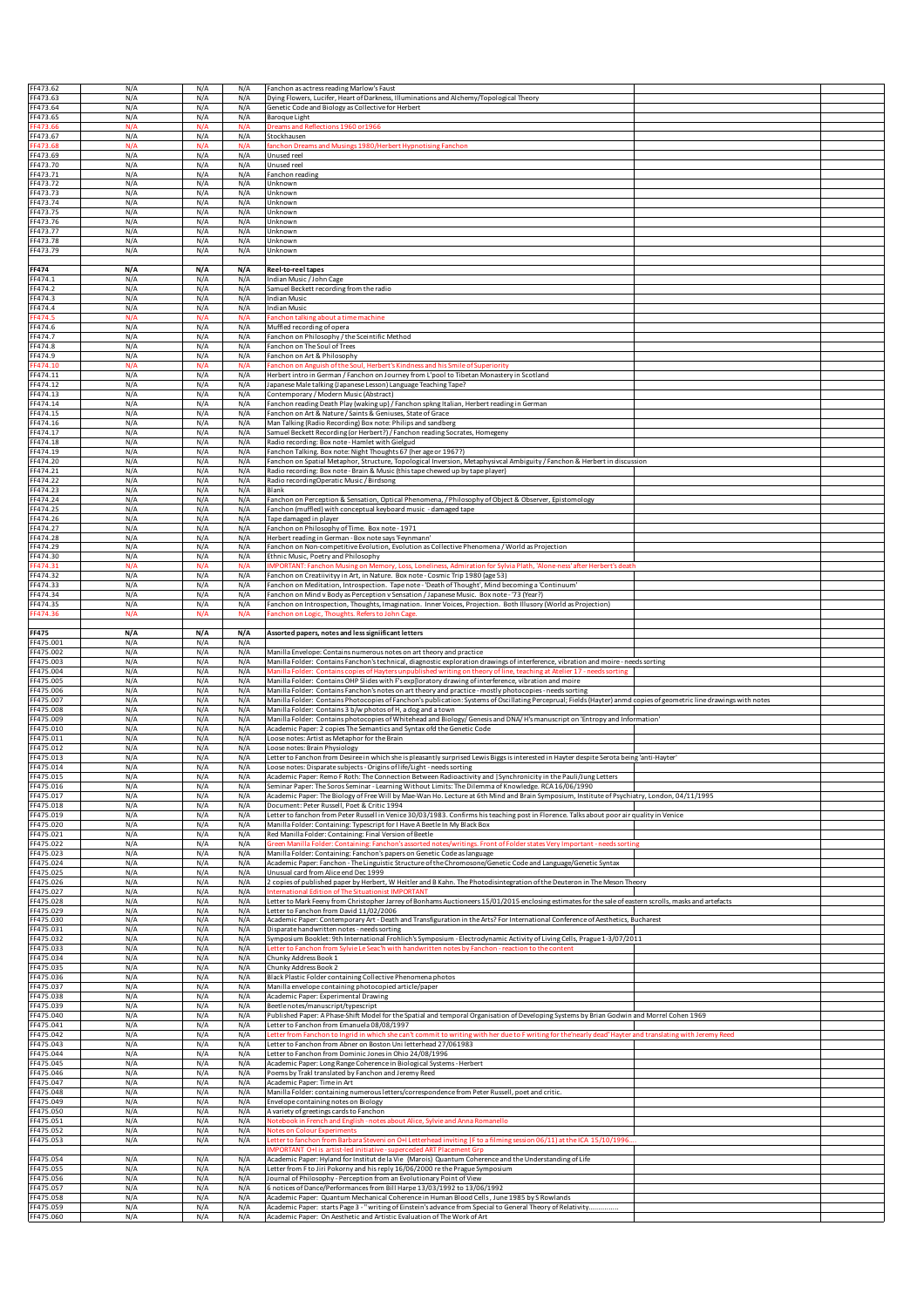| FF473.62               |            |            |            |                                                                                                                                                                                                                                                      |  |
|------------------------|------------|------------|------------|------------------------------------------------------------------------------------------------------------------------------------------------------------------------------------------------------------------------------------------------------|--|
| FF473.63               | N/A        | N/A        | N/A        | Fanchon as actress reading Marlow's Faust                                                                                                                                                                                                            |  |
| FF473.64               | N/A<br>N/A | N/A<br>N/A | N/A<br>N/A | Dying Flowers, Lucifer, Heart of Darkness, Illuminations and Alchemy/Topological Theory<br>Genetic Code and Biology as Collective for Herbert                                                                                                        |  |
| FF473.65               | N/A        | N/A        | N/A        | <b>Baroque Light</b>                                                                                                                                                                                                                                 |  |
| F473.66                | N/A        | N/A        | N/A        | reams and Reflections 1960 or 1966                                                                                                                                                                                                                   |  |
| FF473.67               | N/A        | N/A        | N/A        | Stockhausen                                                                                                                                                                                                                                          |  |
| F473.68                | N/L        | N/A        | N/A        | anchon Dreams and Musings 1980/Herbert Hypnotising Fanchor                                                                                                                                                                                           |  |
| FF473.69               | N/A        | N/A        | N/A        | Unused reel                                                                                                                                                                                                                                          |  |
| FF473.70               | N/A        | N/A        | N/A        | Unused reel                                                                                                                                                                                                                                          |  |
| FF473.71               | N/A        | N/A        | N/A        | Fanchon reading                                                                                                                                                                                                                                      |  |
| FF473.72               | N/A        | N/A        | N/A        | Unknown                                                                                                                                                                                                                                              |  |
| FF473.73               | N/A        | N/A        | N/A        | Unknown                                                                                                                                                                                                                                              |  |
| FF473.74               | N/A        | N/A        | N/A        | Unknown                                                                                                                                                                                                                                              |  |
| FF473.75               | N/A        | N/A        | N/A        | Unknown                                                                                                                                                                                                                                              |  |
| FF473.76               | N/A        | N/A        | N/A        | Unknown                                                                                                                                                                                                                                              |  |
| FF473.77<br>FF473.78   | N/A<br>N/A | N/A<br>N/A | N/A<br>N/A | Unknown<br>Unknown                                                                                                                                                                                                                                   |  |
| FF473.79               | N/A        | N/A        | N/A        | Unknown                                                                                                                                                                                                                                              |  |
|                        |            |            |            |                                                                                                                                                                                                                                                      |  |
| <b>FF474</b>           | N/A        | N/A        | N/A        | Reel-to-reel tapes                                                                                                                                                                                                                                   |  |
| FF474.1                | N/A        | N/A        | N/A        | Indian Music / John Cage                                                                                                                                                                                                                             |  |
| FF474.2                | N/A        | N/A        | N/A        | Samuel Beckett recording from the radio                                                                                                                                                                                                              |  |
| FF474.3                | N/A        | N/A        | N/A        | <b>Indian Music</b>                                                                                                                                                                                                                                  |  |
| FF474.4                | N/A        | N/A        | N/A        | <b>Indian Music</b>                                                                                                                                                                                                                                  |  |
| F474.5                 | N/A        | N/A        | N/A        | Fanchon talking about a time machine                                                                                                                                                                                                                 |  |
| FF474.6                | N/A        | N/A        | N/A        | Muffled recording of opera                                                                                                                                                                                                                           |  |
| FF474.7                | N/A        | N/A        | N/A        | Fanchon on Philosophy / the Sceintific Method                                                                                                                                                                                                        |  |
| FF474.8                | N/A        | N/A        | N/A        | Fanchon on The Soul of Trees                                                                                                                                                                                                                         |  |
| FF474.9                | N/A        | N/A        | N/A        | Fanchon on Art & Philosophy                                                                                                                                                                                                                          |  |
| $-474.10$              | N/A        | N/A        | N/A        | inchon on Anguish of the Soul. Herbert's Kindness and his Smile of Superiorit                                                                                                                                                                        |  |
| FF474.11               | N/A        | N/A        | N/A        | Herbert intro in German / Fanchon on Journey from L'pool to Tibetan Monastery in Scotland                                                                                                                                                            |  |
| FF474.12               | N/A        | N/A        | N/A        | Japanese Male talking (Japanese Lesson) Language Teaching Tape?                                                                                                                                                                                      |  |
| FF474.13               | N/A        | N/A        | N/A        | Contemporary / Modern Music (Abstract)                                                                                                                                                                                                               |  |
| FF474.14               | N/A        | N/A        | N/A        | Fanchon reading Death Play (waking up) / Fanchon spkng Italian, Herbert reading in German<br>Fanchon on Art & Nature / Saints & Geniuses, State of Grace                                                                                             |  |
| FF474.15<br>FF474.16   | N/A<br>N/A | N/A<br>N/A | N/A<br>N/A | Man Talking (Radio Recording) Box note: Philips and sandberg                                                                                                                                                                                         |  |
| FF474.17               | N/A        | N/A        | N/A        | Samuel Beckett Recording (or Herbert?) / Fanchon reading Socrates, Homegeny                                                                                                                                                                          |  |
| FF474.18               | N/A        | N/A        | N/A        | Radio recording: Box note - Hamlet with Gielgud                                                                                                                                                                                                      |  |
| FF474.19               | N/A        | N/A        | N/A        | Fanchon Talking. Box note: Night Thoughts 67 (her age or 1967?)                                                                                                                                                                                      |  |
| FF474.20               | N/A        | N/A        | N/A        | Fanchon on Spatial Metaphor, Structure, Topological Inversion, Metaphysivcal Ambiguity / Fanchon & Herbert in discussion                                                                                                                             |  |
| FF474.21               | N/A        | N/A        | N/A        | Radio recording: Box note - Brain & Music (this tape chewed up by tape player)                                                                                                                                                                       |  |
| FF474.22               | N/A        | N/A        | N/A        | Radio recordingOperatic Music / Birdsong                                                                                                                                                                                                             |  |
| FF474.23               | N/A        | N/A        | N/A        | Blank                                                                                                                                                                                                                                                |  |
| FF474.24               | N/A        | N/A        | N/A        | Fanchon on Perception & Sensation, Optical Phenomena, / Philosophy of Object & Observer, Epistomology                                                                                                                                                |  |
| FF474.25               | N/A        | N/A        | N/A        | Fanchon (muffled) with conceptual keyboard music - damaged tape                                                                                                                                                                                      |  |
| FF474.26               | N/A        | N/A        | N/A        | Tape damaged in player                                                                                                                                                                                                                               |  |
| FF474.27               | N/A        | N/A        | N/A        | Fanchon on Philosophy of Time. Box note - 1971                                                                                                                                                                                                       |  |
| FF474.28               | N/A        | N/A        | N/A        | Herbert reading in German - Box note says 'Feynmann'                                                                                                                                                                                                 |  |
| FF474.29               | N/A        | N/A        | N/A        | Fanchon on Non-competitive Evolution, Evolution as Collective Phenomena / World as Projection                                                                                                                                                        |  |
| FF474.30               | N/A        | N/A        | N/A        | Ethnic Music, Poetry and Philosophy                                                                                                                                                                                                                  |  |
| F474.31                | N/A        | N/A        | N/A        | MPORTANT: Fanchon Musing on Memory, Loss, Loneliness, Admiration for Sylvia Plath, 'Alone-ness' after Herbert's deatl                                                                                                                                |  |
| FF474.32               | N/A        | N/A        | N/A        | Fanchon on Creatiivityy in Art, in Nature. Box note - Cosmic Trip 1980 (age 53)                                                                                                                                                                      |  |
| FF474.33<br>FF474.34   | N/A<br>N/A | N/A<br>N/A | N/A<br>N/A | Fanchon on Meditation, Introspection. Tape note - 'Death of Thought', Mind becoming a 'Continuum'<br>Fanchon on Mind v Body as Perception v Sensation / Japanese Music. Box note - '73 (Year?)                                                       |  |
| FF474.35               | N/A        | N/A        | N/A        | Fanchon on Introspection, Thoughts, Imagination. Inner Voices, Projection. Both Illusory (World as Projection)                                                                                                                                       |  |
| F474.36                | N/A        | N/A        | N/A        | 'anchon on Logic, Thoughts. Refers to John Cage                                                                                                                                                                                                      |  |
|                        |            |            |            |                                                                                                                                                                                                                                                      |  |
| <b>FF475</b>           | N/A        | N/A        | N/A        | Assorted papers, notes and less signiificant letters                                                                                                                                                                                                 |  |
| FF475.001              | N/A        | N/A        | N/A        |                                                                                                                                                                                                                                                      |  |
| FF475.002              | N/A        | N/A        | N/A        | Manilla Envelope: Contains numerous notes on art theory and practice                                                                                                                                                                                 |  |
| FF475.003              | N/A        | N/A        | N/A        | Manilla Folder: Contains Fanchon's technical, diagnostic exploration drawings of interference, vibration and moire - needs sorting                                                                                                                   |  |
| FF475.004              | N/A        | N/A        | N/A        | Manilla Folder: Contains copies of Hayters unpublished writing on theory of line, teaching at Atelier 17 - needs sorting                                                                                                                             |  |
| FF475.005              | N/A        | N/A        | N/A        | Manilla Folder: Contains OHP Slides with F's exp[loratory drawing of interference, vibration and moire                                                                                                                                               |  |
| FF475.006              | N/A        | N/A        | N/A        | Manilla Folder: Contains Fanchon's notes on art theory and practice - mostly photocopies - needs sorting                                                                                                                                             |  |
| FF475.007              | N/A        | N/A        | N/A        | Manilla Folder: Contains Photocopies of Fanchon's publication: Systems of Oscillating Perceprual; Fields (Hayter) anmd copies of geometric line drawings with notes                                                                                  |  |
|                        |            |            | N/A        | Manilla Folder: Contains 3 b/w photos of H, a dog and a town                                                                                                                                                                                         |  |
| FF475.008              | N/A        | N/A        |            | Manilla Folder: Contains photocopies of Whitehead and Biology/Genesis and DNA/H's manuscript on 'Entropy and Information'                                                                                                                            |  |
| FF475.009              | N/A        | N/A        | N/A        |                                                                                                                                                                                                                                                      |  |
| FF475.010              | N/A        | N/A        | N/A        | Academic Paper: 2 copies The Semantics and Syntax ofd the Genetic Code                                                                                                                                                                               |  |
| FF475.011              | N/A        | N/A        | N/A        | Loose notes: Artist as Metaphor for the Brain                                                                                                                                                                                                        |  |
| FF475.012              | N/A        | N/A        | N/A        | oose notes: Brain Physiology                                                                                                                                                                                                                         |  |
| FF475.013              | N/A        | N/A        | N/A        | etter to Fanchon from Desiree in which she is pleasantly surprised Lewis Biggs is interested in Hayter despite Serota being 'anti-Hayter.                                                                                                            |  |
| FF475.014              | N/A<br>N/A | N/A<br>N/A | N/A<br>N/A | Loose notes: Disparate subjects - Origins of life/Light - needs sorting                                                                                                                                                                              |  |
| FF475.015              |            |            |            | Academic Paper: Remo F Roth: The Connection Between Radioactivity and  Synchronicity in the Pauli/Jung Letters                                                                                                                                       |  |
| FF475.016<br>FF475.017 | N/A<br>N/A | N/A<br>N/A | N/A<br>N/A | Seminar Paper: The Soros Seminar - Learning Without Limits: The Dilemma of Knowledge. RCA 16/06/1990<br>Academic Paper: The Biology of Free Will by Mae-Wan Ho. Lecture at 6th Mind and Brain Symposium, Institute of Psychiatry, London, 04/11/1995 |  |
| FF475.018              | N/A        | N/A        | N/A        | Document: Peter Russell, Poet & Critic 1994                                                                                                                                                                                                          |  |
| FF475.019              | N/A        | N/A        | N/A        | Letter to fanchon from Peter Russell in Venice 30/03/1983. Confirms his teaching post in Florence. Talks about poor air quality in Venice                                                                                                            |  |
| FF475.020              | N/A        | N/A        | N/A        | Manilla Folder: Containing: Typescript for I Have A Beetle In My Black Box                                                                                                                                                                           |  |
| FF475.021              | N/A        | N/A        | N/A        | Red Manilla Folder: Containing: Final Version of Beetle                                                                                                                                                                                              |  |
| FF475.022              | N/A        | N/A        | N/A        | ireen Manilla Folder: Containing: Fanchon's assorted notes/writings. Front of Folder states Very Important - needs sortin                                                                                                                            |  |
| FF475.023              | N/A        | N/A        | N/A        | Manilla Folder: Containing: Fanchon's papers on Genetic Code as language                                                                                                                                                                             |  |
| FF475.024              | N/A        | N/A        | N/A        | Academic Paper: Fanchon - The Linguistic Structure of the Chromosone/Genetic Code and Language/Genetic Syntax                                                                                                                                        |  |
| FF475.025              | N/A        | N/A        | N/A        | Unusual card from Alice end Dec 1999                                                                                                                                                                                                                 |  |
| FF475.026              | N/A        | N/A        | N/A        | 2 copies of published paper by Herbert, W Heitler and B Kahn. The Photodisintegration of the Deuteron in The Meson Theory                                                                                                                            |  |
| FF475.027              | N/A        | N/A        | N/A        | nternational Edition of The Situationist IMPORTANT                                                                                                                                                                                                   |  |
| FF475.028              | N/A        | N/A        | N/A        | Letter to Mark Feeny from Christopher Jarrey of Bonhams Auctioneers 15/01/2015 enclosing estimates for the sale of eastern scrolls, masks and artefacts<br>Letter to Fanchon from David 11/02/2006                                                   |  |
| FF475.029<br>FF475.030 | N/A<br>N/A | N/A<br>N/A | N/A<br>N/A | Academic Paper: Contemporary Art - Death and Transfiguration in the Arts? For International Conference of Aesthetics, Bucharest                                                                                                                      |  |
| FF475.031              | N/A        | N/A        | N/A        | Disparate handwritten notes - needs sorting                                                                                                                                                                                                          |  |
| FF475.032              | N/A        | N/A        | N/A        | Symposium Booklet: 9th International Frohlich's Symposium - Electrodynamic Activity of Living Cells, Prague 1-3/07/2011                                                                                                                              |  |
| FF475.033              | N/A        | N/A        | N/A        | etter to Fanchon from Sylvie Le Seac'h with handwritten notes by Fanchon - reaction to the content                                                                                                                                                   |  |
| FF475.034              | N/A        | N/A        | N/A        | Chunky Address Book 1                                                                                                                                                                                                                                |  |
| FF475.035              | N/A        | N/A        | N/A        | Chunky Address Book 2                                                                                                                                                                                                                                |  |
| FF475.036              | N/A        | N/A        | N/A        | Black Plastic Folder containing Collective Phenomena photos                                                                                                                                                                                          |  |
| FF475.037              | N/A        | N/A        | N/A        | Manilla envelope containing photocopied article/paper                                                                                                                                                                                                |  |
| FF475.038              | N/A        | N/A        | N/A        | Academic Paper: Experimental Drawing                                                                                                                                                                                                                 |  |
| FF475.039              | N/A        | N/A        | N/A        | Beetle notes/manuscript/typescript                                                                                                                                                                                                                   |  |
| FF475.040              | N/A        | N/A        | N/A        | Published Paper: A Phase-Shift Model for the Spatial and temporal Organisation of Developing Systems by Brian Godwin and Morrel Cohen 1969                                                                                                           |  |
| FF475.041              | N/A        | N/A        | N/A        | Letter to Fanchon from Emanuela 08/08/1997                                                                                                                                                                                                           |  |
| FF475.042              | N/A        | N/A        | N/A        | Letter from Fanchon to Ingrid in which she can't commit to writing with her due to F writing for the'nearly dead' Hayter and translating with Jeremy Reed                                                                                            |  |
| FF475.043              | N/A        | N/A        | N/A        | Letter to Fanchon from Abner on Boston Uni letterhead 27/061983                                                                                                                                                                                      |  |
| FF475.044<br>FF475.045 | N/A<br>N/A | N/A<br>N/A | N/A<br>N/A | Letter to Fanchon from Dominic Jones in Ohio 24/08/1996<br>Academic Paper: Long Range Coherence in Biological Systems - Herbert                                                                                                                      |  |
| FF475.046              | N/A        | N/A        | N/A        | Poems by Trakl translated by Fanchon and Jeremy Reed                                                                                                                                                                                                 |  |
| FF475.047              | N/A        | N/A        | N/A        | Academic Paper: Time in Art                                                                                                                                                                                                                          |  |
| FF475.048              | N/A        | N/A        | N/A        | Manilla Folder: containing numerous letters/correspondence from Peter Russell, poet and critic.                                                                                                                                                      |  |
| FF475.049              | N/A        | N/A        | N/A        | Envelope containing notes on Biology                                                                                                                                                                                                                 |  |
| FF475.050              | N/A        | N/A        | N/A        | A variety of greetings cards to Fanchon                                                                                                                                                                                                              |  |
| FF475.051              | N/A        | N/A        | N/A        | lotebook in French and English - notes about Alice, Sylvie and Anna Romanello                                                                                                                                                                        |  |
| FF475.052              | N/A        | N/A        | N/A        | lotes on Colour Experiments                                                                                                                                                                                                                          |  |
| FF475.053              | N/A        | N/A        | N/A        | etter to fanchon from Barbara Steveni on O+I Letterhead inviting  F to a filming session 06/11) at the ICA 15/10/1996                                                                                                                                |  |
|                        |            |            |            | MPORTANT O+I is artist-led initiative - superceded ART Placement Grp                                                                                                                                                                                 |  |
| FF475.054              | N/A        | N/A        | N/A        | Academic Paper: Hyland for Institut de la Vie (Marois) Quantum Coherence and the Understanding of Life                                                                                                                                               |  |
| FF475.055              | N/A        | N/A        | N/A        | Letter from F to Jiri Pokorny and his reply 16/06/2000 re the Prague Symposium                                                                                                                                                                       |  |
| FF475.056              | N/A        | N/A        | N/A        | Journal of Philosophy - Perception from an Evolutionary Point of View                                                                                                                                                                                |  |
| FF475.057              | N/A        | N/A        | N/A        | 6 notices of Dance/Performances from Bill Harpe 13/03/1992 to 13/06/1992                                                                                                                                                                             |  |
| FF475.058<br>FF475.059 | N/A<br>N/A | N/A<br>N/A | N/A<br>N/A | Academic Paper: Quantum Mechanical Coherence in Human Blood Cells, June 1985 by S Rowlands<br>Academic Paper: starts Page 3 - "writing of Einstein's advance from Special to General Theory of Relativity                                            |  |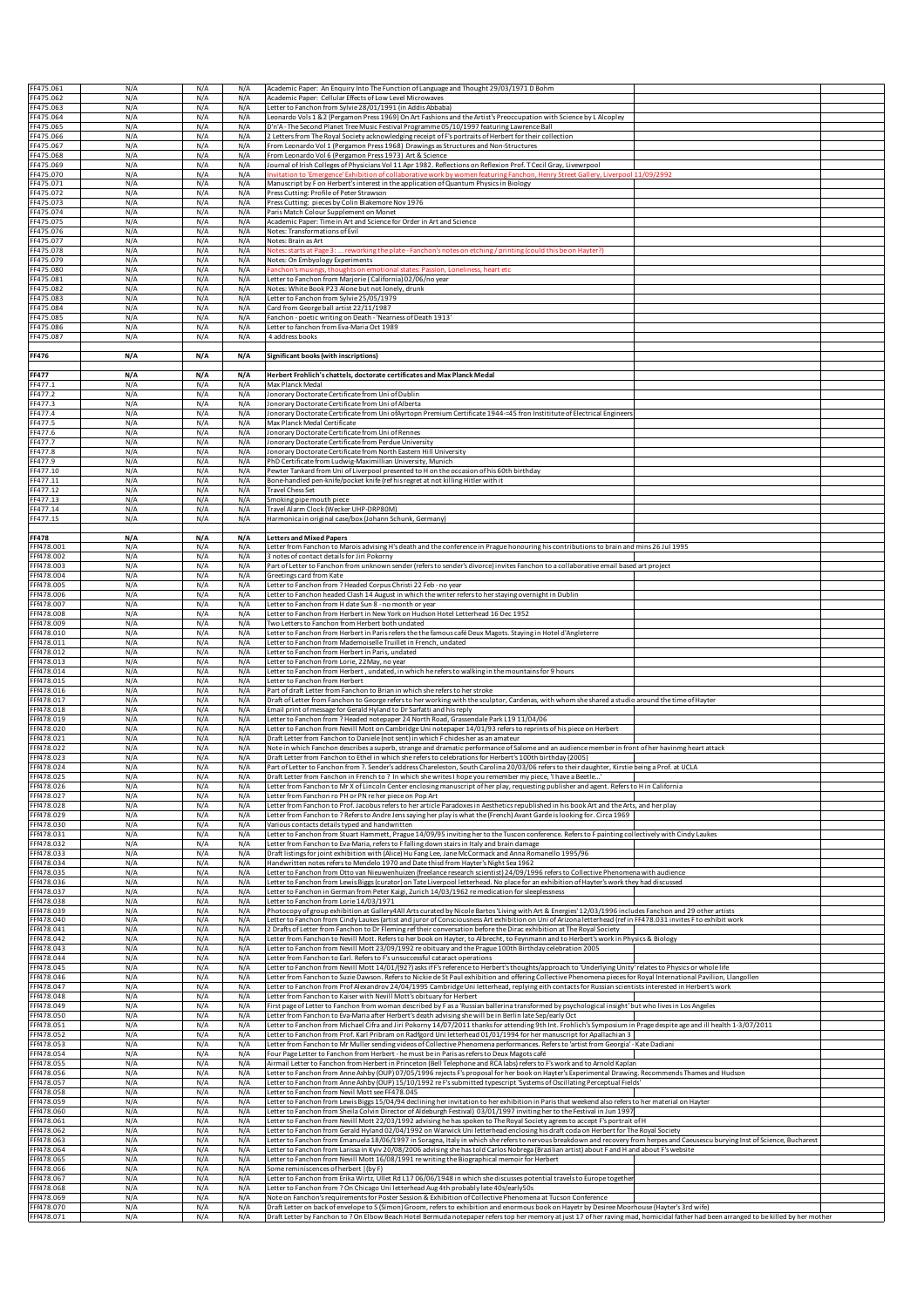| FF475.061                |            |            | N/A        |                                                                                                                                                                                                                                                                                                                                 |  |
|--------------------------|------------|------------|------------|---------------------------------------------------------------------------------------------------------------------------------------------------------------------------------------------------------------------------------------------------------------------------------------------------------------------------------|--|
| FF475.062                | N/A<br>N/A | N/A<br>N/A | N/A        | Academic Paper: An Enquiry Into The Function of Language and Thought 29/03/1971 D Bohm<br>Academic Paper: Cellular Effects of Low Level Microwaves                                                                                                                                                                              |  |
| FF475.063                | N/A        | N/A        | N/A        | Letter to Fanchon from Sylvie 28/01/1991 (in Addis Abbaba)                                                                                                                                                                                                                                                                      |  |
| FF475.064                | N/A        | N/A        | N/A        | Leonardo Vols 1 & 2 (Pergamon Press 1969) On Art Fashions and the Artist's Preoccupation with Science by L Alcopley                                                                                                                                                                                                             |  |
| FF475.065                | N/A        | N/A        | N/A        | D'n'A - The Second Planet Tree Music Festival Programme 05/10/1997 featuring Lawrence Ball                                                                                                                                                                                                                                      |  |
| FF475.066                | N/A        | N/A        | N/A        | 2 Letters from The Royal Society acknowledging receipt of F's portraits of Herbert for their collection                                                                                                                                                                                                                         |  |
| FF475.067                | N/A        | N/A        | N/A        | From Leonardo Vol 1 (Pergamon Press 1968) Drawings as Structures and Non-Structures                                                                                                                                                                                                                                             |  |
| FF475.068                | N/A        | N/A        | N/A        | From Leonardo Vol 6 (Pergamon Press 1973) Art & Science                                                                                                                                                                                                                                                                         |  |
| FF475.069                | N/A        | N/A        | N/A        | Journal of Irish Colleges of Physicians Vol 11 Apr 1982. Reflections on Reflexion Prof. T Cecil Gray, Livewrpool                                                                                                                                                                                                                |  |
| FF475.070                | N/A        | N/A        | N/A        | nvitation to 'Emergence' Exhibition of collaborative work by women featuring Fanchon, Henry Street Gallery, Liverpool 11/09/2992                                                                                                                                                                                                |  |
| FF475.071                | N/A        | N/A        | N/A        | Manuscript by F on Herbert's interest in the application of Quantum Physics in Biology                                                                                                                                                                                                                                          |  |
| FF475.072                | N/A        | N/A        | N/A        | Press Cutting: Profile of Peter Strawson                                                                                                                                                                                                                                                                                        |  |
| FF475.073                | N/A        | N/A        | N/A        | Press Cutting: pieces by Colin Blakemore Nov 1976                                                                                                                                                                                                                                                                               |  |
| FF475.074                | N/A        | N/A        | N/A        | Paris Match Colour Supplement on Monet                                                                                                                                                                                                                                                                                          |  |
| FF475.075                | N/A        | N/A        | N/A        | Academic Paper: Time in Art and Science for Order in Art and Science                                                                                                                                                                                                                                                            |  |
| FF475.076                | N/A        | N/A        | N/A        | Notes: Transformations of Evil                                                                                                                                                                                                                                                                                                  |  |
| FF475.077<br>FF475.078   | N/A<br>N/A | N/A<br>N/A | N/A<br>N/A | Notes: Brain as Art<br>Notes: starts at Page 3: reworking the plate - Fanchon's notes on etching / printing (could this be on Hayter?)                                                                                                                                                                                          |  |
| FF475.079                | N/A        | N/A        | N/A        | Notes: On Embyology Experiments                                                                                                                                                                                                                                                                                                 |  |
| FF475.080                | N/A        | N/A        | N/A        | Fanchon's musings, thoughts on emotional states: Passion, Loneliness, heart etc                                                                                                                                                                                                                                                 |  |
| FF475.081                | N/A        | N/A        | N/A        | Letter to Fanchon from Marjorie (California) 02/06/no year                                                                                                                                                                                                                                                                      |  |
| FF475.082                | N/A        | N/A        | N/A        | Notes: White Book P23 Alone but not lonely, drunk                                                                                                                                                                                                                                                                               |  |
| FF475.083                | N/A        | N/A        | N/A        | Letter to Fanchon from Sylvie 25/05/1979                                                                                                                                                                                                                                                                                        |  |
| FF475.084                | N/A        | N/A        | N/A        | Card from George ball artist 22/11/1987                                                                                                                                                                                                                                                                                         |  |
| FF475.085                | N/A        | N/A        | N/A        | Fanchon - poetic writing on Death - 'Nearness of Death 1913'                                                                                                                                                                                                                                                                    |  |
| FF475.086                | N/A        | N/A        | N/A        | Letter to fanchon from Eva-Maria Oct 1989                                                                                                                                                                                                                                                                                       |  |
| FF475.087                | N/A        | N/A        | N/A        | 4 address books                                                                                                                                                                                                                                                                                                                 |  |
|                          |            |            |            |                                                                                                                                                                                                                                                                                                                                 |  |
| <b>FF476</b>             | N/A        | N/A        | N/A        | Significant books (with inscriptions)                                                                                                                                                                                                                                                                                           |  |
|                          |            |            |            |                                                                                                                                                                                                                                                                                                                                 |  |
| <b>FF477</b>             | N/A        | N/A        | N/A        | Herbert Frohlich's chattels, doctorate certificates and Max Planck Medal                                                                                                                                                                                                                                                        |  |
| FF477.1                  | N/A        | N/A        | N/A        | Max Planck Medal                                                                                                                                                                                                                                                                                                                |  |
| FF477.2                  | N/A        | N/A        | N/A        | Jonorary Doctorate Certificate from Uni of Dublin                                                                                                                                                                                                                                                                               |  |
| FF477.3                  | N/A        | N/A        | N/A        | Jonorary Doctorate Certificate from Uni of Alberta                                                                                                                                                                                                                                                                              |  |
| FF477.4                  | N/A        | N/A        | N/A        | Jonorary Doctorate Certificate from Uni ofAyrtopn Premium Certificate 1944-=45 fron Instititute of Electrical Engineers                                                                                                                                                                                                         |  |
| FF477.5                  | N/A        | N/A        | N/A        | Max Planck Medal Certificate<br>Jonorary Doctorate Certificate from Uni of Rennes                                                                                                                                                                                                                                               |  |
| FF477.6<br>FF477.7       | N/A<br>N/A | N/A<br>N/A | N/A<br>N/A | Jonorary Doctorate Certificate from Perdue University                                                                                                                                                                                                                                                                           |  |
| FF477.8                  | N/A        | N/A        | N/A        | Jonorary Doctorate Certificate from North Eastern Hill University                                                                                                                                                                                                                                                               |  |
| FF477.9                  | N/A        | N/A        | N/A        | PhD Certificate from Ludwig-Maximillian University, Munich                                                                                                                                                                                                                                                                      |  |
| FF477.10                 | N/A        | N/A        | N/A        | Pewter Tankard from Uni of Liverpool presented to H on the occasion of his 60th birthday                                                                                                                                                                                                                                        |  |
| FF477.11                 | N/A        | N/A        | N/A        | Bone-handled pen-knife/pocket knife (ref his regret at not killing Hitler with it                                                                                                                                                                                                                                               |  |
| FF477.12                 | N/A        | N/A        | N/A        | <b>Travel Chess Set</b>                                                                                                                                                                                                                                                                                                         |  |
| FF477.13                 | N/A        | N/A        | N/A        | Smoking pipe mouth piece                                                                                                                                                                                                                                                                                                        |  |
| FF477.14                 | N/A        | N/A        | N/A        | Travel Alarm Clock (Wecker UHP-DRP80M)                                                                                                                                                                                                                                                                                          |  |
| FF477.15                 | N/A        | N/A        | N/A        | Harmonica in original case/box (Johann Schunk, Germany)                                                                                                                                                                                                                                                                         |  |
|                          |            |            |            |                                                                                                                                                                                                                                                                                                                                 |  |
| <b>FF478</b>             | N/A        | N/A        | N/A        | <b>Letters and Mixed Papers</b>                                                                                                                                                                                                                                                                                                 |  |
| FFf478.001               | N/A        | N/A        | N/A        | Letter from Fanchon to Marois advising H's death and the conference in Prague honouring his contributions to brain and mins 26 Jul 1995.                                                                                                                                                                                        |  |
| FFf478.002               | N/A        | N/A        | N/A        | 3 notes of contact details for Jiri Pokorny                                                                                                                                                                                                                                                                                     |  |
| FFf478.003               | N/A        | N/A        | N/A        | Part of Letter to Fanchon from unknown sender (refers to sender's divorce) invites Fanchon to a collaborative email based art project                                                                                                                                                                                           |  |
| FFf478.004               | N/A        | N/A        | N/A        | Greetings card from Kate                                                                                                                                                                                                                                                                                                        |  |
| FFf478.005               | N/A        | N/A        | N/A        | Letter to Fanchon from ? Headed Corpus Christi 22 Feb - no year                                                                                                                                                                                                                                                                 |  |
| FFf478.006               | N/A        | N/A        | N/A        | Letter to Fanchon headed Clash 14 August in which the writer refers to her staying overnight in Dublin                                                                                                                                                                                                                          |  |
| FFf478.007               | N/A        | N/A        | N/A        | Letter to Fanchon from H date Sun 8 - no month or year                                                                                                                                                                                                                                                                          |  |
| FFf478.008               | N/A        | N/A        | N/A        | Letter to Fanchon from Herbert in New York on Hudson Hotel Letterhead 16 Dec 1952                                                                                                                                                                                                                                               |  |
| FFf478.009<br>FFf478.010 | N/A<br>N/A | N/A<br>N/A | N/A<br>N/A | Two Letters to Fanchon from Herbert both undated<br>Letter to Fanchon from Herbert in Paris refers the the famous café Deux Magots. Staying in Hotel d'Angleterre                                                                                                                                                               |  |
| FFf478.011               | N/A        | N/A        | N/A        | Letter to Fanchon from Mademoiselle Truillet in French, undated                                                                                                                                                                                                                                                                 |  |
| FFf478.012               | N/A        | N/A        | N/A        | Letter to Fanchon from Herbert in Paris, undated                                                                                                                                                                                                                                                                                |  |
| FFf478.013               | N/A        | N/A        | N/A        | Letter to Fanchon from Lorie, 22May, no year                                                                                                                                                                                                                                                                                    |  |
| FFf478.014               | N/A        | N/A        | N/A        | Letter to Fanchon from Herbert, undated, in which he refers to walking in the mountains for 9 hours                                                                                                                                                                                                                             |  |
| FFf478.015               | N/A        | N/A        | N/A        | Letter to Fanchon from Herbert                                                                                                                                                                                                                                                                                                  |  |
| FFf478.016               | N/A        | N/A        | N/A        | Part of draft Letter from Fanchon to Brian in which she refers to her stroke                                                                                                                                                                                                                                                    |  |
| FFf478.017               | N/A        | N/A        | N/A        | Draft of Letter from Fanchon to George refers to her working with the sculptor, Cardenas, with whom she shared a studio around the time of Hayter                                                                                                                                                                               |  |
| FFf478.018               | N/A        | N/A        | N/A        | Email print of message for Gerald Hyland to Dr Sarfatti and his reply                                                                                                                                                                                                                                                           |  |
| FFf478.019               | N/A        | N/A        | N/A        | Letter to Fanchon from ? Headed notepaper 24 North Road, Grassendale Park L19 11/04/06                                                                                                                                                                                                                                          |  |
| FFf478.020               | N/A        | N/A        | N/A        | Letter to Fanchon from Nevill Mott on Cambridge Uni notepaper 14/01/93 refers to reprints of his piece on Herbert                                                                                                                                                                                                               |  |
| FFf478.021               | N/A        | N/A        | N/A        | Draft Letter from Fanchon to Daniele (not sent) in which F chides her as an amateur                                                                                                                                                                                                                                             |  |
| FFf478.022               | N/A        | N/A        | N/A        | Note in which Fanchon describes a superb, strange and dramatic performance of Salome and an audience member in front of her havinmg heart attack                                                                                                                                                                                |  |
| FFf478.023               | N/A        | N/A        | N/A        | Draft Letter from Fanchon to Ethel in which she refers to celebrations for Herbert's 100th birthday (2005)                                                                                                                                                                                                                      |  |
| FFf478.024               | N/A        | N/A        | N/A        | Part of Letter to Fanchon from ?. Sender's address Chareleston, South Carolina 20/03/06 refers to their daughter, Kirstie being a Prof. at UCLA                                                                                                                                                                                 |  |
| FF1478.025               | N/A        | N/A        | N/A        | Draft Letter from Fanchon in French to ? In which she writes I hope you remember my piece, 'I have a Beetle.                                                                                                                                                                                                                    |  |
| FFf478.026               | N/A        | N/A        | N/A        | Letter from Fanchon to Mr X of Lincoln Center enclosing manuscript of her play, requesting publisher and agent. Refers to H in California                                                                                                                                                                                       |  |
| FFf478.027               | N/A        | N/A        | N/A        | Letter from Fanchon ro PH or PN re her piece on Pop Art                                                                                                                                                                                                                                                                         |  |
| FFf478.028               | N/A        | N/A        | N/A        | Letter from Fanchon to Prof. Jacobus refers to her article Paradoxes in Aesthetics republished in his book Art and the Arts, and her play                                                                                                                                                                                       |  |
| FFf478.029<br>FFf478.030 | N/A        | N/A        | N/A<br>N/A | Letter from Fanchon to? Refers to Andre Jens saying her play is what the (French) Avant Garde is looking for. Circa 1969                                                                                                                                                                                                        |  |
| FFf478.031               | N/A<br>N/A | N/A<br>N/A | N/A        | Various contacts details typed and handwritten<br>Letter to Fanchon from Stuart Hammett, Prague 14/09/95 inviting her to the Tuscon conference. Refers to F painting collectively with Cindy Laukes                                                                                                                             |  |
| FFf478.032               | N/A        | N/A        | N/A        | Letter from Fanchon to Eva-Maria, refers to F falling down stairs in Italy and brain damage                                                                                                                                                                                                                                     |  |
| FFf478.033               | N/A        | N/A        | N/A        | Draft listings for joint exhibition with (Alice) Hu Fang Lee, Jane McCormack and Anna Romanello 1995/96                                                                                                                                                                                                                         |  |
| FFf478.034               | N/A        | N/A        | N/A        | Handwritten notes refers to Mendelo 1970 and Date thisd from Hayter's Night Sea 1962                                                                                                                                                                                                                                            |  |
| FFf478.035               | N/A        | N/A        | N/A        | Letter to Fanchon from Otto van Nieuwenhuizen (freelance research scientist) 24/09/1996 refers to Collective Phenomena with audience                                                                                                                                                                                            |  |
| FFf478.036               | N/A        | N/A        | N/A        | Letter to Fanchon from Lewis Biggs (curator) on Tate Liverpool letterhead. No place for an exhibition of Hayter's work they had discussed                                                                                                                                                                                       |  |
| FFf478.037               | N/A        | N/A        | N/A        | Letter to Fanchon in German from Peter Kaigi, Zurich 14/03/1962 re medication for sleeplessness                                                                                                                                                                                                                                 |  |
| FFf478.038               | N/A        | N/A        | N/A        | Letter to Fanchon from Lorie 14/03/1971                                                                                                                                                                                                                                                                                         |  |
| FFf478.039               | N/A        | N/A        | N/A        | Photocopy of group exhibition at Gallery4All Arts curated by Nicole Bartos 'Living with Art & Energies' 12/03/1996 includes Fanchon and 29 other artists                                                                                                                                                                        |  |
| FFf478.040               | N/A        | N/A        | N/A        | etter to Fanchon from Cindy Laukes (artist and juror of Consciousness Art exhibition on Uni of Arizona letterhead (ref in FF478.031 invites F to exhibit work                                                                                                                                                                   |  |
| FFf478.041               | N/A        | N/A        | N/A        | 2 Drafts of Letter from Fanchon to Dr Fleming ref their conversation before the Dirac exhibition at The Royal Society                                                                                                                                                                                                           |  |
| FFf478.042               | N/A        | N/A        | N/A        | etter from Fanchon to Nevill Mott. Refers to her book on Hayter, to Albrecht, to Feynmann and to Herbert's work in Physics & Biology.                                                                                                                                                                                           |  |
| FFf478.043               | N/A        | N/A        | N/A        | etter to Fanchon from Nevill Mott 23/09/1992 re obituary and the Prague 100th Birthday celebration 2005                                                                                                                                                                                                                         |  |
| FFf478.044               | N/A        | N/A        | N/A        | Letter from Fanchon to Earl. Refers to F's unsuccessful cataract operations                                                                                                                                                                                                                                                     |  |
| FFf478.045<br>FFf478.046 | N/A<br>N/A | N/A<br>N/A | N/A<br>N/A | Letter to Fanchon from Nevill Mott 14/01/(92?) asks if F's reference to Herbert's thoughts/approach to 'Underlying Unity' relates to Physics or whole life<br>Letter from Fanchon to Suzie Dawson. Refers to Nickie de St Paul exhibition and offering Collective Phenomena pieces for Royal International Pavilion, Llangollen |  |
| FFf478.047               | N/A        | N/A        | N/A        | Letter to Fanchon from Prof Alexandrov 24/04/1995 Cambridge Uni letterhead, replying eith contacts for Russian scientists interested in Herbert's work                                                                                                                                                                          |  |
| FFf478.048               | N/A        | N/A        | N/A        | Letter from Fanchon to Kaiser with Nevill Mott's obituary for Herbert                                                                                                                                                                                                                                                           |  |
| FFf478.049               | N/A        | N/A        | N/A        | First page of Letter to Fanchon from woman described by F as a 'Russian ballerina transformed by psychological insight' but who lives in Los Angeles                                                                                                                                                                            |  |
| FFf478.050               | N/A        | N/A        | N/A        | Letter from Fanchon to Eva-Maria after Herbert's death advising she will be in Berlin late Sep/early Oct                                                                                                                                                                                                                        |  |
| FFf478.051               | N/A        | N/A        | N/A        | Letter to Fanchon from Michael Cifra and Jiri Pokorny 14/07/2011 thanks for attending 9th Int. Frohlich's Symposium in Prage despite age and ill health 1-3/07/2011                                                                                                                                                             |  |
| FFf478.052               | N/A        | N/A        | N/A        | Letter to Fanchon from Prof. Karl Pribram on Radfgord Uni letterhead 01/01/1994 for her manuscript for Apallachian 3                                                                                                                                                                                                            |  |
| FFf478.053               | N/A        | N/A        | N/A        | Letter from Fanchon to Mr Muller sending videos of Collective Phenomena performances. Refers to 'artist from Georgia' - Kate Dadiani                                                                                                                                                                                            |  |
| FFf478.054               | N/A        | N/A        | N/A        | Four Page Letter to Fanchon from Herbert - he must be in Paris as refers to Deux Magots café                                                                                                                                                                                                                                    |  |
| FFf478.055               | N/A        | N/A        | N/A        | Airmail Letter to Fanchon from Herbert in Princeton (Bell Telephone and RCA labs) refers to F's work and to Arnold Kaplan                                                                                                                                                                                                       |  |
| FFf478.056               | N/A        | N/A        | N/A        | Letter to Fanchon from Anne Ashby (OUP) 07/05/1996 rejects F's proposal for her book on Hayter's Experimental Drawing. Recommends Thames and Hudson                                                                                                                                                                             |  |
| FFf478.057               | N/A        | N/A        | N/A        | Letter to Fanchon from Anne Ashby (OUP) 15/10/1992 re F's submitted typescript 'Systems of Oscillating Perceptual Fields                                                                                                                                                                                                        |  |
| FFf478.058               | N/A        | N/A        | N/A        | Letter to Fanchon from Nevil Mott see FF478.045                                                                                                                                                                                                                                                                                 |  |
| FFf478.059               | N/A        | N/A        | N/A        | Letter to Fanchon from Lewis Biggs 15/04/94 declining her invitation to her exhibition in Paris that weekend also refers to her material on Hayter                                                                                                                                                                              |  |
| FFf478.060               | N/A        | N/A        | N/A        | Letter to Fanchon from Sheila Colvin Director of Aldeburgh Festival) 03/01/1997 inviting her to the Festival in Jun 1997                                                                                                                                                                                                        |  |
| FFf478.061               | N/A        | N/A        | N/A        | Letter to Fanchon from Nevill Mott 22/03/1992 advising he has spoken to The Royal Society agrees to accept F's portrait of H                                                                                                                                                                                                    |  |
| FFf478.062               | N/A        | N/A        | N/A        | Letter to Fanchon from Gerald Hyland 02/04/1992 on Warwick Uniletterhead enclosing his draft coda on Herbert for The Royal Society                                                                                                                                                                                              |  |
| FFf478.063               | N/A        | N/A        | N/A        | Letter to Fanchon from Emanuela 18/06/1997 in Soragna, Italy in which she refers to nervous breakdown and recovery from herpes and Caeusescu burying Inst of Science, Bucharest                                                                                                                                                 |  |
| FFf478.064<br>FFf478.065 | N/A<br>N/A | N/A<br>N/A | N/A<br>N/A | Letter to Fanchon from Larissa in Kyiv 20/08/2006 advising she has told Carlos Nobrega (Brazilian artist) about F and H and about F's website                                                                                                                                                                                   |  |
| FFf478.066               | N/A        | N/A        | N/A        | Letter to Fanchon from Nevill Mott 16/08/1991 re writing the Biographical memoir for Herbert<br>Some reminiscences of herbert   (by F)                                                                                                                                                                                          |  |
| FFf478.067               | N/A        | N/A        | N/A        | Letter to Fanchon from Erika Wirtz, Ullet Rd L17 06/06/1948 in which she discusses potential travels to Europe together                                                                                                                                                                                                         |  |
| FFf478.068               | N/A        | N/A        | N/A        | Letter to Fanchon from ? On Chicago Uni letterhead Aug 4th probably late 40s/early50s                                                                                                                                                                                                                                           |  |
| FFf478.069               | N/A        | N/A        | N/A        | Note on Fanchon's requirements for Poster Session & Exhibition of Collective Phenomena at Tucson Conference                                                                                                                                                                                                                     |  |
| FFf478.070               | N/A        | N/A        | N/A        | Draft Letter on back of envelope to S (Simon) Groom, refers to exhibition and enormous book on Hayetr by Desiree Moorhouse (Hayter's 3rd wife)                                                                                                                                                                                  |  |
| FFf478.071               | N/A        | N/A        | N/A        | Draft Letter by Fanchon to? On Elbow Beach Hotel Bermuda notepaper refers top her memory at just 17 of her raving mad, homicidal father had been arranged to be killed by her mother                                                                                                                                            |  |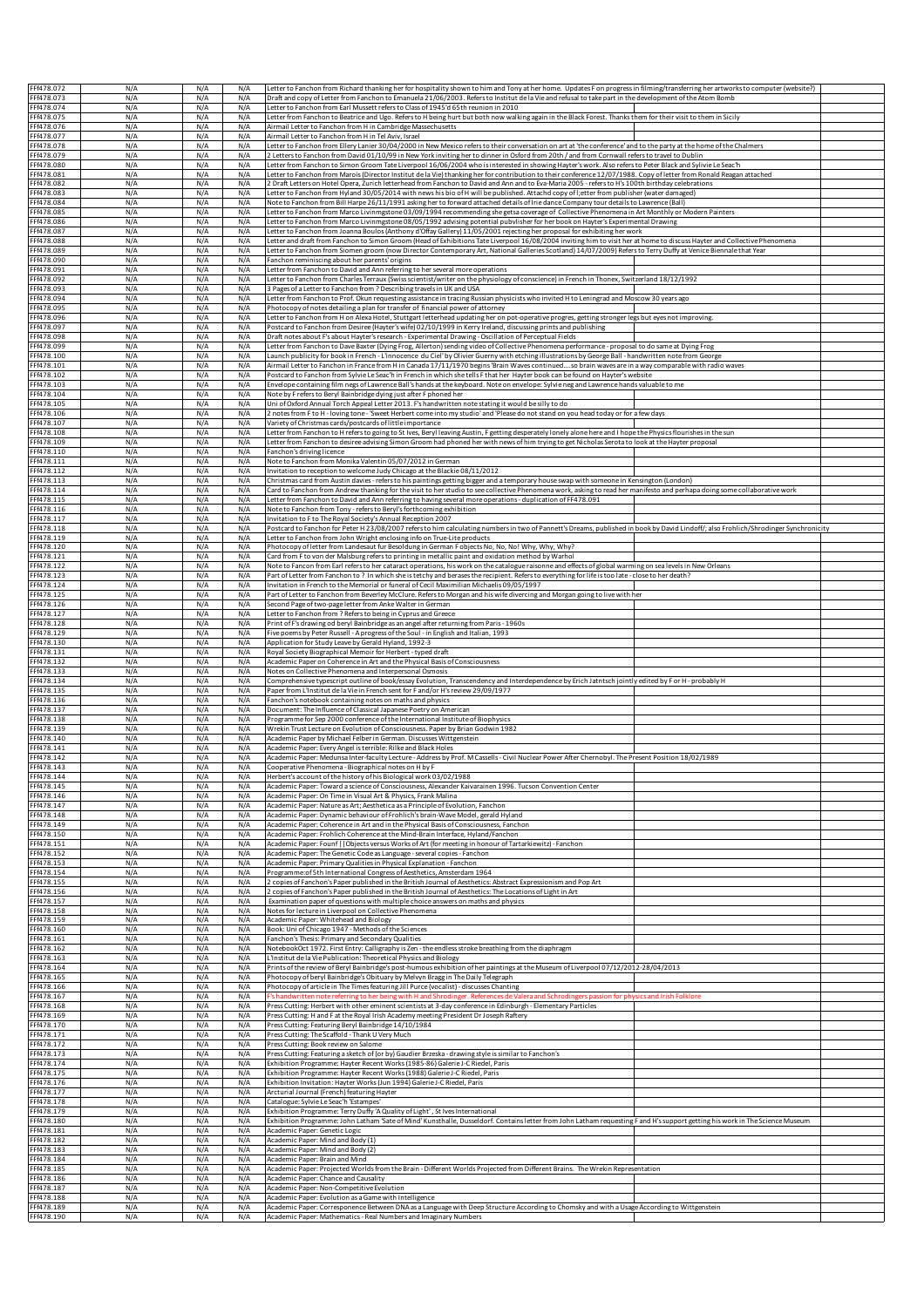| FFf478.072               | N/A        | N/A        | N/A        | Letter to Fanchon from Richard thanking her for hospitality shown to him and Tony at her home. Updates F on progress in filming/transferring her artworks to computer (website?)                                                                                                                                       |  |
|--------------------------|------------|------------|------------|------------------------------------------------------------------------------------------------------------------------------------------------------------------------------------------------------------------------------------------------------------------------------------------------------------------------|--|
| FFf478.073<br>FFf478.074 | N/A<br>N/A | N/A<br>N/A | N/A<br>N/A | Draft and copy of Letter from Fanchon to Emanuela 21/06/2003. Refers to Institut de la Vie and refusal to take part in the development of the Atom Bomb<br>Letter to Fanchon from Earl Mussett refers to Class of 1945'd 65th reunion in 2010                                                                          |  |
| FFf478.075               | N/A        | N/A        | N/A        | Letter from Fanchon to Beatrice and Ugo. Refers to H being hurt but both now walking again in the Black Forest. Thanks them for their visit to them in Sicily                                                                                                                                                          |  |
| FFf478.076               | N/A        | N/A        | N/A        | Airmail Letter to Fanchon from H in Cambridge Massechusetts                                                                                                                                                                                                                                                            |  |
| FFf478.077               | N/A        | N/A        | N/A        | Airmail Letter to Fanchon from H in Tel Aviv, Israel                                                                                                                                                                                                                                                                   |  |
| FFf478.078<br>FFf478.079 | N/A<br>N/A | N/A<br>N/A | N/A<br>N/A | Letter to Fanchon from Ellery Lanier 30/04/2000 in New Mexico refers to their conversation on art at 'the conference' and to the party at the home of the Chalmers<br>2 Letters to Fanchon from David 01/10/99 in New York inviting her to dinner in Osford from 20th / and from Cornwall refers to travel to Dublin   |  |
| FFf478.080               | N/A        | N/A        | N/A        | Letter from Fanchon to Simon Groom Tate Liverpool 16/06/2004 who is interested in showing Hayter's work. Also refers to Peter Black and Sylivie Le Seac'h                                                                                                                                                              |  |
| FFf478.081               | N/A        | N/A        | N/A        | etter to Fanchon from Marois (Director Institut de la Vie) thanking her for contribution to their conference 12/07/1988. Copy of letter from Ronald Reagan attached                                                                                                                                                    |  |
| FFf478.082               | N/A        | N/A        | N/A        | 2 Draft Letters on Hotel Opera, Zurich letterhead from Fanchon to David and Ann and to Eva-Maria 2005 - refers to H's 100th birthday celebrations                                                                                                                                                                      |  |
| FFf478.083               | N/A        | N/A        | N/A        | Letter to Fanchon from Hyland 30/05/2014 with news his bio of H will be published. Attachd copy of l;etter from publisher (water damaged)                                                                                                                                                                              |  |
| FFf478.084<br>FFf478.085 | N/A<br>N/A | N/A<br>N/A | N/A<br>N/A | Note to Fanchon from Bill Harpe 26/11/1991 asking her to forward attached details of Irie dance Company tour details to Lawrence (Ball)<br>etter to Fanchon from Marco Livinmgstone 03/09/1994 recommending she getsa coverage of Collective Phenomena in Art Monthly or Modern Painters                               |  |
| FFf478.086               | N/A        | N/A        | N/A        | Letter to Fanchon from Marco Livinmgstone 08/05/1992 advising potential pubvlisher for her book on Hayter's Experimental Drawing                                                                                                                                                                                       |  |
| FFf478.087               | N/A        | N/A        | N/A        | Letter to Fanchon from Joanna Boulos (Anthony d'Offay Gallery) 11/05/2001 rejecting her proposal for exhibiting her work                                                                                                                                                                                               |  |
| FFf478.088               | N/A        | N/A        | N/A        | Letter and draft from Fanchon to Simon Groom (Head of Exhibitions Tate Liverpool 16/08/2004 inviting him to visit her at home to discuss Hayter and Collective Phenomena                                                                                                                                               |  |
| FFf478.089               | N/A        | N/A        | N/A        | Letter to Fanchon from Siomen groom (now Director Contemporary Art, National Galleries Scotland) 14/07/2009) Refers to Terry Duffy at Venice Biennale that Year                                                                                                                                                        |  |
| FFf478.090<br>FFf478.091 | N/A<br>N/A | N/A<br>N/A | N/A<br>N/A | Fanchon reminiscing about her parents' origins<br>Letter from Fanchon to David and Ann referring to her several more operations                                                                                                                                                                                        |  |
| FFf478.092               | N/A        | N/A        | N/A        | Letter to Fanchon from Charles Terraux (Swiss scientist/writer on the physiology of conscience) in French in Thonex, Switzerland 18/12/1992                                                                                                                                                                            |  |
| FFf478.093               | N/A        | N/A        | N/A        | 3 Pages of a Letter to Fanchon from ? Describing travels in UK and USA                                                                                                                                                                                                                                                 |  |
| FFf478.094               | N/A        | N/A        | N/A        | Letter from Fanchon to Prof. Okun requesting assistance in tracing Russian physicists who invited H to Leningrad and Moscow 30 years ago                                                                                                                                                                               |  |
| FFf478.095<br>FFf478.096 | N/A<br>N/A | N/A<br>N/A | N/A<br>N/A | Photocopy of notes detailing a plan for transfer of financial power of attorney                                                                                                                                                                                                                                        |  |
| FFf478.097               | N/A        | N/A        | N/A        | Letter to Fanchon from H on Alexa Hotel, Stuttgart letterhead updating her on pot-operative progres, getting stronger legs but eyes not improving.<br>Postcard to Fanchon from Desiree (Hayter's wife) 02/10/1999 in Kerry Ireland, discussing prints and publishing                                                   |  |
| FFf478.098               | N/A        | N/A        | N/A        | Draft notes about F's about Hayter's research - Experimental Drawing - Oscillation of Perceptual Fields                                                                                                                                                                                                                |  |
| FFf478.099               | N/A        | N/A        | N/A        | Letter from Fanchon to Dave Baxter (Dying Frog, Allerton) sending video of Collective Phenomena performance - proposal to do same at Dying Frog                                                                                                                                                                        |  |
| FFf478.100               | N/A        | N/A        | N/A        | Launch publicity for book in French - L'innocence du Ciel' by Olivier Guerny with etching illustrations by George Ball - handwritten note from George                                                                                                                                                                  |  |
| FFf478.101<br>FFf478.102 | N/A<br>N/A | N/A<br>N/A | N/A<br>N/A | Airmail Letter to Fanchon in France from H in Canada 17/11/1970 begins 'Brain Waves continuedso brain waves are in a way comparable with radio waves<br>Postcard to Fanchon from Sylvie Le Seac'h in French in which she tells F that her Hayter book can be found on Hayter's website                                 |  |
| FFf478.103               | N/A        | N/A        | N/A        | Envelope containing film negs of Lawrence Ball's hands at the keyboard. Note on envelope: Sylvie neg and Lawrence hands valuable to me                                                                                                                                                                                 |  |
| FFf478.104               | N/A        | N/A        | N/A        | Note by F refers to Beryl Bainbridge dying just after F phoned her                                                                                                                                                                                                                                                     |  |
| FFf478.105               | N/A        | N/A        | N/A        | Uni of Oxford Annual Torch Appeal Letter 2013. F's handwritten note stating it would be silly to do                                                                                                                                                                                                                    |  |
| FFf478.106               | N/A        | N/A        | N/A        | 2 notes from F to H - loving tone - 'Sweet Herbert come into my studio' and 'Please do not stand on you head today or for a few days                                                                                                                                                                                   |  |
| FFf478.107<br>FFf478.108 | N/A<br>N/A | N/A<br>N/A | N/A<br>N/A | Variety of Christmas cards/postcards of little importance<br>Letter from Fanchon to H refers to going to St Ives, Beryl leaving Austin, F getting desperately lonely alone here and I hope the Physics flourishes in the sun                                                                                           |  |
| FFf478.109               | N/A        | N/A        | N/A        | Letter from Fanchon to desiree advising Simon Groom had phoned her with news of him trying to get Nicholas Serota to look at the Hayter proposal                                                                                                                                                                       |  |
| FFf478.110               | N/A        | N/A        | N/A        | Fanchon's driving licence                                                                                                                                                                                                                                                                                              |  |
| FFf478.111               | N/A        | N/A        | N/A        | Note to Fanchon from Monika Valentin 05/07/2012 in German                                                                                                                                                                                                                                                              |  |
| FFf478.112               | N/A        | N/A        | N/A        | Invitation to reception to welcome Judy Chicago at the Blackie 08/11/2012                                                                                                                                                                                                                                              |  |
| FFf478.113<br>FFf478.114 | N/A<br>N/A | N/A<br>N/A | N/A<br>N/A | Christmas card from Austin davies - refers to his paintings getting bigger and a temporary house swap with someone in Kensington (London)<br>Card to Fanchon from Andrew thanking for the visit to her studio to see collective Phenomena work, asking to read her manifesto and perhapa doing some collaborative work |  |
| FFf478.115               | N/A        | N/A        | N/A        | Letter from Fanchon to David and Ann referring to having several more operations - duplication of FF478.091                                                                                                                                                                                                            |  |
| FFf478.116               | N/A        | N/A        | N/A        | Note to Fanchon from Tony - refers to Beryl's forthcoming exhibition                                                                                                                                                                                                                                                   |  |
| FFf478.117               | N/A        | N/A        | N/A        | Invitation to F to The Royal Society's Annual Reception 2007                                                                                                                                                                                                                                                           |  |
| FFf478.118<br>FFf478.119 | N/A        | N/A<br>N/A | N/A<br>N/A | Postcard to Fanchon for Peter H 23/08/2007 refers to him calculating numbers in two of Pannett's Dreams, published in book by David Lindoff/; also Frohlich/Shrodinger Synchronicity                                                                                                                                   |  |
| FFf478.120               | N/A<br>N/A | N/A        | N/A        | etter to Fanchon from John Wright enclosing info on True-Lite products<br>Photocopy of letter from Landesaut fur Besoldung in German F objects No, No, No! Why, Why, Why?                                                                                                                                              |  |
| FFf478.121               | N/A        | N/A        | N/A        | Card from F to von der Malsburg refers to printing in metallic paint and oxidation method by Warhol                                                                                                                                                                                                                    |  |
| FFf478.122               | N/A        | N/A        | N/A        | Note to Fancon from Earl refers to her cataract operations, his work on the catalogue raisonne and effects of global warming on sea levels in New Orleans                                                                                                                                                              |  |
| FFf478.123               | N/A        | N/A        | N/A        | Part of Letter from Fanchon to ? In which she is tetchy and berases the recipient. Refers to everything for life is too late - close to her death?                                                                                                                                                                     |  |
| FFf478.124<br>FFf478.125 | N/A<br>N/A | N/A<br>N/A | N/A<br>N/A | Invitation in French to the Memorial or funeral of Cecil Maximilian Michaelis 09/05/1997<br>Part of Letter to Fanchon from Beverley McClure. Refers to Morgan and his wife divercing and Morgan going to live with her                                                                                                 |  |
| FFf478.126               | N/A        | N/A        | N/A        | Second Page of two-page letter from Anke Walter in German                                                                                                                                                                                                                                                              |  |
| FFf478.127               | N/A        | N/A        | N/A        | Letter to Fanchon from ? Refers to being in Cyprus and Greece                                                                                                                                                                                                                                                          |  |
| FFf478.128               | N/A        | N/A        | N/A        | Print of F's drawing od beryl Bainbridge as an angel after returning from Paris - 1960s                                                                                                                                                                                                                                |  |
| FFf478.129               | N/A        | N/A        | N/A        | Five poems by Peter Russell - A progress of the Soul - in English and Italian, 1993                                                                                                                                                                                                                                    |  |
| FFf478.130<br>FFf478.131 | N/A<br>N/A | N/A<br>N/A | N/A<br>N/A | Application for Study Leave by Gerald Hyland, 1992-3<br>Royal Society Biographical Memoir for Herbert - typed draft                                                                                                                                                                                                    |  |
| FFf478.132               | N/A        | N/A        | N/A        | Academic Paper on Coherence in Art and the Physical Basis of Consciousness                                                                                                                                                                                                                                             |  |
| FFf478.133               | N/A        | N/A        | N/A        | Notes on Collective Phenomena and Interpersonal Osmosis                                                                                                                                                                                                                                                                |  |
| FFf478.134               | N/A        | N/A        | N/A        | Comprehensive typescript outline of book/essay Evolution, Transcendency and Interdependence by Erich Jatntsch jointly edited by F or H - probably H                                                                                                                                                                    |  |
| FFf478.135               | N/A        | N/A        | N/A        | Paper from L'Institut de la Vie in French sent for F and/or H's review 29/09/1977                                                                                                                                                                                                                                      |  |
| FFf478.136<br>FFf478.137 | N/A        | N/A<br>N/A | N/A        | Fanchon's notebook containing notes on maths and physics                                                                                                                                                                                                                                                               |  |
| FFf478.138               | N/A<br>N/A | N/A        | N/A<br>N/A | Document: The Influence of Classical Japanese Poetry on American<br>Programme for Sep 2000 conference of the International Institute of Biophysics                                                                                                                                                                     |  |
| FFf478.139               | N/A        | N/A        | N/A        | Wrekin Trust Lecture on Evolution of Consciousness. Paper by Brian Godwin 1982                                                                                                                                                                                                                                         |  |
| FFf478.140               | N/A        | N/A        | N/A        | Academic Paper by Michael Felber in German. Discusses Wittgenstein                                                                                                                                                                                                                                                     |  |
| FFf478.141               | N/A        | N/A        | N/A        | Academic Paper: Every Angel is terrible: Rilke and Black Holes                                                                                                                                                                                                                                                         |  |
| FFf478.142<br>FFf478.143 | N/A<br>N/A | N/A<br>N/A | N/A<br>N/A | Academic Paper: Medunsa Inter-faculty Lecture - Address by Prof. M Cassells - Civil Nuclear Power After Chernobyl. The Present Position 18/02/1989                                                                                                                                                                     |  |
| FFf478.144               | N/A        | N/A        | N/A        | Cooperative Phenomena - Biographical notes on H by F<br>Herbert's account of the history of his Biological work 03/02/1988                                                                                                                                                                                             |  |
| FFf478.145               | N/A        | N/A        | N/A        | Academic Paper: Toward a science of Consciousness, Alexander Kaivarainen 1996. Tucson Convention Center                                                                                                                                                                                                                |  |
| FFf478.146               | N/A        | N/A        | N/A        | Academic Paper: On Time in Visual Art & Physics, Frank Malina                                                                                                                                                                                                                                                          |  |
| FFf478.147               | N/A        | N/A        | N/A        | Academic Paper: Nature as Art; Aesthetica as a Principle of Evolution, Fanchon                                                                                                                                                                                                                                         |  |
| FFf478.148<br>FFf478.149 | N/A<br>N/A | N/A<br>N/A | N/A<br>N/A | Academic Paper: Dynamic behaviour of Frohlich's brain-Wave Model, gerald Hyland<br>Academic Paper: Coherence in Art and in the Physical Basis of Consciousness, Fanchon                                                                                                                                                |  |
| FFf478.150               | N/A        | N/A        | N/A        | Academic Paper: Frohlich Coherence at the Mind-Brain Interface, Hyland/Fanchon                                                                                                                                                                                                                                         |  |
| FFf478.151               | N/A        | N/A        | N/A        | Academic Paper: Founf   Objects versus Works of Art (for meeting in honour of Tartarkiewitz) - Fanchon                                                                                                                                                                                                                 |  |
| FFf478.152               | N/A        | N/A        | N/A        | Academic Paper: The Genetic Code as Language - several copies - Fanchon                                                                                                                                                                                                                                                |  |
| FFf478.153               | N/A        | N/A        | N/A        | Academic Paper: Primary Qualities in Physical Explanation - Fanchon                                                                                                                                                                                                                                                    |  |
| FFf478.154<br>FFf478.155 | N/A<br>N/A | N/A<br>N/A | N/A<br>N/A | Programme: of 5th International Congress of Aesthetics, Amsterdam 1964<br>2 copies of Fanchon's Paper published in the British Journal of Aesthetics: Abstract Expressionism and Pop Art                                                                                                                               |  |
| FFf478.156               | N/A        | N/A        | N/A        | 2 copies of Fanchon's Paper published in the British Journal of Aesthetics: The Locations of Light in Art                                                                                                                                                                                                              |  |
| FFf478.157               | N/A        | N/A        | N/A        | Examination paper of questions with multiple choice answers on maths and physics                                                                                                                                                                                                                                       |  |
| FFf478.158               | N/A        | N/A        | N/A        | Notes for lecture in Liverpool on Collective Phenomena                                                                                                                                                                                                                                                                 |  |
| FFf478.159<br>FFf478.160 | N/A<br>N/A | N/A<br>N/A | N/A<br>N/A | Academic Paper: Whitehead and Biology<br>Book: Uni of Chicago 1947 - Methods of the Sciences                                                                                                                                                                                                                           |  |
| FFf478.161               | N/A        | N/A        | N/A        | Fanchon's Thesis: Primary and Secondary Qualities                                                                                                                                                                                                                                                                      |  |
| FFf478.162               | N/A        | N/A        | N/A        | NotebookOct 1972. First Entry: Calligraphy is Zen - the endless stroke breathing from the diaphragm                                                                                                                                                                                                                    |  |
| FFf478.163               | N/A        | N/A        | N/A        | L'Institut de la Vie Publication: Theoretical Physics and Biology                                                                                                                                                                                                                                                      |  |
| FFf478.164               | N/A        | N/A        | N/A        | Prints of the review of Beryl Bainbridge's post-humous exhibition of her paintings at the Museum of Liverpool 07/12/2012-28/04/2013                                                                                                                                                                                    |  |
| FFf478.165<br>FFf478.166 | N/A<br>N/A | N/A<br>N/A | N/A<br>N/A | Photocopy of beryl Bainbridge's Obituary by Melvyn Bragg in The Daily Telegraph<br>Photocopy of article in The Times featuring Jill Purce (vocalist) - discusses Chanting                                                                                                                                              |  |
| FFf478.167               | N/A        | N/A        | N/A        | 's handwritten note referring to her being with H and Shrodinger. References de Vi                                                                                                                                                                                                                                     |  |
| FFf478.168               | N/A        | N/A        | N/A        | Press Cutting: Herbert with other eminent scientists at 3-day conference in Edinburgh - Elementary Particles                                                                                                                                                                                                           |  |
| FFf478.169               | N/A        | N/A        | N/A        | Press Cutting: H and F at the Royal Irish Academy meeting President Dr Joseph Raftery                                                                                                                                                                                                                                  |  |
| FFf478.170               | N/A        | N/A        | N/A        | Press Cutting: Featuring Beryl Bainbridge 14/10/1984                                                                                                                                                                                                                                                                   |  |
| FFf478.171<br>FFf478.172 | N/A<br>N/A | N/A<br>N/A | N/A<br>N/A | Press Cutting: The Scaffold - Thank U Very Much<br>Press Cutting: Book review on Salome                                                                                                                                                                                                                                |  |
| FFf478.173               | N/A        | N/A        | N/A        | Press Cutting: Featuring a sketch of (or by) Gaudier Brzeska - drawing style is similar to Fanchon's                                                                                                                                                                                                                   |  |
| FFf478.174               | N/A        | N/A        | N/A        | Exhibition Programme: Hayter Recent Works (1985-86) Galerie J-C Riedel, Paris                                                                                                                                                                                                                                          |  |
| FFf478.175               | N/A        | N/A        | N/A        | Exhibition Programme: Hayter Recent Works (1988) Galerie J-C Riedel, Paris                                                                                                                                                                                                                                             |  |
| FFf478.176               | N/A        | N/A        | N/A        | Exhibition Invitation: Hayter Works (Jun 1994) Galerie J-C Riedel, Paris                                                                                                                                                                                                                                               |  |
| FFf478.177<br>FFf478.178 | N/A<br>N/A | N/A<br>N/A | N/A<br>N/A | Arcturial Journal (French) featuring Hayter<br>Catalogue: Sylvie Le Seac'h 'Estampes'                                                                                                                                                                                                                                  |  |
| FFf478.179               | N/A        | N/A        | N/A        | Exhibition Programme: Terry Duffy 'A Quality of Light', St Ives International                                                                                                                                                                                                                                          |  |
|                          |            | N/A        | N/A        | Exhibition Programme: John Latham 'Sate of Mind' Kunsthalle, Dusseldorf. Contains letter from John Latham requesting F and H's support getting his work in The Science Museum                                                                                                                                          |  |
| FFf478.180               | N/A        |            |            | Academic Paper: Genetic Logic                                                                                                                                                                                                                                                                                          |  |
| FFf478.181               | N/A        | N/A        | N/A        |                                                                                                                                                                                                                                                                                                                        |  |
| FFf478.182               | N/A        | N/A        | N/A        | Academic Paper: Mind and Body (1)                                                                                                                                                                                                                                                                                      |  |
| FFf478.183               | N/A        | N/A        | N/A        | Academic Paper: Mind and Body (2)                                                                                                                                                                                                                                                                                      |  |
| FFf478.184<br>FFf478.185 | N/A<br>N/A | N/A<br>N/A | N/A<br>N/A | Academic Paper: Brain and Mind                                                                                                                                                                                                                                                                                         |  |
| FFf478.186               | N/A        | N/A        | N/A        | Academic Paper: Projected Worlds from the Brain - Different Worlds Projected from Different Brains. The Wrekin Representation<br>Academic Paper: Chance and Causality                                                                                                                                                  |  |
| FFf478.187               | N/A        | N/A        | N/A        | Academic Paper: Non-Competitive Evolution                                                                                                                                                                                                                                                                              |  |
| FFf478.188<br>FFf478.189 | N/A<br>N/A | N/A<br>N/A | N/A<br>N/A | Academic Paper: Evolution as a Game with Intelligence<br>Academic Paper: Corresponence Between DNA as a Language with Deep Structure According to Chomsky and with a Usage According to Wittgenstein                                                                                                                   |  |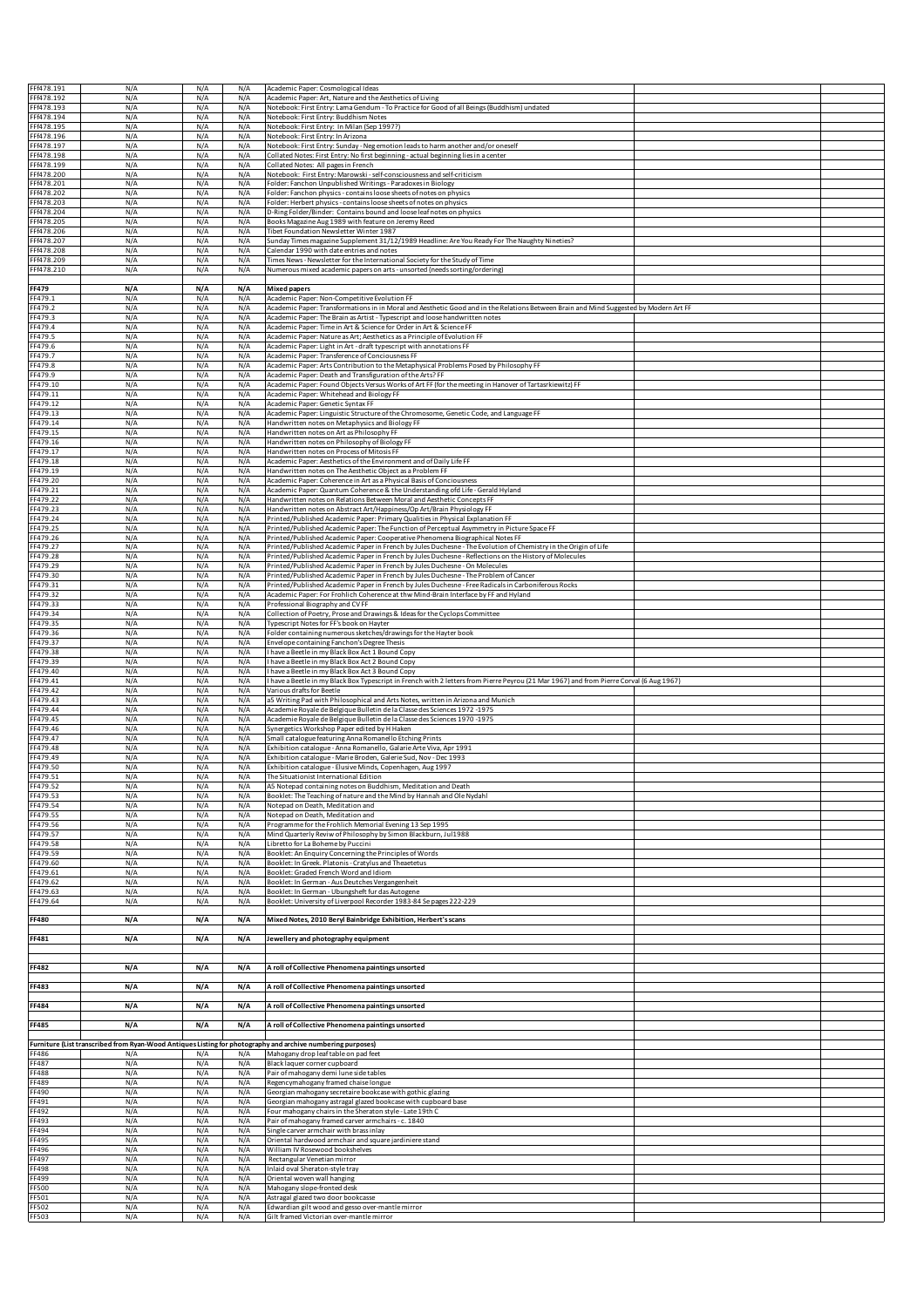| FFf478.191               | N/A        | N/A        | N/A        | Academic Paper: Cosmological Ideas                                                                                                                                  |  |
|--------------------------|------------|------------|------------|---------------------------------------------------------------------------------------------------------------------------------------------------------------------|--|
| FFf478.192               | N/A        | N/A        | N/A        | Academic Paper: Art, Nature and the Aesthetics of Living                                                                                                            |  |
| FFf478.193               | N/A        | N/A        | N/A        | Notebook: First Entry: Lama Gendum - To Practice for Good of all Beings (Buddhism) undated                                                                          |  |
| FFf478.194               | N/A        | N/A        | N/A        | Notebook: First Entry: Buddhism Notes                                                                                                                               |  |
| FFf478.195               | N/A        | N/A        | N/A        | Notebook: First Entry: In Milan (Sep 1997?)                                                                                                                         |  |
| FFf478.196               | N/A        | N/A        | N/A        | Notebook: First Entry: In Arizona                                                                                                                                   |  |
| FFf478.197               | N/A        | N/A        | N/A        | Notebook: First Entry: Sunday - Neg emotion leads to harm another and/or oneself                                                                                    |  |
| FFf478.198               | N/A        | N/A        | N/A        | Collated Notes: First Entry: No first beginning - actual beginning lies in a center                                                                                 |  |
| FFf478.199               | N/A        | N/A        | N/A        | Collated Notes: All pages in French                                                                                                                                 |  |
| FFf478.200               | N/A        | N/A        | N/A        | Notebook: First Entry: Marowski - self-consciousness and self-criticism                                                                                             |  |
| FFf478.201               | N/A        | N/A        | N/A        | Folder: Fanchon Unpublished Writings - Paradoxes in Biology                                                                                                         |  |
| FFf478.202               | N/A        | N/A        | N/A        | Folder: Fanchon physics - contains loose sheets of notes on physics                                                                                                 |  |
| FFf478.203               | N/A        | N/A        | N/A        | Folder: Herbert physics - contains loose sheets of notes on physics                                                                                                 |  |
| FFf478.204               | N/A        | N/A        | N/A        | D-Ring Folder/Binder: Contains bound and loose leaf notes on physics                                                                                                |  |
| FFf478.205               | N/A        | N/A        | N/A        | Books Magazine Aug 1989 with feature on Jeremy Reed                                                                                                                 |  |
| FFf478.206<br>FFf478.207 | N/A<br>N/A | N/A<br>N/A | N/A<br>N/A | Tibet Foundation Newsletter Winter 1987<br>iunday Times magazine Supplement 31/12/1989 Headline: Are You Ready For The Naughty Nineties?                            |  |
| FFf478.208               | N/A        | N/A        | N/A        | Calendar 1990 with date entries and notes                                                                                                                           |  |
| FFf478.209               | N/A        | N/A        | N/A        | Times News - Newsletter for the International Society for the Study of Time                                                                                         |  |
| FFf478.210               | N/A        | N/A        | N/A        | Numerous mixed academic papers on arts - unsorted (needs sorting/ordering)                                                                                          |  |
|                          |            |            |            |                                                                                                                                                                     |  |
| <b>FF479</b>             | N/A        | N/A        | N/A        | <b>Mixed papers</b>                                                                                                                                                 |  |
| FF479.1                  | N/A        | N/A        | N/A        | Academic Paper: Non-Competitive Evolution FF                                                                                                                        |  |
| FF479.2                  | N/A        | N/A        | N/A        | Academic Paper: Transformations in in Moral and Aesthetic Good and in the Relations Between Brain and Mind Suggested by Modern Art FF                               |  |
| FF479.3                  | N/A        | N/A        | N/A        | Academic Paper: The Brain as Artist - Typescript and loose handwritten notes                                                                                        |  |
| FF479.4                  | N/A        | N/A        | N/A        | Academic Paper: Time in Art & Science for Order in Art & Science FF                                                                                                 |  |
| FF479.5                  | N/A        | N/A        | N/A        | Academic Paper: Nature as Art; Aesthetics as a Principle of Evolution FF                                                                                            |  |
| F479.6                   | N/A        | N/A        | N/A        | Academic Paper: Light in Art - draft typescript with annotations FF                                                                                                 |  |
| FF479.7                  | N/A        | N/A        | N/A        | Academic Paper: Transference of Conciousness FF                                                                                                                     |  |
| FF479.8                  | N/A        | N/A        | N/A        | Academic Paper: Arts Contribution to the Metaphysical Problems Posed by Philosophy FF                                                                               |  |
| FF479.9<br>FF479.10      | N/A<br>N/A | N/A<br>N/A | N/A<br>N/A | Academic Paper: Death and Transfiguration of the Arts? FF<br>Academic Paper: Found Objects Versus Works of Art FF (for the meeting in Hanover of Tartasrkiewitz) FF |  |
| F479.11                  | N/A        | N/A        | N/A        | Academic Paper: Whitehead and Biology FF                                                                                                                            |  |
| FF479.12                 | N/A        | N/A        | N/A        | Academic Paper: Genetic Syntax FF                                                                                                                                   |  |
| FF479.13                 | N/A        | N/A        | N/A        | Academic Paper: Linguistic Structure of the Chromosome, Genetic Code, and Language FF                                                                               |  |
| FF479.14                 | N/A        | N/A        | N/A        | Handwritten notes on Metaphysics and Biology FF                                                                                                                     |  |
| FF479.15                 | N/A        | N/A        | N/A        | Handwritten notes on Art as Philosophy FF                                                                                                                           |  |
| FF479.16                 | N/A        | N/A        | N/A        | Handwritten notes on Philosophy of Biology FF                                                                                                                       |  |
| FF479.17                 | N/A        | N/A        | N/A        | Handwritten notes on Process of Mitosis FF                                                                                                                          |  |
| FF479.18                 | N/A        | N/A        | N/A        | Academic Paper: Aesthetics of the Environment and of Daily Life FF                                                                                                  |  |
| FF479.19                 | N/A        | N/A        | N/A        | Handwritten notes on The Aesthetic Object as a Problem FF                                                                                                           |  |
| FF479.20                 | N/A        | N/A        | N/A        | Academic Paper: Coherence in Art as a Physical Basis of Conciousness                                                                                                |  |
| FF479.21                 | N/A        | N/A        | N/A        | Academic Paper: Quantum Coherence & the Understanding ofd Life - Gerald Hyland                                                                                      |  |
| FF479.22                 | N/A        | N/A        | N/A        | Handwritten notes on Relations Between Moral and Aesthetic Concepts FF                                                                                              |  |
| FF479.23                 | N/A        | N/A        | N/A        | Handwritten notes on Abstract Art/Happiness/Op Art/Brain Physiology FF                                                                                              |  |
| FF479.24                 | N/A        | N/A        | N/A        | Printed/Published Academic Paper: Primary Qualities in Physical Explanation FF                                                                                      |  |
| FF479.25                 | N/A        | N/A        | N/A        | Printed/Published Academic Paper: The Function of Perceptual Asymmetry in Picture Space FF                                                                          |  |
| FF479.26                 | N/A        | N/A        | N/A        | Printed/Published Academic Paper: Cooperative Phenomena Biographical Notes FF                                                                                       |  |
| FF479.27                 | N/A        | N/A        | N/A        | Printed/Published Academic Paper in French by Jules Duchesne - The Evolution of Chemistry in the Origin of Life                                                     |  |
| FF479.28                 | N/A        | N/A        | N/A        | Printed/Published Academic Paper in French by Jules Duchesne - Reflections on the History of Molecules                                                              |  |
| FF479.29<br>FF479.30     | N/A<br>N/A | N/A<br>N/A | N/A<br>N/A | Printed/Published Academic Paper in French by Jules Duchesne - On Molecules<br>Printed/Published Academic Paper in French by Jules Duchesne - The Problem of Cancer |  |
| FF479.31                 | N/A        | N/A        | N/A        | Printed/Published Academic Paper in French by Jules Duchesne - Free Radicals in Carboniferous Rocks                                                                 |  |
| FF479.32                 | N/A        | N/A        | N/A        | Academic Paper: For Frohlich Coherence at thw Mind-Brain Interface by FF and Hyland                                                                                 |  |
| FF479.33                 | N/A        | N/A        | N/A        | Professional Biography and CV FF                                                                                                                                    |  |
| FF479.34                 | N/A        | N/A        | N/A        | Collection of Poetry, Prose and Drawings & Ideas for the Cyclops Committee                                                                                          |  |
| FF479.35                 | N/A        | N/A        | N/A        | Typescript Notes for FF's book on Hayter                                                                                                                            |  |
| FF479.36                 | N/A        | N/A        | N/A        | Folder containing numerous sketches/drawings for the Hayter book                                                                                                    |  |
| FF479.37                 | N/A        | N/A        | N/A        | Envelope containing Fanchon's Degree Thesis                                                                                                                         |  |
| FF479.38                 | N/A        | N/A        | N/A        | I have a Beetle in my Black Box Act 1 Bound Copy                                                                                                                    |  |
|                          |            |            |            |                                                                                                                                                                     |  |
| FF479.39                 | N/A        | N/A        | N/A        | I have a Beetle in my Black Box Act 2 Bound Copy                                                                                                                    |  |
| FF479.40                 | N/A        | N/A        | N/A        | I have a Beetle in my Black Box Act 3 Bound Copy                                                                                                                    |  |
| FF479.41                 | N/A        | N/A        | N/A        | I have a Beetle in my Black Box Typescript in French with 2 letters from Pierre Peyrou (21 Mar 1967) and from Pierre Corval (6 Aug 1967)                            |  |
| FF479.42                 | N/A        | N/A        | N/A        | Various drafts for Beetle                                                                                                                                           |  |
| FF479.43                 | N/A        | N/A        | N/A        | a5 Writing Pad with Philosophical and Arts Notes, written in Arizona and Munich                                                                                     |  |
| FF479.44                 | N/A        | N/A        | N/A        | Academie Royale de Belgique Bulletin de la Classe des Sciences 1972 -1975                                                                                           |  |
| FF479.45                 | N/A        | N/A        | N/A        | Academie Royale de Belgique Bulletin de la Classe des Sciences 1970 -1975                                                                                           |  |
| FF479.46                 | N/A        | N/A        | N/A        | Synergetics Workshop Paper edited by H Haken                                                                                                                        |  |
| FF479.47                 | N/A        | N/A        | N/A        | Small catalogue featuring Anna Romanello Etching Prints                                                                                                             |  |
| FF479.48                 | N/A        | N/A        | N/A        | Exhibition catalogue - Anna Romanello, Galarie Arte Viva, Apr 1991                                                                                                  |  |
| FF479.49                 | N/A        | N/A        | N/A        | Exhibition catalogue - Marie Broden, Galerie Sud, Nov - Dec 1993                                                                                                    |  |
| FF479.50                 | N/A        | N/A        | N/A        | Exhibition catalogue - Elusive Minds, Copenhagen, Aug 1997                                                                                                          |  |
| FF479.51                 | N/A        | N/A<br>N/A | N/A        | The Situationist International Edition                                                                                                                              |  |
| FF479.52<br>FF479.53     | N/A<br>N/A | N/A        | N/A<br>N/A | A5 Notepad containing notes on Buddhism, Meditation and Death<br>Booklet: The Teaching of nature and the Mind by Hannah and Ole Nydahl                              |  |
| FF479.54                 | N/A        | N/A        | N/A        | Notepad on Death, Meditation and                                                                                                                                    |  |
| FF479.55                 | N/A        | N/A        | N/A        | Notepad on Death, Meditation and                                                                                                                                    |  |
| FF479.56                 | N/A        | N/A        | N/A        | Programme for the Frohlich Memorial Evening 13 Sep 1995                                                                                                             |  |
| FF479.57                 | N/A        | N/A        | N/A        | Mind Quarterly Reviw of Philosophy by Simon Blackburn, Jul1988                                                                                                      |  |
| FF479.58                 | N/A        | N/A        | N/A        | Libretto for La Boheme by Puccini                                                                                                                                   |  |
| FF479.59                 | N/A        | N/A        | N/A        | Booklet: An Enquiry Concerning the Principles of Words                                                                                                              |  |
| FF479.60                 | N/A        | N/A        | N/A        | Booklet: In Greek. Platonis - Cratylus and Theaetetus                                                                                                               |  |
| FF479.61                 | N/A        | N/A        | N/A        | Booklet: Graded French Word and Idiom                                                                                                                               |  |
| FF479.62                 | N/A        | N/A        | N/A        | Booklet: In German - Aus Deutches Vergangenheit                                                                                                                     |  |
| FF479.63                 | N/A        | N/A        | N/A        | Booklet: In German - Ubungsheft fur das Autogene                                                                                                                    |  |
| FF479.64                 | N/A        | N/A        | N/A        | Booklet: University of Liverpool Recorder 1983-84 Se pages 222-229                                                                                                  |  |
|                          |            |            |            |                                                                                                                                                                     |  |
| FF480                    | N/A        | N/A        | N/A        | Mixed Notes, 2010 Beryl Bainbridge Exhibition, Herbert's scans                                                                                                      |  |
| FF481                    | N/A        | N/A        | N/A        | Jewellery and photography equipment                                                                                                                                 |  |
|                          |            |            |            |                                                                                                                                                                     |  |
|                          |            |            |            |                                                                                                                                                                     |  |
| FF482                    | N/A        | N/A        | N/A        | A roll of Collective Phenomena paintings unsorted                                                                                                                   |  |
|                          |            |            |            |                                                                                                                                                                     |  |
| FF483                    | N/A        | N/A        | N/A        | A roll of Collective Phenomena paintings unsorted                                                                                                                   |  |
|                          |            |            |            |                                                                                                                                                                     |  |
| FF484                    | N/A        | N/A        | N/A        | A roll of Collective Phenomena paintings unsorted                                                                                                                   |  |
|                          |            |            |            |                                                                                                                                                                     |  |
| <b>FF485</b>             | N/A        | N/A        | N/A        | A roll of Collective Phenomena paintings unsorted                                                                                                                   |  |
|                          |            |            |            |                                                                                                                                                                     |  |
|                          |            |            |            | Furniture (List transcribed from Ryan-Wood Antiques Listing for photography and archive numbering purposes)                                                         |  |
| FF486                    | N/A        | N/A        | N/A        | Mahogany drop leaf table on pad feet                                                                                                                                |  |
| <b>FF487</b>             | N/A        | N/A        | N/A        | Black laquer corner cupboard                                                                                                                                        |  |
| FF488                    | N/A        | N/A        | N/A        | Pair of mahogany demi lune side tables                                                                                                                              |  |
| FF489<br>FF490           | N/A        | N/A        | N/A        | Regencymahogany framed chaise longue                                                                                                                                |  |
| FF491                    | N/A<br>N/A | N/A<br>N/A | N/A<br>N/A | Georgian mahogany secretaire bookcase with gothic glazing                                                                                                           |  |
| FF492                    | N/A        | N/A        | N/A        | Georgian mahogany astragal glazed bookcase with cupboard base<br>Four mahogany chairs in the Sheraton style - Late 19th C                                           |  |
| FF493                    | N/A        | N/A        | N/A        | Pair of mahogany framed carver armchairs - c. 1840                                                                                                                  |  |
| FF494                    | N/A        | N/A        | N/A        | Single carver armchair with brass inlay                                                                                                                             |  |
| <b>FF495</b>             | N/A        | N/A        | N/A        | Oriental hardwood armchair and square jardiniere stand                                                                                                              |  |
| FF496                    | N/A        | N/A        | N/A        | William IV Rosewood bookshelves                                                                                                                                     |  |
| FF497                    | N/A        | N/A        | N/A        | Rectangular Venetian mirror                                                                                                                                         |  |
| <b>FF498</b>             | N/A        | N/A        | N/A        | Inlaid oval Sheraton-style tray                                                                                                                                     |  |
| FF499                    | N/A        | N/A        | N/A        | Oriental woven wall hanging                                                                                                                                         |  |
| <b>FF500</b>             | N/A        | N/A        | N/A        | Mahogany slope-fronted desk                                                                                                                                         |  |
| FF501                    | N/A        | N/A        | N/A        | Astragal glazed two door bookcasse                                                                                                                                  |  |
| FF502<br><b>FF503</b>    | N/A<br>N/A | N/A<br>N/A | N/A<br>N/A | Edwardian gilt wood and gesso over-mantle mirror<br>Gilt framed Victorian over-mantle mirror                                                                        |  |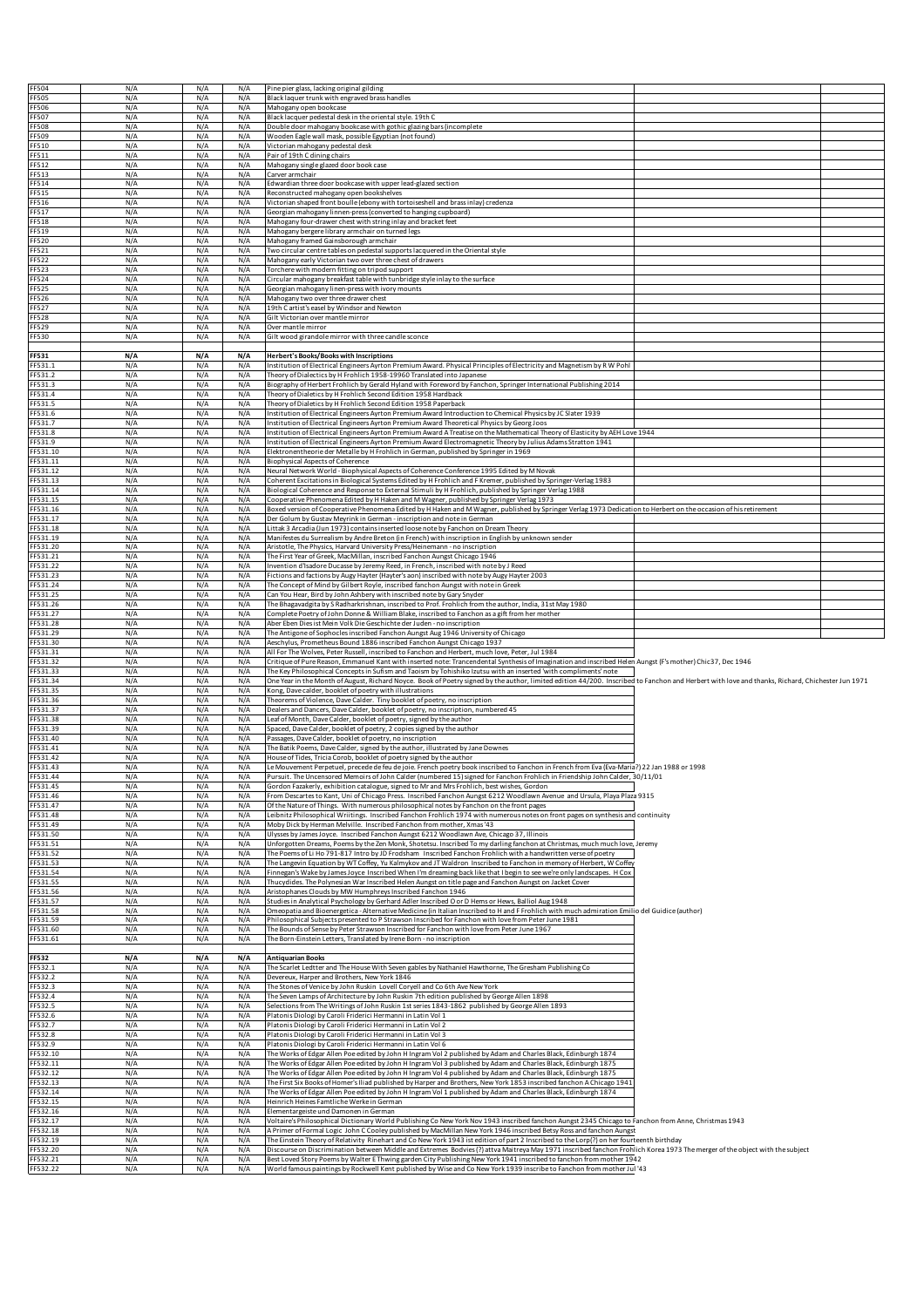| <b>FF504</b><br><b>FF505</b>     | N/A<br>N/A        | N/A<br>N/A        | N/A<br>N/A | Pine pier glass, lacking original gilding<br>Black laquer trunk with engraved brass handles                                                                                                                                                                                                                                                                                                                                   |  |
|----------------------------------|-------------------|-------------------|------------|-------------------------------------------------------------------------------------------------------------------------------------------------------------------------------------------------------------------------------------------------------------------------------------------------------------------------------------------------------------------------------------------------------------------------------|--|
| <b>FF506</b>                     | N/A               | N/A               | N/A        | Mahogany open bookcase                                                                                                                                                                                                                                                                                                                                                                                                        |  |
| <b>FF507</b><br><b>FF508</b>     | N/A               | N/A               | N/A        | Black lacquer pedestal desk in the oriental style. 19th C                                                                                                                                                                                                                                                                                                                                                                     |  |
| FF509                            | N/A<br>N/A        | N/A<br>N/A        | N/A<br>N/A | Double door mahogany bookcase with gothic glazing bars (incomplete<br>Wooden Eagle wall mask, possible Egyptian (not found)                                                                                                                                                                                                                                                                                                   |  |
| FF510                            | N/A               | N/A               | N/A        | Victorian mahogany pedestal desk                                                                                                                                                                                                                                                                                                                                                                                              |  |
| FF511<br>FF512                   | N/A<br>N/A        | N/A<br>N/A        | N/A<br>N/A | Pair of 19th C dining chairs<br>Mahogany single glazed door book case                                                                                                                                                                                                                                                                                                                                                         |  |
| FF513                            | N/A               | N/A               | N/A        | Carver armchair                                                                                                                                                                                                                                                                                                                                                                                                               |  |
| FF514<br>FF515                   | N/A<br>N/A        | N/A<br>N/A        | N/A        | Edwardian three door bookcase with upper lead-glazed section                                                                                                                                                                                                                                                                                                                                                                  |  |
| FF516                            | N/A               | N/A               | N/A<br>N/A | Reconstructed mahogany open bookshelves<br>Victorian shaped front boulle (ebony with tortoiseshell and brass inlay) credenza                                                                                                                                                                                                                                                                                                  |  |
| FF517                            | N/A               | N/A               | N/A        | Georgian mahogany linnen-press (converted to hanging cupboard)                                                                                                                                                                                                                                                                                                                                                                |  |
| FF518<br>FF519                   | N/A<br>N/A        | N/A<br>N/A        | N/A<br>N/A | Mahogany four-drawer chest with string inlay and bracket feet<br>Mahogany bergere library armchair on turned legs                                                                                                                                                                                                                                                                                                             |  |
| <b>FF520</b>                     | N/A               | N/A               | N/A        | Mahogany framed Gainsborough armchair                                                                                                                                                                                                                                                                                                                                                                                         |  |
| <b>FF521</b><br><b>FF522</b>     | N/A<br>N/A        | N/A<br>N/A        | N/A<br>N/A | Two circular centre tables on pedestal supports lacquered in the Oriental style<br>Mahogany early Victorian two over three chest of drawers                                                                                                                                                                                                                                                                                   |  |
| <b>FF523</b>                     | N/A               | N/A               | N/A        | Torchere with modern fitting on tripod support                                                                                                                                                                                                                                                                                                                                                                                |  |
| FF524<br><b>FF525</b>            | N/A<br>N/A        | N/A<br>N/A        | N/A<br>N/A | Circular mahogany breakfast table with tunbridge style inlay to the surface<br>Georgian mahogany linen-press with ivory mounts                                                                                                                                                                                                                                                                                                |  |
| FF526                            | N/A               | N/A               | N/A        | Mahogany two over three drawer chest                                                                                                                                                                                                                                                                                                                                                                                          |  |
| <b>FF527</b><br><b>FF528</b>     | N/A<br>N/A        | N/A<br>N/A        | N/A<br>N/A | 19th Cartist's easel by Windsor and Newton                                                                                                                                                                                                                                                                                                                                                                                    |  |
| <b>FF529</b>                     | N/A               | N/A               | N/A        | Gilt Victorian over mantle mirror<br>Over mantle mirror                                                                                                                                                                                                                                                                                                                                                                       |  |
| <b>FF530</b>                     | N/A               | N/A               | N/A        | Gilt wood girandole mirror with three candle sconce                                                                                                                                                                                                                                                                                                                                                                           |  |
| FF531                            | N/A               | N/A               | N/A        | Herbert's Books/Books with Inscriptions                                                                                                                                                                                                                                                                                                                                                                                       |  |
| FF531.1                          | N/A               | N/A               | N/A        | Institution of Electrical Engineers Ayrton Premium Award. Physical Principles of Electricity and Magnetism by R W Pohl                                                                                                                                                                                                                                                                                                        |  |
| FF531.2<br>FF531.3               | N/A<br>N/A        | N/A<br>N/A        | N/A<br>N/A | Theory of Dialectics by H Frohlich 1958-19960 Translated into Japanese<br>Biography of Herbert Frohlich by Gerald Hyland with Foreword by Fanchon, Springer International Publishing 2014                                                                                                                                                                                                                                     |  |
| FF531.4                          | N/A               | N/A               | N/A        | Theory of Dialetics by H Frohlich Second Edition 1958 Hardback                                                                                                                                                                                                                                                                                                                                                                |  |
| FF531.5<br>FF531.6               | N/A<br>N/A        | N/A<br>N/A        | N/A<br>N/A | Theory of Dialetics by H Frohlich Second Edition 1958 Paperback<br>Institution of Electrical Engineers Ayrton Premium Award Introduction to Chemical Physics by JC Slater 1939                                                                                                                                                                                                                                                |  |
| FF531.7                          | N/A               | N/A               | N/A        | Institution of Electrical Engineers Ayrton Premium Award Theoretical Physics by Georg Joos                                                                                                                                                                                                                                                                                                                                    |  |
| FF531.8                          | N/A               | N/A               | N/A        | Institution of Electrical Engineers Ayrton Premium Award A Treatise on the Mathematical Theory of Elasticity by AEH Love 1944                                                                                                                                                                                                                                                                                                 |  |
| FF531.9<br>FF531.10              | N/A<br>N/A        | N/A<br>N/A        | N/A<br>N/A | Institution of Electrical Engineers Ayrton Premium Award Electromagnetic Theory by Julius Adams Stratton 1941<br>Elektronentheorie der Metalle by H Frohlich in German, published by Springer in 1969                                                                                                                                                                                                                         |  |
| FF531.11                         | N/A               | N/A               | N/A        | <b>Biophysical Aspects of Coherence</b>                                                                                                                                                                                                                                                                                                                                                                                       |  |
| FF531.12<br>FF531.13             | N/A<br>N/A        | N/A<br>N/A        | N/A<br>N/A | leural Network World - Biophysical Aspects of Coherence Conference 1995 Edited by M Novak<br>Coherent Excitations in Biological Systems Edited by H Frohlich and F Kremer, published by Springer-Verlag 1983                                                                                                                                                                                                                  |  |
| FF531.14                         | N/A               | N/A               | N/A        | Biological Coherence and Response to External Stimuli by H Frohlich, published by Springer Verlag 1988                                                                                                                                                                                                                                                                                                                        |  |
| FF531.15<br>FF531.16             | N/A<br>N/A        | N/A<br>N/A        | N/A<br>N/A | Cooperative Phenomena Edited by H Haken and M Wagner, published by Springer Verlag 1973<br>Boxed version of Cooperative Phenomena Edited by H Haken and M Wagner, published by Springer Verlag 1973 Dedication to Herbert on the occasion of his retirement                                                                                                                                                                   |  |
| FF531.17                         | N/A               | N/A               | N/A        | Der Golum by Gustav Meyrink in German - inscription and note in German                                                                                                                                                                                                                                                                                                                                                        |  |
| FF531.18<br>FF531.19             | N/A<br>N/A        | N/A<br>N/A        | N/A<br>N/A | Littak 3 Arcadia (Jun 1973) contains inserted loose note by Fanchon on Dream Theory<br>Manifestes du Surrealism by Andre Breton (in French) with inscription in English by unknown sender                                                                                                                                                                                                                                     |  |
| FF531.20                         | N/A               | N/A               | N/A        | Aristotle, The Physics, Harvard University Press/Heinemann - no inscription                                                                                                                                                                                                                                                                                                                                                   |  |
| FF531.21<br>FF531.22             | N/A<br>N/A        | N/A<br>N/A        | N/A<br>N/A | The First Year of Greek, MacMillan, inscribed Fanchon Aungst Chicago 1946<br>Invention d'Isadore Ducasse by Jeremy Reed, in French, inscribed with note by J Reed                                                                                                                                                                                                                                                             |  |
| FF531.23                         | N/A               | N/A               | N/A        | Fictions and factions by Augy Hayter (Hayter's aon) inscribed with note by Augy Hayter 2003                                                                                                                                                                                                                                                                                                                                   |  |
| FF531.24<br>FF531.25             | N/A<br>N/A        | N/A<br>N/A        | N/A<br>N/A | The Concept of Mind by Gilbert Royle, inscribed fanchon Aungst with note in Greek<br>Can You Hear, Bird by John Ashbery with inscribed note by Gary Snyder                                                                                                                                                                                                                                                                    |  |
| FF531.26                         | N/A               | N/A               | N/A        | The Bhagavadgita by S Radharkrishnan, inscribed to Prof. Frohlich from the author, India, 31st May 1980                                                                                                                                                                                                                                                                                                                       |  |
| FF531.27<br>FF531.28             | N/A<br>N/A        | N/A<br>N/A        | N/A<br>N/A | Complete Poetry of John Donne & William Blake, inscribed to Fanchon as a gift from her mother<br>Aber Eben Dies ist Mein Volk Die Geschichte der Juden - no inscription                                                                                                                                                                                                                                                       |  |
| FF531.29                         | N/A               | N/A               | N/A        | The Antigone of Sophocles inscribed Fanchon Aungst Aug 1946 University of Chicago                                                                                                                                                                                                                                                                                                                                             |  |
|                                  | N/A               | N/A               | N/A        | Aeschylus, Prometheus Bound 1886 inscribed Fanchon Aungst Chicago 1937                                                                                                                                                                                                                                                                                                                                                        |  |
| FF531.30                         |                   |                   |            |                                                                                                                                                                                                                                                                                                                                                                                                                               |  |
| FF531.31<br>FF531.32             | N/A<br>N/A        | N/A<br>N/A        | N/A<br>N/A | All For The Wolves, Peter Russell, inscribed to Fanchon and Herbert, much love, Peter, Jul 1984<br>Critique of Pure Reason, Emmanuel Kant with inserted note: Trancendental Synthesis of Imagination and inscribed Helen Aungst (F's mother) Chic37, Dec 1946                                                                                                                                                                 |  |
| FF531.33                         | N/A               | N/A               | N/A        | The Key Philosophical Concepts in Sufism and Taoism by Tohishiko Izutsu with an inserted 'with compliments' note                                                                                                                                                                                                                                                                                                              |  |
| FF531.34<br>FF531.35             | N/A<br>N/A        | N/A<br>N/A        | N/A<br>N/A | One Year in the Month of August, Richard Noyce. Book of Poetry signed by the author, limited edition 44/200. Inscribed to Fanchon and Herbert with love and thanks, Richard, Chichester Jun 1971<br>Kong, Dave calder, booklet of poetry with illustrations                                                                                                                                                                   |  |
| FF531.36                         | N/A               | N/A               | N/A        | Theorems of Violence, Dave Calder. Tiny booklet of poetry, no inscription                                                                                                                                                                                                                                                                                                                                                     |  |
| FF531.37<br>FF531.38             | N/A<br>N/A        | N/A<br>N/A        | N/A<br>N/A | Dealers and Dancers, Dave Calder, booklet of poetry, no inscription, numbered 45<br>Leaf of Month, Dave Calder, booklet of poetry, signed by the author                                                                                                                                                                                                                                                                       |  |
| FF531.39                         | N/A               | N/A               | N/A        | Spaced, Dave Calder, booklet of poetry, 2 copies signed by the author                                                                                                                                                                                                                                                                                                                                                         |  |
| FF531.40<br>FF531.41             | N/A<br>N/A        | N/A<br>N/A        | N/A<br>N/A | Passages, Dave Calder, booklet of poetry, no inscription<br>The Batik Poems, Dave Calder, signed by the author, illustrated by Jane Downes                                                                                                                                                                                                                                                                                    |  |
| FF531.42                         | N/A               | N/A               | N/A        | House of Tides, Tricia Corob, booklet of poetry signed by the author                                                                                                                                                                                                                                                                                                                                                          |  |
| FF531.43<br>FF531.44             | N/A<br>$N/\Delta$ | N/A<br>$N/\Delta$ | N/A<br>N/A | Le Mouvement Perpetuel, precede de feu de joie. French poetry book inscribed to Fanchon in French from Eva (Eva-Maria?) 22 Jan 1988 or 1998<br>Pursuit. The Uncensored Memoirs of John Calder (numbered 15) signed for Fanchon Frohlich in Friendship John Calder, 30/11/01                                                                                                                                                   |  |
| FF531.45                         | N/A               | N/A               | N/A        | Gordon Fazakerly, exhibition catalogue, signed to Mr and Mrs Frohlich, best wishes, Gordon                                                                                                                                                                                                                                                                                                                                    |  |
| FF531.46<br>FF531.47             | N/A<br>N/A        | N/A<br>N/A        | N/A<br>N/A | From Descartes to Kant, Uni of Chicago Press. Inscribed Fanchon Aungst 6212 Woodlawn Avenue and Ursula, Playa Plaza 9315<br>Of the Nature of Things. With numerous philosophical notes by Fanchon on the front pages                                                                                                                                                                                                          |  |
| FF531.48                         | N/A               | N/A               | N/A        | eibnitz Philosophical Wriitings. Inscribed Fanchon Frohlich 1974 with numerous notes on front pages on synthesis and continuity.                                                                                                                                                                                                                                                                                              |  |
| FF531.49<br>FF531.50             | N/A<br>N/A        | N/A<br>N/A        | N/A<br>N/A | Moby Dick by Herman Melville. Inscribed Fanchon from mother, Xmas '43<br>Ulysses by James Joyce. Inscribed Fanchon Aungst 6212 Woodlawn Ave, Chicago 37, Illinois                                                                                                                                                                                                                                                             |  |
| FF531.51                         | N/A               | N/A               | N/A        | Unforgotten Dreams, Poems by the Zen Monk, Shotetsu. Inscribed To my darling fanchon at Christmas, much much love, Jeremy                                                                                                                                                                                                                                                                                                     |  |
| FF531.52                         | N/A<br>N/A        | N/A<br>N/A        | N/A<br>N/A | The Poems of Li Ho 791-817 Intro by JD Frodsham Inscribed Fanchon Frohlich with a handwritten verse of poetry                                                                                                                                                                                                                                                                                                                 |  |
| FF531.53<br>FF531.54             | N/A               | N/A               | N/A        | The Langevin Equation by WT Coffey, Yu Kalmykov and JT Waldron Inscribed to Fanchon in memory of Herbert, W Coffey<br>Finnegan's Wake by James Joyce Inscribed When I'm dreaming back like that I begin to see we're only landscapes. H Cox                                                                                                                                                                                   |  |
| FF531.55                         | N/A               | N/A               | N/A        | Thucydides. The Polynesian War Inscribed Helen Aungst on title page and Fanchon Aungst on Jacket Cover<br>Aristophanes Clouds by MW Humphreys Inscribed Fanchon 1946                                                                                                                                                                                                                                                          |  |
| FF531.56<br>FF531.57             | N/A<br>N/A        | N/A<br>N/A        | N/A<br>N/A | Studies in Analytical Psychology by Gerhard Adler Inscribed O or D Hems or Hews, Balliol Aug 1948                                                                                                                                                                                                                                                                                                                             |  |
| FF531.58                         | N/A               | N/A               | N/A        | Omeopatia and Bioenergetica - Alternative Medicine (in Italian Inscribed to H and F Frohlich with much admiration Emilio del Guidice (author)                                                                                                                                                                                                                                                                                 |  |
| FF531.59<br>FF531.60             | N/A<br>N/A        | N/A<br>N/A        | N/A<br>N/A | Philosophical Subjects presented to P Strawson Inscribed for Fanchon with love from Peter June 1981<br>The Bounds of Sense by Peter Strawson Inscribed for Fanchon with love from Peter June 1967                                                                                                                                                                                                                             |  |
| FF531.61                         | N/A               | N/A               | N/A        | The Born-Einstein Letters, Translated by Irene Born - no inscription                                                                                                                                                                                                                                                                                                                                                          |  |
| <b>FF532</b>                     | N/A               | N/A               | N/A        | <b>Antiquarian Books</b>                                                                                                                                                                                                                                                                                                                                                                                                      |  |
| FF532.1                          | N/A               | N/A               | N/A        | The Scarlet Ledtter and The House With Seven gables by Nathaniel Hawthorne, The Gresham Publishing Co                                                                                                                                                                                                                                                                                                                         |  |
| FF532.2<br>FF532.3               | N/A<br>N/A        | N/A<br>N/A        | N/A<br>N/A | Devereux, Harper and Brothers, New York 1846<br>The Stones of Venice by John Ruskin Lovell Coryell and Co 6th Ave New York                                                                                                                                                                                                                                                                                                    |  |
| FF532.4                          | N/A               | N/A               | N/A        | The Seven Lamps of Architecture by John Ruskin 7th edition published by George Allen 1898                                                                                                                                                                                                                                                                                                                                     |  |
| FF532.5<br>FF532.6               | N/A<br>N/A        | N/A<br>N/A        | N/A<br>N/A | Selections from The Writings of John Ruskin 1st series 1843-1862 published by George Allen 1893<br>Platonis Diologi by Caroli Friderici Hermanni in Latin Vol 1                                                                                                                                                                                                                                                               |  |
| FF532.7                          | N/A               | N/A               | N/A        | Platonis Diologi by Caroli Friderici Hermanni in Latin Vol 2                                                                                                                                                                                                                                                                                                                                                                  |  |
| FF532.8<br>FF532.9               | N/A<br>N/A        | N/A<br>N/A        | N/A<br>N/A | Platonis Diologi by Caroli Friderici Hermanni in Latin Vol 3<br>Platonis Diologi by Caroli Friderici Hermanni in Latin Vol 6                                                                                                                                                                                                                                                                                                  |  |
| FF532.10                         | N/A               | N/A               | N/A        | The Works of Edgar Allen Poe edited by John H Ingram Vol 2 published by Adam and Charles Black, Edinburgh 1874                                                                                                                                                                                                                                                                                                                |  |
| FF532.11<br>FF532.12             | N/A<br>N/A        | N/A<br>N/A        | N/A<br>N/A | The Works of Edgar Allen Poe edited by John H Ingram Vol 3 published by Adam and Charles Black, Edinburgh 1875<br>The Works of Edgar Allen Poe edited by John H Ingram Vol 4 published by Adam and Charles Black, Edinburgh 1875                                                                                                                                                                                              |  |
| FF532.13                         | N/A               | N/A               | N/A        | The First Six Books of Homer's Iliad published by Harper and Brothers, New York 1853 inscribed fanchon A Chicago 1941                                                                                                                                                                                                                                                                                                         |  |
| FF532.14<br>FF532.15             | N/A<br>N/A        | N/A<br>N/A        | N/A<br>N/A | The Works of Edgar Allen Poe edited by John H Ingram Vol 1 published by Adam and Charles Black, Edinburgh 1874<br>Heinrich Heines Famtliche Werke in German                                                                                                                                                                                                                                                                   |  |
| FF532.16                         | N/A               | N/A               | N/A        | Elementargeiste und Damonen in German                                                                                                                                                                                                                                                                                                                                                                                         |  |
| FF532.17<br>FF532.18             | N/A<br>N/A        | N/A<br>N/A        | N/A<br>N/A | Voltaire's Philosophical Dictionary World Publishing Co New York Nov 1943 inscribed fanchon Aungst 2345 Chicago to Fanchon from Anne, Christmas 1943<br>A Primer of Formal Logic John C Cooley published by MacMillan New York 1946 inscribed Betsy Ross and fanchon Aungst                                                                                                                                                   |  |
| FF532.19                         | N/A               | N/A               | N/A        | The Einstein Theory of Relativity Rinehart and Co New York 1943 ist edition of part 2 Inscribed to the Lorp(?) on her fourteenth birthday                                                                                                                                                                                                                                                                                     |  |
| FF532.20<br>FF532.21<br>FF532.22 | N/A<br>N/A<br>N/A | N/A<br>N/A<br>N/A | N/A<br>N/A | Discourse on Discrimination between Middle and Extremes Bodvies (?) attva Maitreya May 1971 inscribed fanchon Frohlich Korea 1973 The merger of the object with the subject<br>Best Loved Story Poems by Walter E Thwing garden City Publishing New York 1941 inscribed to fanchon from mother 1942<br>World famous paintings by Rockwell Kent published by Wise and Co New York 1939 inscribe to Fanchon from mother Jul '43 |  |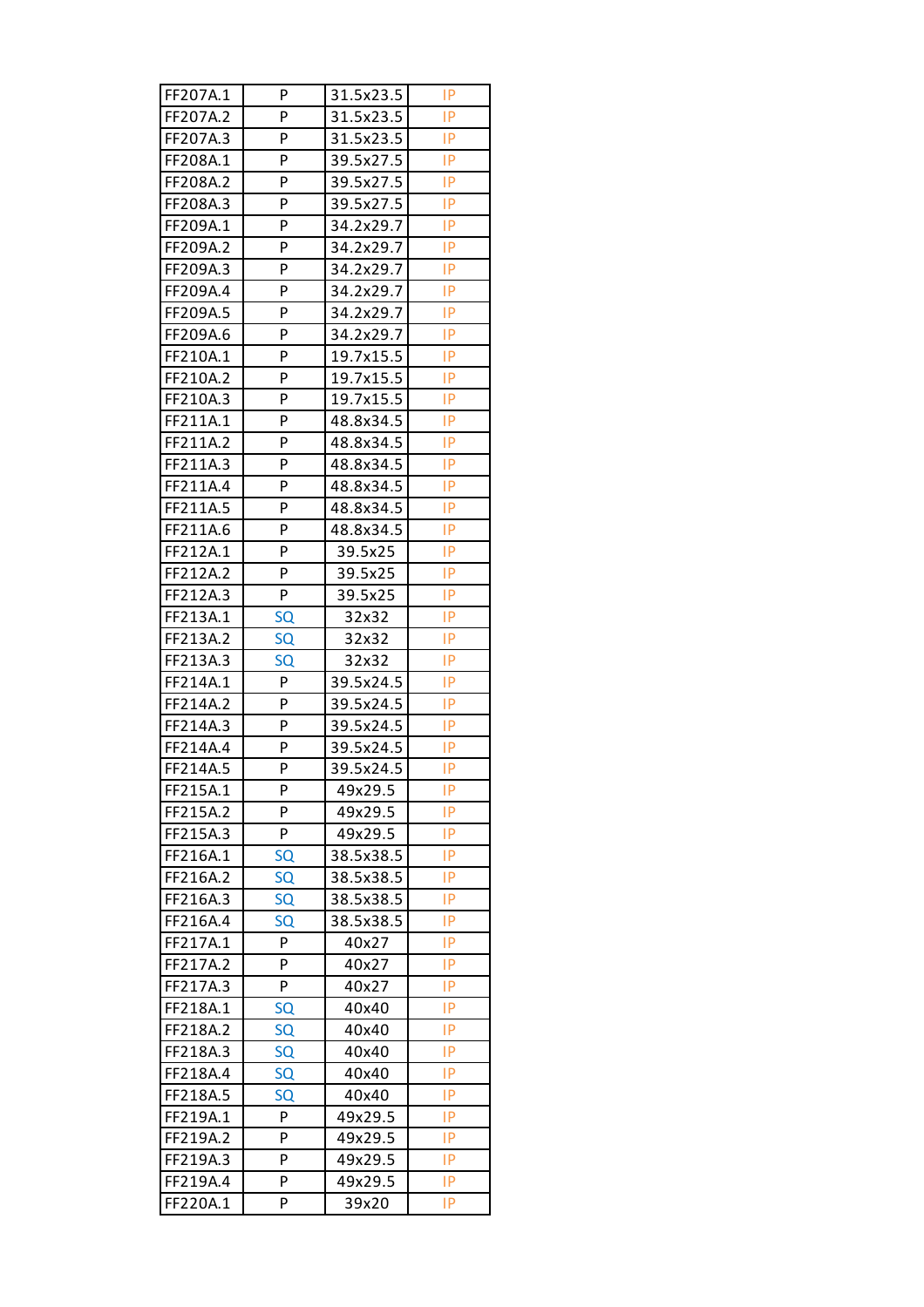| FF207A.1 | P  | 31.5x23.5 | IP |
|----------|----|-----------|----|
| FF207A.2 | P  | 31.5x23.5 | IP |
| FF207A.3 | P  | 31.5x23.5 | IP |
| FF208A.1 | P  | 39.5x27.5 | IP |
| FF208A.2 | P  | 39.5x27.5 | IP |
| FF208A.3 | P  | 39.5x27.5 | IP |
| FF209A.1 | P  | 34.2x29.7 | IP |
| FF209A.2 | P  | 34.2x29.7 | IP |
| FF209A.3 | P  | 34.2x29.7 | IP |
| FF209A.4 | P  | 34.2x29.7 | IP |
| FF209A.5 | P  | 34.2x29.7 | IP |
| FF209A.6 | P  | 34.2x29.7 | IP |
| FF210A.1 | P  | 19.7x15.5 | IP |
| FF210A.2 | P  | 19.7x15.5 | IP |
| FF210A.3 | P  | 19.7x15.5 | IP |
| FF211A.1 | P  | 48.8x34.5 | IP |
| FF211A.2 | P  | 48.8x34.5 | IP |
| FF211A.3 | P  | 48.8x34.5 | IP |
| FF211A.4 | P  | 48.8x34.5 | IP |
| FF211A.5 | P  | 48.8x34.5 | IP |
| FF211A.6 | P  | 48.8x34.5 | IP |
| FF212A.1 | P  | 39.5x25   | IP |
| FF212A.2 | P  | 39.5x25   | IP |
| FF212A.3 | P  | 39.5x25   | IP |
| FF213A.1 | SQ | 32x32     | IP |
| FF213A.2 | SQ | 32x32     | IP |
| FF213A.3 | SQ | 32x32     | IP |
| FF214A.1 | P  | 39.5x24.5 | IP |
| FF214A.2 | P  | 39.5x24.5 | IP |
| FF214A.3 | P  | 39.5x24.5 | IP |
| FF214A.4 | P  | 39.5x24.5 | IP |
| FF214A.5 | P  | 39.5x24.5 | IP |
| FF215A.1 | P  | 49x29.5   | IP |
| FF215A.2 | P  | 49x29.5   | IP |
| FF215A.3 | P  | 49x29.5   | IP |
| FF216A.1 | SQ | 38.5x38.5 | IP |
| FF216A.2 | SQ | 38.5x38.5 | IP |
| FF216A.3 | SQ | 38.5x38.5 | IP |
| FF216A.4 | SQ | 38.5x38.5 | IP |
| FF217A.1 | P  | 40x27     | IP |
| FF217A.2 | P  | 40x27     | IP |
| FF217A.3 | P  | 40x27     | IP |
| FF218A.1 | SQ | 40x40     | IP |
| FF218A.2 | SQ | 40x40     | IP |
| FF218A.3 | SQ | 40x40     | IP |
| FF218A.4 | SQ | 40x40     | IP |
| FF218A.5 | SQ | 40x40     | IP |
| FF219A.1 | P  | 49x29.5   | IP |
| FF219A.2 | P  | 49x29.5   | IP |
| FF219A.3 | P  | 49x29.5   | IP |
| FF219A.4 | P  | 49x29.5   | IP |
| FF220A.1 | P  | 39x20     | IP |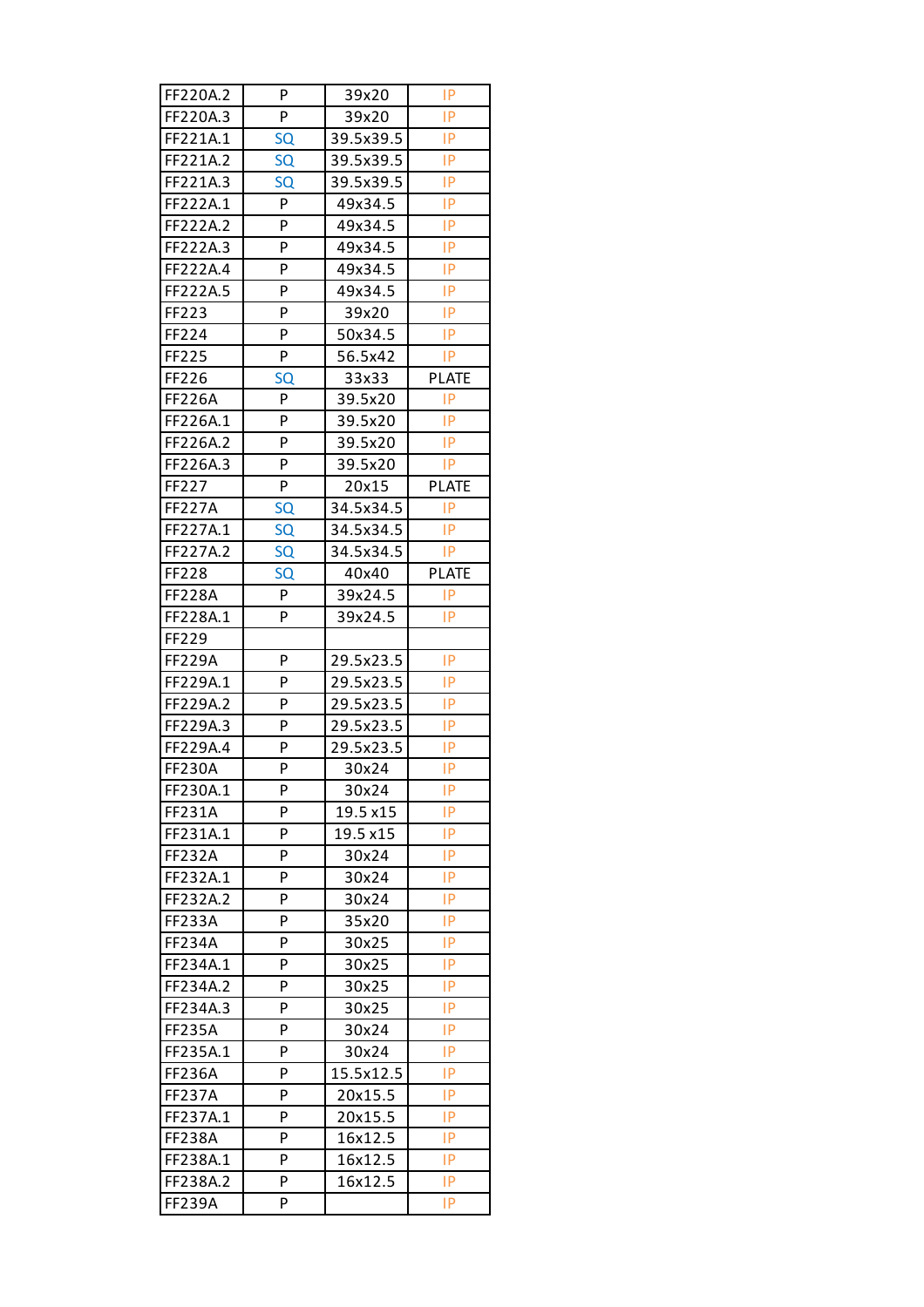| FF220A.2                  | P  | 39x20     | IP           |
|---------------------------|----|-----------|--------------|
| FF220A.3                  | P  | 39x20     | IP           |
| FF221A.1                  | SQ | 39.5x39.5 | IP           |
| FF221A.2                  | SQ | 39.5x39.5 | IP           |
| FF221A.3                  | SQ | 39.5x39.5 | IP           |
| FF222A.1                  | P  | 49x34.5   | IP           |
| FF222A.2                  | P  | 49x34.5   | IP           |
| FF222A.3                  | P  | 49x34.5   | IP           |
| FF222A.4                  | P  | 49x34.5   | IP           |
| FF222A.5                  | P  | 49x34.5   | IP           |
| FF223                     | P  | 39x20     | IP           |
| FF224                     | P  | 50x34.5   | IP           |
| FF225                     | P  | 56.5x42   | IP           |
| FF226                     | SQ | 33x33     | <b>PLATE</b> |
| <b>FF226A</b>             | P  | 39.5x20   | IP           |
| FF226A.1                  | P  | 39.5x20   | IP           |
| FF226A.2                  | P  | 39.5x20   | IP           |
| FF226A.3                  | P  | 39.5x20   | IP           |
| FF227                     | P  | 20x15     | <b>PLATE</b> |
| <b>FF227A</b>             | SQ | 34.5x34.5 | IP           |
| FF227A.1                  | SQ | 34.5x34.5 | IP           |
| FF227A.2                  | SQ | 34.5x34.5 | IP           |
| FF228                     | SQ | 40x40     | <b>PLATE</b> |
| <b>FF228A</b>             | P  | 39x24.5   | IP           |
| FF228A.1                  | P  | 39x24.5   | IP           |
| FF229                     |    |           |              |
|                           | P  | 29.5x23.5 | IP           |
| <b>FF229A</b><br>FF229A.1 | P  | 29.5x23.5 | IP           |
| FF229A.2                  | P  |           | IP           |
|                           | P  | 29.5x23.5 | IP           |
| FF229A.3                  | P  | 29.5x23.5 | IP           |
| FF229A.4<br><b>FF230A</b> | P  | 29.5x23.5 | IP           |
|                           |    | 30x24     |              |
| FF230A.1                  | P  | 30x24     | IP           |
| <b>FF231A</b>             | P  | 19.5 x15  | IP           |
| FF231A.1                  | P  | 19.5 x15  | IP           |
| <b>FF232A</b>             | P  | 30x24     | IP           |
| FF232A.1                  | P  | 30x24     | IP           |
| FF232A.2                  | P  | 30x24     | IP           |
| <b>FF233A</b>             | P  | 35x20     | IP           |
| <b>FF234A</b>             | P  | 30x25     | IP           |
| FF234A.1                  | P  | 30x25     | IP           |
| FF234A.2                  | P  | 30x25     | IP           |
| FF234A.3                  | P  | 30x25     | IP           |
| <b>FF235A</b>             | P  | 30x24     | IP           |
| FF235A.1                  | P  | 30x24     | IP           |
| <b>FF236A</b>             | P  | 15.5x12.5 | IP           |
| <b>FF237A</b>             | P  | 20x15.5   | IP           |
| FF237A.1                  | P  | 20x15.5   | IP           |
| <b>FF238A</b>             | P  | 16x12.5   | IP           |
| FF238A.1                  | P  | 16x12.5   | IP           |
| FF238A.2                  | P  | 16x12.5   | IP           |
| <b>FF239A</b>             | P  |           | IP           |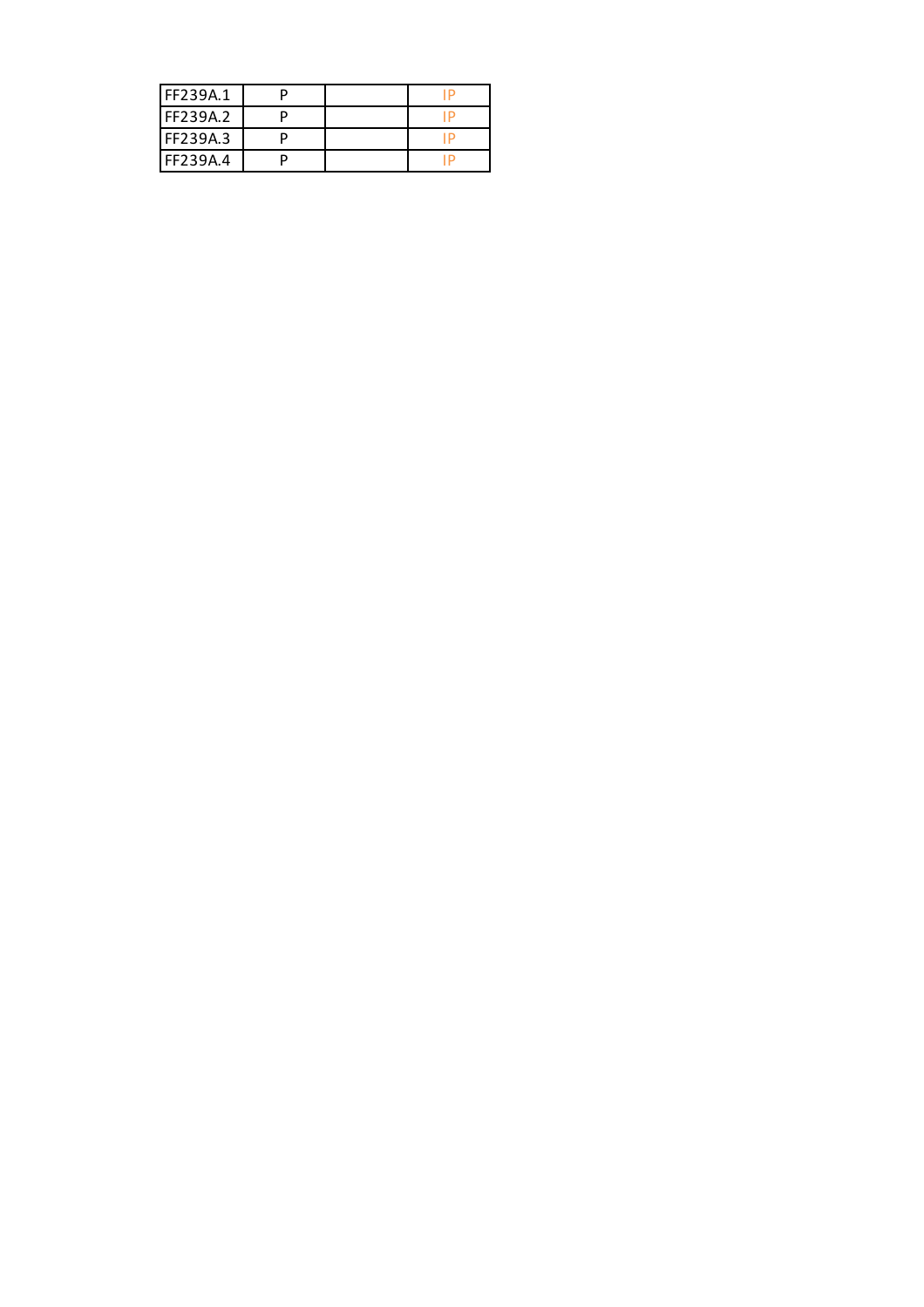| FF239A.1 |  |  |
|----------|--|--|
| FF239A.2 |  |  |
| FF239A.3 |  |  |
| FF239A.4 |  |  |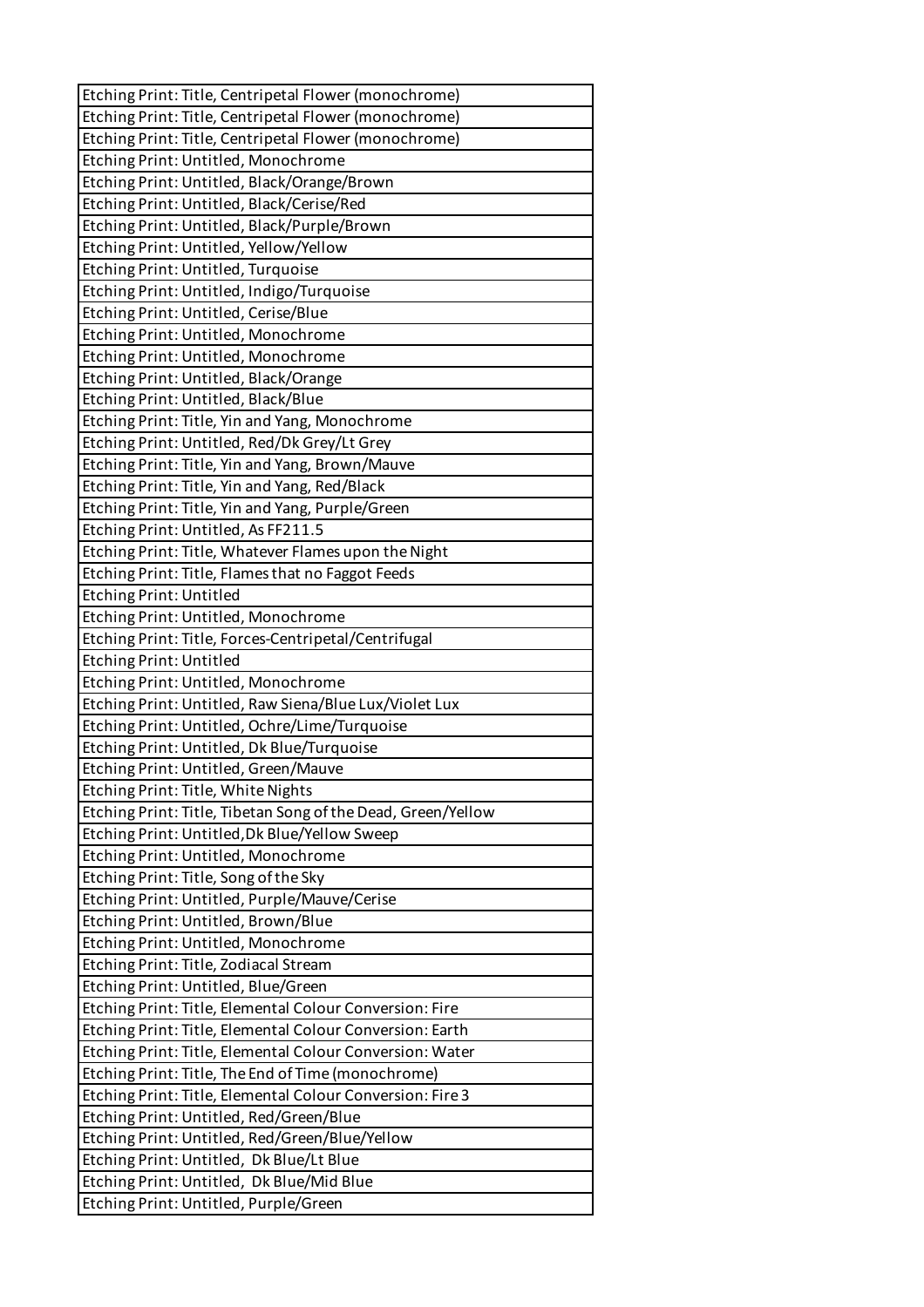| Etching Print: Title, Centripetal Flower (monochrome)        |
|--------------------------------------------------------------|
| Etching Print: Title, Centripetal Flower (monochrome)        |
| Etching Print: Title, Centripetal Flower (monochrome)        |
| Etching Print: Untitled, Monochrome                          |
| Etching Print: Untitled, Black/Orange/Brown                  |
| Etching Print: Untitled, Black/Cerise/Red                    |
| Etching Print: Untitled, Black/Purple/Brown                  |
| Etching Print: Untitled, Yellow/Yellow                       |
| Etching Print: Untitled, Turquoise                           |
| Etching Print: Untitled, Indigo/Turquoise                    |
| Etching Print: Untitled, Cerise/Blue                         |
| Etching Print: Untitled, Monochrome                          |
| Etching Print: Untitled, Monochrome                          |
| Etching Print: Untitled, Black/Orange                        |
| Etching Print: Untitled, Black/Blue                          |
| Etching Print: Title, Yin and Yang, Monochrome               |
| Etching Print: Untitled, Red/Dk Grey/Lt Grey                 |
| Etching Print: Title, Yin and Yang, Brown/Mauve              |
| Etching Print: Title, Yin and Yang, Red/Black                |
| Etching Print: Title, Yin and Yang, Purple/Green             |
| Etching Print: Untitled, As FF211.5                          |
| Etching Print: Title, Whatever Flames upon the Night         |
| Etching Print: Title, Flames that no Faggot Feeds            |
| Etching Print: Untitled                                      |
| Etching Print: Untitled, Monochrome                          |
| Etching Print: Title, Forces-Centripetal/Centrifugal         |
| <b>Etching Print: Untitled</b>                               |
| Etching Print: Untitled, Monochrome                          |
| Etching Print: Untitled, Raw Siena/Blue Lux/Violet Lux       |
| Etching Print: Untitled, Ochre/Lime/Turquoise                |
| Etching Print: Untitled, Dk Blue/Turquoise                   |
| Etching Print: Untitled, Green/Mauve                         |
| Etching Print: Title, White Nights                           |
| Etching Print: Title, Tibetan Song of the Dead, Green/Yellow |
| Etching Print: Untitled, Dk Blue/Yellow Sweep                |
| Etching Print: Untitled, Monochrome                          |
| Etching Print: Title, Song of the Sky                        |
| Etching Print: Untitled, Purple/Mauve/Cerise                 |
| Etching Print: Untitled, Brown/Blue                          |
| Etching Print: Untitled, Monochrome                          |
| Etching Print: Title, Zodiacal Stream                        |
| Etching Print: Untitled, Blue/Green                          |
| Etching Print: Title, Elemental Colour Conversion: Fire      |
| Etching Print: Title, Elemental Colour Conversion: Earth     |
| Etching Print: Title, Elemental Colour Conversion: Water     |
| Etching Print: Title, The End of Time (monochrome)           |
| Etching Print: Title, Elemental Colour Conversion: Fire 3    |
| Etching Print: Untitled, Red/Green/Blue                      |
| Etching Print: Untitled, Red/Green/Blue/Yellow               |
| Etching Print: Untitled, Dk Blue/Lt Blue                     |
| Etching Print: Untitled, Dk Blue/Mid Blue                    |
| Etching Print: Untitled, Purple/Green                        |
|                                                              |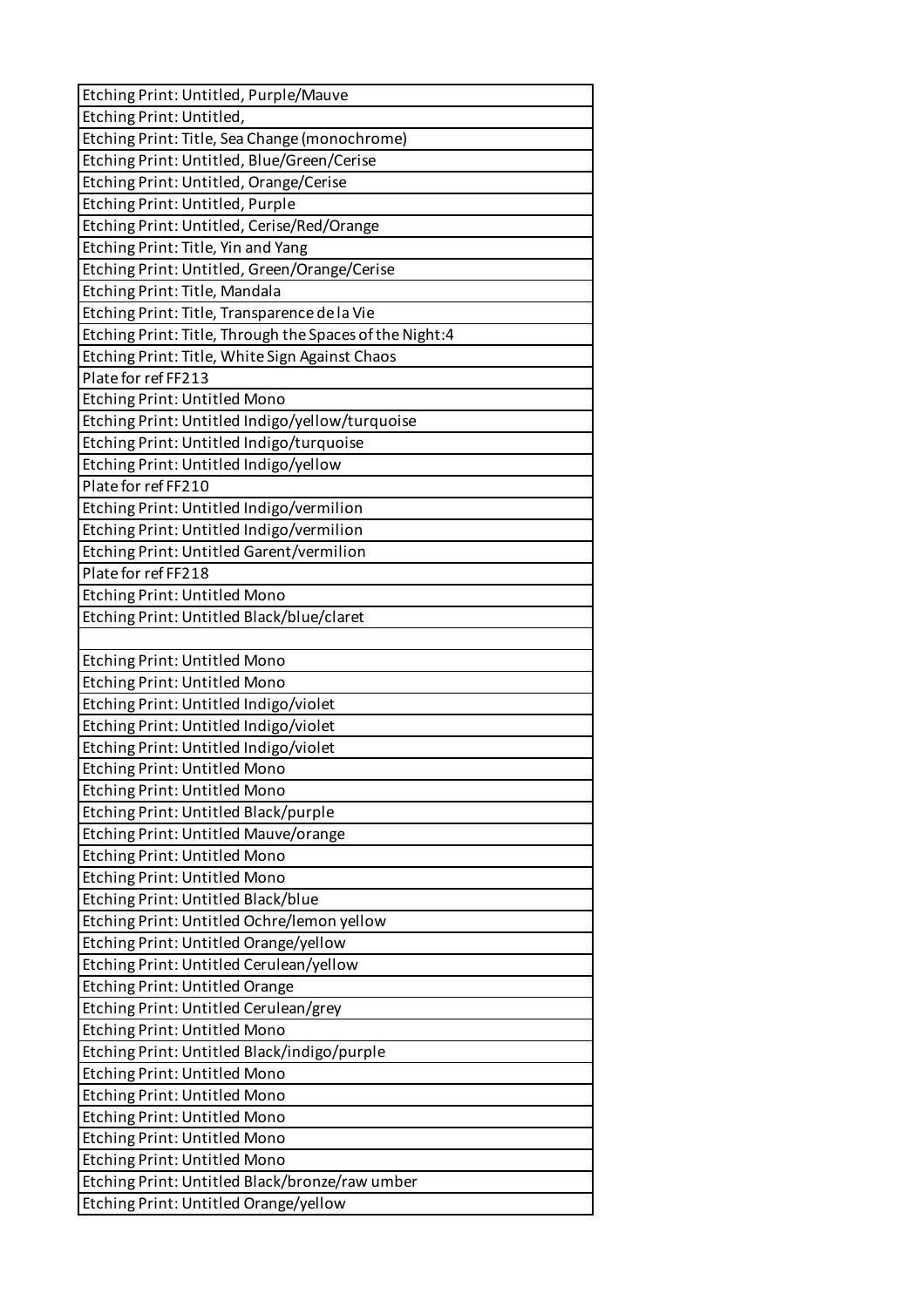| Etching Print: Untitled, Purple/Mauve                   |
|---------------------------------------------------------|
| Etching Print: Untitled,                                |
| Etching Print: Title, Sea Change (monochrome)           |
| Etching Print: Untitled, Blue/Green/Cerise              |
| Etching Print: Untitled, Orange/Cerise                  |
| Etching Print: Untitled, Purple                         |
| Etching Print: Untitled, Cerise/Red/Orange              |
| Etching Print: Title, Yin and Yang                      |
| Etching Print: Untitled, Green/Orange/Cerise            |
| Etching Print: Title, Mandala                           |
| Etching Print: Title, Transparence de la Vie            |
| Etching Print: Title, Through the Spaces of the Night:4 |
| Etching Print: Title, White Sign Against Chaos          |
| Plate for ref FF213                                     |
| <b>Etching Print: Untitled Mono</b>                     |
| Etching Print: Untitled Indigo/yellow/turquoise         |
| Etching Print: Untitled Indigo/turquoise                |
| Etching Print: Untitled Indigo/yellow                   |
| Plate for ref FF210                                     |
| Etching Print: Untitled Indigo/vermilion                |
| Etching Print: Untitled Indigo/vermilion                |
| Etching Print: Untitled Garent/vermilion                |
| Plate for ref FF218                                     |
| <b>Etching Print: Untitled Mono</b>                     |
| Etching Print: Untitled Black/blue/claret               |
|                                                         |
| <b>Etching Print: Untitled Mono</b>                     |
| <b>Etching Print: Untitled Mono</b>                     |
| Etching Print: Untitled Indigo/violet                   |
| Etching Print: Untitled Indigo/violet                   |
| Etching Print: Untitled Indigo/violet                   |
| <b>Etching Print: Untitled Mono</b>                     |
| Etching Print: Untitled Mono                            |
| Etching Print: Untitled Black/purple                    |
| Etching Print: Untitled Mauve/orange                    |
| <b>Etching Print: Untitled Mono</b>                     |
| <b>Etching Print: Untitled Mono</b>                     |
| Etching Print: Untitled Black/blue                      |
| Etching Print: Untitled Ochre/lemon yellow              |
| Etching Print: Untitled Orange/yellow                   |
| Etching Print: Untitled Cerulean/yellow                 |
| <b>Etching Print: Untitled Orange</b>                   |
| Etching Print: Untitled Cerulean/grey                   |
| Etching Print: Untitled Mono                            |
| Etching Print: Untitled Black/indigo/purple             |
| <b>Etching Print: Untitled Mono</b>                     |
| <b>Etching Print: Untitled Mono</b>                     |
| <b>Etching Print: Untitled Mono</b>                     |
| Etching Print: Untitled Mono                            |
| <b>Etching Print: Untitled Mono</b>                     |
| Etching Print: Untitled Black/bronze/raw umber          |
| Etching Print: Untitled Orange/yellow                   |